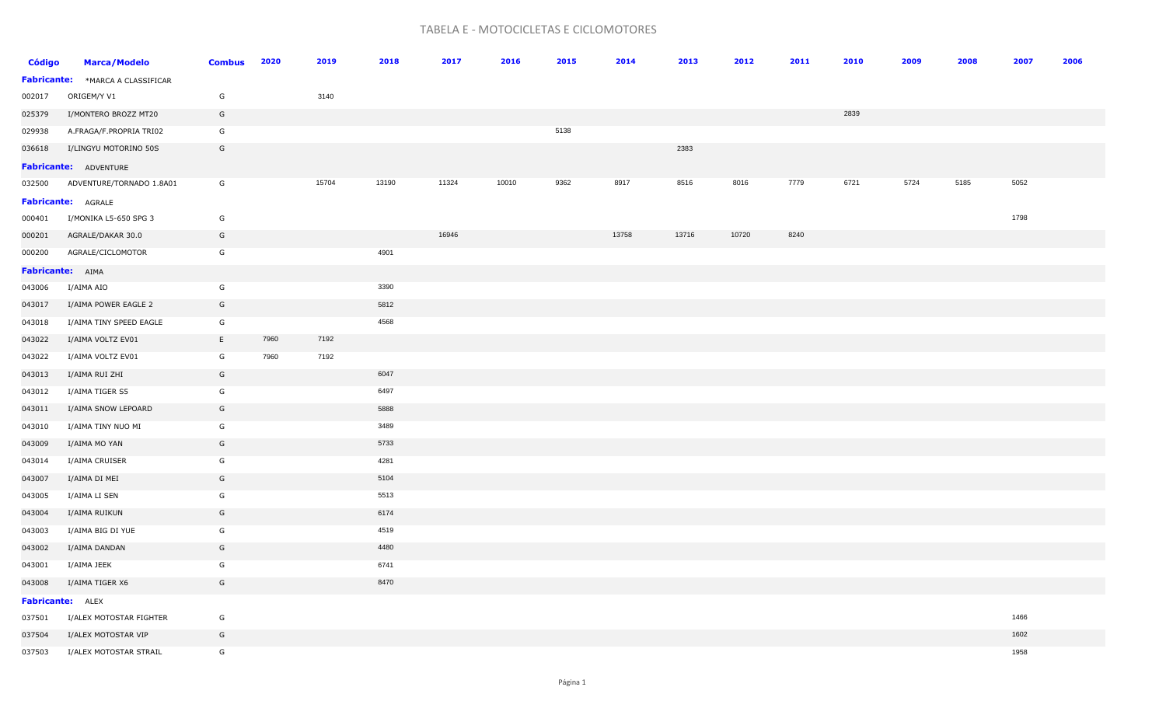## TABELA E - MOTOCICLETAS E CICLOMOTORES

| <b>Código</b> | <b>Marca/Modelo</b>                     | <b>Combus</b> | 2020 | 2019  | 2018  | 2017  | 2016  | 2015 | 2014  | 2013  | 2012  | 2011 | 2010 | 2009 | 2008 | 2007 | 2006 |
|---------------|-----------------------------------------|---------------|------|-------|-------|-------|-------|------|-------|-------|-------|------|------|------|------|------|------|
|               | <b>Fabricante:</b> *MARCA A CLASSIFICAR |               |      |       |       |       |       |      |       |       |       |      |      |      |      |      |      |
| 002017        | ORIGEM/Y V1                             | G             |      | 3140  |       |       |       |      |       |       |       |      |      |      |      |      |      |
| 025379        | I/MONTERO BROZZ MT20                    | G             |      |       |       |       |       |      |       |       |       |      | 2839 |      |      |      |      |
| 029938        | A.FRAGA/F.PROPRIA TRI02                 | G             |      |       |       |       |       | 5138 |       |       |       |      |      |      |      |      |      |
| 036618        | I/LINGYU MOTORINO 50S                   | G             |      |       |       |       |       |      |       | 2383  |       |      |      |      |      |      |      |
|               | <b>Fabricante: ADVENTURE</b>            |               |      |       |       |       |       |      |       |       |       |      |      |      |      |      |      |
| 032500        | ADVENTURE/TORNADO 1.8A01                | G             |      | 15704 | 13190 | 11324 | 10010 | 9362 | 8917  | 8516  | 8016  | 7779 | 6721 | 5724 | 5185 | 5052 |      |
|               | <b>Fabricante: AGRALE</b>               |               |      |       |       |       |       |      |       |       |       |      |      |      |      |      |      |
| 000401        | I/MONIKA L5-650 SPG 3                   | G             |      |       |       |       |       |      |       |       |       |      |      |      |      | 1798 |      |
| 000201        | AGRALE/DAKAR 30.0                       | G             |      |       |       | 16946 |       |      | 13758 | 13716 | 10720 | 8240 |      |      |      |      |      |
| 000200        | AGRALE/CICLOMOTOR                       | G             |      |       | 4901  |       |       |      |       |       |       |      |      |      |      |      |      |
|               | Fabricante: AIMA                        |               |      |       |       |       |       |      |       |       |       |      |      |      |      |      |      |
| 043006        | I/AIMA AIO                              | G             |      |       | 3390  |       |       |      |       |       |       |      |      |      |      |      |      |
| 043017        | I/AIMA POWER EAGLE 2                    | G             |      |       | 5812  |       |       |      |       |       |       |      |      |      |      |      |      |
| 043018        | I/AIMA TINY SPEED EAGLE                 | G             |      |       | 4568  |       |       |      |       |       |       |      |      |      |      |      |      |
| 043022        | I/AIMA VOLTZ EV01                       | E             | 7960 | 7192  |       |       |       |      |       |       |       |      |      |      |      |      |      |
| 043022        | I/AIMA VOLTZ EV01                       | G             | 7960 | 7192  |       |       |       |      |       |       |       |      |      |      |      |      |      |
| 043013        | I/AIMA RUI ZHI                          | G             |      |       | 6047  |       |       |      |       |       |       |      |      |      |      |      |      |
| 043012        | I/AIMA TIGER S5                         | G             |      |       | 6497  |       |       |      |       |       |       |      |      |      |      |      |      |
| 043011        | I/AIMA SNOW LEPOARD                     | G             |      |       | 5888  |       |       |      |       |       |       |      |      |      |      |      |      |
| 043010        | I/AIMA TINY NUO MI                      | G             |      |       | 3489  |       |       |      |       |       |       |      |      |      |      |      |      |
| 043009        | I/AIMA MO YAN                           | G             |      |       | 5733  |       |       |      |       |       |       |      |      |      |      |      |      |
| 043014        | I/AIMA CRUISER                          | G             |      |       | 4281  |       |       |      |       |       |       |      |      |      |      |      |      |
| 043007        | I/AIMA DI MEI                           | G             |      |       | 5104  |       |       |      |       |       |       |      |      |      |      |      |      |
| 043005        | I/AIMA LI SEN                           | G             |      |       | 5513  |       |       |      |       |       |       |      |      |      |      |      |      |
| 043004        | I/AIMA RUIKUN                           | G             |      |       | 6174  |       |       |      |       |       |       |      |      |      |      |      |      |
| 043003        | I/AIMA BIG DI YUE                       | G             |      |       | 4519  |       |       |      |       |       |       |      |      |      |      |      |      |
| 043002        | I/AIMA DANDAN                           | G             |      |       | 4480  |       |       |      |       |       |       |      |      |      |      |      |      |
| 043001        | I/AIMA JEEK                             | G             |      |       | 6741  |       |       |      |       |       |       |      |      |      |      |      |      |
| 043008        | I/AIMA TIGER X6                         | G             |      |       | 8470  |       |       |      |       |       |       |      |      |      |      |      |      |
|               | <b>Fabricante:</b> ALEX                 |               |      |       |       |       |       |      |       |       |       |      |      |      |      |      |      |
| 037501        | I/ALEX MOTOSTAR FIGHTER                 | G             |      |       |       |       |       |      |       |       |       |      |      |      |      | 1466 |      |
| 037504        | I/ALEX MOTOSTAR VIP                     | G             |      |       |       |       |       |      |       |       |       |      |      |      |      | 1602 |      |
| 037503        | I/ALEX MOTOSTAR STRAIL                  | G             |      |       |       |       |       |      |       |       |       |      |      |      |      | 1958 |      |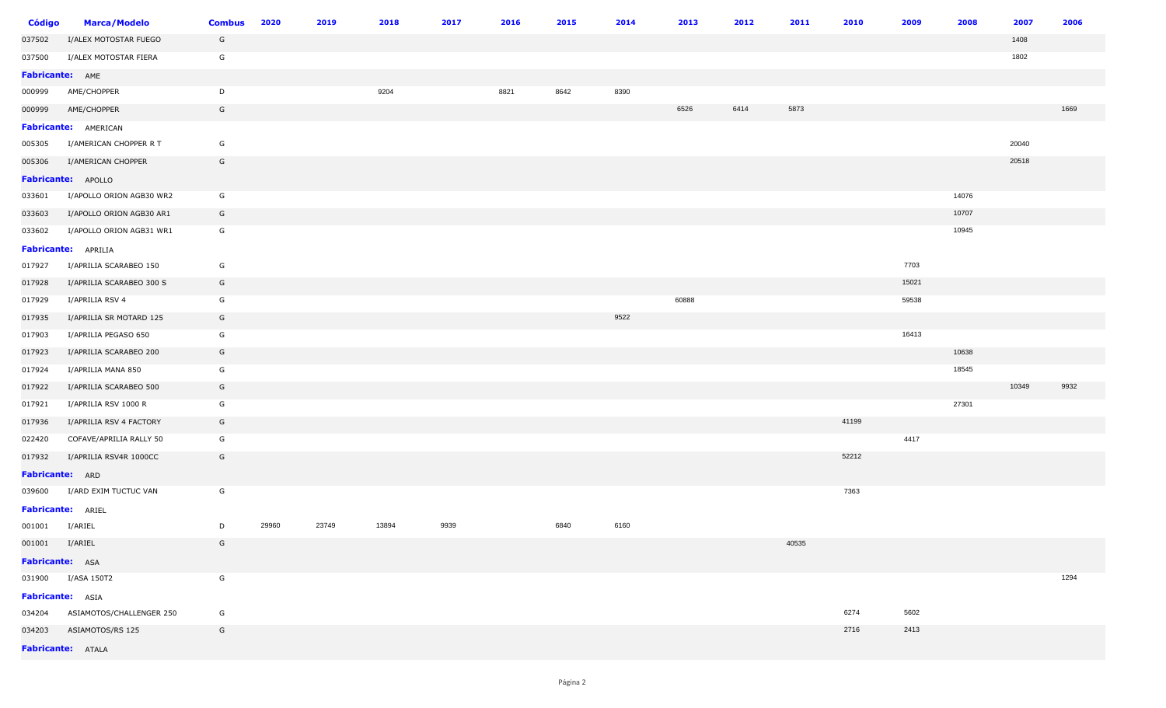| <b>Código</b>            | <b>Marca/Modelo</b>             | <b>Combus</b> | 2020  | 2019  | 2018  | 2017 | 2016 | 2015 | 2014 | 2013  | 2012 | 2011  | 2010  | 2009  | 2008  | 2007  | 2006 |
|--------------------------|---------------------------------|---------------|-------|-------|-------|------|------|------|------|-------|------|-------|-------|-------|-------|-------|------|
| 037502                   | I/ALEX MOTOSTAR FUEGO           | G             |       |       |       |      |      |      |      |       |      |       |       |       |       | 1408  |      |
| 037500                   | I/ALEX MOTOSTAR FIERA           | G             |       |       |       |      |      |      |      |       |      |       |       |       |       | 1802  |      |
| Fabricante: AME          |                                 |               |       |       |       |      |      |      |      |       |      |       |       |       |       |       |      |
| 000999                   | AME/CHOPPER                     | D             |       |       | 9204  |      | 8821 | 8642 | 8390 |       |      |       |       |       |       |       |      |
| 000999                   | AME/CHOPPER                     | G             |       |       |       |      |      |      |      | 6526  | 6414 | 5873  |       |       |       |       | 1669 |
|                          | <b>Fabricante:</b> AMERICAN     |               |       |       |       |      |      |      |      |       |      |       |       |       |       |       |      |
| 005305                   | I/AMERICAN CHOPPER R T          | G             |       |       |       |      |      |      |      |       |      |       |       |       |       | 20040 |      |
| 005306                   | I/AMERICAN CHOPPER              | G             |       |       |       |      |      |      |      |       |      |       |       |       |       | 20518 |      |
|                          | Fabricante: APOLLO              |               |       |       |       |      |      |      |      |       |      |       |       |       |       |       |      |
| 033601                   | I/APOLLO ORION AGB30 WR2        | G             |       |       |       |      |      |      |      |       |      |       |       |       | 14076 |       |      |
| 033603                   | I/APOLLO ORION AGB30 AR1        | G             |       |       |       |      |      |      |      |       |      |       |       |       | 10707 |       |      |
| 033602                   | I/APOLLO ORION AGB31 WR1        | G             |       |       |       |      |      |      |      |       |      |       |       |       | 10945 |       |      |
|                          | <b>Fabricante:</b> APRILIA      |               |       |       |       |      |      |      |      |       |      |       |       |       |       |       |      |
| 017927                   | I/APRILIA SCARABEO 150          | G             |       |       |       |      |      |      |      |       |      |       |       | 7703  |       |       |      |
| 017928                   | I/APRILIA SCARABEO 300 S        | G             |       |       |       |      |      |      |      |       |      |       |       | 15021 |       |       |      |
| 017929                   | I/APRILIA RSV 4                 | G             |       |       |       |      |      |      |      | 60888 |      |       |       | 59538 |       |       |      |
| 017935                   | I/APRILIA SR MOTARD 125         | G             |       |       |       |      |      |      | 9522 |       |      |       |       |       |       |       |      |
| 017903                   | I/APRILIA PEGASO 650            | G             |       |       |       |      |      |      |      |       |      |       |       | 16413 |       |       |      |
| 017923                   | I/APRILIA SCARABEO 200          | G             |       |       |       |      |      |      |      |       |      |       |       |       | 10638 |       |      |
| 017924                   | I/APRILIA MANA 850              | G             |       |       |       |      |      |      |      |       |      |       |       |       | 18545 |       |      |
| 017922                   | I/APRILIA SCARABEO 500          | G             |       |       |       |      |      |      |      |       |      |       |       |       |       | 10349 | 9932 |
| 017921                   | I/APRILIA RSV 1000 R            | G             |       |       |       |      |      |      |      |       |      |       |       |       | 27301 |       |      |
| 017936                   | I/APRILIA RSV 4 FACTORY         | G             |       |       |       |      |      |      |      |       |      |       | 41199 |       |       |       |      |
| 022420                   | COFAVE/APRILIA RALLY 50         | G             |       |       |       |      |      |      |      |       |      |       |       | 4417  |       |       |      |
| 017932                   | I/APRILIA RSV4R 1000CC          | G             |       |       |       |      |      |      |      |       |      |       | 52212 |       |       |       |      |
| Fabricante: ARD          |                                 |               |       |       |       |      |      |      |      |       |      |       |       |       |       |       |      |
| 039600                   | I/ARD EXIM TUCTUC VAN           | G             |       |       |       |      |      |      |      |       |      |       | 7363  |       |       |       |      |
| <b>Fabricante:</b> ARIEL |                                 |               |       |       |       |      |      |      |      |       |      |       |       |       |       |       |      |
| 001001 I/ARIEL           |                                 | D             | 29960 | 23749 | 13894 | 9939 |      | 6840 | 6160 |       |      |       |       |       |       |       |      |
| 001001 I/ARIEL           |                                 | G             |       |       |       |      |      |      |      |       |      | 40535 |       |       |       |       |      |
| Fabricante: ASA          |                                 |               |       |       |       |      |      |      |      |       |      |       |       |       |       |       |      |
|                          | 031900 I/ASA 150T2              | G             |       |       |       |      |      |      |      |       |      |       |       |       |       |       | 1294 |
| Fabricante: ASIA         |                                 |               |       |       |       |      |      |      |      |       |      |       |       |       |       |       |      |
|                          | 034204 ASIAMOTOS/CHALLENGER 250 | G             |       |       |       |      |      |      |      |       |      |       | 6274  | 5602  |       |       |      |
|                          | 034203 ASIAMOTOS/RS 125         | G             |       |       |       |      |      |      |      |       |      |       | 2716  | 2413  |       |       |      |
|                          | <b>Fabricante:</b> ATALA        |               |       |       |       |      |      |      |      |       |      |       |       |       |       |       |      |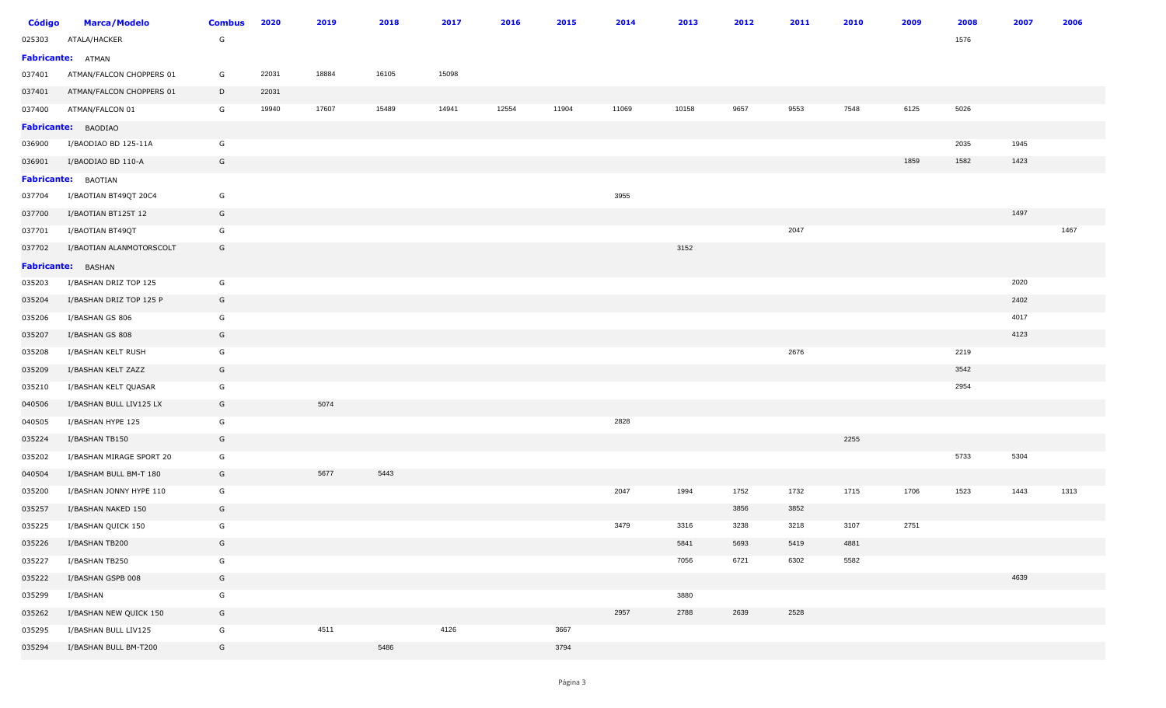| <b>Código</b> | <b>Marca/Modelo</b>      | <b>Combus</b> | 2020  | 2019  | 2018  | 2017  | 2016  | 2015  | 2014  | 2013  | 2012 | 2011 | 2010 | 2009 | 2008 | 2007 | 2006 |
|---------------|--------------------------|---------------|-------|-------|-------|-------|-------|-------|-------|-------|------|------|------|------|------|------|------|
| 025303        | ATALA/HACKER             | G             |       |       |       |       |       |       |       |       |      |      |      |      | 1576 |      |      |
|               | Fabricante: ATMAN        |               |       |       |       |       |       |       |       |       |      |      |      |      |      |      |      |
| 037401        | ATMAN/FALCON CHOPPERS 01 | G             | 22031 | 18884 | 16105 | 15098 |       |       |       |       |      |      |      |      |      |      |      |
| 037401        | ATMAN/FALCON CHOPPERS 01 | D             | 22031 |       |       |       |       |       |       |       |      |      |      |      |      |      |      |
| 037400        | ATMAN/FALCON 01          | G             | 19940 | 17607 | 15489 | 14941 | 12554 | 11904 | 11069 | 10158 | 9657 | 9553 | 7548 | 6125 | 5026 |      |      |
|               | Fabricante: BAODIAO      |               |       |       |       |       |       |       |       |       |      |      |      |      |      |      |      |
| 036900        | I/BAODIAO BD 125-11A     | G             |       |       |       |       |       |       |       |       |      |      |      |      | 2035 | 1945 |      |
| 036901        | I/BAODIAO BD 110-A       | G             |       |       |       |       |       |       |       |       |      |      |      | 1859 | 1582 | 1423 |      |
|               | Fabricante: BAOTIAN      |               |       |       |       |       |       |       |       |       |      |      |      |      |      |      |      |
| 037704        | I/BAOTIAN BT49QT 20C4    | G             |       |       |       |       |       |       | 3955  |       |      |      |      |      |      |      |      |
| 037700        | I/BAOTIAN BT125T 12      | G             |       |       |       |       |       |       |       |       |      |      |      |      |      | 1497 |      |
| 037701        | I/BAOTIAN BT49QT         | G             |       |       |       |       |       |       |       |       |      | 2047 |      |      |      |      | 1467 |
| 037702        | I/BAOTIAN ALANMOTORSCOLT | G             |       |       |       |       |       |       |       | 3152  |      |      |      |      |      |      |      |
|               | Fabricante: BASHAN       |               |       |       |       |       |       |       |       |       |      |      |      |      |      |      |      |
| 035203        | I/BASHAN DRIZ TOP 125    | G             |       |       |       |       |       |       |       |       |      |      |      |      |      | 2020 |      |
| 035204        | I/BASHAN DRIZ TOP 125 P  | G             |       |       |       |       |       |       |       |       |      |      |      |      |      | 2402 |      |
| 035206        | I/BASHAN GS 806          | G             |       |       |       |       |       |       |       |       |      |      |      |      |      | 4017 |      |
| 035207        | I/BASHAN GS 808          | G             |       |       |       |       |       |       |       |       |      |      |      |      |      | 4123 |      |
| 035208        | I/BASHAN KELT RUSH       | G             |       |       |       |       |       |       |       |       |      | 2676 |      |      | 2219 |      |      |
| 035209        | I/BASHAN KELT ZAZZ       | G             |       |       |       |       |       |       |       |       |      |      |      |      | 3542 |      |      |
| 035210        | I/BASHAN KELT QUASAR     | G             |       |       |       |       |       |       |       |       |      |      |      |      | 2954 |      |      |
| 040506        | I/BASHAN BULL LIV125 LX  | G             |       | 5074  |       |       |       |       |       |       |      |      |      |      |      |      |      |
| 040505        | I/BASHAN HYPE 125        | G             |       |       |       |       |       |       | 2828  |       |      |      |      |      |      |      |      |
| 035224        | I/BASHAN TB150           | G             |       |       |       |       |       |       |       |       |      |      | 2255 |      |      |      |      |
| 035202        | I/BASHAN MIRAGE SPORT 20 | G             |       |       |       |       |       |       |       |       |      |      |      |      | 5733 | 5304 |      |
| 040504        | I/BASHAM BULL BM-T 180   | G             |       | 5677  | 5443  |       |       |       |       |       |      |      |      |      |      |      |      |
| 035200        | I/BASHAN JONNY HYPE 110  | G             |       |       |       |       |       |       | 2047  | 1994  | 1752 | 1732 | 1715 | 1706 | 1523 | 1443 | 1313 |
| 035257        | I/BASHAN NAKED 150       | G             |       |       |       |       |       |       |       |       | 3856 | 3852 |      |      |      |      |      |
| 035225        | I/BASHAN QUICK 150       | G             |       |       |       |       |       |       | 3479  | 3316  | 3238 | 3218 | 3107 | 2751 |      |      |      |
| 035226        | I/BASHAN TB200           | G             |       |       |       |       |       |       |       | 5841  | 5693 | 5419 | 4881 |      |      |      |      |
| 035227        | I/BASHAN TB250           | G             |       |       |       |       |       |       |       | 7056  | 6721 | 6302 | 5582 |      |      |      |      |
| 035222        | I/BASHAN GSPB 008        | G             |       |       |       |       |       |       |       |       |      |      |      |      |      | 4639 |      |
| 035299        | I/BASHAN                 | G             |       |       |       |       |       |       |       | 3880  |      |      |      |      |      |      |      |
| 035262        | I/BASHAN NEW QUICK 150   | G             |       |       |       |       |       |       | 2957  | 2788  | 2639 | 2528 |      |      |      |      |      |
| 035295        | I/BASHAN BULL LIV125     | G             |       | 4511  |       | 4126  |       | 3667  |       |       |      |      |      |      |      |      |      |
| 035294        | I/BASHAN BULL BM-T200    | G             |       |       | 5486  |       |       | 3794  |       |       |      |      |      |      |      |      |      |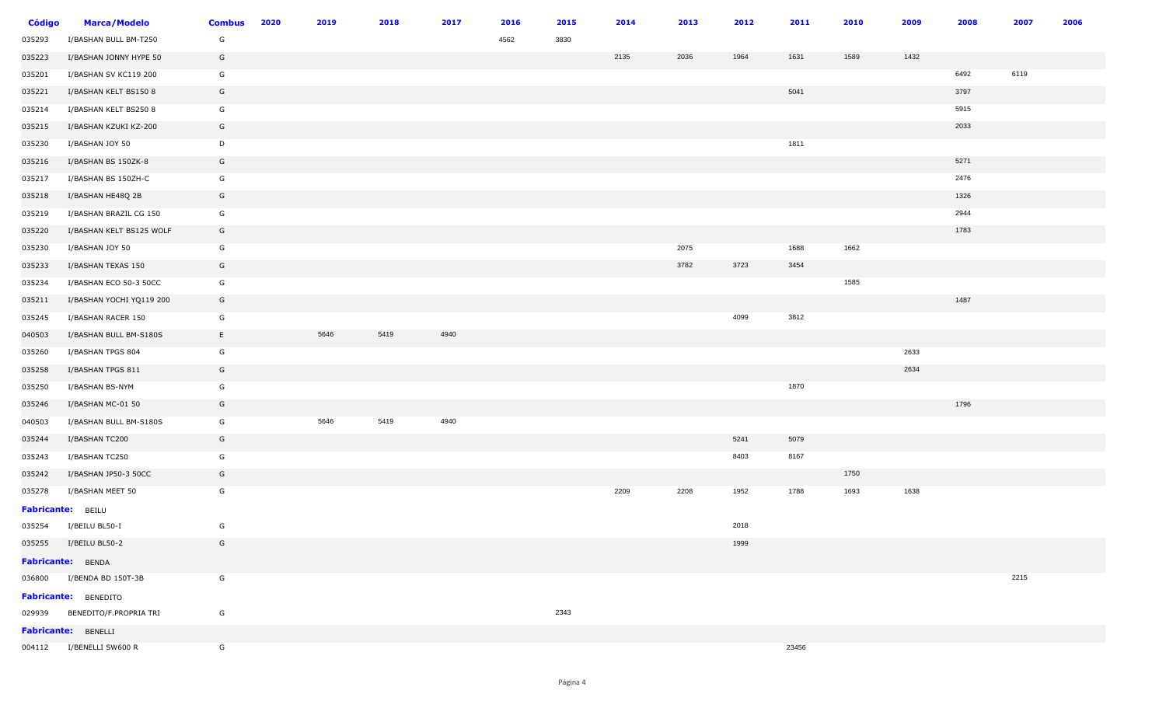| <b>Código</b> | <b>Marca/Modelo</b>           | <b>Combus</b> | 2020 | 2019 | 2018 | 2017 | 2016 | 2015 | 2014 | 2013 | 2012 | 2011  | 2010 | 2009 | 2008 | 2007 | 2006 |
|---------------|-------------------------------|---------------|------|------|------|------|------|------|------|------|------|-------|------|------|------|------|------|
| 035293        | I/BASHAN BULL BM-T250         | G             |      |      |      |      | 4562 | 3830 |      |      |      |       |      |      |      |      |      |
| 035223        | I/BASHAN JONNY HYPE 50        | G             |      |      |      |      |      |      | 2135 | 2036 | 1964 | 1631  | 1589 | 1432 |      |      |      |
| 035201        | I/BASHAN SV KC119 200         | G             |      |      |      |      |      |      |      |      |      |       |      |      | 6492 | 6119 |      |
| 035221        | I/BASHAN KELT BS150 8         | G             |      |      |      |      |      |      |      |      |      | 5041  |      |      | 3797 |      |      |
| 035214        | I/BASHAN KELT BS250 8         | G             |      |      |      |      |      |      |      |      |      |       |      |      | 5915 |      |      |
| 035215        | I/BASHAN KZUKI KZ-200         | G             |      |      |      |      |      |      |      |      |      |       |      |      | 2033 |      |      |
| 035230        | I/BASHAN JOY 50               | D             |      |      |      |      |      |      |      |      |      | 1811  |      |      |      |      |      |
| 035216        | I/BASHAN BS 150ZK-8           | G             |      |      |      |      |      |      |      |      |      |       |      |      | 5271 |      |      |
| 035217        | I/BASHAN BS 150ZH-C           | G             |      |      |      |      |      |      |      |      |      |       |      |      | 2476 |      |      |
| 035218        | I/BASHAN HE48Q 2B             | G             |      |      |      |      |      |      |      |      |      |       |      |      | 1326 |      |      |
| 035219        | I/BASHAN BRAZIL CG 150        | G             |      |      |      |      |      |      |      |      |      |       |      |      | 2944 |      |      |
| 035220        | I/BASHAN KELT BS125 WOLF      | G             |      |      |      |      |      |      |      |      |      |       |      |      | 1783 |      |      |
| 035230        | I/BASHAN JOY 50               | G             |      |      |      |      |      |      |      | 2075 |      | 1688  | 1662 |      |      |      |      |
| 035233        | I/BASHAN TEXAS 150            | G             |      |      |      |      |      |      |      | 3782 | 3723 | 3454  |      |      |      |      |      |
| 035234        | I/BASHAN ECO 50-3 50CC        | G             |      |      |      |      |      |      |      |      |      |       | 1585 |      |      |      |      |
| 035211        | I/BASHAN YOCHI YQ119 200      | G             |      |      |      |      |      |      |      |      |      |       |      |      | 1487 |      |      |
| 035245        | I/BASHAN RACER 150            | G             |      |      |      |      |      |      |      |      | 4099 | 3812  |      |      |      |      |      |
| 040503        | I/BASHAN BULL BM-S180S        | E.            |      | 5646 | 5419 | 4940 |      |      |      |      |      |       |      |      |      |      |      |
| 035260        | I/BASHAN TPGS 804             | G             |      |      |      |      |      |      |      |      |      |       |      | 2633 |      |      |      |
| 035258        | I/BASHAN TPGS 811             | G             |      |      |      |      |      |      |      |      |      |       |      | 2634 |      |      |      |
| 035250        | I/BASHAN BS-NYM               | G             |      |      |      |      |      |      |      |      |      | 1870  |      |      |      |      |      |
| 035246        | I/BASHAN MC-01 50             | G             |      |      |      |      |      |      |      |      |      |       |      |      | 1796 |      |      |
| 040503        | I/BASHAN BULL BM-S180S        | G             |      | 5646 | 5419 | 4940 |      |      |      |      |      |       |      |      |      |      |      |
| 035244        | I/BASHAN TC200                | G             |      |      |      |      |      |      |      |      | 5241 | 5079  |      |      |      |      |      |
| 035243        | I/BASHAN TC250                | G             |      |      |      |      |      |      |      |      | 8403 | 8167  |      |      |      |      |      |
| 035242        | I/BASHAN JP50-3 50CC          | G             |      |      |      |      |      |      |      |      |      |       | 1750 |      |      |      |      |
| 035278        | I/BASHAN MEET 50              | G             |      |      |      |      |      |      | 2209 | 2208 | 1952 | 1788  | 1693 | 1638 |      |      |      |
|               | Fabricante: BEILU             |               |      |      |      |      |      |      |      |      |      |       |      |      |      |      |      |
| 035254        | I/BEILU BL50-I                | G             |      |      |      |      |      |      |      |      | 2018 |       |      |      |      |      |      |
|               | 035255 I/BEILU BL50-2         | G             |      |      |      |      |      |      |      |      | 1999 |       |      |      |      |      |      |
|               | Fabricante: BENDA             |               |      |      |      |      |      |      |      |      |      |       |      |      |      |      |      |
|               | 036800 I/BENDA BD 150T-3B     | G             |      |      |      |      |      |      |      |      |      |       |      |      |      | 2215 |      |
|               | <b>Fabricante:</b> BENEDITO   |               |      |      |      |      |      |      |      |      |      |       |      |      |      |      |      |
|               | 029939 BENEDITO/F.PROPRIA TRI | G             |      |      |      |      |      | 2343 |      |      |      |       |      |      |      |      |      |
|               | <b>Fabricante: BENELLI</b>    |               |      |      |      |      |      |      |      |      |      |       |      |      |      |      |      |
|               | 004112 I/BENELLI SW600 R      | G             |      |      |      |      |      |      |      |      |      | 23456 |      |      |      |      |      |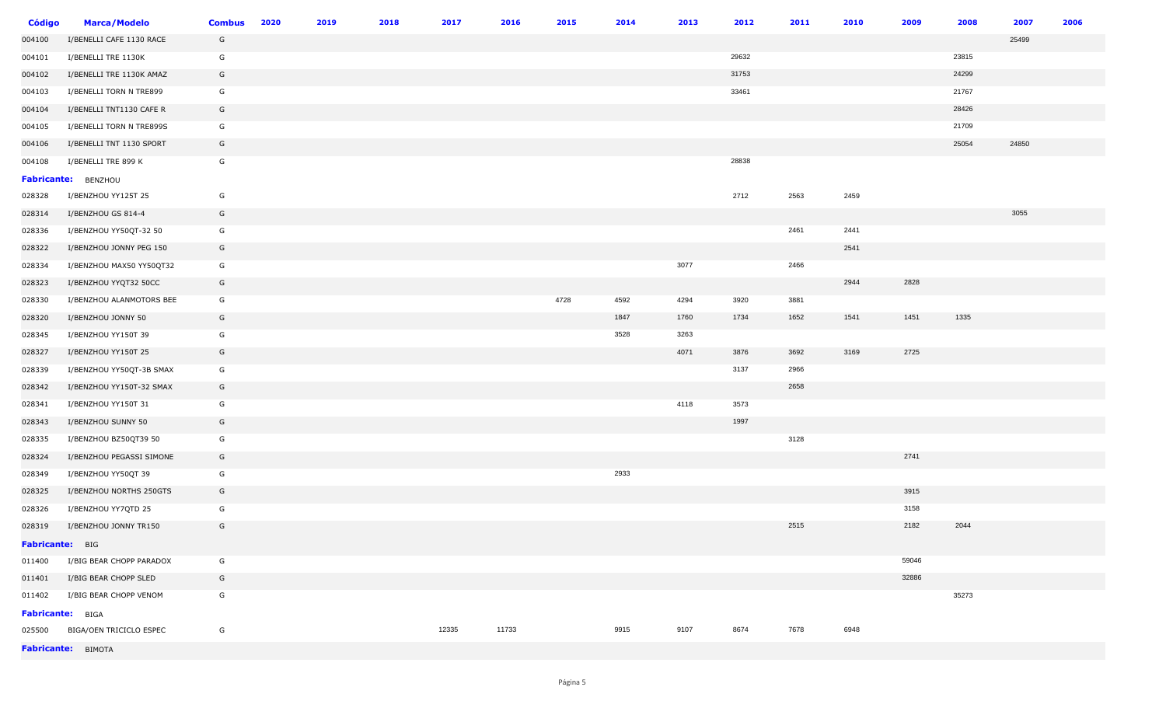| <b>Código</b>           | <b>Marca/Modelo</b>            | <b>Combus</b> | 2020 | 2019 | 2018 | 2017  | 2016  | 2015 | 2014 | 2013 | 2012  | 2011 | 2010 | 2009  | 2008  | 2007  | 2006 |
|-------------------------|--------------------------------|---------------|------|------|------|-------|-------|------|------|------|-------|------|------|-------|-------|-------|------|
| 004100                  | I/BENELLI CAFE 1130 RACE       | G             |      |      |      |       |       |      |      |      |       |      |      |       |       | 25499 |      |
| 004101                  | I/BENELLI TRE 1130K            | G             |      |      |      |       |       |      |      |      | 29632 |      |      |       | 23815 |       |      |
| 004102                  | I/BENELLI TRE 1130K AMAZ       | G             |      |      |      |       |       |      |      |      | 31753 |      |      |       | 24299 |       |      |
| 004103                  | I/BENELLI TORN N TRE899        | G             |      |      |      |       |       |      |      |      | 33461 |      |      |       | 21767 |       |      |
| 004104                  | I/BENELLI TNT1130 CAFE R       | G             |      |      |      |       |       |      |      |      |       |      |      |       | 28426 |       |      |
| 004105                  | I/BENELLI TORN N TRE899S       | G             |      |      |      |       |       |      |      |      |       |      |      |       | 21709 |       |      |
| 004106                  | I/BENELLI TNT 1130 SPORT       | G             |      |      |      |       |       |      |      |      |       |      |      |       | 25054 | 24850 |      |
| 004108                  | I/BENELLI TRE 899 K            | G             |      |      |      |       |       |      |      |      | 28838 |      |      |       |       |       |      |
|                         | Fabricante: BENZHOU            |               |      |      |      |       |       |      |      |      |       |      |      |       |       |       |      |
| 028328                  | I/BENZHOU YY125T 25            | G             |      |      |      |       |       |      |      |      | 2712  | 2563 | 2459 |       |       |       |      |
| 028314                  | I/BENZHOU GS 814-4             | G             |      |      |      |       |       |      |      |      |       |      |      |       |       | 3055  |      |
| 028336                  | I/BENZHOU YY50QT-32 50         | G             |      |      |      |       |       |      |      |      |       | 2461 | 2441 |       |       |       |      |
| 028322                  | I/BENZHOU JONNY PEG 150        | G             |      |      |      |       |       |      |      |      |       |      | 2541 |       |       |       |      |
| 028334                  | I/BENZHOU MAX50 YY50QT32       | G             |      |      |      |       |       |      |      | 3077 |       | 2466 |      |       |       |       |      |
| 028323                  | I/BENZHOU YYQT32 50CC          | G             |      |      |      |       |       |      |      |      |       |      | 2944 | 2828  |       |       |      |
| 028330                  | I/BENZHOU ALANMOTORS BEE       | G             |      |      |      |       |       | 4728 | 4592 | 4294 | 3920  | 3881 |      |       |       |       |      |
| 028320                  | I/BENZHOU JONNY 50             | G             |      |      |      |       |       |      | 1847 | 1760 | 1734  | 1652 | 1541 | 1451  | 1335  |       |      |
| 028345                  | I/BENZHOU YY150T 39            | G             |      |      |      |       |       |      | 3528 | 3263 |       |      |      |       |       |       |      |
| 028327                  | I/BENZHOU YY150T 25            | G             |      |      |      |       |       |      |      | 4071 | 3876  | 3692 | 3169 | 2725  |       |       |      |
| 028339                  | I/BENZHOU YY50QT-3B SMAX       | G             |      |      |      |       |       |      |      |      | 3137  | 2966 |      |       |       |       |      |
| 028342                  | I/BENZHOU YY150T-32 SMAX       | G             |      |      |      |       |       |      |      |      |       | 2658 |      |       |       |       |      |
| 028341                  | I/BENZHOU YY150T 31            | G             |      |      |      |       |       |      |      | 4118 | 3573  |      |      |       |       |       |      |
| 028343                  | I/BENZHOU SUNNY 50             | G             |      |      |      |       |       |      |      |      | 1997  |      |      |       |       |       |      |
| 028335                  | I/BENZHOU BZ50QT39 50          | G             |      |      |      |       |       |      |      |      |       | 3128 |      |       |       |       |      |
| 028324                  | I/BENZHOU PEGASSI SIMONE       | G             |      |      |      |       |       |      |      |      |       |      |      | 2741  |       |       |      |
| 028349                  | I/BENZHOU YY50QT 39            | G             |      |      |      |       |       |      | 2933 |      |       |      |      |       |       |       |      |
| 028325                  | I/BENZHOU NORTHS 250GTS        | G             |      |      |      |       |       |      |      |      |       |      |      | 3915  |       |       |      |
| 028326                  | I/BENZHOU YY7QTD 25            | G             |      |      |      |       |       |      |      |      |       |      |      | 3158  |       |       |      |
| 028319                  | I/BENZHOU JONNY TR150          | G             |      |      |      |       |       |      |      |      |       | 2515 |      | 2182  | 2044  |       |      |
| Fabricante: BIG         |                                |               |      |      |      |       |       |      |      |      |       |      |      |       |       |       |      |
| 011400                  | I/BIG BEAR CHOPP PARADOX       | G             |      |      |      |       |       |      |      |      |       |      |      | 59046 |       |       |      |
|                         | 011401 I/BIG BEAR CHOPP SLED   | G             |      |      |      |       |       |      |      |      |       |      |      | 32886 |       |       |      |
|                         | 011402 I/BIG BEAR CHOPP VENOM  | G             |      |      |      |       |       |      |      |      |       |      |      |       | 35273 |       |      |
| <b>Fabricante: BIGA</b> |                                |               |      |      |      |       |       |      |      |      |       |      |      |       |       |       |      |
|                         | 025500 BIGA/OEN TRICICLO ESPEC | G             |      |      |      | 12335 | 11733 |      | 9915 | 9107 | 8674  | 7678 | 6948 |       |       |       |      |
|                         | Fabricante: BIMOTA             |               |      |      |      |       |       |      |      |      |       |      |      |       |       |       |      |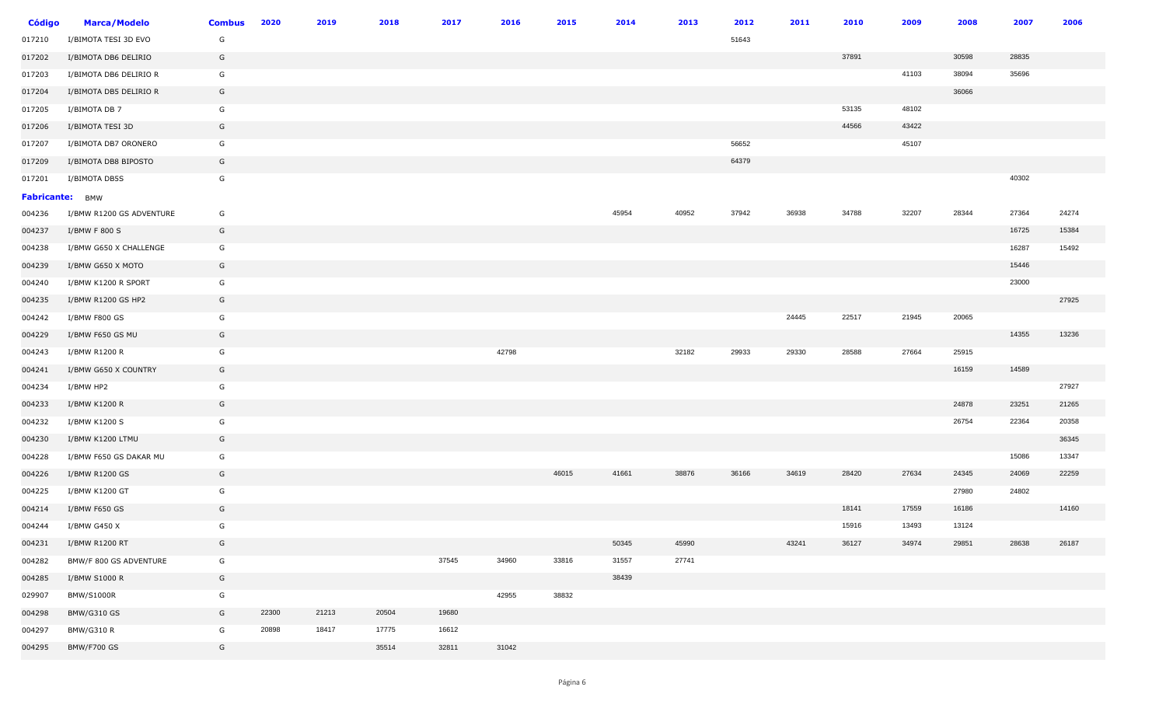| <b>Código</b>   | <b>Marca/Modelo</b>      | <b>Combus</b> | 2020  | 2019  | 2018  | 2017  | 2016  | 2015  | 2014  | 2013  | 2012  | 2011  | 2010  | 2009  | 2008  | 2007  | 2006  |
|-----------------|--------------------------|---------------|-------|-------|-------|-------|-------|-------|-------|-------|-------|-------|-------|-------|-------|-------|-------|
| 017210          | I/BIMOTA TESI 3D EVO     | G             |       |       |       |       |       |       |       |       | 51643 |       |       |       |       |       |       |
| 017202          | I/BIMOTA DB6 DELIRIO     | G             |       |       |       |       |       |       |       |       |       |       | 37891 |       | 30598 | 28835 |       |
| 017203          | I/BIMOTA DB6 DELIRIO R   | G             |       |       |       |       |       |       |       |       |       |       |       | 41103 | 38094 | 35696 |       |
| 017204          | I/BIMOTA DB5 DELIRIO R   | G             |       |       |       |       |       |       |       |       |       |       |       |       | 36066 |       |       |
| 017205          | I/BIMOTA DB 7            | G             |       |       |       |       |       |       |       |       |       |       | 53135 | 48102 |       |       |       |
| 017206          | I/BIMOTA TESI 3D         | G             |       |       |       |       |       |       |       |       |       |       | 44566 | 43422 |       |       |       |
| 017207          | I/BIMOTA DB7 ORONERO     | G             |       |       |       |       |       |       |       |       | 56652 |       |       | 45107 |       |       |       |
| 017209          | I/BIMOTA DB8 BIPOSTO     | G             |       |       |       |       |       |       |       |       | 64379 |       |       |       |       |       |       |
| 017201          | I/BIMOTA DB5S            | G             |       |       |       |       |       |       |       |       |       |       |       |       |       | 40302 |       |
| Fabricante: BMW |                          |               |       |       |       |       |       |       |       |       |       |       |       |       |       |       |       |
| 004236          | I/BMW R1200 GS ADVENTURE | G             |       |       |       |       |       |       | 45954 | 40952 | 37942 | 36938 | 34788 | 32207 | 28344 | 27364 | 24274 |
| 004237          | I/BMW F 800 S            | G             |       |       |       |       |       |       |       |       |       |       |       |       |       | 16725 | 15384 |
| 004238          | I/BMW G650 X CHALLENGE   | G             |       |       |       |       |       |       |       |       |       |       |       |       |       | 16287 | 15492 |
| 004239          | I/BMW G650 X MOTO        | G             |       |       |       |       |       |       |       |       |       |       |       |       |       | 15446 |       |
| 004240          | I/BMW K1200 R SPORT      | G             |       |       |       |       |       |       |       |       |       |       |       |       |       | 23000 |       |
| 004235          | I/BMW R1200 GS HP2       | G             |       |       |       |       |       |       |       |       |       |       |       |       |       |       | 27925 |
| 004242          | I/BMW F800 GS            | G             |       |       |       |       |       |       |       |       |       | 24445 | 22517 | 21945 | 20065 |       |       |
| 004229          | I/BMW F650 GS MU         | G             |       |       |       |       |       |       |       |       |       |       |       |       |       | 14355 | 13236 |
| 004243          | I/BMW R1200 R            | G             |       |       |       |       | 42798 |       |       | 32182 | 29933 | 29330 | 28588 | 27664 | 25915 |       |       |
| 004241          | I/BMW G650 X COUNTRY     | G             |       |       |       |       |       |       |       |       |       |       |       |       | 16159 | 14589 |       |
| 004234          | I/BMW HP2                | G             |       |       |       |       |       |       |       |       |       |       |       |       |       |       | 27927 |
| 004233          | I/BMW K1200 R            | G             |       |       |       |       |       |       |       |       |       |       |       |       | 24878 | 23251 | 21265 |
| 004232          | I/BMW K1200 S            | G             |       |       |       |       |       |       |       |       |       |       |       |       | 26754 | 22364 | 20358 |
| 004230          | I/BMW K1200 LTMU         | G             |       |       |       |       |       |       |       |       |       |       |       |       |       |       | 36345 |
| 004228          | I/BMW F650 GS DAKAR MU   | G             |       |       |       |       |       |       |       |       |       |       |       |       |       | 15086 | 13347 |
| 004226          | I/BMW R1200 GS           | G             |       |       |       |       |       | 46015 | 41661 | 38876 | 36166 | 34619 | 28420 | 27634 | 24345 | 24069 | 22259 |
| 004225          | I/BMW K1200 GT           | G             |       |       |       |       |       |       |       |       |       |       |       |       | 27980 | 24802 |       |
| 004214          | I/BMW F650 GS            | G             |       |       |       |       |       |       |       |       |       |       | 18141 | 17559 | 16186 |       | 14160 |
| 004244          | I/BMW G450 X             | G             |       |       |       |       |       |       |       |       |       |       | 15916 | 13493 | 13124 |       |       |
| 004231          | I/BMW R1200 RT           | G             |       |       |       |       |       |       | 50345 | 45990 |       | 43241 | 36127 | 34974 | 29851 | 28638 | 26187 |
| 004282          | BMW/F 800 GS ADVENTURE   | G             |       |       |       | 37545 | 34960 | 33816 | 31557 | 27741 |       |       |       |       |       |       |       |
| 004285          | I/BMW S1000 R            | G             |       |       |       |       |       |       | 38439 |       |       |       |       |       |       |       |       |
| 029907          | <b>BMW/S1000R</b>        | G             |       |       |       |       | 42955 | 38832 |       |       |       |       |       |       |       |       |       |
| 004298          | <b>BMW/G310 GS</b>       | G             | 22300 | 21213 | 20504 | 19680 |       |       |       |       |       |       |       |       |       |       |       |
| 004297          | <b>BMW/G310 R</b>        | G             | 20898 | 18417 | 17775 | 16612 |       |       |       |       |       |       |       |       |       |       |       |
| 004295          | BMW/F700 GS              | G             |       |       | 35514 | 32811 | 31042 |       |       |       |       |       |       |       |       |       |       |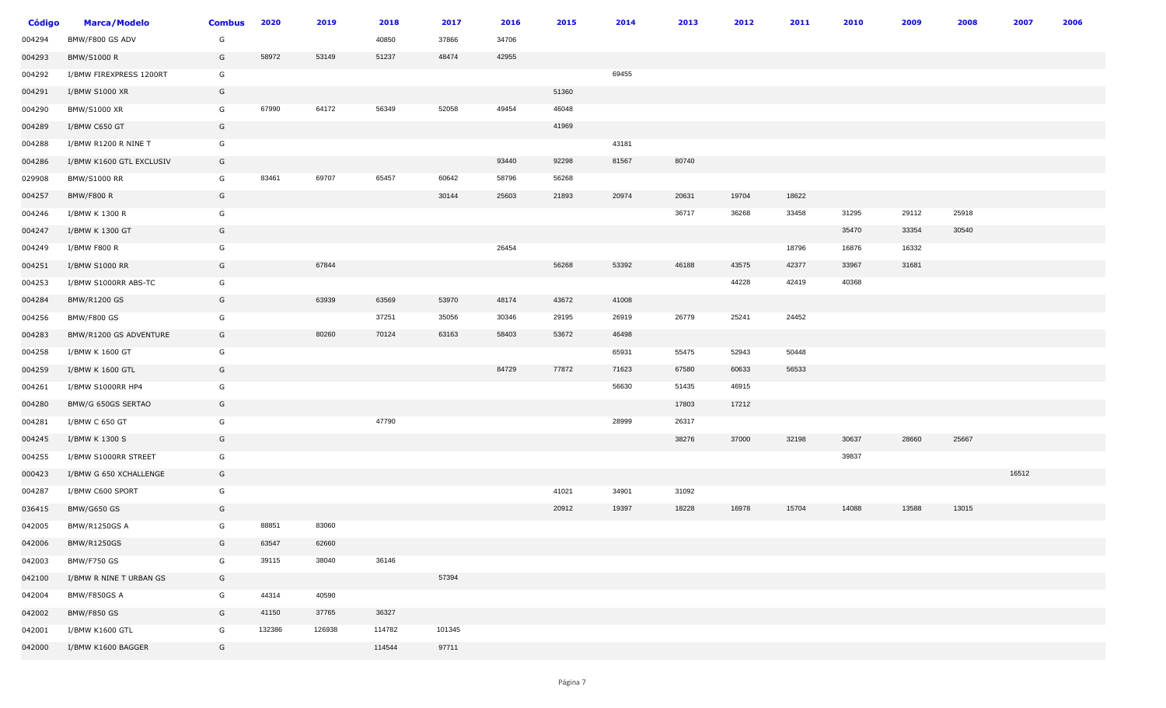| <b>Código</b> | <b>Marca/Modelo</b>      | <b>Combus</b> | 2020   | 2019   | 2018   | 2017   | 2016  | 2015  | 2014  | 2013  | 2012  | 2011  | 2010  | 2009  | 2008  | 2007  | 2006 |
|---------------|--------------------------|---------------|--------|--------|--------|--------|-------|-------|-------|-------|-------|-------|-------|-------|-------|-------|------|
| 004294        | BMW/F800 GS ADV          | G             |        |        | 40850  | 37866  | 34706 |       |       |       |       |       |       |       |       |       |      |
| 004293        | <b>BMW/S1000 R</b>       | G             | 58972  | 53149  | 51237  | 48474  | 42955 |       |       |       |       |       |       |       |       |       |      |
| 004292        | I/BMW FIREXPRESS 1200RT  | G             |        |        |        |        |       |       | 69455 |       |       |       |       |       |       |       |      |
| 004291        | I/BMW S1000 XR           | G             |        |        |        |        |       | 51360 |       |       |       |       |       |       |       |       |      |
| 004290        | BMW/S1000 XR             | G             | 67990  | 64172  | 56349  | 52058  | 49454 | 46048 |       |       |       |       |       |       |       |       |      |
| 004289        | I/BMW C650 GT            | G             |        |        |        |        |       | 41969 |       |       |       |       |       |       |       |       |      |
| 004288        | I/BMW R1200 R NINE T     | G             |        |        |        |        |       |       | 43181 |       |       |       |       |       |       |       |      |
| 004286        | I/BMW K1600 GTL EXCLUSIV | G             |        |        |        |        | 93440 | 92298 | 81567 | 80740 |       |       |       |       |       |       |      |
| 029908        | <b>BMW/S1000 RR</b>      | G             | 83461  | 69707  | 65457  | 60642  | 58796 | 56268 |       |       |       |       |       |       |       |       |      |
| 004257        | BMW/F800 R               | G             |        |        |        | 30144  | 25603 | 21893 | 20974 | 20631 | 19704 | 18622 |       |       |       |       |      |
| 004246        | I/BMW K 1300 R           | G             |        |        |        |        |       |       |       | 36717 | 36268 | 33458 | 31295 | 29112 | 25918 |       |      |
| 004247        | I/BMW K 1300 GT          | G             |        |        |        |        |       |       |       |       |       |       | 35470 | 33354 | 30540 |       |      |
| 004249        | I/BMW F800 R             | G             |        |        |        |        | 26454 |       |       |       |       | 18796 | 16876 | 16332 |       |       |      |
| 004251        | I/BMW S1000 RR           | G             |        | 67844  |        |        |       | 56268 | 53392 | 46188 | 43575 | 42377 | 33967 | 31681 |       |       |      |
| 004253        | I/BMW S1000RR ABS-TC     | G             |        |        |        |        |       |       |       |       | 44228 | 42419 | 40368 |       |       |       |      |
| 004284        | <b>BMW/R1200 GS</b>      | G             |        | 63939  | 63569  | 53970  | 48174 | 43672 | 41008 |       |       |       |       |       |       |       |      |
| 004256        | <b>BMW/F800 GS</b>       | G             |        |        | 37251  | 35056  | 30346 | 29195 | 26919 | 26779 | 25241 | 24452 |       |       |       |       |      |
| 004283        | BMW/R1200 GS ADVENTURE   | G             |        | 80260  | 70124  | 63163  | 58403 | 53672 | 46498 |       |       |       |       |       |       |       |      |
| 004258        | I/BMW K 1600 GT          | G             |        |        |        |        |       |       | 65931 | 55475 | 52943 | 50448 |       |       |       |       |      |
| 004259        | I/BMW K 1600 GTL         | G             |        |        |        |        | 84729 | 77872 | 71623 | 67580 | 60633 | 56533 |       |       |       |       |      |
| 004261        | I/BMW S1000RR HP4        | G             |        |        |        |        |       |       | 56630 | 51435 | 46915 |       |       |       |       |       |      |
| 004280        | BMW/G 650GS SERTAO       | G             |        |        |        |        |       |       |       | 17803 | 17212 |       |       |       |       |       |      |
| 004281        | I/BMW C 650 GT           | G             |        |        | 47790  |        |       |       | 28999 | 26317 |       |       |       |       |       |       |      |
| 004245        | I/BMW K 1300 S           | G             |        |        |        |        |       |       |       | 38276 | 37000 | 32198 | 30637 | 28660 | 25667 |       |      |
| 004255        | I/BMW S1000RR STREET     | G             |        |        |        |        |       |       |       |       |       |       | 39837 |       |       |       |      |
| 000423        | I/BMW G 650 XCHALLENGE   | G             |        |        |        |        |       |       |       |       |       |       |       |       |       | 16512 |      |
| 004287        | I/BMW C600 SPORT         | G             |        |        |        |        |       | 41021 | 34901 | 31092 |       |       |       |       |       |       |      |
| 036415        | <b>BMW/G650 GS</b>       | G             |        |        |        |        |       | 20912 | 19397 | 18228 | 16978 | 15704 | 14088 | 13588 | 13015 |       |      |
| 042005        | <b>BMW/R1250GS A</b>     | G             | 88851  | 83060  |        |        |       |       |       |       |       |       |       |       |       |       |      |
| 042006        | <b>BMW/R1250GS</b>       | G             | 63547  | 62660  |        |        |       |       |       |       |       |       |       |       |       |       |      |
| 042003        | BMW/F750 GS              | G             | 39115  | 38040  | 36146  |        |       |       |       |       |       |       |       |       |       |       |      |
| 042100        | I/BMW R NINE T URBAN GS  | G             |        |        |        | 57394  |       |       |       |       |       |       |       |       |       |       |      |
| 042004        | BMW/F850GS A             | G             | 44314  | 40590  |        |        |       |       |       |       |       |       |       |       |       |       |      |
| 042002        | BMW/F850 GS              | G             | 41150  | 37765  | 36327  |        |       |       |       |       |       |       |       |       |       |       |      |
| 042001        | I/BMW K1600 GTL          | G             | 132386 | 126938 | 114782 | 101345 |       |       |       |       |       |       |       |       |       |       |      |
| 042000        | I/BMW K1600 BAGGER       | G             |        |        | 114544 | 97711  |       |       |       |       |       |       |       |       |       |       |      |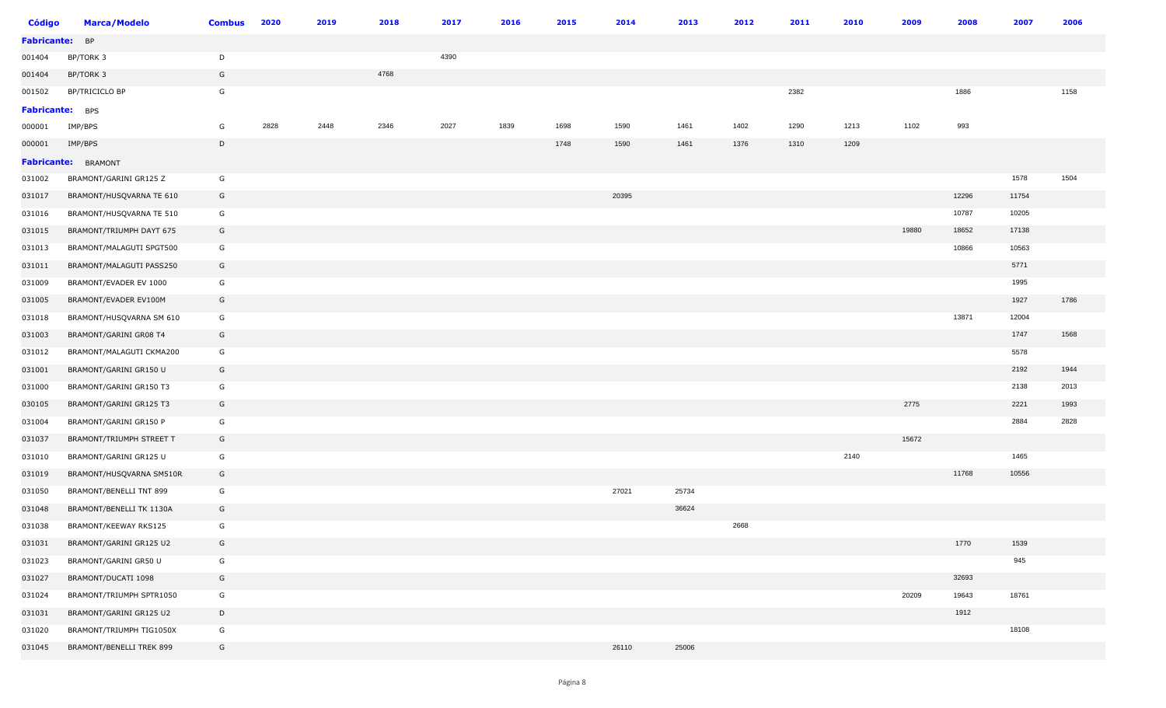| <b>Código</b>          | <b>Marca/Modelo</b>      | <b>Combus</b> | 2020 | 2019 | 2018 | 2017 | 2016 | 2015 | 2014  | 2013  | 2012 | 2011 | 2010 | 2009  | 2008  | 2007  | 2006 |
|------------------------|--------------------------|---------------|------|------|------|------|------|------|-------|-------|------|------|------|-------|-------|-------|------|
| Fabricante: BP         |                          |               |      |      |      |      |      |      |       |       |      |      |      |       |       |       |      |
| 001404                 | BP/TORK 3                | D             |      |      |      | 4390 |      |      |       |       |      |      |      |       |       |       |      |
| 001404                 | BP/TORK 3                | G             |      |      | 4768 |      |      |      |       |       |      |      |      |       |       |       |      |
| 001502                 | BP/TRICICLO BP           | G             |      |      |      |      |      |      |       |       |      | 2382 |      |       | 1886  |       | 1158 |
| <b>Fabricante:</b> BPS |                          |               |      |      |      |      |      |      |       |       |      |      |      |       |       |       |      |
| 000001                 | IMP/BPS                  | G             | 2828 | 2448 | 2346 | 2027 | 1839 | 1698 | 1590  | 1461  | 1402 | 1290 | 1213 | 1102  | 993   |       |      |
| 000001                 | IMP/BPS                  | D             |      |      |      |      |      | 1748 | 1590  | 1461  | 1376 | 1310 | 1209 |       |       |       |      |
|                        | Fabricante: BRAMONT      |               |      |      |      |      |      |      |       |       |      |      |      |       |       |       |      |
| 031002                 | BRAMONT/GARINI GR125 Z   | G             |      |      |      |      |      |      |       |       |      |      |      |       |       | 1578  | 1504 |
| 031017                 | BRAMONT/HUSQVARNA TE 610 | G             |      |      |      |      |      |      | 20395 |       |      |      |      |       | 12296 | 11754 |      |
| 031016                 | BRAMONT/HUSQVARNA TE 510 | G             |      |      |      |      |      |      |       |       |      |      |      |       | 10787 | 10205 |      |
| 031015                 | BRAMONT/TRIUMPH DAYT 675 | G             |      |      |      |      |      |      |       |       |      |      |      | 19880 | 18652 | 17138 |      |
| 031013                 | BRAMONT/MALAGUTI SPGT500 | G             |      |      |      |      |      |      |       |       |      |      |      |       | 10866 | 10563 |      |
| 031011                 | BRAMONT/MALAGUTI PASS250 | G             |      |      |      |      |      |      |       |       |      |      |      |       |       | 5771  |      |
| 031009                 | BRAMONT/EVADER EV 1000   | G             |      |      |      |      |      |      |       |       |      |      |      |       |       | 1995  |      |
| 031005                 | BRAMONT/EVADER EV100M    | G             |      |      |      |      |      |      |       |       |      |      |      |       |       | 1927  | 1786 |
| 031018                 | BRAMONT/HUSQVARNA SM 610 | G             |      |      |      |      |      |      |       |       |      |      |      |       | 13871 | 12004 |      |
| 031003                 | BRAMONT/GARINI GR08 T4   | G             |      |      |      |      |      |      |       |       |      |      |      |       |       | 1747  | 1568 |
| 031012                 | BRAMONT/MALAGUTI CKMA200 | G             |      |      |      |      |      |      |       |       |      |      |      |       |       | 5578  |      |
| 031001                 | BRAMONT/GARINI GR150 U   | G             |      |      |      |      |      |      |       |       |      |      |      |       |       | 2192  | 1944 |
| 031000                 | BRAMONT/GARINI GR150 T3  | G             |      |      |      |      |      |      |       |       |      |      |      |       |       | 2138  | 2013 |
| 030105                 | BRAMONT/GARINI GR125 T3  | G             |      |      |      |      |      |      |       |       |      |      |      | 2775  |       | 2221  | 1993 |
| 031004                 | BRAMONT/GARINI GR150 P   | G             |      |      |      |      |      |      |       |       |      |      |      |       |       | 2884  | 2828 |
| 031037                 | BRAMONT/TRIUMPH STREET T | G             |      |      |      |      |      |      |       |       |      |      |      | 15672 |       |       |      |
| 031010                 | BRAMONT/GARINI GR125 U   | G             |      |      |      |      |      |      |       |       |      |      | 2140 |       |       | 1465  |      |
| 031019                 | BRAMONT/HUSQVARNA SM510R | G             |      |      |      |      |      |      |       |       |      |      |      |       | 11768 | 10556 |      |
| 031050                 | BRAMONT/BENELLI TNT 899  | G             |      |      |      |      |      |      | 27021 | 25734 |      |      |      |       |       |       |      |
| 031048                 | BRAMONT/BENELLI TK 1130A | G             |      |      |      |      |      |      |       | 36624 |      |      |      |       |       |       |      |
| 031038                 | BRAMONT/KEEWAY RKS125    | G             |      |      |      |      |      |      |       |       | 2668 |      |      |       |       |       |      |
| 031031                 | BRAMONT/GARINI GR125 U2  | G             |      |      |      |      |      |      |       |       |      |      |      |       | 1770  | 1539  |      |
| 031023                 | BRAMONT/GARINI GR50 U    | G             |      |      |      |      |      |      |       |       |      |      |      |       |       | 945   |      |
| 031027                 | BRAMONT/DUCATI 1098      | G             |      |      |      |      |      |      |       |       |      |      |      |       | 32693 |       |      |
| 031024                 | BRAMONT/TRIUMPH SPTR1050 | G             |      |      |      |      |      |      |       |       |      |      |      | 20209 | 19643 | 18761 |      |
| 031031                 | BRAMONT/GARINI GR125 U2  | D             |      |      |      |      |      |      |       |       |      |      |      |       | 1912  |       |      |
| 031020                 | BRAMONT/TRIUMPH TIG1050X | G             |      |      |      |      |      |      |       |       |      |      |      |       |       | 18108 |      |
| 031045                 | BRAMONT/BENELLI TREK 899 | G             |      |      |      |      |      |      | 26110 | 25006 |      |      |      |       |       |       |      |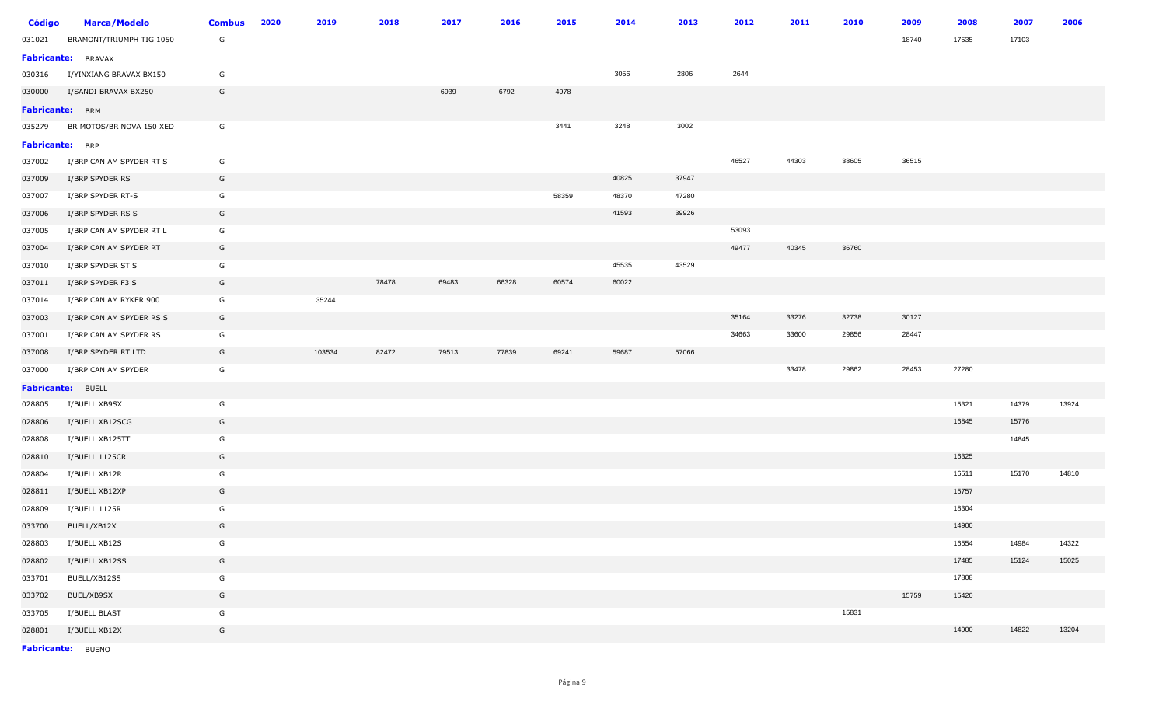| <b>Código</b>   | <b>Marca/Modelo</b>      | <b>Combus</b> | 2020 | 2019   | 2018  | 2017  | 2016  | 2015  | 2014  | 2013  | 2012  | 2011  | 2010  | 2009  | 2008  | 2007  | 2006  |
|-----------------|--------------------------|---------------|------|--------|-------|-------|-------|-------|-------|-------|-------|-------|-------|-------|-------|-------|-------|
| 031021          | BRAMONT/TRIUMPH TIG 1050 | G             |      |        |       |       |       |       |       |       |       |       |       | 18740 | 17535 | 17103 |       |
|                 | Fabricante: BRAVAX       |               |      |        |       |       |       |       |       |       |       |       |       |       |       |       |       |
| 030316          | I/YINXIANG BRAVAX BX150  | G             |      |        |       |       |       |       | 3056  | 2806  | 2644  |       |       |       |       |       |       |
| 030000          | I/SANDI BRAVAX BX250     | G             |      |        |       | 6939  | 6792  | 4978  |       |       |       |       |       |       |       |       |       |
| Fabricante: BRM |                          |               |      |        |       |       |       |       |       |       |       |       |       |       |       |       |       |
| 035279          | BR MOTOS/BR NOVA 150 XED | G             |      |        |       |       |       | 3441  | 3248  | 3002  |       |       |       |       |       |       |       |
| Fabricante: BRP |                          |               |      |        |       |       |       |       |       |       |       |       |       |       |       |       |       |
| 037002          | I/BRP CAN AM SPYDER RT S | G             |      |        |       |       |       |       |       |       | 46527 | 44303 | 38605 | 36515 |       |       |       |
| 037009          | I/BRP SPYDER RS          | G             |      |        |       |       |       |       | 40825 | 37947 |       |       |       |       |       |       |       |
| 037007          | I/BRP SPYDER RT-S        | G             |      |        |       |       |       | 58359 | 48370 | 47280 |       |       |       |       |       |       |       |
| 037006          | I/BRP SPYDER RS S        | G             |      |        |       |       |       |       | 41593 | 39926 |       |       |       |       |       |       |       |
| 037005          | I/BRP CAN AM SPYDER RT L | G             |      |        |       |       |       |       |       |       | 53093 |       |       |       |       |       |       |
| 037004          | I/BRP CAN AM SPYDER RT   | G             |      |        |       |       |       |       |       |       | 49477 | 40345 | 36760 |       |       |       |       |
| 037010          | I/BRP SPYDER ST S        | G             |      |        |       |       |       |       | 45535 | 43529 |       |       |       |       |       |       |       |
| 037011          | I/BRP SPYDER F3 S        | G             |      |        | 78478 | 69483 | 66328 | 60574 | 60022 |       |       |       |       |       |       |       |       |
| 037014          | I/BRP CAN AM RYKER 900   | G             |      | 35244  |       |       |       |       |       |       |       |       |       |       |       |       |       |
| 037003          | I/BRP CAN AM SPYDER RS S | G             |      |        |       |       |       |       |       |       | 35164 | 33276 | 32738 | 30127 |       |       |       |
| 037001          | I/BRP CAN AM SPYDER RS   | G             |      |        |       |       |       |       |       |       | 34663 | 33600 | 29856 | 28447 |       |       |       |
| 037008          | I/BRP SPYDER RT LTD      | G             |      | 103534 | 82472 | 79513 | 77839 | 69241 | 59687 | 57066 |       |       |       |       |       |       |       |
| 037000          | I/BRP CAN AM SPYDER      | G             |      |        |       |       |       |       |       |       |       | 33478 | 29862 | 28453 | 27280 |       |       |
|                 | Fabricante: BUELL        |               |      |        |       |       |       |       |       |       |       |       |       |       |       |       |       |
| 028805          | I/BUELL XB9SX            | G             |      |        |       |       |       |       |       |       |       |       |       |       | 15321 | 14379 | 13924 |
| 028806          | I/BUELL XB12SCG          | G             |      |        |       |       |       |       |       |       |       |       |       |       | 16845 | 15776 |       |
| 028808          | I/BUELL XB125TT          | G             |      |        |       |       |       |       |       |       |       |       |       |       |       | 14845 |       |
| 028810          | I/BUELL 1125CR           | G             |      |        |       |       |       |       |       |       |       |       |       |       | 16325 |       |       |
| 028804          | I/BUELL XB12R            | G             |      |        |       |       |       |       |       |       |       |       |       |       | 16511 | 15170 | 14810 |
| 028811          | I/BUELL XB12XP           | G             |      |        |       |       |       |       |       |       |       |       |       |       | 15757 |       |       |
| 028809          | I/BUELL 1125R            | G             |      |        |       |       |       |       |       |       |       |       |       |       | 18304 |       |       |
| 033700          | BUELL/XB12X              | G             |      |        |       |       |       |       |       |       |       |       |       |       | 14900 |       |       |
| 028803          | I/BUELL XB12S            | G             |      |        |       |       |       |       |       |       |       |       |       |       | 16554 | 14984 | 14322 |
| 028802          | I/BUELL XB12SS           | G             |      |        |       |       |       |       |       |       |       |       |       |       | 17485 | 15124 | 15025 |
| 033701          | BUELL/XB12SS             | G             |      |        |       |       |       |       |       |       |       |       |       |       | 17808 |       |       |
| 033702          | BUEL/XB9SX               | G             |      |        |       |       |       |       |       |       |       |       |       | 15759 | 15420 |       |       |
| 033705          | I/BUELL BLAST            | G             |      |        |       |       |       |       |       |       |       |       | 15831 |       |       |       |       |
| 028801          | I/BUELL XB12X            | G             |      |        |       |       |       |       |       |       |       |       |       |       | 14900 | 14822 | 13204 |
|                 | Fabricante: BUENO        |               |      |        |       |       |       |       |       |       |       |       |       |       |       |       |       |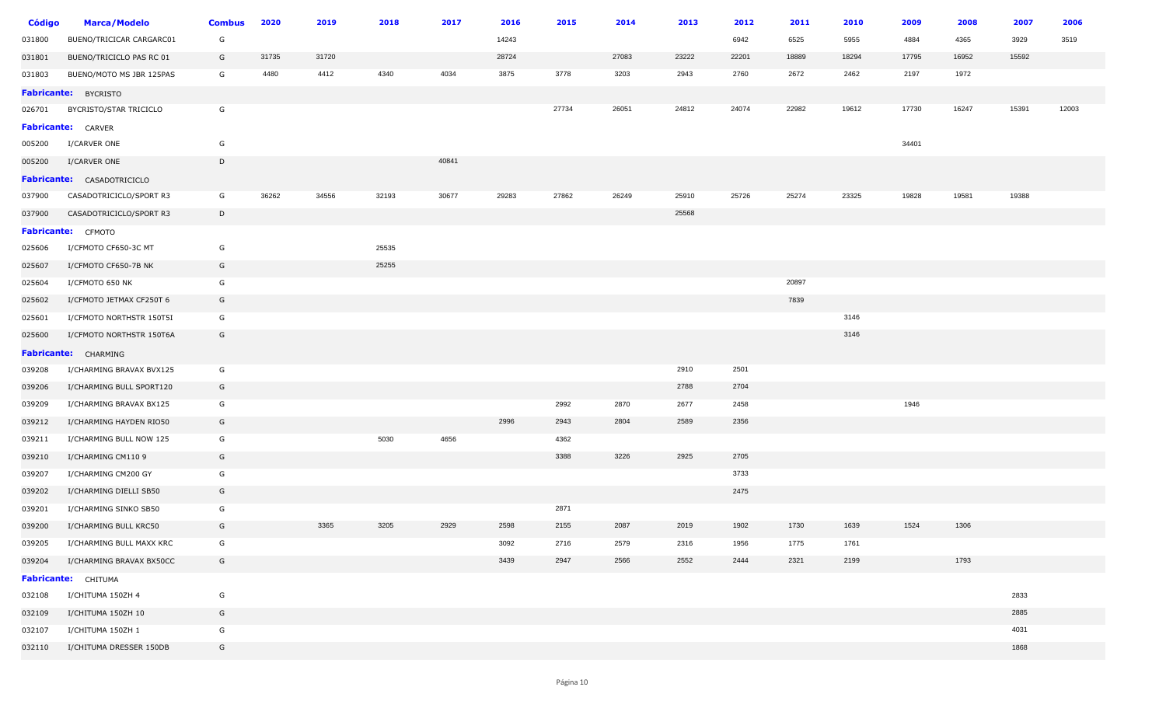| <b>Código</b> | <b>Marca/Modelo</b>               | <b>Combus</b> | 2020  | 2019  | 2018  | 2017  | 2016  | 2015  | 2014  | 2013  | 2012  | 2011  | 2010  | 2009  | 2008  | 2007  | 2006  |
|---------------|-----------------------------------|---------------|-------|-------|-------|-------|-------|-------|-------|-------|-------|-------|-------|-------|-------|-------|-------|
| 031800        | BUENO/TRICICAR CARGARC01          | G             |       |       |       |       | 14243 |       |       |       | 6942  | 6525  | 5955  | 4884  | 4365  | 3929  | 3519  |
| 031801        | BUENO/TRICICLO PAS RC 01          | G             | 31735 | 31720 |       |       | 28724 |       | 27083 | 23222 | 22201 | 18889 | 18294 | 17795 | 16952 | 15592 |       |
| 031803        | BUENO/MOTO MS JBR 125PAS          | G             | 4480  | 4412  | 4340  | 4034  | 3875  | 3778  | 3203  | 2943  | 2760  | 2672  | 2462  | 2197  | 1972  |       |       |
|               | <b>Fabricante: BYCRISTO</b>       |               |       |       |       |       |       |       |       |       |       |       |       |       |       |       |       |
| 026701        | BYCRISTO/STAR TRICICLO            | G             |       |       |       |       |       | 27734 | 26051 | 24812 | 24074 | 22982 | 19612 | 17730 | 16247 | 15391 | 12003 |
|               | <b>Fabricante:</b> CARVER         |               |       |       |       |       |       |       |       |       |       |       |       |       |       |       |       |
| 005200        | I/CARVER ONE                      | G             |       |       |       |       |       |       |       |       |       |       |       | 34401 |       |       |       |
| 005200        | I/CARVER ONE                      | D             |       |       |       | 40841 |       |       |       |       |       |       |       |       |       |       |       |
|               | <b>Fabricante:</b> CASADOTRICICLO |               |       |       |       |       |       |       |       |       |       |       |       |       |       |       |       |
| 037900        | CASADOTRICICLO/SPORT R3           | G             | 36262 | 34556 | 32193 | 30677 | 29283 | 27862 | 26249 | 25910 | 25726 | 25274 | 23325 | 19828 | 19581 | 19388 |       |
| 037900        | CASADOTRICICLO/SPORT R3           | $\mathsf{D}$  |       |       |       |       |       |       |       | 25568 |       |       |       |       |       |       |       |
|               | Fabricante: CFMOTO                |               |       |       |       |       |       |       |       |       |       |       |       |       |       |       |       |
| 025606        | I/CFMOTO CF650-3C MT              | G             |       |       | 25535 |       |       |       |       |       |       |       |       |       |       |       |       |
| 025607        | I/CFMOTO CF650-7B NK              | G             |       |       | 25255 |       |       |       |       |       |       |       |       |       |       |       |       |
| 025604        | I/CFMOTO 650 NK                   | G             |       |       |       |       |       |       |       |       |       | 20897 |       |       |       |       |       |
| 025602        | I/CFMOTO JETMAX CF250T 6          | G             |       |       |       |       |       |       |       |       |       | 7839  |       |       |       |       |       |
| 025601        | I/CFMOTO NORTHSTR 150T5I          | G             |       |       |       |       |       |       |       |       |       |       | 3146  |       |       |       |       |
| 025600        | I/CFMOTO NORTHSTR 150T6A          | G             |       |       |       |       |       |       |       |       |       |       | 3146  |       |       |       |       |
|               | <b>Fabricante:</b> CHARMING       |               |       |       |       |       |       |       |       |       |       |       |       |       |       |       |       |
| 039208        | I/CHARMING BRAVAX BVX125          | G             |       |       |       |       |       |       |       | 2910  | 2501  |       |       |       |       |       |       |
| 039206        | I/CHARMING BULL SPORT120          | G             |       |       |       |       |       |       |       | 2788  | 2704  |       |       |       |       |       |       |
| 039209        | I/CHARMING BRAVAX BX125           | G             |       |       |       |       |       | 2992  | 2870  | 2677  | 2458  |       |       | 1946  |       |       |       |
| 039212        | I/CHARMING HAYDEN RIO50           | G             |       |       |       |       | 2996  | 2943  | 2804  | 2589  | 2356  |       |       |       |       |       |       |
| 039211        | I/CHARMING BULL NOW 125           | G             |       |       | 5030  | 4656  |       | 4362  |       |       |       |       |       |       |       |       |       |
| 039210        | I/CHARMING CM110 9                | G             |       |       |       |       |       | 3388  | 3226  | 2925  | 2705  |       |       |       |       |       |       |
| 039207        | I/CHARMING CM200 GY               | G             |       |       |       |       |       |       |       |       | 3733  |       |       |       |       |       |       |
| 039202        | I/CHARMING DIELLI SB50            | G             |       |       |       |       |       |       |       |       | 2475  |       |       |       |       |       |       |
| 039201        | I/CHARMING SINKO SB50             | G             |       |       |       |       |       | 2871  |       |       |       |       |       |       |       |       |       |
| 039200        | I/CHARMING BULL KRC50             | G             |       | 3365  | 3205  | 2929  | 2598  | 2155  | 2087  | 2019  | 1902  | 1730  | 1639  | 1524  | 1306  |       |       |
| 039205        | I/CHARMING BULL MAXX KRC          | G             |       |       |       |       | 3092  | 2716  | 2579  | 2316  | 1956  | 1775  | 1761  |       |       |       |       |
| 039204        | I/CHARMING BRAVAX BX50CC          | G             |       |       |       |       | 3439  | 2947  | 2566  | 2552  | 2444  | 2321  | 2199  |       | 1793  |       |       |
|               | Fabricante: CHITUMA               |               |       |       |       |       |       |       |       |       |       |       |       |       |       |       |       |
| 032108        | I/CHITUMA 150ZH 4                 | G             |       |       |       |       |       |       |       |       |       |       |       |       |       | 2833  |       |
| 032109        | I/CHITUMA 150ZH 10                | G             |       |       |       |       |       |       |       |       |       |       |       |       |       | 2885  |       |
| 032107        | I/CHITUMA 150ZH 1                 | G             |       |       |       |       |       |       |       |       |       |       |       |       |       | 4031  |       |
| 032110        | I/CHITUMA DRESSER 150DB           | G             |       |       |       |       |       |       |       |       |       |       |       |       |       | 1868  |       |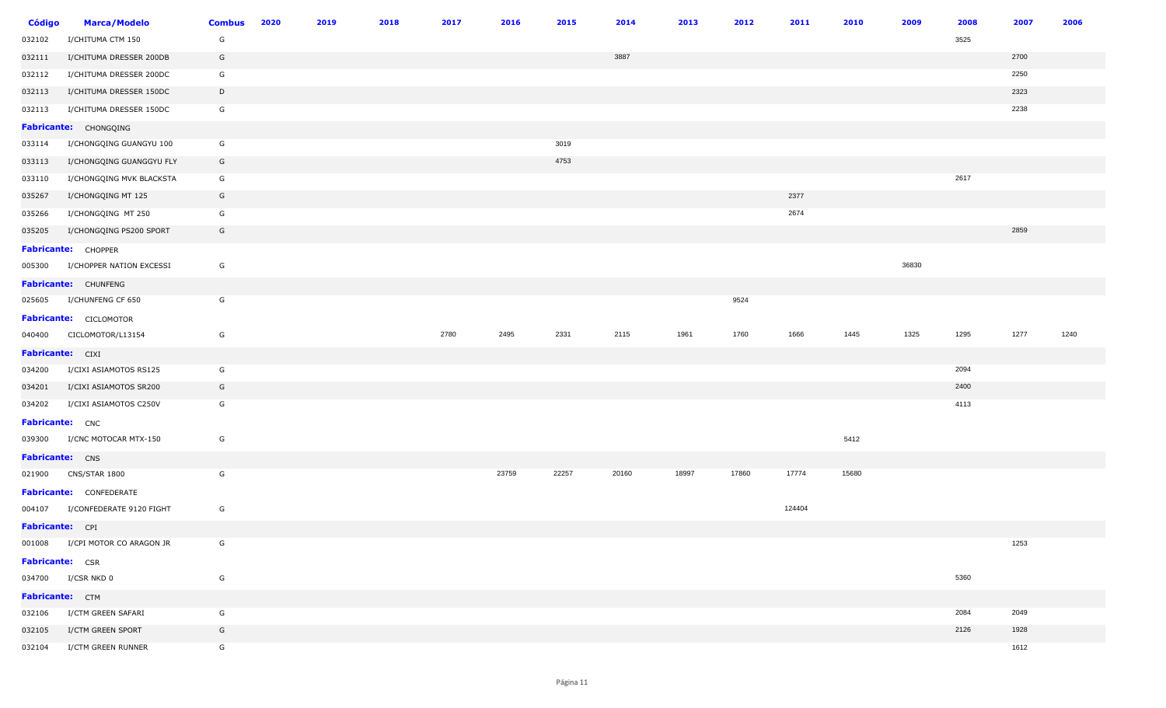| <b>Código</b>           | <b>Marca/Modelo</b>             | <b>Combus</b> | 2020 | 2019 | 2018 | 2017 | 2016  | 2015  | 2014  | 2013  | 2012  | 2011   | 2010  | 2009  | 2008 | 2007 | 2006 |
|-------------------------|---------------------------------|---------------|------|------|------|------|-------|-------|-------|-------|-------|--------|-------|-------|------|------|------|
| 032102                  | I/CHITUMA CTM 150               | G             |      |      |      |      |       |       |       |       |       |        |       |       | 3525 |      |      |
| 032111                  | I/CHITUMA DRESSER 200DB         | G             |      |      |      |      |       |       | 3887  |       |       |        |       |       |      | 2700 |      |
| 032112                  | I/CHITUMA DRESSER 200DC         | G             |      |      |      |      |       |       |       |       |       |        |       |       |      | 2250 |      |
| 032113                  | I/CHITUMA DRESSER 150DC         | D             |      |      |      |      |       |       |       |       |       |        |       |       |      | 2323 |      |
| 032113                  | I/CHITUMA DRESSER 150DC         | G             |      |      |      |      |       |       |       |       |       |        |       |       |      | 2238 |      |
|                         | Fabricante: CHONGQING           |               |      |      |      |      |       |       |       |       |       |        |       |       |      |      |      |
| 033114                  | I/CHONGQING GUANGYU 100         | G             |      |      |      |      |       | 3019  |       |       |       |        |       |       |      |      |      |
| 033113                  | I/CHONGQING GUANGGYU FLY        | G             |      |      |      |      |       | 4753  |       |       |       |        |       |       |      |      |      |
| 033110                  | I/CHONGQING MVK BLACKSTA        | G             |      |      |      |      |       |       |       |       |       |        |       |       | 2617 |      |      |
| 035267                  | I/CHONGQING MT 125              | G             |      |      |      |      |       |       |       |       |       | 2377   |       |       |      |      |      |
| 035266                  | I/CHONGQING MT 250              | G             |      |      |      |      |       |       |       |       |       | 2674   |       |       |      |      |      |
| 035205                  | I/CHONGQING PS200 SPORT         | G             |      |      |      |      |       |       |       |       |       |        |       |       |      | 2859 |      |
|                         | <b>Fabricante:</b> CHOPPER      |               |      |      |      |      |       |       |       |       |       |        |       |       |      |      |      |
| 005300                  | I/CHOPPER NATION EXCESSI        | G             |      |      |      |      |       |       |       |       |       |        |       | 36830 |      |      |      |
|                         | Fabricante: CHUNFENG            |               |      |      |      |      |       |       |       |       |       |        |       |       |      |      |      |
| 025605                  | I/CHUNFENG CF 650               | G             |      |      |      |      |       |       |       |       | 9524  |        |       |       |      |      |      |
|                         | <b>Fabricante:</b> CICLOMOTOR   |               |      |      |      |      |       |       |       |       |       |        |       |       |      |      |      |
|                         | 040400 CICLOMOTOR/L13154        | G             |      |      |      | 2780 | 2495  | 2331  | 2115  | 1961  | 1760  | 1666   | 1445  | 1325  | 1295 | 1277 | 1240 |
| <b>Fabricante:</b> CIXI |                                 |               |      |      |      |      |       |       |       |       |       |        |       |       |      |      |      |
| 034200                  | I/CIXI ASIAMOTOS RS125          | G             |      |      |      |      |       |       |       |       |       |        |       |       | 2094 |      |      |
| 034201                  | I/CIXI ASIAMOTOS SR200          | G             |      |      |      |      |       |       |       |       |       |        |       |       | 2400 |      |      |
| 034202                  | I/CIXI ASIAMOTOS C250V          | G             |      |      |      |      |       |       |       |       |       |        |       |       | 4113 |      |      |
| <b>Fabricante:</b> CNC  |                                 |               |      |      |      |      |       |       |       |       |       |        |       |       |      |      |      |
|                         | 039300 I/CNC MOTOCAR MTX-150    | G             |      |      |      |      |       |       |       |       |       |        | 5412  |       |      |      |      |
| Fabricante: CNS         |                                 |               |      |      |      |      |       |       |       |       |       |        |       |       |      |      |      |
|                         | 021900 CNS/STAR 1800            | G             |      |      |      |      | 23759 | 22257 | 20160 | 18997 | 17860 | 17774  | 15680 |       |      |      |      |
|                         | <b>Fabricante:</b> CONFEDERATE  |               |      |      |      |      |       |       |       |       |       |        |       |       |      |      |      |
|                         | 004107 I/CONFEDERATE 9120 FIGHT | G             |      |      |      |      |       |       |       |       |       | 124404 |       |       |      |      |      |
| Fabricante: CPI         |                                 |               |      |      |      |      |       |       |       |       |       |        |       |       |      |      |      |
|                         | 001008 I/CPI MOTOR CO ARAGON JR | G             |      |      |      |      |       |       |       |       |       |        |       |       |      | 1253 |      |
| <b>Fabricante:</b> CSR  |                                 |               |      |      |      |      |       |       |       |       |       |        |       |       |      |      |      |
|                         | 034700 I/CSR NKD 0              | G             |      |      |      |      |       |       |       |       |       |        |       |       | 5360 |      |      |
| Fabricante: CTM         |                                 |               |      |      |      |      |       |       |       |       |       |        |       |       |      |      |      |
|                         | 032106 I/CTM GREEN SAFARI       | G             |      |      |      |      |       |       |       |       |       |        |       |       | 2084 | 2049 |      |
|                         | 032105 I/CTM GREEN SPORT        | G             |      |      |      |      |       |       |       |       |       |        |       |       | 2126 | 1928 |      |
|                         | 032104 I/CTM GREEN RUNNER       | G             |      |      |      |      |       |       |       |       |       |        |       |       |      | 1612 |      |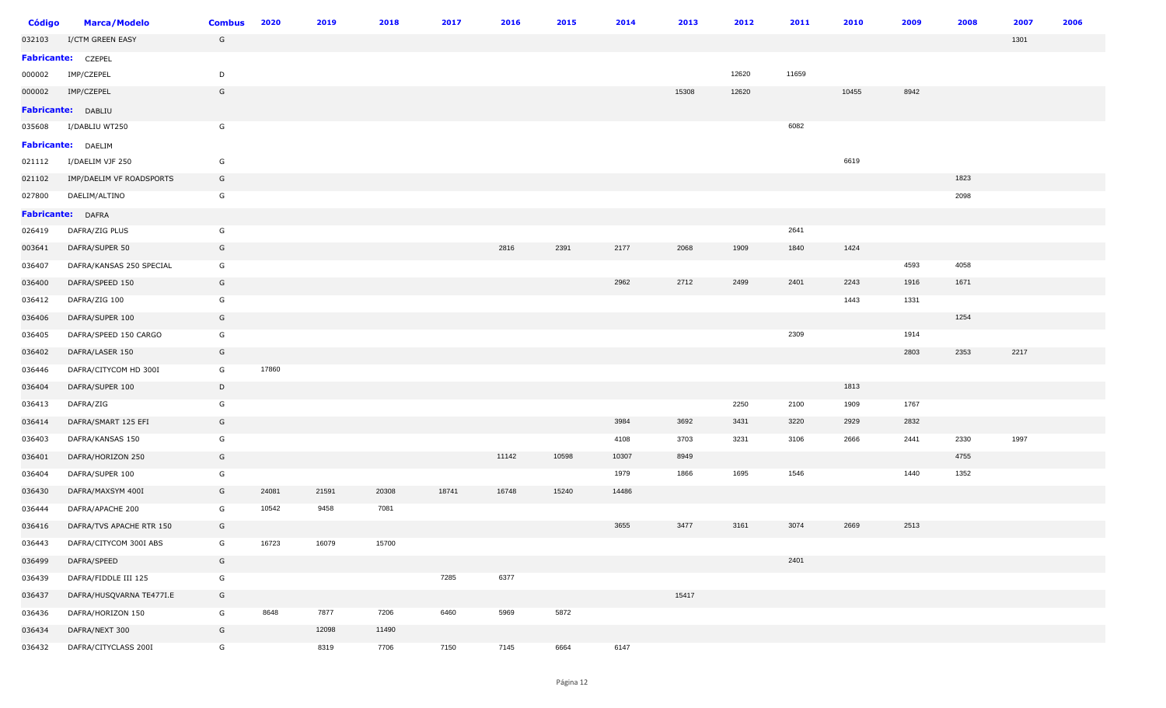| <b>Código</b> | <b>Marca/Modelo</b>       | <b>Combus</b> | 2020  | 2019  | 2018  | 2017  | 2016  | 2015  | 2014  | 2013  | 2012  | 2011  | 2010  | 2009 | 2008 | 2007 | 2006 |
|---------------|---------------------------|---------------|-------|-------|-------|-------|-------|-------|-------|-------|-------|-------|-------|------|------|------|------|
| 032103        | I/CTM GREEN EASY          | G             |       |       |       |       |       |       |       |       |       |       |       |      |      | 1301 |      |
|               | Fabricante: CZEPEL        |               |       |       |       |       |       |       |       |       |       |       |       |      |      |      |      |
| 000002        | IMP/CZEPEL                | D             |       |       |       |       |       |       |       |       | 12620 | 11659 |       |      |      |      |      |
| 000002        | IMP/CZEPEL                | G             |       |       |       |       |       |       |       | 15308 | 12620 |       | 10455 | 8942 |      |      |      |
|               | <b>Fabricante: DABLIU</b> |               |       |       |       |       |       |       |       |       |       |       |       |      |      |      |      |
| 035608        | I/DABLIU WT250            | G             |       |       |       |       |       |       |       |       |       | 6082  |       |      |      |      |      |
|               | Fabricante: DAELIM        |               |       |       |       |       |       |       |       |       |       |       |       |      |      |      |      |
| 021112        | I/DAELIM VJF 250          | G             |       |       |       |       |       |       |       |       |       |       | 6619  |      |      |      |      |
| 021102        | IMP/DAELIM VF ROADSPORTS  | G             |       |       |       |       |       |       |       |       |       |       |       |      | 1823 |      |      |
| 027800        | DAELIM/ALTINO             | G             |       |       |       |       |       |       |       |       |       |       |       |      | 2098 |      |      |
|               | Fabricante: DAFRA         |               |       |       |       |       |       |       |       |       |       |       |       |      |      |      |      |
| 026419        | DAFRA/ZIG PLUS            | G             |       |       |       |       |       |       |       |       |       | 2641  |       |      |      |      |      |
| 003641        | DAFRA/SUPER 50            | G             |       |       |       |       | 2816  | 2391  | 2177  | 2068  | 1909  | 1840  | 1424  |      |      |      |      |
| 036407        | DAFRA/KANSAS 250 SPECIAL  | G             |       |       |       |       |       |       |       |       |       |       |       | 4593 | 4058 |      |      |
| 036400        | DAFRA/SPEED 150           | G             |       |       |       |       |       |       | 2962  | 2712  | 2499  | 2401  | 2243  | 1916 | 1671 |      |      |
| 036412        | DAFRA/ZIG 100             | G             |       |       |       |       |       |       |       |       |       |       | 1443  | 1331 |      |      |      |
| 036406        | DAFRA/SUPER 100           | G             |       |       |       |       |       |       |       |       |       |       |       |      | 1254 |      |      |
| 036405        | DAFRA/SPEED 150 CARGO     | G             |       |       |       |       |       |       |       |       |       | 2309  |       | 1914 |      |      |      |
| 036402        | DAFRA/LASER 150           | G             |       |       |       |       |       |       |       |       |       |       |       | 2803 | 2353 | 2217 |      |
| 036446        | DAFRA/CITYCOM HD 300I     | G             | 17860 |       |       |       |       |       |       |       |       |       |       |      |      |      |      |
| 036404        | DAFRA/SUPER 100           | D             |       |       |       |       |       |       |       |       |       |       | 1813  |      |      |      |      |
| 036413        | DAFRA/ZIG                 | G             |       |       |       |       |       |       |       |       | 2250  | 2100  | 1909  | 1767 |      |      |      |
| 036414        | DAFRA/SMART 125 EFI       | G             |       |       |       |       |       |       | 3984  | 3692  | 3431  | 3220  | 2929  | 2832 |      |      |      |
| 036403        | DAFRA/KANSAS 150          | G             |       |       |       |       |       |       | 4108  | 3703  | 3231  | 3106  | 2666  | 2441 | 2330 | 1997 |      |
| 036401        | DAFRA/HORIZON 250         | G             |       |       |       |       | 11142 | 10598 | 10307 | 8949  |       |       |       |      | 4755 |      |      |
| 036404        | DAFRA/SUPER 100           | G             |       |       |       |       |       |       | 1979  | 1866  | 1695  | 1546  |       | 1440 | 1352 |      |      |
| 036430        | DAFRA/MAXSYM 400I         | G             | 24081 | 21591 | 20308 | 18741 | 16748 | 15240 | 14486 |       |       |       |       |      |      |      |      |
| 036444        | DAFRA/APACHE 200          | G             | 10542 | 9458  | 7081  |       |       |       |       |       |       |       |       |      |      |      |      |
| 036416        | DAFRA/TVS APACHE RTR 150  | G             |       |       |       |       |       |       | 3655  | 3477  | 3161  | 3074  | 2669  | 2513 |      |      |      |
| 036443        | DAFRA/CITYCOM 300I ABS    | G             | 16723 | 16079 | 15700 |       |       |       |       |       |       |       |       |      |      |      |      |
| 036499        | DAFRA/SPEED               | G             |       |       |       |       |       |       |       |       |       | 2401  |       |      |      |      |      |
| 036439        | DAFRA/FIDDLE III 125      | G             |       |       |       | 7285  | 6377  |       |       |       |       |       |       |      |      |      |      |
| 036437        | DAFRA/HUSQVARNA TE477I.E  | G             |       |       |       |       |       |       |       | 15417 |       |       |       |      |      |      |      |
| 036436        | DAFRA/HORIZON 150         | G             | 8648  | 7877  | 7206  | 6460  | 5969  | 5872  |       |       |       |       |       |      |      |      |      |
| 036434        | DAFRA/NEXT 300            | G             |       | 12098 | 11490 |       |       |       |       |       |       |       |       |      |      |      |      |
| 036432        | DAFRA/CITYCLASS 200I      | G             |       | 8319  | 7706  | 7150  | 7145  | 6664  | 6147  |       |       |       |       |      |      |      |      |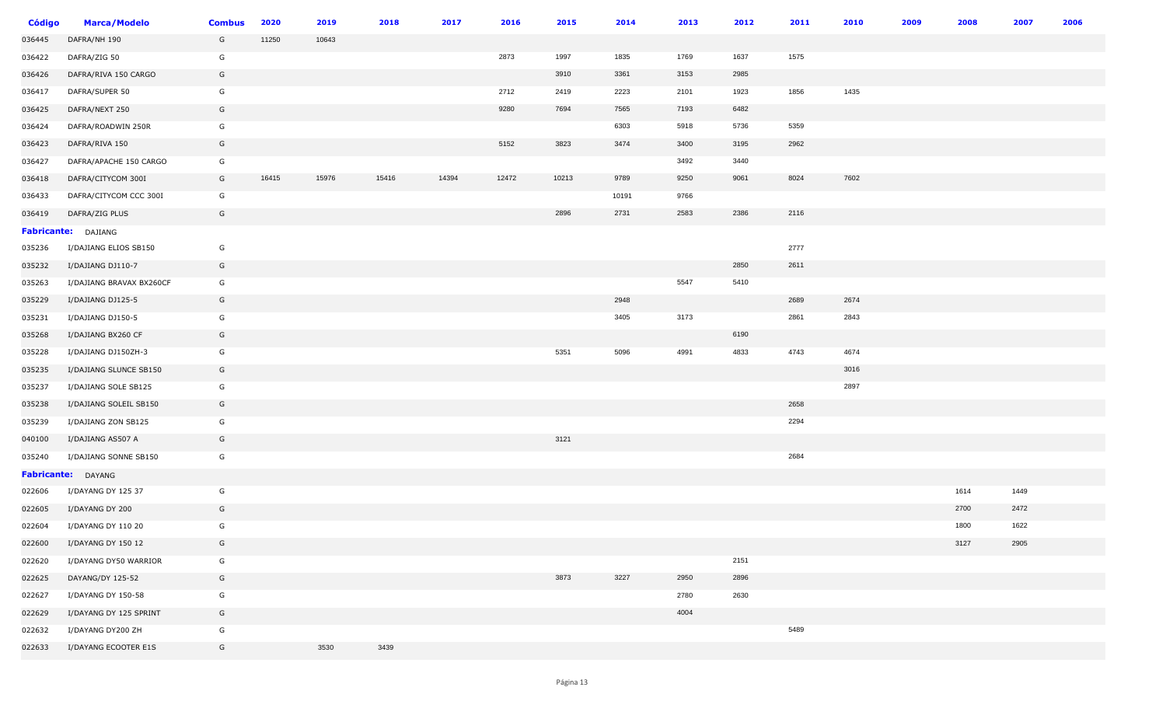| <b>Código</b> | <b>Marca/Modelo</b>      | <b>Combus</b> | 2020  | 2019  | 2018  | 2017  | 2016  | 2015  | 2014  | 2013 | 2012 | 2011 | 2010 | 2009 | 2008 | 2007 | 2006 |
|---------------|--------------------------|---------------|-------|-------|-------|-------|-------|-------|-------|------|------|------|------|------|------|------|------|
| 036445        | DAFRA/NH 190             | G             | 11250 | 10643 |       |       |       |       |       |      |      |      |      |      |      |      |      |
| 036422        | DAFRA/ZIG 50             | G             |       |       |       |       | 2873  | 1997  | 1835  | 1769 | 1637 | 1575 |      |      |      |      |      |
| 036426        | DAFRA/RIVA 150 CARGO     | G             |       |       |       |       |       | 3910  | 3361  | 3153 | 2985 |      |      |      |      |      |      |
| 036417        | DAFRA/SUPER 50           | G             |       |       |       |       | 2712  | 2419  | 2223  | 2101 | 1923 | 1856 | 1435 |      |      |      |      |
| 036425        | DAFRA/NEXT 250           | G             |       |       |       |       | 9280  | 7694  | 7565  | 7193 | 6482 |      |      |      |      |      |      |
| 036424        | DAFRA/ROADWIN 250R       | G             |       |       |       |       |       |       | 6303  | 5918 | 5736 | 5359 |      |      |      |      |      |
| 036423        | DAFRA/RIVA 150           | G             |       |       |       |       | 5152  | 3823  | 3474  | 3400 | 3195 | 2962 |      |      |      |      |      |
| 036427        | DAFRA/APACHE 150 CARGO   | G             |       |       |       |       |       |       |       | 3492 | 3440 |      |      |      |      |      |      |
| 036418        | DAFRA/CITYCOM 300I       | G             | 16415 | 15976 | 15416 | 14394 | 12472 | 10213 | 9789  | 9250 | 9061 | 8024 | 7602 |      |      |      |      |
| 036433        | DAFRA/CITYCOM CCC 300I   | G             |       |       |       |       |       |       | 10191 | 9766 |      |      |      |      |      |      |      |
| 036419        | DAFRA/ZIG PLUS           | G             |       |       |       |       |       | 2896  | 2731  | 2583 | 2386 | 2116 |      |      |      |      |      |
|               | Fabricante: DAJIANG      |               |       |       |       |       |       |       |       |      |      |      |      |      |      |      |      |
| 035236        | I/DAJIANG ELIOS SB150    | G             |       |       |       |       |       |       |       |      |      | 2777 |      |      |      |      |      |
| 035232        | I/DAJIANG DJ110-7        | G             |       |       |       |       |       |       |       |      | 2850 | 2611 |      |      |      |      |      |
| 035263        | I/DAJIANG BRAVAX BX260CF | G             |       |       |       |       |       |       |       | 5547 | 5410 |      |      |      |      |      |      |
| 035229        | I/DAJIANG DJ125-5        | G             |       |       |       |       |       |       | 2948  |      |      | 2689 | 2674 |      |      |      |      |
| 035231        | I/DAJIANG DJ150-5        | G             |       |       |       |       |       |       | 3405  | 3173 |      | 2861 | 2843 |      |      |      |      |
| 035268        | I/DAJIANG BX260 CF       | G             |       |       |       |       |       |       |       |      | 6190 |      |      |      |      |      |      |
| 035228        | I/DAJIANG DJ150ZH-3      | G             |       |       |       |       |       | 5351  | 5096  | 4991 | 4833 | 4743 | 4674 |      |      |      |      |
| 035235        | I/DAJIANG SLUNCE SB150   | G             |       |       |       |       |       |       |       |      |      |      | 3016 |      |      |      |      |
| 035237        | I/DAJIANG SOLE SB125     | G             |       |       |       |       |       |       |       |      |      |      | 2897 |      |      |      |      |
| 035238        | I/DAJIANG SOLEIL SB150   | G             |       |       |       |       |       |       |       |      |      | 2658 |      |      |      |      |      |
| 035239        | I/DAJIANG ZON SB125      | G             |       |       |       |       |       |       |       |      |      | 2294 |      |      |      |      |      |
| 040100        | I/DAJIANG AS507 A        | G             |       |       |       |       |       | 3121  |       |      |      |      |      |      |      |      |      |
| 035240        | I/DAJIANG SONNE SB150    | G             |       |       |       |       |       |       |       |      |      | 2684 |      |      |      |      |      |
|               | Fabricante: DAYANG       |               |       |       |       |       |       |       |       |      |      |      |      |      |      |      |      |
| 022606        | I/DAYANG DY 125 37       | G             |       |       |       |       |       |       |       |      |      |      |      |      | 1614 | 1449 |      |
| 022605        | I/DAYANG DY 200          | G             |       |       |       |       |       |       |       |      |      |      |      |      | 2700 | 2472 |      |
| 022604        | I/DAYANG DY 110 20       | G             |       |       |       |       |       |       |       |      |      |      |      |      | 1800 | 1622 |      |
| 022600        | I/DAYANG DY 150 12       | G             |       |       |       |       |       |       |       |      |      |      |      |      | 3127 | 2905 |      |
| 022620        | I/DAYANG DY50 WARRIOR    | G             |       |       |       |       |       |       |       |      | 2151 |      |      |      |      |      |      |
| 022625        | DAYANG/DY 125-52         | G             |       |       |       |       |       | 3873  | 3227  | 2950 | 2896 |      |      |      |      |      |      |
| 022627        | I/DAYANG DY 150-58       | G             |       |       |       |       |       |       |       | 2780 | 2630 |      |      |      |      |      |      |
| 022629        | I/DAYANG DY 125 SPRINT   | G             |       |       |       |       |       |       |       | 4004 |      |      |      |      |      |      |      |
| 022632        | I/DAYANG DY200 ZH        | G             |       |       |       |       |       |       |       |      |      | 5489 |      |      |      |      |      |
| 022633        | I/DAYANG ECOOTER E1S     | G             |       | 3530  | 3439  |       |       |       |       |      |      |      |      |      |      |      |      |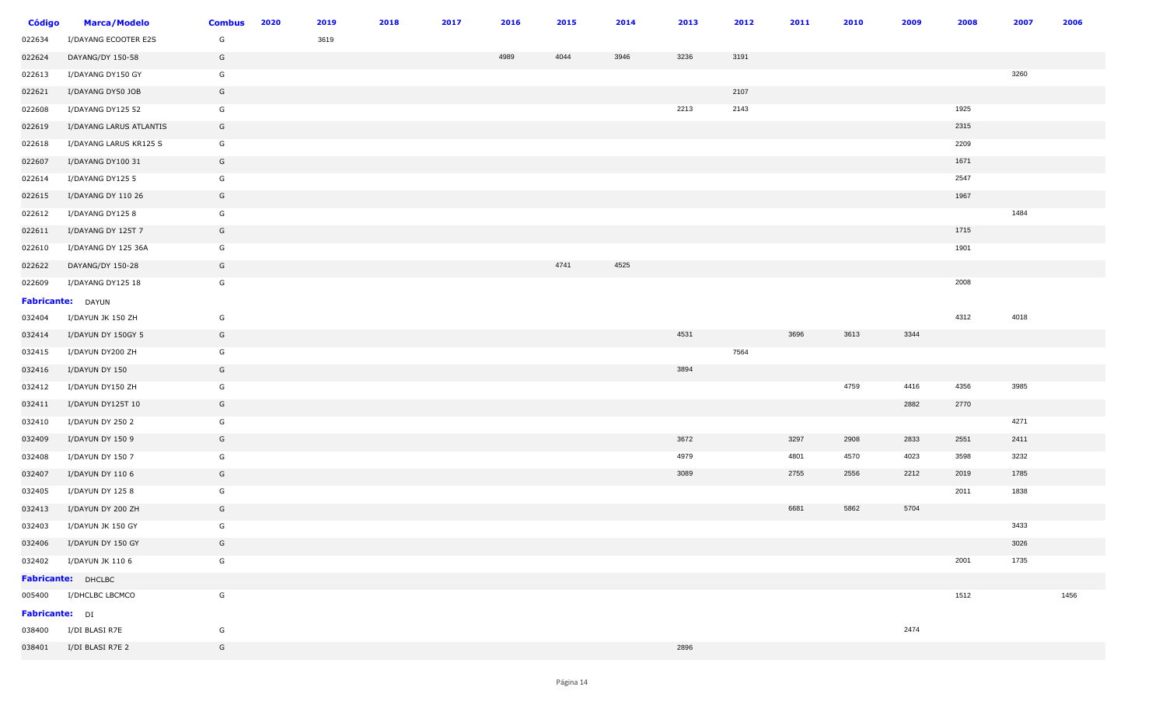| <b>Código</b>         | <b>Marca/Modelo</b>     | <b>Combus</b> | 2020 | 2019 | 2018 | 2017 | 2016 | 2015 | 2014 | 2013 | 2012 | 2011 | 2010 | 2009 | 2008 | 2007 | 2006 |
|-----------------------|-------------------------|---------------|------|------|------|------|------|------|------|------|------|------|------|------|------|------|------|
| 022634                | I/DAYANG ECOOTER E2S    | G             |      | 3619 |      |      |      |      |      |      |      |      |      |      |      |      |      |
| 022624                | DAYANG/DY 150-58        | G             |      |      |      |      | 4989 | 4044 | 3946 | 3236 | 3191 |      |      |      |      |      |      |
| 022613                | I/DAYANG DY150 GY       | G             |      |      |      |      |      |      |      |      |      |      |      |      |      | 3260 |      |
| 022621                | I/DAYANG DY50 JOB       | G             |      |      |      |      |      |      |      |      | 2107 |      |      |      |      |      |      |
| 022608                | I/DAYANG DY125 52       | G             |      |      |      |      |      |      |      | 2213 | 2143 |      |      |      | 1925 |      |      |
| 022619                | I/DAYANG LARUS ATLANTIS | G             |      |      |      |      |      |      |      |      |      |      |      |      | 2315 |      |      |
| 022618                | I/DAYANG LARUS KR125 S  | G             |      |      |      |      |      |      |      |      |      |      |      |      | 2209 |      |      |
| 022607                | I/DAYANG DY100 31       | G             |      |      |      |      |      |      |      |      |      |      |      |      | 1671 |      |      |
| 022614                | I/DAYANG DY125 5        | G             |      |      |      |      |      |      |      |      |      |      |      |      | 2547 |      |      |
| 022615                | I/DAYANG DY 110 26      | G             |      |      |      |      |      |      |      |      |      |      |      |      | 1967 |      |      |
| 022612                | I/DAYANG DY125 8        | G             |      |      |      |      |      |      |      |      |      |      |      |      |      | 1484 |      |
| 022611                | I/DAYANG DY 125T 7      | G             |      |      |      |      |      |      |      |      |      |      |      |      | 1715 |      |      |
| 022610                | I/DAYANG DY 125 36A     | G             |      |      |      |      |      |      |      |      |      |      |      |      | 1901 |      |      |
| 022622                | DAYANG/DY 150-28        | G             |      |      |      |      |      | 4741 | 4525 |      |      |      |      |      |      |      |      |
| 022609                | I/DAYANG DY125 18       | G             |      |      |      |      |      |      |      |      |      |      |      |      | 2008 |      |      |
|                       | Fabricante: DAYUN       |               |      |      |      |      |      |      |      |      |      |      |      |      |      |      |      |
| 032404                | I/DAYUN JK 150 ZH       | G             |      |      |      |      |      |      |      |      |      |      |      |      | 4312 | 4018 |      |
| 032414                | I/DAYUN DY 150GY 5      | G             |      |      |      |      |      |      |      | 4531 |      | 3696 | 3613 | 3344 |      |      |      |
| 032415                | I/DAYUN DY200 ZH        | G             |      |      |      |      |      |      |      |      | 7564 |      |      |      |      |      |      |
| 032416                | I/DAYUN DY 150          | G             |      |      |      |      |      |      |      | 3894 |      |      |      |      |      |      |      |
| 032412                | I/DAYUN DY150 ZH        | G             |      |      |      |      |      |      |      |      |      |      | 4759 | 4416 | 4356 | 3985 |      |
| 032411                | I/DAYUN DY125T 10       | G             |      |      |      |      |      |      |      |      |      |      |      | 2882 | 2770 |      |      |
| 032410                | I/DAYUN DY 250 2        | G             |      |      |      |      |      |      |      |      |      |      |      |      |      | 4271 |      |
| 032409                | I/DAYUN DY 150 9        | G             |      |      |      |      |      |      |      | 3672 |      | 3297 | 2908 | 2833 | 2551 | 2411 |      |
| 032408                | I/DAYUN DY 150 7        | G             |      |      |      |      |      |      |      | 4979 |      | 4801 | 4570 | 4023 | 3598 | 3232 |      |
| 032407                | I/DAYUN DY 110 6        | G             |      |      |      |      |      |      |      | 3089 |      | 2755 | 2556 | 2212 | 2019 | 1785 |      |
| 032405                | I/DAYUN DY 125 8        | G             |      |      |      |      |      |      |      |      |      |      |      |      | 2011 | 1838 |      |
| 032413                | I/DAYUN DY 200 ZH       | G             |      |      |      |      |      |      |      |      |      | 6681 | 5862 | 5704 |      |      |      |
| 032403                | I/DAYUN JK 150 GY       | G             |      |      |      |      |      |      |      |      |      |      |      |      |      | 3433 |      |
| 032406                | I/DAYUN DY 150 GY       | G             |      |      |      |      |      |      |      |      |      |      |      |      |      | 3026 |      |
| 032402                | I/DAYUN JK 110 6        | G             |      |      |      |      |      |      |      |      |      |      |      |      | 2001 | 1735 |      |
|                       | Fabricante: DHCLBC      |               |      |      |      |      |      |      |      |      |      |      |      |      |      |      |      |
|                       | 005400 I/DHCLBC LBCMCO  | G             |      |      |      |      |      |      |      |      |      |      |      |      | 1512 |      | 1456 |
| <b>Fabricante:</b> DI |                         |               |      |      |      |      |      |      |      |      |      |      |      |      |      |      |      |
|                       | 038400 I/DI BLASI R7E   | G             |      |      |      |      |      |      |      |      |      |      |      | 2474 |      |      |      |
|                       | 038401 I/DI BLASI R7E 2 | G             |      |      |      |      |      |      |      | 2896 |      |      |      |      |      |      |      |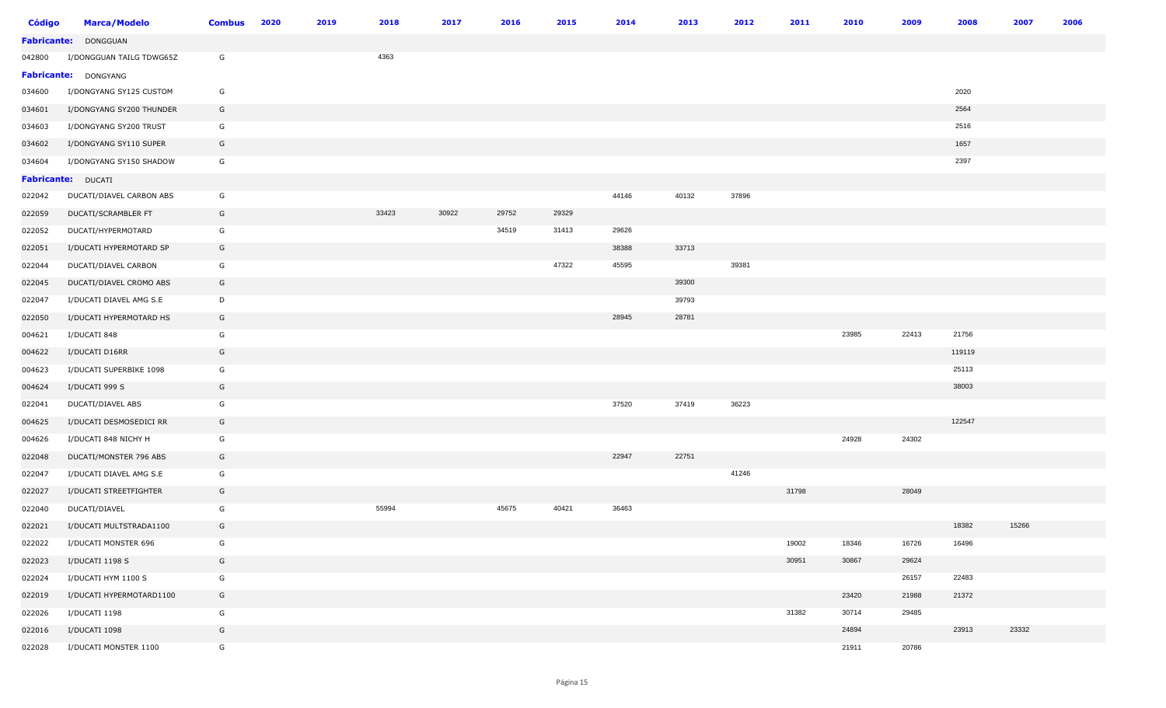| <b>Código</b> | <b>Marca/Modelo</b>      | <b>Combus</b> | 2020 | 2019 | 2018  | 2017  | 2016  | 2015  | 2014  | 2013  | 2012  | 2011  | 2010  | 2009  | 2008   | 2007  | 2006 |
|---------------|--------------------------|---------------|------|------|-------|-------|-------|-------|-------|-------|-------|-------|-------|-------|--------|-------|------|
|               | Fabricante: DONGGUAN     |               |      |      |       |       |       |       |       |       |       |       |       |       |        |       |      |
| 042800        | I/DONGGUAN TAILG TDWG65Z | G             |      |      | 4363  |       |       |       |       |       |       |       |       |       |        |       |      |
|               | Fabricante: DONGYANG     |               |      |      |       |       |       |       |       |       |       |       |       |       |        |       |      |
| 034600        | I/DONGYANG SY125 CUSTOM  | G             |      |      |       |       |       |       |       |       |       |       |       |       | 2020   |       |      |
| 034601        | I/DONGYANG SY200 THUNDER | G             |      |      |       |       |       |       |       |       |       |       |       |       | 2564   |       |      |
| 034603        | I/DONGYANG SY200 TRUST   | G             |      |      |       |       |       |       |       |       |       |       |       |       | 2516   |       |      |
| 034602        | I/DONGYANG SY110 SUPER   | G             |      |      |       |       |       |       |       |       |       |       |       |       | 1657   |       |      |
| 034604        | I/DONGYANG SY150 SHADOW  | G             |      |      |       |       |       |       |       |       |       |       |       |       | 2397   |       |      |
|               | Fabricante: DUCATI       |               |      |      |       |       |       |       |       |       |       |       |       |       |        |       |      |
| 022042        | DUCATI/DIAVEL CARBON ABS | G             |      |      |       |       |       |       | 44146 | 40132 | 37896 |       |       |       |        |       |      |
| 022059        | DUCATI/SCRAMBLER FT      | G             |      |      | 33423 | 30922 | 29752 | 29329 |       |       |       |       |       |       |        |       |      |
| 022052        | DUCATI/HYPERMOTARD       | G             |      |      |       |       | 34519 | 31413 | 29626 |       |       |       |       |       |        |       |      |
| 022051        | I/DUCATI HYPERMOTARD SP  | G             |      |      |       |       |       |       | 38388 | 33713 |       |       |       |       |        |       |      |
| 022044        | DUCATI/DIAVEL CARBON     | G             |      |      |       |       |       | 47322 | 45595 |       | 39381 |       |       |       |        |       |      |
| 022045        | DUCATI/DIAVEL CROMO ABS  | G             |      |      |       |       |       |       |       | 39300 |       |       |       |       |        |       |      |
| 022047        | I/DUCATI DIAVEL AMG S.E  | D             |      |      |       |       |       |       |       | 39793 |       |       |       |       |        |       |      |
| 022050        | I/DUCATI HYPERMOTARD HS  | G             |      |      |       |       |       |       | 28945 | 28781 |       |       |       |       |        |       |      |
| 004621        | I/DUCATI 848             | G             |      |      |       |       |       |       |       |       |       |       | 23985 | 22413 | 21756  |       |      |
| 004622        | I/DUCATI D16RR           | G             |      |      |       |       |       |       |       |       |       |       |       |       | 119119 |       |      |
| 004623        | I/DUCATI SUPERBIKE 1098  | G             |      |      |       |       |       |       |       |       |       |       |       |       | 25113  |       |      |
| 004624        | I/DUCATI 999 S           | G             |      |      |       |       |       |       |       |       |       |       |       |       | 38003  |       |      |
| 022041        | DUCATI/DIAVEL ABS        | G             |      |      |       |       |       |       | 37520 | 37419 | 36223 |       |       |       |        |       |      |
| 004625        | I/DUCATI DESMOSEDICI RR  | G             |      |      |       |       |       |       |       |       |       |       |       |       | 122547 |       |      |
| 004626        | I/DUCATI 848 NICHY H     | G             |      |      |       |       |       |       |       |       |       |       | 24928 | 24302 |        |       |      |
| 022048        | DUCATI/MONSTER 796 ABS   | G             |      |      |       |       |       |       | 22947 | 22751 |       |       |       |       |        |       |      |
| 022047        | I/DUCATI DIAVEL AMG S.E  | G             |      |      |       |       |       |       |       |       | 41246 |       |       |       |        |       |      |
| 022027        | I/DUCATI STREETFIGHTER   | G             |      |      |       |       |       |       |       |       |       | 31798 |       | 28049 |        |       |      |
| 022040        | DUCATI/DIAVEL            | G             |      |      | 55994 |       | 45675 | 40421 | 36463 |       |       |       |       |       |        |       |      |
| 022021        | I/DUCATI MULTSTRADA1100  | G             |      |      |       |       |       |       |       |       |       |       |       |       | 18382  | 15266 |      |
| 022022        | I/DUCATI MONSTER 696     | G             |      |      |       |       |       |       |       |       |       | 19002 | 18346 | 16726 | 16496  |       |      |
| 022023        | I/DUCATI 1198 S          | G             |      |      |       |       |       |       |       |       |       | 30951 | 30867 | 29624 |        |       |      |
| 022024        | I/DUCATI HYM 1100 S      | G             |      |      |       |       |       |       |       |       |       |       |       | 26157 | 22483  |       |      |
| 022019        | I/DUCATI HYPERMOTARD1100 | G             |      |      |       |       |       |       |       |       |       |       | 23420 | 21988 | 21372  |       |      |
| 022026        | I/DUCATI 1198            | G             |      |      |       |       |       |       |       |       |       | 31382 | 30714 | 29485 |        |       |      |
| 022016        | I/DUCATI 1098            | G             |      |      |       |       |       |       |       |       |       |       | 24894 |       | 23913  | 23332 |      |
| 022028        | I/DUCATI MONSTER 1100    | G             |      |      |       |       |       |       |       |       |       |       | 21911 | 20786 |        |       |      |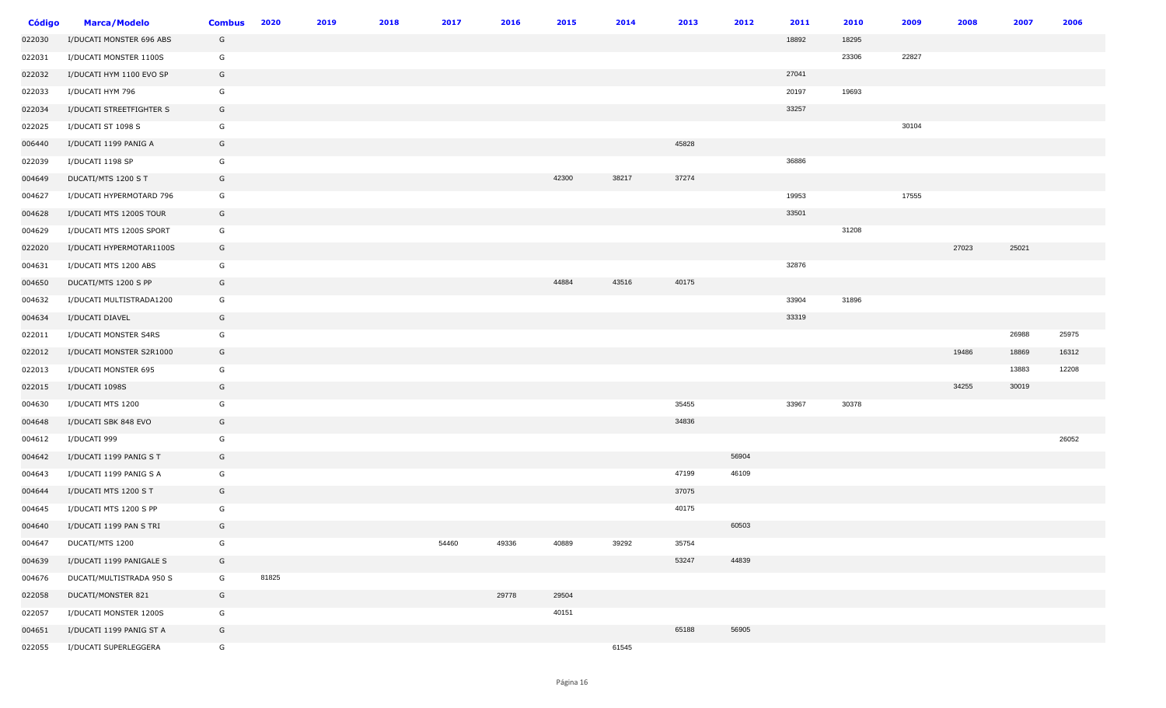| <b>Código</b> | <b>Marca/Modelo</b>      | <b>Combus</b> | 2020  | 2019 | 2018 | 2017  | 2016  | 2015  | 2014  | 2013  | 2012  | 2011  | 2010  | 2009  | 2008  | 2007  | 2006  |
|---------------|--------------------------|---------------|-------|------|------|-------|-------|-------|-------|-------|-------|-------|-------|-------|-------|-------|-------|
| 022030        | I/DUCATI MONSTER 696 ABS | G             |       |      |      |       |       |       |       |       |       | 18892 | 18295 |       |       |       |       |
| 022031        | I/DUCATI MONSTER 1100S   | G             |       |      |      |       |       |       |       |       |       |       | 23306 | 22827 |       |       |       |
| 022032        | I/DUCATI HYM 1100 EVO SP | G             |       |      |      |       |       |       |       |       |       | 27041 |       |       |       |       |       |
| 022033        | I/DUCATI HYM 796         | G             |       |      |      |       |       |       |       |       |       | 20197 | 19693 |       |       |       |       |
| 022034        | I/DUCATI STREETFIGHTER S | G             |       |      |      |       |       |       |       |       |       | 33257 |       |       |       |       |       |
| 022025        | I/DUCATI ST 1098 S       | G             |       |      |      |       |       |       |       |       |       |       |       | 30104 |       |       |       |
| 006440        | I/DUCATI 1199 PANIG A    | G             |       |      |      |       |       |       |       | 45828 |       |       |       |       |       |       |       |
| 022039        | I/DUCATI 1198 SP         | G             |       |      |      |       |       |       |       |       |       | 36886 |       |       |       |       |       |
| 004649        | DUCATI/MTS 1200 S T      | G             |       |      |      |       |       | 42300 | 38217 | 37274 |       |       |       |       |       |       |       |
| 004627        | I/DUCATI HYPERMOTARD 796 | G             |       |      |      |       |       |       |       |       |       | 19953 |       | 17555 |       |       |       |
| 004628        | I/DUCATI MTS 1200S TOUR  | G             |       |      |      |       |       |       |       |       |       | 33501 |       |       |       |       |       |
| 004629        | I/DUCATI MTS 1200S SPORT | G             |       |      |      |       |       |       |       |       |       |       | 31208 |       |       |       |       |
| 022020        | I/DUCATI HYPERMOTAR1100S | G             |       |      |      |       |       |       |       |       |       |       |       |       | 27023 | 25021 |       |
| 004631        | I/DUCATI MTS 1200 ABS    | G             |       |      |      |       |       |       |       |       |       | 32876 |       |       |       |       |       |
| 004650        | DUCATI/MTS 1200 S PP     | G             |       |      |      |       |       | 44884 | 43516 | 40175 |       |       |       |       |       |       |       |
| 004632        | I/DUCATI MULTISTRADA1200 | G             |       |      |      |       |       |       |       |       |       | 33904 | 31896 |       |       |       |       |
| 004634        | I/DUCATI DIAVEL          | G             |       |      |      |       |       |       |       |       |       | 33319 |       |       |       |       |       |
| 022011        | I/DUCATI MONSTER S4RS    | G             |       |      |      |       |       |       |       |       |       |       |       |       |       | 26988 | 25975 |
| 022012        | I/DUCATI MONSTER S2R1000 | G             |       |      |      |       |       |       |       |       |       |       |       |       | 19486 | 18869 | 16312 |
| 022013        | I/DUCATI MONSTER 695     | G             |       |      |      |       |       |       |       |       |       |       |       |       |       | 13883 | 12208 |
| 022015        | I/DUCATI 1098S           | G             |       |      |      |       |       |       |       |       |       |       |       |       | 34255 | 30019 |       |
| 004630        | I/DUCATI MTS 1200        | G             |       |      |      |       |       |       |       | 35455 |       | 33967 | 30378 |       |       |       |       |
| 004648        | I/DUCATI SBK 848 EVO     | G             |       |      |      |       |       |       |       | 34836 |       |       |       |       |       |       |       |
| 004612        | I/DUCATI 999             | G             |       |      |      |       |       |       |       |       |       |       |       |       |       |       | 26052 |
| 004642        | I/DUCATI 1199 PANIG S T  | G             |       |      |      |       |       |       |       |       | 56904 |       |       |       |       |       |       |
| 004643        | I/DUCATI 1199 PANIG S A  | G             |       |      |      |       |       |       |       | 47199 | 46109 |       |       |       |       |       |       |
| 004644        | I/DUCATI MTS 1200 S T    | G             |       |      |      |       |       |       |       | 37075 |       |       |       |       |       |       |       |
| 004645        | I/DUCATI MTS 1200 S PP   | G             |       |      |      |       |       |       |       | 40175 |       |       |       |       |       |       |       |
| 004640        | I/DUCATI 1199 PAN S TRI  | G             |       |      |      |       |       |       |       |       | 60503 |       |       |       |       |       |       |
| 004647        | DUCATI/MTS 1200          | G             |       |      |      | 54460 | 49336 | 40889 | 39292 | 35754 |       |       |       |       |       |       |       |
| 004639        | I/DUCATI 1199 PANIGALE S | G             |       |      |      |       |       |       |       | 53247 | 44839 |       |       |       |       |       |       |
| 004676        | DUCATI/MULTISTRADA 950 S | G             | 81825 |      |      |       |       |       |       |       |       |       |       |       |       |       |       |
| 022058        | DUCATI/MONSTER 821       | G             |       |      |      |       | 29778 | 29504 |       |       |       |       |       |       |       |       |       |
| 022057        | I/DUCATI MONSTER 1200S   | G             |       |      |      |       |       | 40151 |       |       |       |       |       |       |       |       |       |
| 004651        | I/DUCATI 1199 PANIG ST A | G             |       |      |      |       |       |       |       | 65188 | 56905 |       |       |       |       |       |       |
| 022055        | I/DUCATI SUPERLEGGERA    | G             |       |      |      |       |       |       | 61545 |       |       |       |       |       |       |       |       |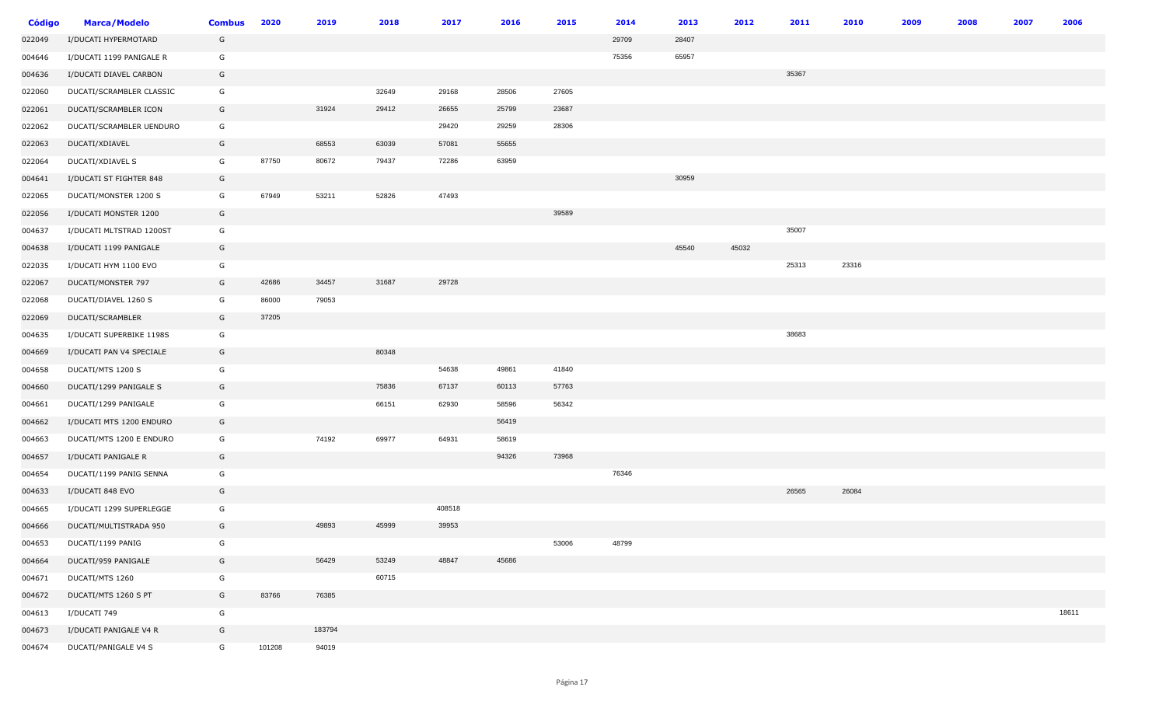| <b>Código</b> | <b>Marca/Modelo</b>      | <b>Combus</b> | 2020   | 2019   | 2018  | 2017   | 2016  | 2015  | 2014  | 2013  | 2012  | 2011  | 2010  | 2009 | 2008 | 2007 | 2006  |
|---------------|--------------------------|---------------|--------|--------|-------|--------|-------|-------|-------|-------|-------|-------|-------|------|------|------|-------|
| 022049        | I/DUCATI HYPERMOTARD     | G             |        |        |       |        |       |       | 29709 | 28407 |       |       |       |      |      |      |       |
| 004646        | I/DUCATI 1199 PANIGALE R | G             |        |        |       |        |       |       | 75356 | 65957 |       |       |       |      |      |      |       |
| 004636        | I/DUCATI DIAVEL CARBON   | G             |        |        |       |        |       |       |       |       |       | 35367 |       |      |      |      |       |
| 022060        | DUCATI/SCRAMBLER CLASSIC | G             |        |        | 32649 | 29168  | 28506 | 27605 |       |       |       |       |       |      |      |      |       |
| 022061        | DUCATI/SCRAMBLER ICON    | G             |        | 31924  | 29412 | 26655  | 25799 | 23687 |       |       |       |       |       |      |      |      |       |
| 022062        | DUCATI/SCRAMBLER UENDURO | G             |        |        |       | 29420  | 29259 | 28306 |       |       |       |       |       |      |      |      |       |
| 022063        | DUCATI/XDIAVEL           | G             |        | 68553  | 63039 | 57081  | 55655 |       |       |       |       |       |       |      |      |      |       |
| 022064        | DUCATI/XDIAVEL S         | G             | 87750  | 80672  | 79437 | 72286  | 63959 |       |       |       |       |       |       |      |      |      |       |
| 004641        | I/DUCATI ST FIGHTER 848  | G             |        |        |       |        |       |       |       | 30959 |       |       |       |      |      |      |       |
| 022065        | DUCATI/MONSTER 1200 S    | G             | 67949  | 53211  | 52826 | 47493  |       |       |       |       |       |       |       |      |      |      |       |
| 022056        | I/DUCATI MONSTER 1200    | G             |        |        |       |        |       | 39589 |       |       |       |       |       |      |      |      |       |
| 004637        | I/DUCATI MLTSTRAD 1200ST | G             |        |        |       |        |       |       |       |       |       | 35007 |       |      |      |      |       |
| 004638        | I/DUCATI 1199 PANIGALE   | G             |        |        |       |        |       |       |       | 45540 | 45032 |       |       |      |      |      |       |
| 022035        | I/DUCATI HYM 1100 EVO    | G             |        |        |       |        |       |       |       |       |       | 25313 | 23316 |      |      |      |       |
| 022067        | DUCATI/MONSTER 797       | G             | 42686  | 34457  | 31687 | 29728  |       |       |       |       |       |       |       |      |      |      |       |
| 022068        | DUCATI/DIAVEL 1260 S     | G             | 86000  | 79053  |       |        |       |       |       |       |       |       |       |      |      |      |       |
| 022069        | DUCATI/SCRAMBLER         | G             | 37205  |        |       |        |       |       |       |       |       |       |       |      |      |      |       |
| 004635        | I/DUCATI SUPERBIKE 1198S | G             |        |        |       |        |       |       |       |       |       | 38683 |       |      |      |      |       |
| 004669        | I/DUCATI PAN V4 SPECIALE | G             |        |        | 80348 |        |       |       |       |       |       |       |       |      |      |      |       |
| 004658        | DUCATI/MTS 1200 S        | G             |        |        |       | 54638  | 49861 | 41840 |       |       |       |       |       |      |      |      |       |
| 004660        | DUCATI/1299 PANIGALE S   | G             |        |        | 75836 | 67137  | 60113 | 57763 |       |       |       |       |       |      |      |      |       |
| 004661        | DUCATI/1299 PANIGALE     | G             |        |        | 66151 | 62930  | 58596 | 56342 |       |       |       |       |       |      |      |      |       |
| 004662        | I/DUCATI MTS 1200 ENDURO | G             |        |        |       |        | 56419 |       |       |       |       |       |       |      |      |      |       |
| 004663        | DUCATI/MTS 1200 E ENDURO | G             |        | 74192  | 69977 | 64931  | 58619 |       |       |       |       |       |       |      |      |      |       |
| 004657        | I/DUCATI PANIGALE R      | G             |        |        |       |        | 94326 | 73968 |       |       |       |       |       |      |      |      |       |
| 004654        | DUCATI/1199 PANIG SENNA  | G             |        |        |       |        |       |       | 76346 |       |       |       |       |      |      |      |       |
| 004633        | I/DUCATI 848 EVO         | G             |        |        |       |        |       |       |       |       |       | 26565 | 26084 |      |      |      |       |
| 004665        | I/DUCATI 1299 SUPERLEGGE | G             |        |        |       | 408518 |       |       |       |       |       |       |       |      |      |      |       |
| 004666        | DUCATI/MULTISTRADA 950   | G             |        | 49893  | 45999 | 39953  |       |       |       |       |       |       |       |      |      |      |       |
| 004653        | DUCATI/1199 PANIG        | G             |        |        |       |        |       | 53006 | 48799 |       |       |       |       |      |      |      |       |
| 004664        | DUCATI/959 PANIGALE      | G             |        | 56429  | 53249 | 48847  | 45686 |       |       |       |       |       |       |      |      |      |       |
| 004671        | DUCATI/MTS 1260          | G             |        |        | 60715 |        |       |       |       |       |       |       |       |      |      |      |       |
| 004672        | DUCATI/MTS 1260 S PT     | G             | 83766  | 76385  |       |        |       |       |       |       |       |       |       |      |      |      |       |
| 004613        | I/DUCATI 749             | G             |        |        |       |        |       |       |       |       |       |       |       |      |      |      | 18611 |
| 004673        | I/DUCATI PANIGALE V4 R   | G             |        | 183794 |       |        |       |       |       |       |       |       |       |      |      |      |       |
| 004674        | DUCATI/PANIGALE V4 S     | G             | 101208 | 94019  |       |        |       |       |       |       |       |       |       |      |      |      |       |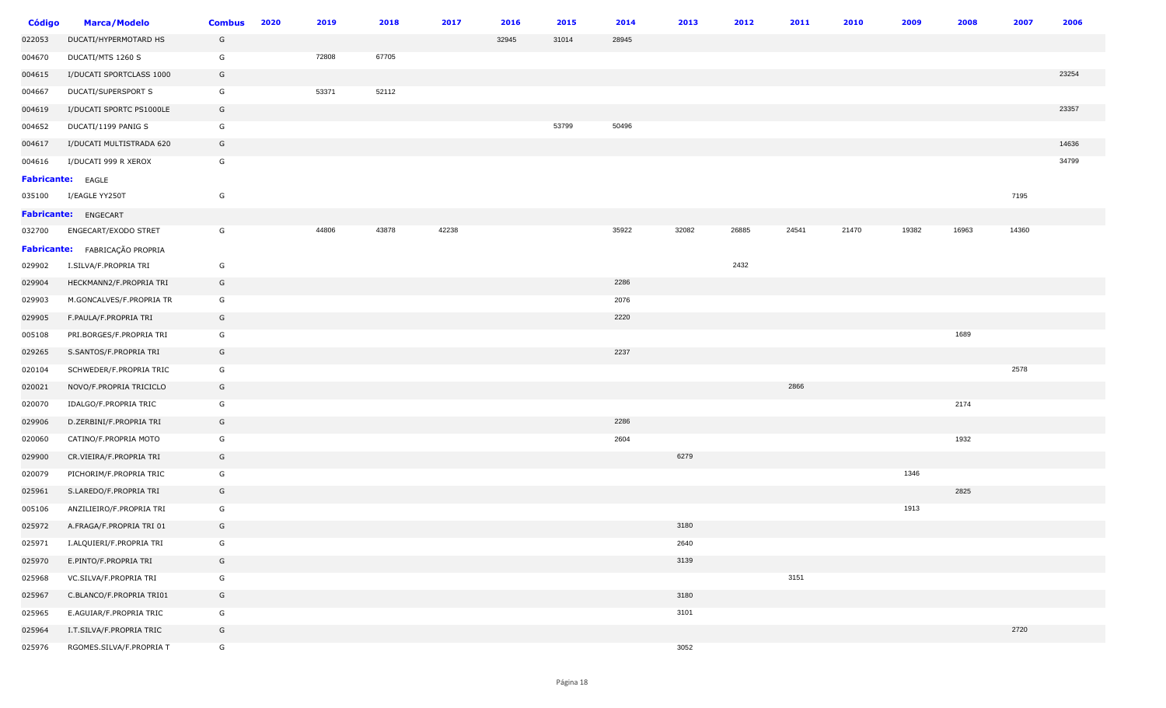| <b>Código</b> | <b>Marca/Modelo</b>            | <b>Combus</b> | 2020 | 2019  | 2018  | 2017  | 2016  | 2015  | 2014  | 2013  | 2012  | 2011  | 2010  | 2009  | 2008  | 2007  | 2006  |
|---------------|--------------------------------|---------------|------|-------|-------|-------|-------|-------|-------|-------|-------|-------|-------|-------|-------|-------|-------|
| 022053        | DUCATI/HYPERMOTARD HS          | G             |      |       |       |       | 32945 | 31014 | 28945 |       |       |       |       |       |       |       |       |
| 004670        | DUCATI/MTS 1260 S              | G             |      | 72808 | 67705 |       |       |       |       |       |       |       |       |       |       |       |       |
| 004615        | I/DUCATI SPORTCLASS 1000       | G             |      |       |       |       |       |       |       |       |       |       |       |       |       |       | 23254 |
| 004667        | DUCATI/SUPERSPORT S            | G             |      | 53371 | 52112 |       |       |       |       |       |       |       |       |       |       |       |       |
| 004619        | I/DUCATI SPORTC PS1000LE       | G             |      |       |       |       |       |       |       |       |       |       |       |       |       |       | 23357 |
| 004652        | DUCATI/1199 PANIG S            | G             |      |       |       |       |       | 53799 | 50496 |       |       |       |       |       |       |       |       |
| 004617        | I/DUCATI MULTISTRADA 620       | G             |      |       |       |       |       |       |       |       |       |       |       |       |       |       | 14636 |
| 004616        | I/DUCATI 999 R XEROX           | G             |      |       |       |       |       |       |       |       |       |       |       |       |       |       | 34799 |
|               | <b>Fabricante:</b> EAGLE       |               |      |       |       |       |       |       |       |       |       |       |       |       |       |       |       |
| 035100        | I/EAGLE YY250T                 | G             |      |       |       |       |       |       |       |       |       |       |       |       |       | 7195  |       |
|               | Fabricante: ENGECART           |               |      |       |       |       |       |       |       |       |       |       |       |       |       |       |       |
| 032700        | ENGECART/EXODO STRET           | G             |      | 44806 | 43878 | 42238 |       |       | 35922 | 32082 | 26885 | 24541 | 21470 | 19382 | 16963 | 14360 |       |
|               | Fabricante: FABRICAÇÃO PROPRIA |               |      |       |       |       |       |       |       |       |       |       |       |       |       |       |       |
| 029902        | I.SILVA/F.PROPRIA TRI          | G             |      |       |       |       |       |       |       |       | 2432  |       |       |       |       |       |       |
| 029904        | HECKMANN2/F.PROPRIA TRI        | G             |      |       |       |       |       |       | 2286  |       |       |       |       |       |       |       |       |
| 029903        | M.GONCALVES/F.PROPRIA TR       | G             |      |       |       |       |       |       | 2076  |       |       |       |       |       |       |       |       |
| 029905        | F.PAULA/F.PROPRIA TRI          | G             |      |       |       |       |       |       | 2220  |       |       |       |       |       |       |       |       |
| 005108        | PRI.BORGES/F.PROPRIA TRI       | G             |      |       |       |       |       |       |       |       |       |       |       |       | 1689  |       |       |
| 029265        | S.SANTOS/F.PROPRIA TRI         | G             |      |       |       |       |       |       | 2237  |       |       |       |       |       |       |       |       |
| 020104        | SCHWEDER/F.PROPRIA TRIC        | G             |      |       |       |       |       |       |       |       |       |       |       |       |       | 2578  |       |
| 020021        | NOVO/F.PROPRIA TRICICLO        | G             |      |       |       |       |       |       |       |       |       | 2866  |       |       |       |       |       |
| 020070        | IDALGO/F.PROPRIA TRIC          | G             |      |       |       |       |       |       |       |       |       |       |       |       | 2174  |       |       |
| 029906        | D.ZERBINI/F.PROPRIA TRI        | G             |      |       |       |       |       |       | 2286  |       |       |       |       |       |       |       |       |
| 020060        | CATINO/F.PROPRIA MOTO          | G             |      |       |       |       |       |       | 2604  |       |       |       |       |       | 1932  |       |       |
| 029900        | CR.VIEIRA/F.PROPRIA TRI        | G             |      |       |       |       |       |       |       | 6279  |       |       |       |       |       |       |       |
| 020079        | PICHORIM/F.PROPRIA TRIC        | G             |      |       |       |       |       |       |       |       |       |       |       | 1346  |       |       |       |
| 025961        | S.LAREDO/F.PROPRIA TRI         | G             |      |       |       |       |       |       |       |       |       |       |       |       | 2825  |       |       |
| 005106        | ANZILIEIRO/F.PROPRIA TRI       | G             |      |       |       |       |       |       |       |       |       |       |       | 1913  |       |       |       |
| 025972        | A.FRAGA/F.PROPRIA TRI 01       | G             |      |       |       |       |       |       |       | 3180  |       |       |       |       |       |       |       |
| 025971        | I.ALQUIERI/F.PROPRIA TRI       | G             |      |       |       |       |       |       |       | 2640  |       |       |       |       |       |       |       |
| 025970        | E.PINTO/F.PROPRIA TRI          | G             |      |       |       |       |       |       |       | 3139  |       |       |       |       |       |       |       |
| 025968        | VC.SILVA/F.PROPRIA TRI         | G             |      |       |       |       |       |       |       |       |       | 3151  |       |       |       |       |       |
| 025967        | C.BLANCO/F.PROPRIA TRI01       | G             |      |       |       |       |       |       |       | 3180  |       |       |       |       |       |       |       |
| 025965        | E.AGUIAR/F.PROPRIA TRIC        | G             |      |       |       |       |       |       |       | 3101  |       |       |       |       |       |       |       |
| 025964        | I.T.SILVA/F.PROPRIA TRIC       | G             |      |       |       |       |       |       |       |       |       |       |       |       |       | 2720  |       |
| 025976        | RGOMES.SILVA/F.PROPRIA T       | G             |      |       |       |       |       |       |       | 3052  |       |       |       |       |       |       |       |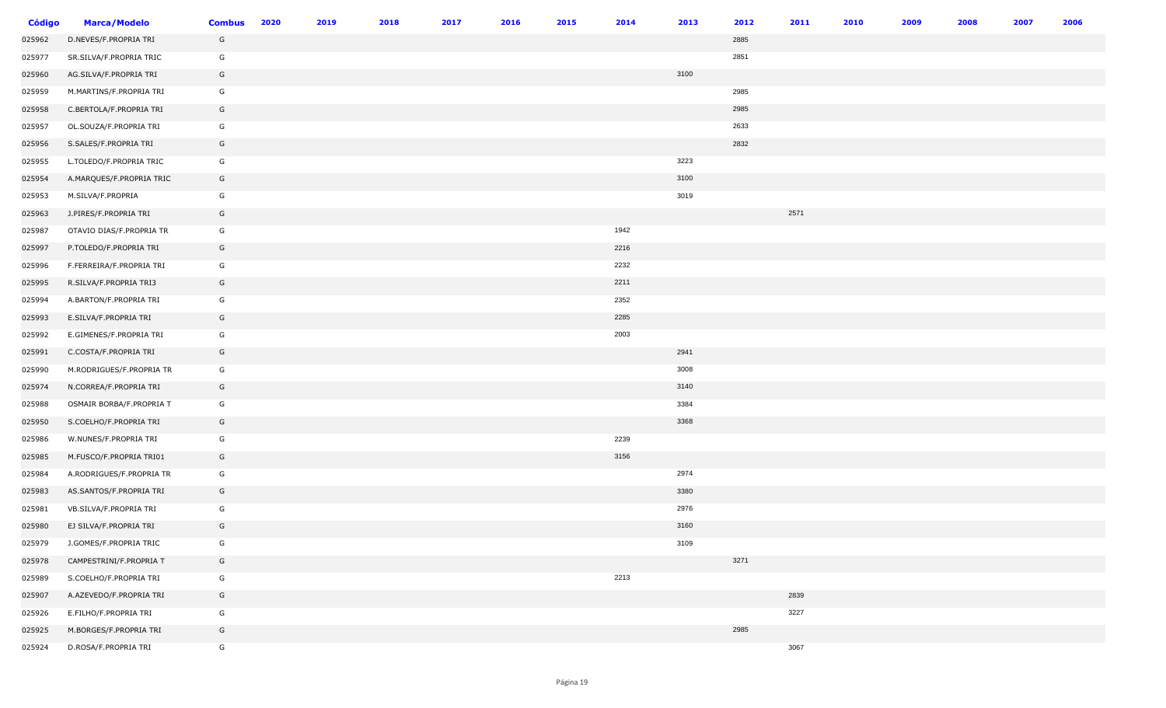| <b>Código</b> | <b>Marca/Modelo</b>      | <b>Combus</b> | 2020 | 2019 | 2018 | 2017 | 2016 | 2015 | 2014 | 2013 | 2012 | 2011 | 2010 | 2009 | 2008 | 2007 | 2006 |
|---------------|--------------------------|---------------|------|------|------|------|------|------|------|------|------|------|------|------|------|------|------|
| 025962        | D.NEVES/F.PROPRIA TRI    | G             |      |      |      |      |      |      |      |      | 2885 |      |      |      |      |      |      |
| 025977        | SR.SILVA/F.PROPRIA TRIC  | G             |      |      |      |      |      |      |      |      | 2851 |      |      |      |      |      |      |
| 025960        | AG.SILVA/F.PROPRIA TRI   | G             |      |      |      |      |      |      |      | 3100 |      |      |      |      |      |      |      |
| 025959        | M.MARTINS/F.PROPRIA TRI  | G             |      |      |      |      |      |      |      |      | 2985 |      |      |      |      |      |      |
| 025958        | C.BERTOLA/F.PROPRIA TRI  | G             |      |      |      |      |      |      |      |      | 2985 |      |      |      |      |      |      |
| 025957        | OL.SOUZA/F.PROPRIA TRI   | G             |      |      |      |      |      |      |      |      | 2633 |      |      |      |      |      |      |
| 025956        | S.SALES/F.PROPRIA TRI    | G             |      |      |      |      |      |      |      |      | 2832 |      |      |      |      |      |      |
| 025955        | L.TOLEDO/F.PROPRIA TRIC  | G             |      |      |      |      |      |      |      | 3223 |      |      |      |      |      |      |      |
| 025954        | A.MARQUES/F.PROPRIA TRIC | G             |      |      |      |      |      |      |      | 3100 |      |      |      |      |      |      |      |
| 025953        | M.SILVA/F.PROPRIA        | G             |      |      |      |      |      |      |      | 3019 |      |      |      |      |      |      |      |
| 025963        | J.PIRES/F.PROPRIA TRI    | G             |      |      |      |      |      |      |      |      |      | 2571 |      |      |      |      |      |
| 025987        | OTAVIO DIAS/F.PROPRIA TR | G             |      |      |      |      |      |      | 1942 |      |      |      |      |      |      |      |      |
| 025997        | P.TOLEDO/F.PROPRIA TRI   | G             |      |      |      |      |      |      | 2216 |      |      |      |      |      |      |      |      |
| 025996        | F.FERREIRA/F.PROPRIA TRI | G             |      |      |      |      |      |      | 2232 |      |      |      |      |      |      |      |      |
| 025995        | R.SILVA/F.PROPRIA TRI3   | G             |      |      |      |      |      |      | 2211 |      |      |      |      |      |      |      |      |
| 025994        | A.BARTON/F.PROPRIA TRI   | G             |      |      |      |      |      |      | 2352 |      |      |      |      |      |      |      |      |
| 025993        | E.SILVA/F.PROPRIA TRI    | G             |      |      |      |      |      |      | 2285 |      |      |      |      |      |      |      |      |
| 025992        | E.GIMENES/F.PROPRIA TRI  | G             |      |      |      |      |      |      | 2003 |      |      |      |      |      |      |      |      |
| 025991        | C.COSTA/F.PROPRIA TRI    | G             |      |      |      |      |      |      |      | 2941 |      |      |      |      |      |      |      |
| 025990        | M.RODRIGUES/F.PROPRIA TR | G             |      |      |      |      |      |      |      | 3008 |      |      |      |      |      |      |      |
| 025974        | N.CORREA/F.PROPRIA TRI   | G             |      |      |      |      |      |      |      | 3140 |      |      |      |      |      |      |      |
| 025988        | OSMAIR BORBA/F.PROPRIA T | G             |      |      |      |      |      |      |      | 3384 |      |      |      |      |      |      |      |
| 025950        | S.COELHO/F.PROPRIA TRI   | G             |      |      |      |      |      |      |      | 3368 |      |      |      |      |      |      |      |
| 025986        | W.NUNES/F.PROPRIA TRI    | G             |      |      |      |      |      |      | 2239 |      |      |      |      |      |      |      |      |
| 025985        | M.FUSCO/F.PROPRIA TRI01  | G             |      |      |      |      |      |      | 3156 |      |      |      |      |      |      |      |      |
| 025984        | A.RODRIGUES/F.PROPRIA TR | G             |      |      |      |      |      |      |      | 2974 |      |      |      |      |      |      |      |
| 025983        | AS.SANTOS/F.PROPRIA TRI  | G             |      |      |      |      |      |      |      | 3380 |      |      |      |      |      |      |      |
| 025981        | VB.SILVA/F.PROPRIA TRI   | G             |      |      |      |      |      |      |      | 2976 |      |      |      |      |      |      |      |
| 025980        | EJ SILVA/F.PROPRIA TRI   | G             |      |      |      |      |      |      |      | 3160 |      |      |      |      |      |      |      |
| 025979        | J.GOMES/F.PROPRIA TRIC   | G             |      |      |      |      |      |      |      | 3109 |      |      |      |      |      |      |      |
| 025978        | CAMPESTRINI/F.PROPRIA T  | G             |      |      |      |      |      |      |      |      | 3271 |      |      |      |      |      |      |
| 025989        | S.COELHO/F.PROPRIA TRI   | G             |      |      |      |      |      |      | 2213 |      |      |      |      |      |      |      |      |
| 025907        | A.AZEVEDO/F.PROPRIA TRI  | G             |      |      |      |      |      |      |      |      |      | 2839 |      |      |      |      |      |
| 025926        | E.FILHO/F.PROPRIA TRI    | G             |      |      |      |      |      |      |      |      |      | 3227 |      |      |      |      |      |
| 025925        | M.BORGES/F.PROPRIA TRI   | G             |      |      |      |      |      |      |      |      | 2985 |      |      |      |      |      |      |
| 025924        | D.ROSA/F.PROPRIA TRI     | G             |      |      |      |      |      |      |      |      |      | 3067 |      |      |      |      |      |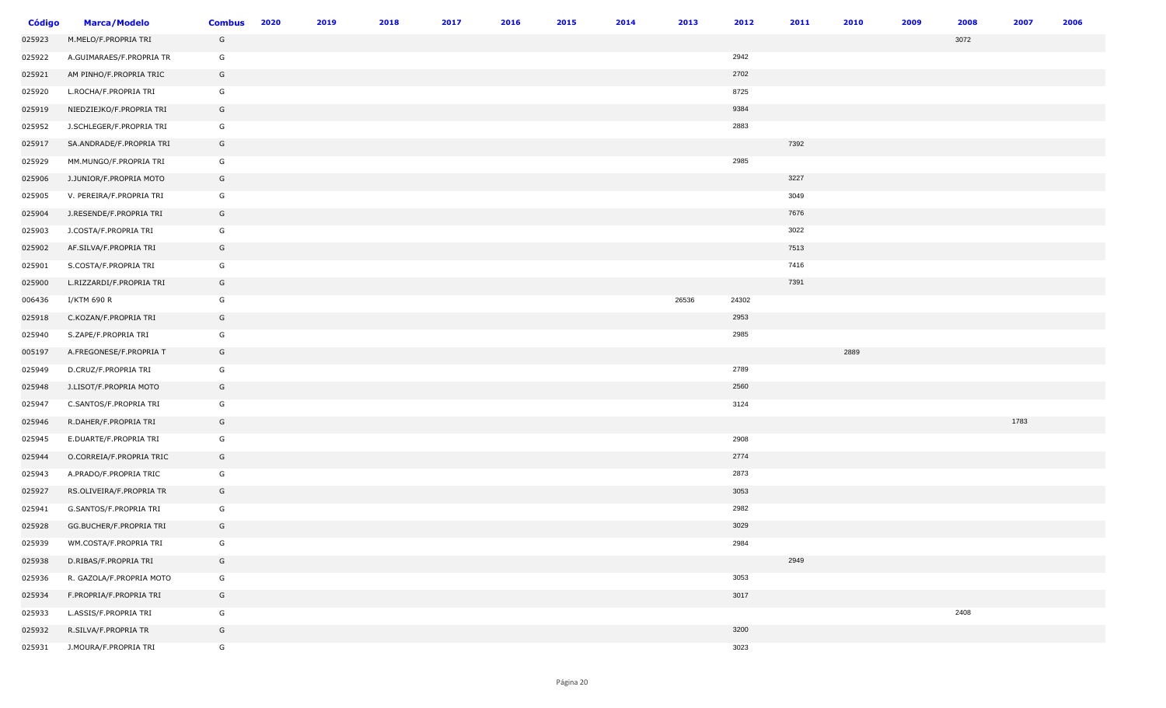| <b>Código</b> | <b>Marca/Modelo</b>      | <b>Combus</b> | 2020 | 2019 | 2018 | 2017 | 2016 | 2015 | 2014 | 2013  | 2012  | 2011 | 2010 | 2009 | 2008 | 2007 | 2006 |
|---------------|--------------------------|---------------|------|------|------|------|------|------|------|-------|-------|------|------|------|------|------|------|
| 025923        | M.MELO/F.PROPRIA TRI     | G             |      |      |      |      |      |      |      |       |       |      |      |      | 3072 |      |      |
| 025922        | A.GUIMARAES/F.PROPRIA TR | G             |      |      |      |      |      |      |      |       | 2942  |      |      |      |      |      |      |
| 025921        | AM PINHO/F.PROPRIA TRIC  | G             |      |      |      |      |      |      |      |       | 2702  |      |      |      |      |      |      |
| 025920        | L.ROCHA/F.PROPRIA TRI    | G             |      |      |      |      |      |      |      |       | 8725  |      |      |      |      |      |      |
| 025919        | NIEDZIEJKO/F.PROPRIA TRI | G             |      |      |      |      |      |      |      |       | 9384  |      |      |      |      |      |      |
| 025952        | J.SCHLEGER/F.PROPRIA TRI | G             |      |      |      |      |      |      |      |       | 2883  |      |      |      |      |      |      |
| 025917        | SA.ANDRADE/F.PROPRIA TRI | G             |      |      |      |      |      |      |      |       |       | 7392 |      |      |      |      |      |
| 025929        | MM.MUNGO/F.PROPRIA TRI   | G             |      |      |      |      |      |      |      |       | 2985  |      |      |      |      |      |      |
| 025906        | J.JUNIOR/F.PROPRIA MOTO  | G             |      |      |      |      |      |      |      |       |       | 3227 |      |      |      |      |      |
| 025905        | V. PEREIRA/F.PROPRIA TRI | G             |      |      |      |      |      |      |      |       |       | 3049 |      |      |      |      |      |
| 025904        | J.RESENDE/F.PROPRIA TRI  | G             |      |      |      |      |      |      |      |       |       | 7676 |      |      |      |      |      |
| 025903        | J.COSTA/F.PROPRIA TRI    | G             |      |      |      |      |      |      |      |       |       | 3022 |      |      |      |      |      |
| 025902        | AF.SILVA/F.PROPRIA TRI   | G             |      |      |      |      |      |      |      |       |       | 7513 |      |      |      |      |      |
| 025901        | S.COSTA/F.PROPRIA TRI    | G             |      |      |      |      |      |      |      |       |       | 7416 |      |      |      |      |      |
| 025900        | L.RIZZARDI/F.PROPRIA TRI | G             |      |      |      |      |      |      |      |       |       | 7391 |      |      |      |      |      |
| 006436        | I/KTM 690 R              | G             |      |      |      |      |      |      |      | 26536 | 24302 |      |      |      |      |      |      |
| 025918        | C.KOZAN/F.PROPRIA TRI    | G             |      |      |      |      |      |      |      |       | 2953  |      |      |      |      |      |      |
| 025940        | S.ZAPE/F.PROPRIA TRI     | G             |      |      |      |      |      |      |      |       | 2985  |      |      |      |      |      |      |
| 005197        | A.FREGONESE/F.PROPRIA T  | G             |      |      |      |      |      |      |      |       |       |      | 2889 |      |      |      |      |
| 025949        | D.CRUZ/F.PROPRIA TRI     | G             |      |      |      |      |      |      |      |       | 2789  |      |      |      |      |      |      |
| 025948        | J.LISOT/F.PROPRIA MOTO   | G             |      |      |      |      |      |      |      |       | 2560  |      |      |      |      |      |      |
| 025947        | C.SANTOS/F.PROPRIA TRI   | G             |      |      |      |      |      |      |      |       | 3124  |      |      |      |      |      |      |
| 025946        | R.DAHER/F.PROPRIA TRI    | G             |      |      |      |      |      |      |      |       |       |      |      |      |      | 1783 |      |
| 025945        | E.DUARTE/F.PROPRIA TRI   | G             |      |      |      |      |      |      |      |       | 2908  |      |      |      |      |      |      |
| 025944        | O.CORREIA/F.PROPRIA TRIC | G             |      |      |      |      |      |      |      |       | 2774  |      |      |      |      |      |      |
| 025943        | A.PRADO/F.PROPRIA TRIC   | G             |      |      |      |      |      |      |      |       | 2873  |      |      |      |      |      |      |
| 025927        | RS.OLIVEIRA/F.PROPRIA TR | G             |      |      |      |      |      |      |      |       | 3053  |      |      |      |      |      |      |
| 025941        | G.SANTOS/F.PROPRIA TRI   | G             |      |      |      |      |      |      |      |       | 2982  |      |      |      |      |      |      |
| 025928        | GG.BUCHER/F.PROPRIA TRI  | G             |      |      |      |      |      |      |      |       | 3029  |      |      |      |      |      |      |
| 025939        | WM.COSTA/F.PROPRIA TRI   | G             |      |      |      |      |      |      |      |       | 2984  |      |      |      |      |      |      |
| 025938        | D.RIBAS/F.PROPRIA TRI    | G             |      |      |      |      |      |      |      |       |       | 2949 |      |      |      |      |      |
| 025936        | R. GAZOLA/F.PROPRIA MOTO | G             |      |      |      |      |      |      |      |       | 3053  |      |      |      |      |      |      |
| 025934        | F.PROPRIA/F.PROPRIA TRI  | G             |      |      |      |      |      |      |      |       | 3017  |      |      |      |      |      |      |
| 025933        | L.ASSIS/F.PROPRIA TRI    | G             |      |      |      |      |      |      |      |       |       |      |      |      | 2408 |      |      |
| 025932        | R.SILVA/F.PROPRIA TR     | G             |      |      |      |      |      |      |      |       | 3200  |      |      |      |      |      |      |
| 025931        | J.MOURA/F.PROPRIA TRI    | G             |      |      |      |      |      |      |      |       | 3023  |      |      |      |      |      |      |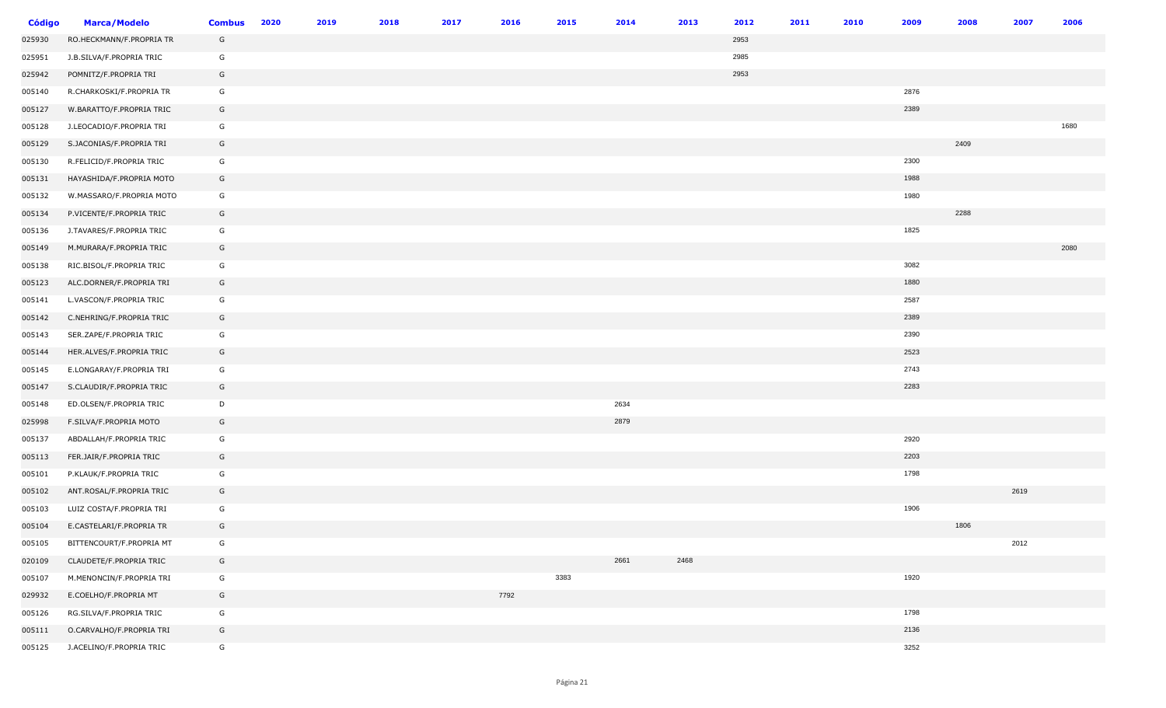| <b>Código</b> | <b>Marca/Modelo</b>      | <b>Combus</b> | 2020 | 2019 | 2018 | 2017 | 2016 | 2015 | 2014 | 2013 | 2012 | 2011 | 2010 | 2009 | 2008 | 2007 | 2006 |
|---------------|--------------------------|---------------|------|------|------|------|------|------|------|------|------|------|------|------|------|------|------|
| 025930        | RO.HECKMANN/F.PROPRIA TR | G             |      |      |      |      |      |      |      |      | 2953 |      |      |      |      |      |      |
| 025951        | J.B.SILVA/F.PROPRIA TRIC | G             |      |      |      |      |      |      |      |      | 2985 |      |      |      |      |      |      |
| 025942        | POMNITZ/F.PROPRIA TRI    | G             |      |      |      |      |      |      |      |      | 2953 |      |      |      |      |      |      |
| 005140        | R.CHARKOSKI/F.PROPRIA TR | G             |      |      |      |      |      |      |      |      |      |      |      | 2876 |      |      |      |
| 005127        | W.BARATTO/F.PROPRIA TRIC | G             |      |      |      |      |      |      |      |      |      |      |      | 2389 |      |      |      |
| 005128        | J.LEOCADIO/F.PROPRIA TRI | G             |      |      |      |      |      |      |      |      |      |      |      |      |      |      | 1680 |
| 005129        | S.JACONIAS/F.PROPRIA TRI | G             |      |      |      |      |      |      |      |      |      |      |      |      | 2409 |      |      |
| 005130        | R.FELICID/F.PROPRIA TRIC | G             |      |      |      |      |      |      |      |      |      |      |      | 2300 |      |      |      |
| 005131        | HAYASHIDA/F.PROPRIA MOTO | G             |      |      |      |      |      |      |      |      |      |      |      | 1988 |      |      |      |
| 005132        | W.MASSARO/F.PROPRIA MOTO | G             |      |      |      |      |      |      |      |      |      |      |      | 1980 |      |      |      |
| 005134        | P.VICENTE/F.PROPRIA TRIC | G             |      |      |      |      |      |      |      |      |      |      |      |      | 2288 |      |      |
| 005136        | J.TAVARES/F.PROPRIA TRIC | G             |      |      |      |      |      |      |      |      |      |      |      | 1825 |      |      |      |
| 005149        | M.MURARA/F.PROPRIA TRIC  | G             |      |      |      |      |      |      |      |      |      |      |      |      |      |      | 2080 |
| 005138        | RIC.BISOL/F.PROPRIA TRIC | G             |      |      |      |      |      |      |      |      |      |      |      | 3082 |      |      |      |
| 005123        | ALC.DORNER/F.PROPRIA TRI | G             |      |      |      |      |      |      |      |      |      |      |      | 1880 |      |      |      |
| 005141        | L.VASCON/F.PROPRIA TRIC  | G             |      |      |      |      |      |      |      |      |      |      |      | 2587 |      |      |      |
| 005142        | C.NEHRING/F.PROPRIA TRIC | G             |      |      |      |      |      |      |      |      |      |      |      | 2389 |      |      |      |
| 005143        | SER.ZAPE/F.PROPRIA TRIC  | G             |      |      |      |      |      |      |      |      |      |      |      | 2390 |      |      |      |
| 005144        | HER.ALVES/F.PROPRIA TRIC | G             |      |      |      |      |      |      |      |      |      |      |      | 2523 |      |      |      |
| 005145        | E.LONGARAY/F.PROPRIA TRI | G             |      |      |      |      |      |      |      |      |      |      |      | 2743 |      |      |      |
| 005147        | S.CLAUDIR/F.PROPRIA TRIC | G             |      |      |      |      |      |      |      |      |      |      |      | 2283 |      |      |      |
| 005148        | ED.OLSEN/F.PROPRIA TRIC  | D             |      |      |      |      |      |      | 2634 |      |      |      |      |      |      |      |      |
| 025998        | F.SILVA/F.PROPRIA MOTO   | G             |      |      |      |      |      |      | 2879 |      |      |      |      |      |      |      |      |
| 005137        | ABDALLAH/F.PROPRIA TRIC  | G             |      |      |      |      |      |      |      |      |      |      |      | 2920 |      |      |      |
| 005113        | FER.JAIR/F.PROPRIA TRIC  | G             |      |      |      |      |      |      |      |      |      |      |      | 2203 |      |      |      |
| 005101        | P.KLAUK/F.PROPRIA TRIC   | G             |      |      |      |      |      |      |      |      |      |      |      | 1798 |      |      |      |
| 005102        | ANT.ROSAL/F.PROPRIA TRIC | G             |      |      |      |      |      |      |      |      |      |      |      |      |      | 2619 |      |
| 005103        | LUIZ COSTA/F.PROPRIA TRI | G             |      |      |      |      |      |      |      |      |      |      |      | 1906 |      |      |      |
| 005104        | E.CASTELARI/F.PROPRIA TR | G             |      |      |      |      |      |      |      |      |      |      |      |      | 1806 |      |      |
| 005105        | BITTENCOURT/F.PROPRIA MT | G             |      |      |      |      |      |      |      |      |      |      |      |      |      | 2012 |      |
| 020109        | CLAUDETE/F.PROPRIA TRIC  | G             |      |      |      |      |      |      | 2661 | 2468 |      |      |      |      |      |      |      |
| 005107        | M.MENONCIN/F.PROPRIA TRI | G             |      |      |      |      |      | 3383 |      |      |      |      |      | 1920 |      |      |      |
| 029932        | E.COELHO/F.PROPRIA MT    | G             |      |      |      |      | 7792 |      |      |      |      |      |      |      |      |      |      |
| 005126        | RG.SILVA/F.PROPRIA TRIC  | G             |      |      |      |      |      |      |      |      |      |      |      | 1798 |      |      |      |
| 005111        | O.CARVALHO/F.PROPRIA TRI | G             |      |      |      |      |      |      |      |      |      |      |      | 2136 |      |      |      |
| 005125        | J.ACELINO/F.PROPRIA TRIC | G             |      |      |      |      |      |      |      |      |      |      |      | 3252 |      |      |      |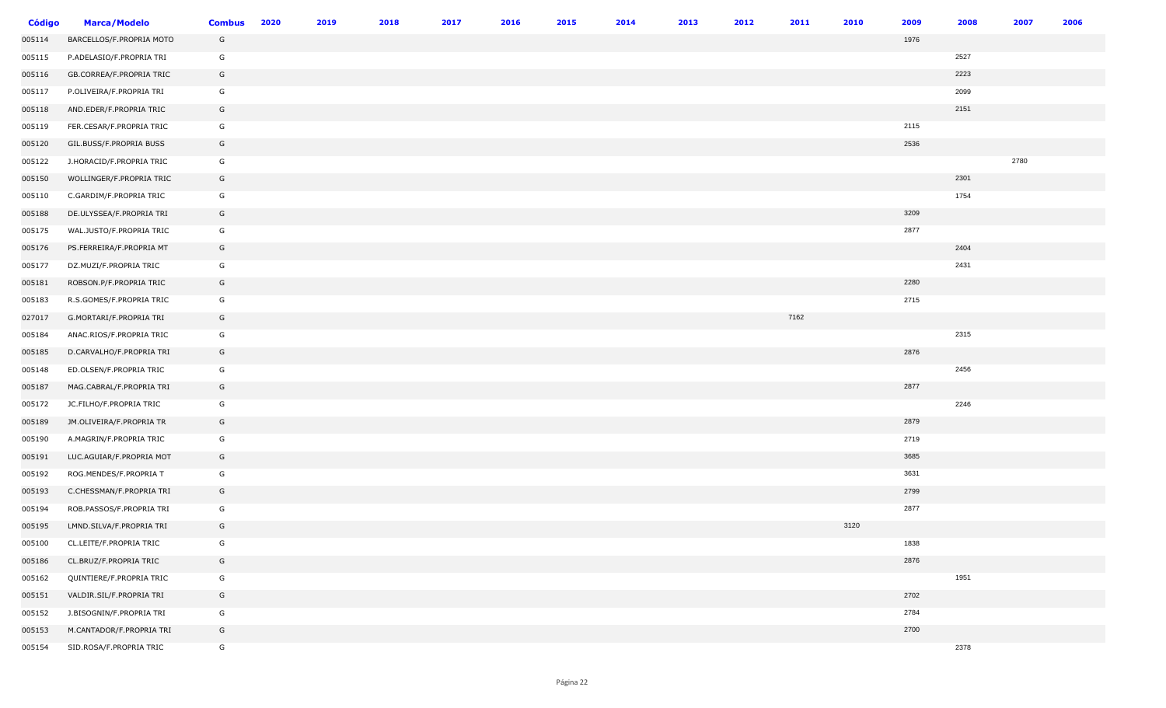| <b>Código</b> | <b>Marca/Modelo</b>      | <b>Combus</b> | 2020 | 2019 | 2018 | 2017 | 2016 | 2015 | 2014 | 2013 | 2012 | 2011 | 2010 | 2009 | 2008 | 2007 | 2006 |
|---------------|--------------------------|---------------|------|------|------|------|------|------|------|------|------|------|------|------|------|------|------|
| 005114        | BARCELLOS/F.PROPRIA MOTO | G             |      |      |      |      |      |      |      |      |      |      |      | 1976 |      |      |      |
| 005115        | P.ADELASIO/F.PROPRIA TRI | G             |      |      |      |      |      |      |      |      |      |      |      |      | 2527 |      |      |
| 005116        | GB.CORREA/F.PROPRIA TRIC | G             |      |      |      |      |      |      |      |      |      |      |      |      | 2223 |      |      |
| 005117        | P.OLIVEIRA/F.PROPRIA TRI | G             |      |      |      |      |      |      |      |      |      |      |      |      | 2099 |      |      |
| 005118        | AND.EDER/F.PROPRIA TRIC  | G             |      |      |      |      |      |      |      |      |      |      |      |      | 2151 |      |      |
| 005119        | FER.CESAR/F.PROPRIA TRIC | G             |      |      |      |      |      |      |      |      |      |      |      | 2115 |      |      |      |
| 005120        | GIL.BUSS/F.PROPRIA BUSS  | G             |      |      |      |      |      |      |      |      |      |      |      | 2536 |      |      |      |
| 005122        | J.HORACID/F.PROPRIA TRIC | G             |      |      |      |      |      |      |      |      |      |      |      |      |      | 2780 |      |
| 005150        | WOLLINGER/F.PROPRIA TRIC | G             |      |      |      |      |      |      |      |      |      |      |      |      | 2301 |      |      |
| 005110        | C.GARDIM/F.PROPRIA TRIC  | G             |      |      |      |      |      |      |      |      |      |      |      |      | 1754 |      |      |
| 005188        | DE.ULYSSEA/F.PROPRIA TRI | G             |      |      |      |      |      |      |      |      |      |      |      | 3209 |      |      |      |
| 005175        | WAL.JUSTO/F.PROPRIA TRIC | G             |      |      |      |      |      |      |      |      |      |      |      | 2877 |      |      |      |
| 005176        | PS.FERREIRA/F.PROPRIA MT | G             |      |      |      |      |      |      |      |      |      |      |      |      | 2404 |      |      |
| 005177        | DZ.MUZI/F.PROPRIA TRIC   | G             |      |      |      |      |      |      |      |      |      |      |      |      | 2431 |      |      |
| 005181        | ROBSON.P/F.PROPRIA TRIC  | G             |      |      |      |      |      |      |      |      |      |      |      | 2280 |      |      |      |
| 005183        | R.S.GOMES/F.PROPRIA TRIC | G             |      |      |      |      |      |      |      |      |      |      |      | 2715 |      |      |      |
| 027017        | G.MORTARI/F.PROPRIA TRI  | G             |      |      |      |      |      |      |      |      |      | 7162 |      |      |      |      |      |
| 005184        | ANAC.RIOS/F.PROPRIA TRIC | G             |      |      |      |      |      |      |      |      |      |      |      |      | 2315 |      |      |
| 005185        | D.CARVALHO/F.PROPRIA TRI | G             |      |      |      |      |      |      |      |      |      |      |      | 2876 |      |      |      |
| 005148        | ED.OLSEN/F.PROPRIA TRIC  | G             |      |      |      |      |      |      |      |      |      |      |      |      | 2456 |      |      |
| 005187        | MAG.CABRAL/F.PROPRIA TRI | G             |      |      |      |      |      |      |      |      |      |      |      | 2877 |      |      |      |
| 005172        | JC.FILHO/F.PROPRIA TRIC  | G             |      |      |      |      |      |      |      |      |      |      |      |      | 2246 |      |      |
| 005189        | JM.OLIVEIRA/F.PROPRIA TR | G             |      |      |      |      |      |      |      |      |      |      |      | 2879 |      |      |      |
| 005190        | A.MAGRIN/F.PROPRIA TRIC  | G             |      |      |      |      |      |      |      |      |      |      |      | 2719 |      |      |      |
| 005191        | LUC.AGUIAR/F.PROPRIA MOT | G             |      |      |      |      |      |      |      |      |      |      |      | 3685 |      |      |      |
| 005192        | ROG.MENDES/F.PROPRIA T   | G             |      |      |      |      |      |      |      |      |      |      |      | 3631 |      |      |      |
| 005193        | C.CHESSMAN/F.PROPRIA TRI | G             |      |      |      |      |      |      |      |      |      |      |      | 2799 |      |      |      |
| 005194        | ROB.PASSOS/F.PROPRIA TRI | G             |      |      |      |      |      |      |      |      |      |      |      | 2877 |      |      |      |
| 005195        | LMND.SILVA/F.PROPRIA TRI | G             |      |      |      |      |      |      |      |      |      |      | 3120 |      |      |      |      |
| 005100        | CL.LEITE/F.PROPRIA TRIC  | G             |      |      |      |      |      |      |      |      |      |      |      | 1838 |      |      |      |
| 005186        | CL.BRUZ/F.PROPRIA TRIC   | G             |      |      |      |      |      |      |      |      |      |      |      | 2876 |      |      |      |
| 005162        | QUINTIERE/F.PROPRIA TRIC | G             |      |      |      |      |      |      |      |      |      |      |      |      | 1951 |      |      |
| 005151        | VALDIR.SIL/F.PROPRIA TRI | G             |      |      |      |      |      |      |      |      |      |      |      | 2702 |      |      |      |
| 005152        | J.BISOGNIN/F.PROPRIA TRI | G             |      |      |      |      |      |      |      |      |      |      |      | 2784 |      |      |      |
| 005153        | M.CANTADOR/F.PROPRIA TRI | G             |      |      |      |      |      |      |      |      |      |      |      | 2700 |      |      |      |
| 005154        | SID.ROSA/F.PROPRIA TRIC  | G             |      |      |      |      |      |      |      |      |      |      |      |      | 2378 |      |      |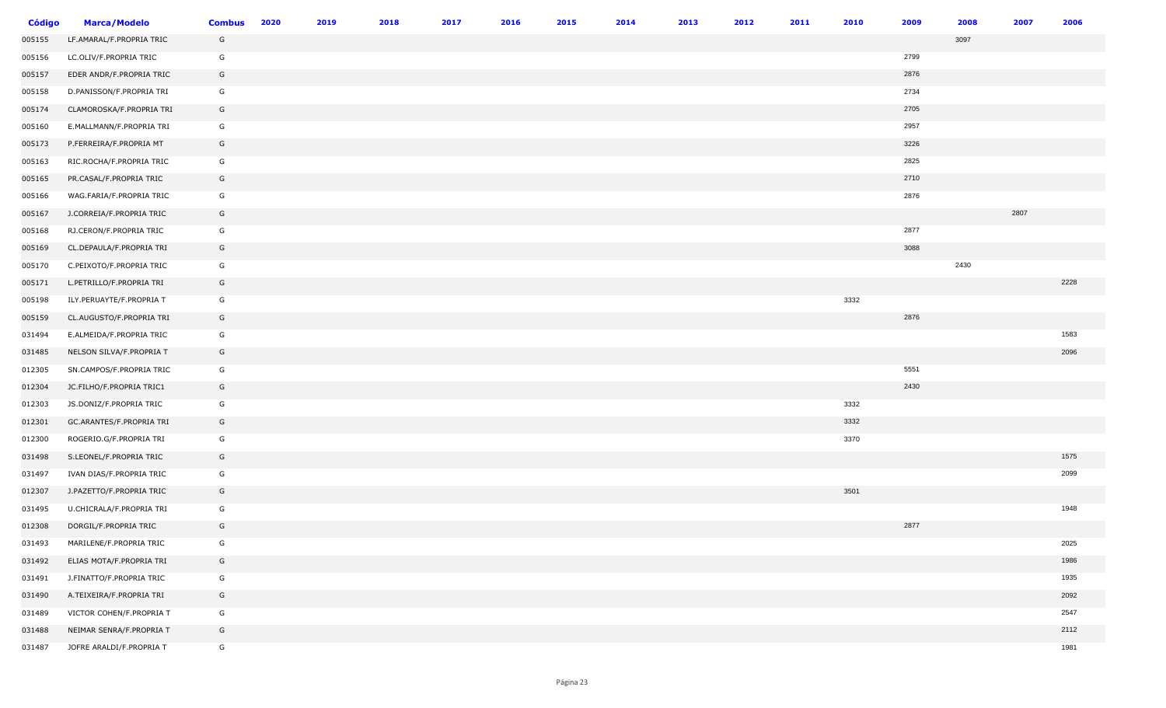| <b>Código</b> | <b>Marca/Modelo</b>      | <b>Combus</b> | 2020 | 2019 | 2018 | 2017 | 2016 | 2015 | 2014 | 2013 | 2012 | 2011 | 2010 | 2009 | 2008 | 2007 | 2006 |
|---------------|--------------------------|---------------|------|------|------|------|------|------|------|------|------|------|------|------|------|------|------|
| 005155        | LF.AMARAL/F.PROPRIA TRIC | G             |      |      |      |      |      |      |      |      |      |      |      |      | 3097 |      |      |
| 005156        | LC.OLIV/F.PROPRIA TRIC   | G             |      |      |      |      |      |      |      |      |      |      |      | 2799 |      |      |      |
| 005157        | EDER ANDR/F.PROPRIA TRIC | G             |      |      |      |      |      |      |      |      |      |      |      | 2876 |      |      |      |
| 005158        | D.PANISSON/F.PROPRIA TRI | G             |      |      |      |      |      |      |      |      |      |      |      | 2734 |      |      |      |
| 005174        | CLAMOROSKA/F.PROPRIA TRI | G             |      |      |      |      |      |      |      |      |      |      |      | 2705 |      |      |      |
| 005160        | E.MALLMANN/F.PROPRIA TRI | G             |      |      |      |      |      |      |      |      |      |      |      | 2957 |      |      |      |
| 005173        | P.FERREIRA/F.PROPRIA MT  | G             |      |      |      |      |      |      |      |      |      |      |      | 3226 |      |      |      |
| 005163        | RIC.ROCHA/F.PROPRIA TRIC | G             |      |      |      |      |      |      |      |      |      |      |      | 2825 |      |      |      |
| 005165        | PR.CASAL/F.PROPRIA TRIC  | G             |      |      |      |      |      |      |      |      |      |      |      | 2710 |      |      |      |
| 005166        | WAG.FARIA/F.PROPRIA TRIC | G             |      |      |      |      |      |      |      |      |      |      |      | 2876 |      |      |      |
| 005167        | J.CORREIA/F.PROPRIA TRIC | G             |      |      |      |      |      |      |      |      |      |      |      |      |      | 2807 |      |
| 005168        | RJ.CERON/F.PROPRIA TRIC  | G             |      |      |      |      |      |      |      |      |      |      |      | 2877 |      |      |      |
| 005169        | CL.DEPAULA/F.PROPRIA TRI | G             |      |      |      |      |      |      |      |      |      |      |      | 3088 |      |      |      |
| 005170        | C.PEIXOTO/F.PROPRIA TRIC | G             |      |      |      |      |      |      |      |      |      |      |      |      | 2430 |      |      |
| 005171        | L.PETRILLO/F.PROPRIA TRI | G             |      |      |      |      |      |      |      |      |      |      |      |      |      |      | 2228 |
| 005198        | ILY.PERUAYTE/F.PROPRIA T | G             |      |      |      |      |      |      |      |      |      |      | 3332 |      |      |      |      |
| 005159        | CL.AUGUSTO/F.PROPRIA TRI | G             |      |      |      |      |      |      |      |      |      |      |      | 2876 |      |      |      |
| 031494        | E.ALMEIDA/F.PROPRIA TRIC | G             |      |      |      |      |      |      |      |      |      |      |      |      |      |      | 1583 |
| 031485        | NELSON SILVA/F.PROPRIA T | G             |      |      |      |      |      |      |      |      |      |      |      |      |      |      | 2096 |
| 012305        | SN.CAMPOS/F.PROPRIA TRIC | G             |      |      |      |      |      |      |      |      |      |      |      | 5551 |      |      |      |
| 012304        | JC.FILHO/F.PROPRIA TRIC1 | G             |      |      |      |      |      |      |      |      |      |      |      | 2430 |      |      |      |
| 012303        | JS.DONIZ/F.PROPRIA TRIC  | G             |      |      |      |      |      |      |      |      |      |      | 3332 |      |      |      |      |
| 012301        | GC.ARANTES/F.PROPRIA TRI | G             |      |      |      |      |      |      |      |      |      |      | 3332 |      |      |      |      |
| 012300        | ROGERIO.G/F.PROPRIA TRI  | G             |      |      |      |      |      |      |      |      |      |      | 3370 |      |      |      |      |
| 031498        | S.LEONEL/F.PROPRIA TRIC  | G             |      |      |      |      |      |      |      |      |      |      |      |      |      |      | 1575 |
| 031497        | IVAN DIAS/F.PROPRIA TRIC | G             |      |      |      |      |      |      |      |      |      |      |      |      |      |      | 2099 |
| 012307        | J.PAZETTO/F.PROPRIA TRIC | G             |      |      |      |      |      |      |      |      |      |      | 3501 |      |      |      |      |
| 031495        | U.CHICRALA/F.PROPRIA TRI | G             |      |      |      |      |      |      |      |      |      |      |      |      |      |      | 1948 |
| 012308        | DORGIL/F.PROPRIA TRIC    | G             |      |      |      |      |      |      |      |      |      |      |      | 2877 |      |      |      |
| 031493        | MARILENE/F.PROPRIA TRIC  | G             |      |      |      |      |      |      |      |      |      |      |      |      |      |      | 2025 |
| 031492        | ELIAS MOTA/F.PROPRIA TRI | G             |      |      |      |      |      |      |      |      |      |      |      |      |      |      | 1986 |
| 031491        | J.FINATTO/F.PROPRIA TRIC | G             |      |      |      |      |      |      |      |      |      |      |      |      |      |      | 1935 |
| 031490        | A.TEIXEIRA/F.PROPRIA TRI | G             |      |      |      |      |      |      |      |      |      |      |      |      |      |      | 2092 |
| 031489        | VICTOR COHEN/F.PROPRIA T | G             |      |      |      |      |      |      |      |      |      |      |      |      |      |      | 2547 |
| 031488        | NEIMAR SENRA/F.PROPRIA T | G             |      |      |      |      |      |      |      |      |      |      |      |      |      |      | 2112 |
| 031487        | JOFRE ARALDI/F.PROPRIA T | G             |      |      |      |      |      |      |      |      |      |      |      |      |      |      | 1981 |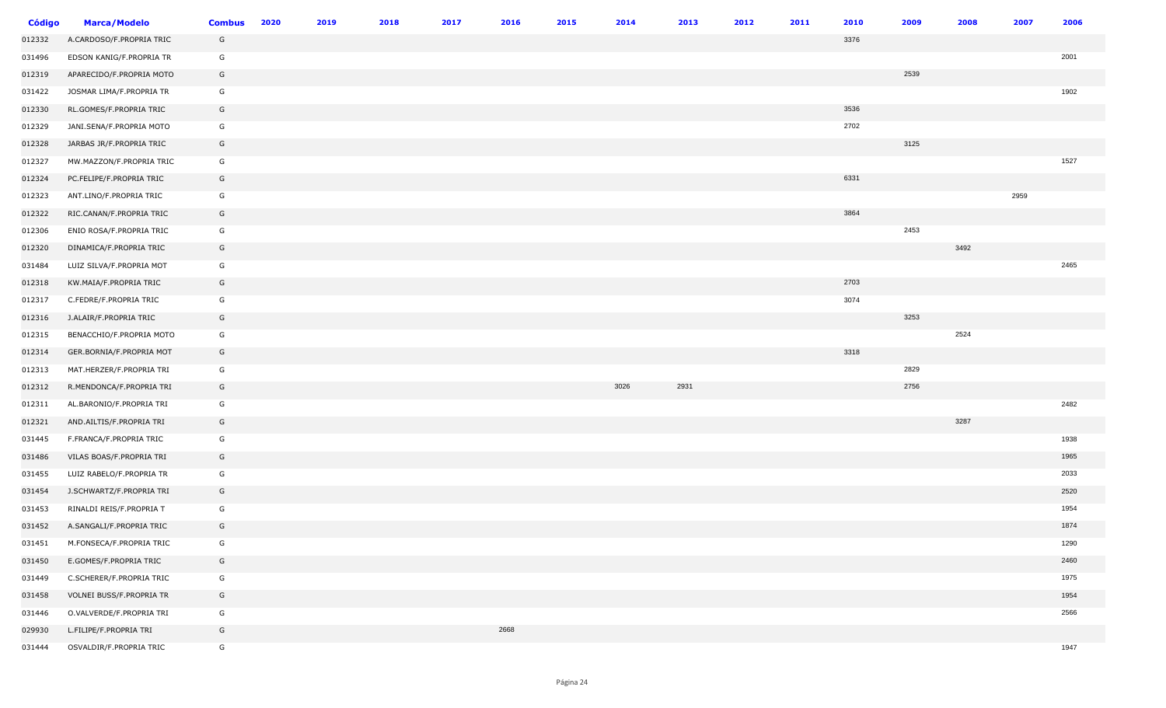| <b>Código</b> | <b>Marca/Modelo</b>      | <b>Combus</b> | 2020 | 2019 | 2018 | 2017 | 2016 | 2015 | 2014 | 2013 | 2012 | 2011 | 2010 | 2009 | 2008 | 2007 | 2006 |
|---------------|--------------------------|---------------|------|------|------|------|------|------|------|------|------|------|------|------|------|------|------|
| 012332        | A.CARDOSO/F.PROPRIA TRIC | G             |      |      |      |      |      |      |      |      |      |      | 3376 |      |      |      |      |
| 031496        | EDSON KANIG/F.PROPRIA TR | G             |      |      |      |      |      |      |      |      |      |      |      |      |      |      | 2001 |
| 012319        | APARECIDO/F.PROPRIA MOTO | G             |      |      |      |      |      |      |      |      |      |      |      | 2539 |      |      |      |
| 031422        | JOSMAR LIMA/F.PROPRIA TR | G             |      |      |      |      |      |      |      |      |      |      |      |      |      |      | 1902 |
| 012330        | RL.GOMES/F.PROPRIA TRIC  | G             |      |      |      |      |      |      |      |      |      |      | 3536 |      |      |      |      |
| 012329        | JANI.SENA/F.PROPRIA MOTO | G             |      |      |      |      |      |      |      |      |      |      | 2702 |      |      |      |      |
| 012328        | JARBAS JR/F.PROPRIA TRIC | G             |      |      |      |      |      |      |      |      |      |      |      | 3125 |      |      |      |
| 012327        | MW.MAZZON/F.PROPRIA TRIC | G             |      |      |      |      |      |      |      |      |      |      |      |      |      |      | 1527 |
| 012324        | PC.FELIPE/F.PROPRIA TRIC | G             |      |      |      |      |      |      |      |      |      |      | 6331 |      |      |      |      |
| 012323        | ANT.LINO/F.PROPRIA TRIC  | G             |      |      |      |      |      |      |      |      |      |      |      |      |      | 2959 |      |
| 012322        | RIC.CANAN/F.PROPRIA TRIC | G             |      |      |      |      |      |      |      |      |      |      | 3864 |      |      |      |      |
| 012306        | ENIO ROSA/F.PROPRIA TRIC | G             |      |      |      |      |      |      |      |      |      |      |      | 2453 |      |      |      |
| 012320        | DINAMICA/F.PROPRIA TRIC  | G             |      |      |      |      |      |      |      |      |      |      |      |      | 3492 |      |      |
| 031484        | LUIZ SILVA/F.PROPRIA MOT | G             |      |      |      |      |      |      |      |      |      |      |      |      |      |      | 2465 |
| 012318        | KW.MAIA/F.PROPRIA TRIC   | G             |      |      |      |      |      |      |      |      |      |      | 2703 |      |      |      |      |
| 012317        | C.FEDRE/F.PROPRIA TRIC   | G             |      |      |      |      |      |      |      |      |      |      | 3074 |      |      |      |      |
| 012316        | J.ALAIR/F.PROPRIA TRIC   | G             |      |      |      |      |      |      |      |      |      |      |      | 3253 |      |      |      |
| 012315        | BENACCHIO/F.PROPRIA MOTO | G             |      |      |      |      |      |      |      |      |      |      |      |      | 2524 |      |      |
| 012314        | GER.BORNIA/F.PROPRIA MOT | G             |      |      |      |      |      |      |      |      |      |      | 3318 |      |      |      |      |
| 012313        | MAT.HERZER/F.PROPRIA TRI | G             |      |      |      |      |      |      |      |      |      |      |      | 2829 |      |      |      |
| 012312        | R.MENDONCA/F.PROPRIA TRI | G             |      |      |      |      |      |      | 3026 | 2931 |      |      |      | 2756 |      |      |      |
| 012311        | AL.BARONIO/F.PROPRIA TRI | G             |      |      |      |      |      |      |      |      |      |      |      |      |      |      | 2482 |
| 012321        | AND.AILTIS/F.PROPRIA TRI | G             |      |      |      |      |      |      |      |      |      |      |      |      | 3287 |      |      |
| 031445        | F.FRANCA/F.PROPRIA TRIC  | G             |      |      |      |      |      |      |      |      |      |      |      |      |      |      | 1938 |
| 031486        | VILAS BOAS/F.PROPRIA TRI | G             |      |      |      |      |      |      |      |      |      |      |      |      |      |      | 1965 |
| 031455        | LUIZ RABELO/F.PROPRIA TR | G             |      |      |      |      |      |      |      |      |      |      |      |      |      |      | 2033 |
| 031454        | J.SCHWARTZ/F.PROPRIA TRI | G             |      |      |      |      |      |      |      |      |      |      |      |      |      |      | 2520 |
| 031453        | RINALDI REIS/F.PROPRIA T | G             |      |      |      |      |      |      |      |      |      |      |      |      |      |      | 1954 |
| 031452        | A.SANGALI/F.PROPRIA TRIC | G             |      |      |      |      |      |      |      |      |      |      |      |      |      |      | 1874 |
| 031451        | M.FONSECA/F.PROPRIA TRIC | G             |      |      |      |      |      |      |      |      |      |      |      |      |      |      | 1290 |
| 031450        | E.GOMES/F.PROPRIA TRIC   | G             |      |      |      |      |      |      |      |      |      |      |      |      |      |      | 2460 |
| 031449        | C.SCHERER/F.PROPRIA TRIC | G             |      |      |      |      |      |      |      |      |      |      |      |      |      |      | 1975 |
| 031458        | VOLNEI BUSS/F.PROPRIA TR | G             |      |      |      |      |      |      |      |      |      |      |      |      |      |      | 1954 |
| 031446        | O.VALVERDE/F.PROPRIA TRI | G             |      |      |      |      |      |      |      |      |      |      |      |      |      |      | 2566 |
| 029930        | L.FILIPE/F.PROPRIA TRI   | G             |      |      |      |      | 2668 |      |      |      |      |      |      |      |      |      |      |
| 031444        | OSVALDIR/F.PROPRIA TRIC  | G             |      |      |      |      |      |      |      |      |      |      |      |      |      |      | 1947 |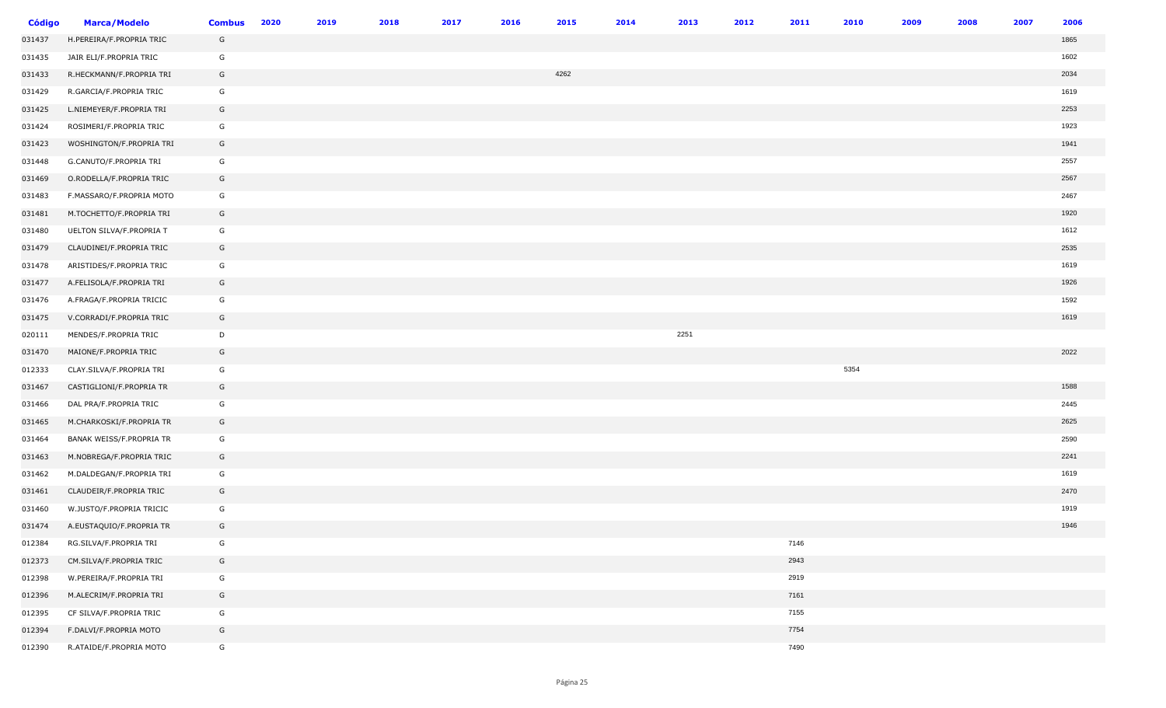| <b>Código</b> | <b>Marca/Modelo</b>      | <b>Combus</b> | 2020 | 2019 | 2018 | 2017 | 2016 | 2015 | 2014 | 2013 | 2012 | 2011 | 2010 | 2009 | 2008 | 2007 | 2006 |
|---------------|--------------------------|---------------|------|------|------|------|------|------|------|------|------|------|------|------|------|------|------|
| 031437        | H.PEREIRA/F.PROPRIA TRIC | G             |      |      |      |      |      |      |      |      |      |      |      |      |      |      | 1865 |
| 031435        | JAIR ELI/F.PROPRIA TRIC  | G             |      |      |      |      |      |      |      |      |      |      |      |      |      |      | 1602 |
| 031433        | R.HECKMANN/F.PROPRIA TRI | G             |      |      |      |      |      | 4262 |      |      |      |      |      |      |      |      | 2034 |
| 031429        | R.GARCIA/F.PROPRIA TRIC  | G             |      |      |      |      |      |      |      |      |      |      |      |      |      |      | 1619 |
| 031425        | L.NIEMEYER/F.PROPRIA TRI | G             |      |      |      |      |      |      |      |      |      |      |      |      |      |      | 2253 |
| 031424        | ROSIMERI/F.PROPRIA TRIC  | G             |      |      |      |      |      |      |      |      |      |      |      |      |      |      | 1923 |
| 031423        | WOSHINGTON/F.PROPRIA TRI | G             |      |      |      |      |      |      |      |      |      |      |      |      |      |      | 1941 |
| 031448        | G.CANUTO/F.PROPRIA TRI   | G             |      |      |      |      |      |      |      |      |      |      |      |      |      |      | 2557 |
| 031469        | O.RODELLA/F.PROPRIA TRIC | G             |      |      |      |      |      |      |      |      |      |      |      |      |      |      | 2567 |
| 031483        | F.MASSARO/F.PROPRIA MOTO | G             |      |      |      |      |      |      |      |      |      |      |      |      |      |      | 2467 |
| 031481        | M.TOCHETTO/F.PROPRIA TRI | G             |      |      |      |      |      |      |      |      |      |      |      |      |      |      | 1920 |
| 031480        | UELTON SILVA/F.PROPRIA T | G             |      |      |      |      |      |      |      |      |      |      |      |      |      |      | 1612 |
| 031479        | CLAUDINEI/F.PROPRIA TRIC | G             |      |      |      |      |      |      |      |      |      |      |      |      |      |      | 2535 |
| 031478        | ARISTIDES/F.PROPRIA TRIC | G             |      |      |      |      |      |      |      |      |      |      |      |      |      |      | 1619 |
| 031477        | A.FELISOLA/F.PROPRIA TRI | G             |      |      |      |      |      |      |      |      |      |      |      |      |      |      | 1926 |
| 031476        | A.FRAGA/F.PROPRIA TRICIC | G             |      |      |      |      |      |      |      |      |      |      |      |      |      |      | 1592 |
| 031475        | V.CORRADI/F.PROPRIA TRIC | G             |      |      |      |      |      |      |      |      |      |      |      |      |      |      | 1619 |
| 020111        | MENDES/F.PROPRIA TRIC    | D             |      |      |      |      |      |      |      | 2251 |      |      |      |      |      |      |      |
| 031470        | MAIONE/F.PROPRIA TRIC    | G             |      |      |      |      |      |      |      |      |      |      |      |      |      |      | 2022 |
| 012333        | CLAY.SILVA/F.PROPRIA TRI | G             |      |      |      |      |      |      |      |      |      |      | 5354 |      |      |      |      |
| 031467        | CASTIGLIONI/F.PROPRIA TR | G             |      |      |      |      |      |      |      |      |      |      |      |      |      |      | 1588 |
| 031466        | DAL PRA/F.PROPRIA TRIC   | G             |      |      |      |      |      |      |      |      |      |      |      |      |      |      | 2445 |
| 031465        | M.CHARKOSKI/F.PROPRIA TR | G             |      |      |      |      |      |      |      |      |      |      |      |      |      |      | 2625 |
| 031464        | BANAK WEISS/F.PROPRIA TR | G             |      |      |      |      |      |      |      |      |      |      |      |      |      |      | 2590 |
| 031463        | M.NOBREGA/F.PROPRIA TRIC | G             |      |      |      |      |      |      |      |      |      |      |      |      |      |      | 2241 |
| 031462        | M.DALDEGAN/F.PROPRIA TRI | G             |      |      |      |      |      |      |      |      |      |      |      |      |      |      | 1619 |
| 031461        | CLAUDEIR/F.PROPRIA TRIC  | G             |      |      |      |      |      |      |      |      |      |      |      |      |      |      | 2470 |
| 031460        | W.JUSTO/F.PROPRIA TRICIC | G             |      |      |      |      |      |      |      |      |      |      |      |      |      |      | 1919 |
| 031474        | A.EUSTAQUIO/F.PROPRIA TR | G             |      |      |      |      |      |      |      |      |      |      |      |      |      |      | 1946 |
| 012384        | RG.SILVA/F.PROPRIA TRI   | G             |      |      |      |      |      |      |      |      |      | 7146 |      |      |      |      |      |
| 012373        | CM.SILVA/F.PROPRIA TRIC  | G             |      |      |      |      |      |      |      |      |      | 2943 |      |      |      |      |      |
| 012398        | W.PEREIRA/F.PROPRIA TRI  | G             |      |      |      |      |      |      |      |      |      | 2919 |      |      |      |      |      |
| 012396        | M.ALECRIM/F.PROPRIA TRI  | G             |      |      |      |      |      |      |      |      |      | 7161 |      |      |      |      |      |
| 012395        | CF SILVA/F.PROPRIA TRIC  | G             |      |      |      |      |      |      |      |      |      | 7155 |      |      |      |      |      |
| 012394        | F.DALVI/F.PROPRIA MOTO   | G             |      |      |      |      |      |      |      |      |      | 7754 |      |      |      |      |      |
| 012390        | R.ATAIDE/F.PROPRIA MOTO  | G             |      |      |      |      |      |      |      |      |      | 7490 |      |      |      |      |      |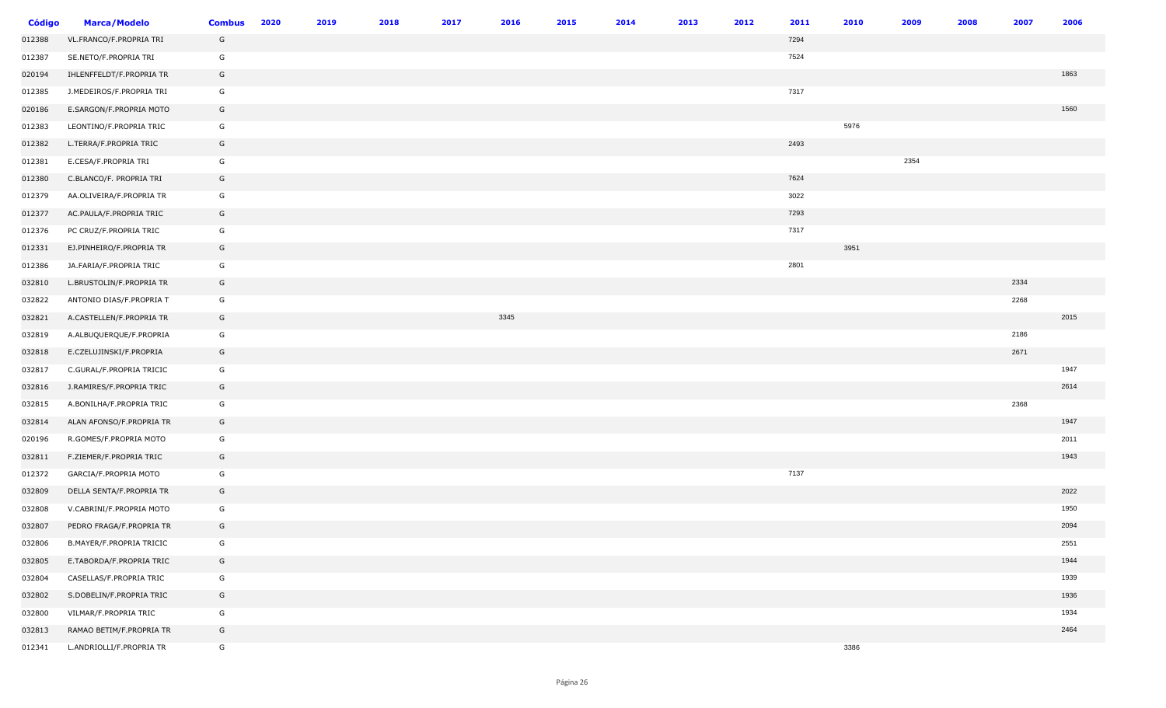| <b>Código</b> | <b>Marca/Modelo</b>      | <b>Combus</b> | 2020 | 2019 | 2018 | 2017 | 2016 | 2015 | 2014 | 2013 | 2012 | 2011 | 2010 | 2009 | 2008 | 2007 | 2006 |
|---------------|--------------------------|---------------|------|------|------|------|------|------|------|------|------|------|------|------|------|------|------|
| 012388        | VL.FRANCO/F.PROPRIA TRI  | G             |      |      |      |      |      |      |      |      |      | 7294 |      |      |      |      |      |
| 012387        | SE.NETO/F.PROPRIA TRI    | G             |      |      |      |      |      |      |      |      |      | 7524 |      |      |      |      |      |
| 020194        | IHLENFFELDT/F.PROPRIA TR | G             |      |      |      |      |      |      |      |      |      |      |      |      |      |      | 1863 |
| 012385        | J.MEDEIROS/F.PROPRIA TRI | G             |      |      |      |      |      |      |      |      |      | 7317 |      |      |      |      |      |
| 020186        | E.SARGON/F.PROPRIA MOTO  | G             |      |      |      |      |      |      |      |      |      |      |      |      |      |      | 1560 |
| 012383        | LEONTINO/F.PROPRIA TRIC  | G             |      |      |      |      |      |      |      |      |      |      | 5976 |      |      |      |      |
| 012382        | L.TERRA/F.PROPRIA TRIC   | G             |      |      |      |      |      |      |      |      |      | 2493 |      |      |      |      |      |
| 012381        | E.CESA/F.PROPRIA TRI     | G             |      |      |      |      |      |      |      |      |      |      |      | 2354 |      |      |      |
| 012380        | C.BLANCO/F. PROPRIA TRI  | G             |      |      |      |      |      |      |      |      |      | 7624 |      |      |      |      |      |
| 012379        | AA.OLIVEIRA/F.PROPRIA TR | G             |      |      |      |      |      |      |      |      |      | 3022 |      |      |      |      |      |
| 012377        | AC.PAULA/F.PROPRIA TRIC  | G             |      |      |      |      |      |      |      |      |      | 7293 |      |      |      |      |      |
| 012376        | PC CRUZ/F.PROPRIA TRIC   | G             |      |      |      |      |      |      |      |      |      | 7317 |      |      |      |      |      |
| 012331        | EJ.PINHEIRO/F.PROPRIA TR | G             |      |      |      |      |      |      |      |      |      |      | 3951 |      |      |      |      |
| 012386        | JA.FARIA/F.PROPRIA TRIC  | G             |      |      |      |      |      |      |      |      |      | 2801 |      |      |      |      |      |
| 032810        | L.BRUSTOLIN/F.PROPRIA TR | G             |      |      |      |      |      |      |      |      |      |      |      |      |      | 2334 |      |
| 032822        | ANTONIO DIAS/F.PROPRIA T | G             |      |      |      |      |      |      |      |      |      |      |      |      |      | 2268 |      |
| 032821        | A.CASTELLEN/F.PROPRIA TR | G             |      |      |      |      | 3345 |      |      |      |      |      |      |      |      |      | 2015 |
| 032819        | A.ALBUQUERQUE/F.PROPRIA  | G             |      |      |      |      |      |      |      |      |      |      |      |      |      | 2186 |      |
| 032818        | E.CZELUJINSKI/F.PROPRIA  | G             |      |      |      |      |      |      |      |      |      |      |      |      |      | 2671 |      |
| 032817        | C.GURAL/F.PROPRIA TRICIC | G             |      |      |      |      |      |      |      |      |      |      |      |      |      |      | 1947 |
| 032816        | J.RAMIRES/F.PROPRIA TRIC | G             |      |      |      |      |      |      |      |      |      |      |      |      |      |      | 2614 |
| 032815        | A.BONILHA/F.PROPRIA TRIC | G             |      |      |      |      |      |      |      |      |      |      |      |      |      | 2368 |      |
| 032814        | ALAN AFONSO/F.PROPRIA TR | G             |      |      |      |      |      |      |      |      |      |      |      |      |      |      | 1947 |
| 020196        | R.GOMES/F.PROPRIA MOTO   | G             |      |      |      |      |      |      |      |      |      |      |      |      |      |      | 2011 |
| 032811        | F.ZIEMER/F.PROPRIA TRIC  | G             |      |      |      |      |      |      |      |      |      |      |      |      |      |      | 1943 |
| 012372        | GARCIA/F.PROPRIA MOTO    | G             |      |      |      |      |      |      |      |      |      | 7137 |      |      |      |      |      |
| 032809        | DELLA SENTA/F.PROPRIA TR | G             |      |      |      |      |      |      |      |      |      |      |      |      |      |      | 2022 |
| 032808        | V.CABRINI/F.PROPRIA MOTO | G             |      |      |      |      |      |      |      |      |      |      |      |      |      |      | 1950 |
| 032807        | PEDRO FRAGA/F.PROPRIA TR | G             |      |      |      |      |      |      |      |      |      |      |      |      |      |      | 2094 |
| 032806        | B.MAYER/F.PROPRIA TRICIC | G             |      |      |      |      |      |      |      |      |      |      |      |      |      |      | 2551 |
| 032805        | E.TABORDA/F.PROPRIA TRIC | G             |      |      |      |      |      |      |      |      |      |      |      |      |      |      | 1944 |
| 032804        | CASELLAS/F.PROPRIA TRIC  | G             |      |      |      |      |      |      |      |      |      |      |      |      |      |      | 1939 |
| 032802        | S.DOBELIN/F.PROPRIA TRIC | G             |      |      |      |      |      |      |      |      |      |      |      |      |      |      | 1936 |
| 032800        | VILMAR/F.PROPRIA TRIC    | G             |      |      |      |      |      |      |      |      |      |      |      |      |      |      | 1934 |
| 032813        | RAMAO BETIM/F.PROPRIA TR | G             |      |      |      |      |      |      |      |      |      |      |      |      |      |      | 2464 |
| 012341        | L.ANDRIOLLI/F.PROPRIA TR | G             |      |      |      |      |      |      |      |      |      |      | 3386 |      |      |      |      |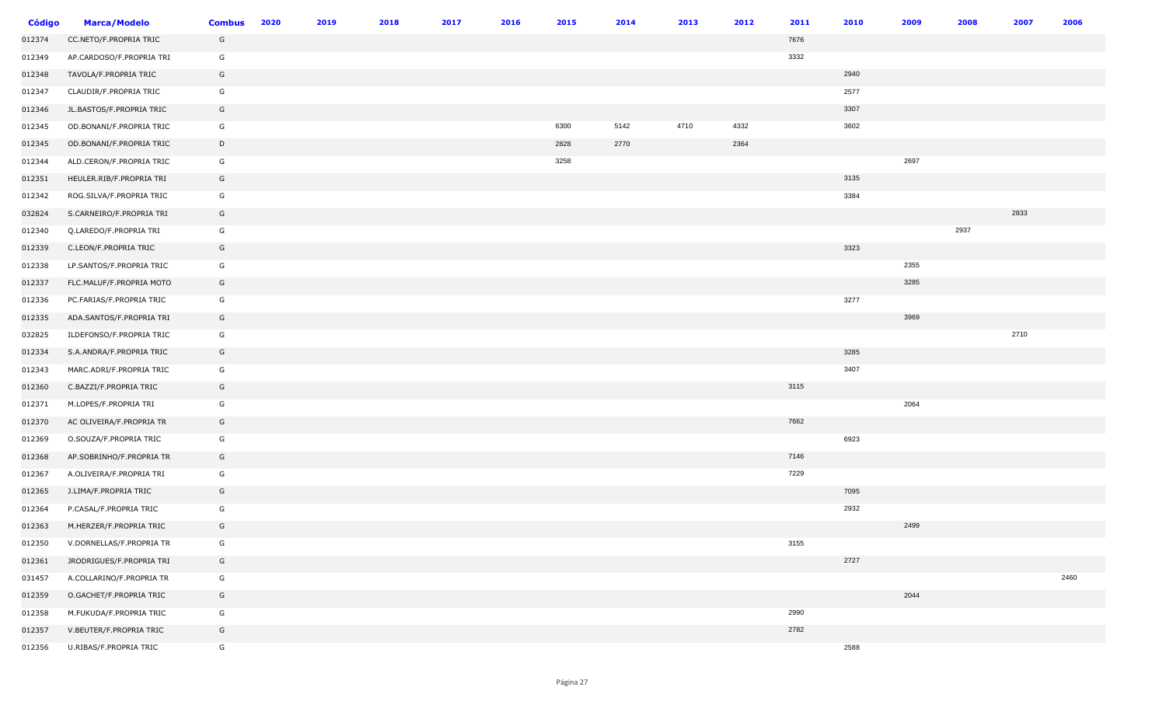| <b>Código</b> | <b>Marca/Modelo</b>      | <b>Combus</b> | 2020 | 2019 | 2018 | 2017 | 2016 | 2015 | 2014 | 2013 | 2012 | 2011 | 2010 | 2009 | 2008 | 2007 | 2006 |
|---------------|--------------------------|---------------|------|------|------|------|------|------|------|------|------|------|------|------|------|------|------|
| 012374        | CC.NETO/F.PROPRIA TRIC   | G             |      |      |      |      |      |      |      |      |      | 7676 |      |      |      |      |      |
| 012349        | AP.CARDOSO/F.PROPRIA TRI | G             |      |      |      |      |      |      |      |      |      | 3332 |      |      |      |      |      |
| 012348        | TAVOLA/F.PROPRIA TRIC    | G             |      |      |      |      |      |      |      |      |      |      | 2940 |      |      |      |      |
| 012347        | CLAUDIR/F.PROPRIA TRIC   | G             |      |      |      |      |      |      |      |      |      |      | 2577 |      |      |      |      |
| 012346        | JL.BASTOS/F.PROPRIA TRIC | G             |      |      |      |      |      |      |      |      |      |      | 3307 |      |      |      |      |
| 012345        | OD.BONANI/F.PROPRIA TRIC | G             |      |      |      |      |      | 6300 | 5142 | 4710 | 4332 |      | 3602 |      |      |      |      |
| 012345        | OD.BONANI/F.PROPRIA TRIC | D             |      |      |      |      |      | 2828 | 2770 |      | 2364 |      |      |      |      |      |      |
| 012344        | ALD.CERON/F.PROPRIA TRIC | G             |      |      |      |      |      | 3258 |      |      |      |      |      | 2697 |      |      |      |
| 012351        | HEULER.RIB/F.PROPRIA TRI | G             |      |      |      |      |      |      |      |      |      |      | 3135 |      |      |      |      |
| 012342        | ROG.SILVA/F.PROPRIA TRIC | G             |      |      |      |      |      |      |      |      |      |      | 3384 |      |      |      |      |
| 032824        | S.CARNEIRO/F.PROPRIA TRI | G             |      |      |      |      |      |      |      |      |      |      |      |      |      | 2833 |      |
| 012340        | Q.LAREDO/F.PROPRIA TRI   | G             |      |      |      |      |      |      |      |      |      |      |      |      | 2937 |      |      |
| 012339        | C.LEON/F.PROPRIA TRIC    | G             |      |      |      |      |      |      |      |      |      |      | 3323 |      |      |      |      |
| 012338        | LP.SANTOS/F.PROPRIA TRIC | G             |      |      |      |      |      |      |      |      |      |      |      | 2355 |      |      |      |
| 012337        | FLC.MALUF/F.PROPRIA MOTO | G             |      |      |      |      |      |      |      |      |      |      |      | 3285 |      |      |      |
| 012336        | PC.FARIAS/F.PROPRIA TRIC | G             |      |      |      |      |      |      |      |      |      |      | 3277 |      |      |      |      |
| 012335        | ADA.SANTOS/F.PROPRIA TRI | G             |      |      |      |      |      |      |      |      |      |      |      | 3969 |      |      |      |
| 032825        | ILDEFONSO/F.PROPRIA TRIC | G             |      |      |      |      |      |      |      |      |      |      |      |      |      | 2710 |      |
| 012334        | S.A.ANDRA/F.PROPRIA TRIC | G             |      |      |      |      |      |      |      |      |      |      | 3285 |      |      |      |      |
| 012343        | MARC.ADRI/F.PROPRIA TRIC | G             |      |      |      |      |      |      |      |      |      |      | 3407 |      |      |      |      |
| 012360        | C.BAZZI/F.PROPRIA TRIC   | G             |      |      |      |      |      |      |      |      |      | 3115 |      |      |      |      |      |
| 012371        | M.LOPES/F.PROPRIA TRI    | G             |      |      |      |      |      |      |      |      |      |      |      | 2064 |      |      |      |
| 012370        | AC OLIVEIRA/F.PROPRIA TR | G             |      |      |      |      |      |      |      |      |      | 7662 |      |      |      |      |      |
| 012369        | O.SOUZA/F.PROPRIA TRIC   | G             |      |      |      |      |      |      |      |      |      |      | 6923 |      |      |      |      |
| 012368        | AP.SOBRINHO/F.PROPRIA TR | G             |      |      |      |      |      |      |      |      |      | 7146 |      |      |      |      |      |
| 012367        | A.OLIVEIRA/F.PROPRIA TRI | G             |      |      |      |      |      |      |      |      |      | 7229 |      |      |      |      |      |
| 012365        | J.LIMA/F.PROPRIA TRIC    | G             |      |      |      |      |      |      |      |      |      |      | 7095 |      |      |      |      |
| 012364        | P.CASAL/F.PROPRIA TRIC   | G             |      |      |      |      |      |      |      |      |      |      | 2932 |      |      |      |      |
| 012363        | M.HERZER/F.PROPRIA TRIC  | G             |      |      |      |      |      |      |      |      |      |      |      | 2499 |      |      |      |
| 012350        | V.DORNELLAS/F.PROPRIA TR | G             |      |      |      |      |      |      |      |      |      | 3155 |      |      |      |      |      |
| 012361        | JRODRIGUES/F.PROPRIA TRI | G             |      |      |      |      |      |      |      |      |      |      | 2727 |      |      |      |      |
| 031457        | A.COLLARINO/F.PROPRIA TR | G             |      |      |      |      |      |      |      |      |      |      |      |      |      |      | 2460 |
| 012359        | O.GACHET/F.PROPRIA TRIC  | G             |      |      |      |      |      |      |      |      |      |      |      | 2044 |      |      |      |
| 012358        | M.FUKUDA/F.PROPRIA TRIC  | G             |      |      |      |      |      |      |      |      |      | 2990 |      |      |      |      |      |
| 012357        | V.BEUTER/F.PROPRIA TRIC  | G             |      |      |      |      |      |      |      |      |      | 2782 |      |      |      |      |      |
| 012356        | U.RIBAS/F.PROPRIA TRIC   | G             |      |      |      |      |      |      |      |      |      |      | 2588 |      |      |      |      |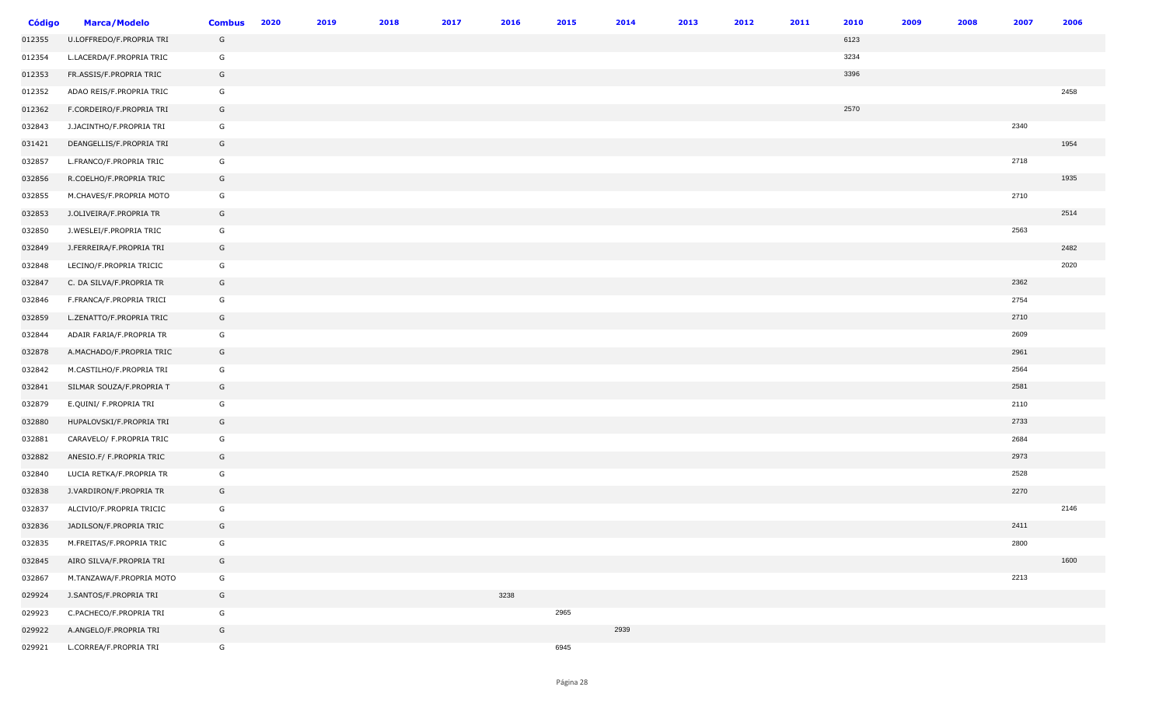| <b>Código</b> | <b>Marca/Modelo</b>      | <b>Combus</b> | 2020 | 2019 | 2018 | 2017 | 2016 | 2015 | 2014 | 2013 | 2012 | 2011 | 2010 | 2009 | 2008 | 2007 | 2006 |
|---------------|--------------------------|---------------|------|------|------|------|------|------|------|------|------|------|------|------|------|------|------|
| 012355        | U.LOFFREDO/F.PROPRIA TRI | G             |      |      |      |      |      |      |      |      |      |      | 6123 |      |      |      |      |
| 012354        | L.LACERDA/F.PROPRIA TRIC | G             |      |      |      |      |      |      |      |      |      |      | 3234 |      |      |      |      |
| 012353        | FR.ASSIS/F.PROPRIA TRIC  | G             |      |      |      |      |      |      |      |      |      |      | 3396 |      |      |      |      |
| 012352        | ADAO REIS/F.PROPRIA TRIC | G             |      |      |      |      |      |      |      |      |      |      |      |      |      |      | 2458 |
| 012362        | F.CORDEIRO/F.PROPRIA TRI | G             |      |      |      |      |      |      |      |      |      |      | 2570 |      |      |      |      |
| 032843        | J.JACINTHO/F.PROPRIA TRI | G             |      |      |      |      |      |      |      |      |      |      |      |      |      | 2340 |      |
| 031421        | DEANGELLIS/F.PROPRIA TRI | G             |      |      |      |      |      |      |      |      |      |      |      |      |      |      | 1954 |
| 032857        | L.FRANCO/F.PROPRIA TRIC  | G             |      |      |      |      |      |      |      |      |      |      |      |      |      | 2718 |      |
| 032856        | R.COELHO/F.PROPRIA TRIC  | G             |      |      |      |      |      |      |      |      |      |      |      |      |      |      | 1935 |
| 032855        | M.CHAVES/F.PROPRIA MOTO  | G             |      |      |      |      |      |      |      |      |      |      |      |      |      | 2710 |      |
| 032853        | J.OLIVEIRA/F.PROPRIA TR  | G             |      |      |      |      |      |      |      |      |      |      |      |      |      |      | 2514 |
| 032850        | J.WESLEI/F.PROPRIA TRIC  | G             |      |      |      |      |      |      |      |      |      |      |      |      |      | 2563 |      |
| 032849        | J.FERREIRA/F.PROPRIA TRI | G             |      |      |      |      |      |      |      |      |      |      |      |      |      |      | 2482 |
| 032848        | LECINO/F.PROPRIA TRICIC  | G             |      |      |      |      |      |      |      |      |      |      |      |      |      |      | 2020 |
| 032847        | C. DA SILVA/F.PROPRIA TR | G             |      |      |      |      |      |      |      |      |      |      |      |      |      | 2362 |      |
| 032846        | F.FRANCA/F.PROPRIA TRICI | G             |      |      |      |      |      |      |      |      |      |      |      |      |      | 2754 |      |
| 032859        | L.ZENATTO/F.PROPRIA TRIC | G             |      |      |      |      |      |      |      |      |      |      |      |      |      | 2710 |      |
| 032844        | ADAIR FARIA/F.PROPRIA TR | G             |      |      |      |      |      |      |      |      |      |      |      |      |      | 2609 |      |
| 032878        | A.MACHADO/F.PROPRIA TRIC | G             |      |      |      |      |      |      |      |      |      |      |      |      |      | 2961 |      |
| 032842        | M.CASTILHO/F.PROPRIA TRI | G             |      |      |      |      |      |      |      |      |      |      |      |      |      | 2564 |      |
| 032841        | SILMAR SOUZA/F.PROPRIA T | G             |      |      |      |      |      |      |      |      |      |      |      |      |      | 2581 |      |
| 032879        | E.QUINI/ F.PROPRIA TRI   | G             |      |      |      |      |      |      |      |      |      |      |      |      |      | 2110 |      |
| 032880        | HUPALOVSKI/F.PROPRIA TRI | G             |      |      |      |      |      |      |      |      |      |      |      |      |      | 2733 |      |
| 032881        | CARAVELO/ F.PROPRIA TRIC | G             |      |      |      |      |      |      |      |      |      |      |      |      |      | 2684 |      |
| 032882        | ANESIO.F/ F.PROPRIA TRIC | G             |      |      |      |      |      |      |      |      |      |      |      |      |      | 2973 |      |
| 032840        | LUCIA RETKA/F.PROPRIA TR | G             |      |      |      |      |      |      |      |      |      |      |      |      |      | 2528 |      |
| 032838        | J.VARDIRON/F.PROPRIA TR  | G             |      |      |      |      |      |      |      |      |      |      |      |      |      | 2270 |      |
| 032837        | ALCIVIO/F.PROPRIA TRICIC | G             |      |      |      |      |      |      |      |      |      |      |      |      |      |      | 2146 |
| 032836        | JADILSON/F.PROPRIA TRIC  | G             |      |      |      |      |      |      |      |      |      |      |      |      |      | 2411 |      |
| 032835        | M.FREITAS/F.PROPRIA TRIC | G             |      |      |      |      |      |      |      |      |      |      |      |      |      | 2800 |      |
| 032845        | AIRO SILVA/F.PROPRIA TRI | G             |      |      |      |      |      |      |      |      |      |      |      |      |      |      | 1600 |
| 032867        | M.TANZAWA/F.PROPRIA MOTO | G             |      |      |      |      |      |      |      |      |      |      |      |      |      | 2213 |      |
| 029924        | J.SANTOS/F.PROPRIA TRI   | G             |      |      |      |      | 3238 |      |      |      |      |      |      |      |      |      |      |
| 029923        | C.PACHECO/F.PROPRIA TRI  | G             |      |      |      |      |      | 2965 |      |      |      |      |      |      |      |      |      |
| 029922        | A.ANGELO/F.PROPRIA TRI   | G             |      |      |      |      |      |      | 2939 |      |      |      |      |      |      |      |      |
| 029921        | L.CORREA/F.PROPRIA TRI   | G             |      |      |      |      |      | 6945 |      |      |      |      |      |      |      |      |      |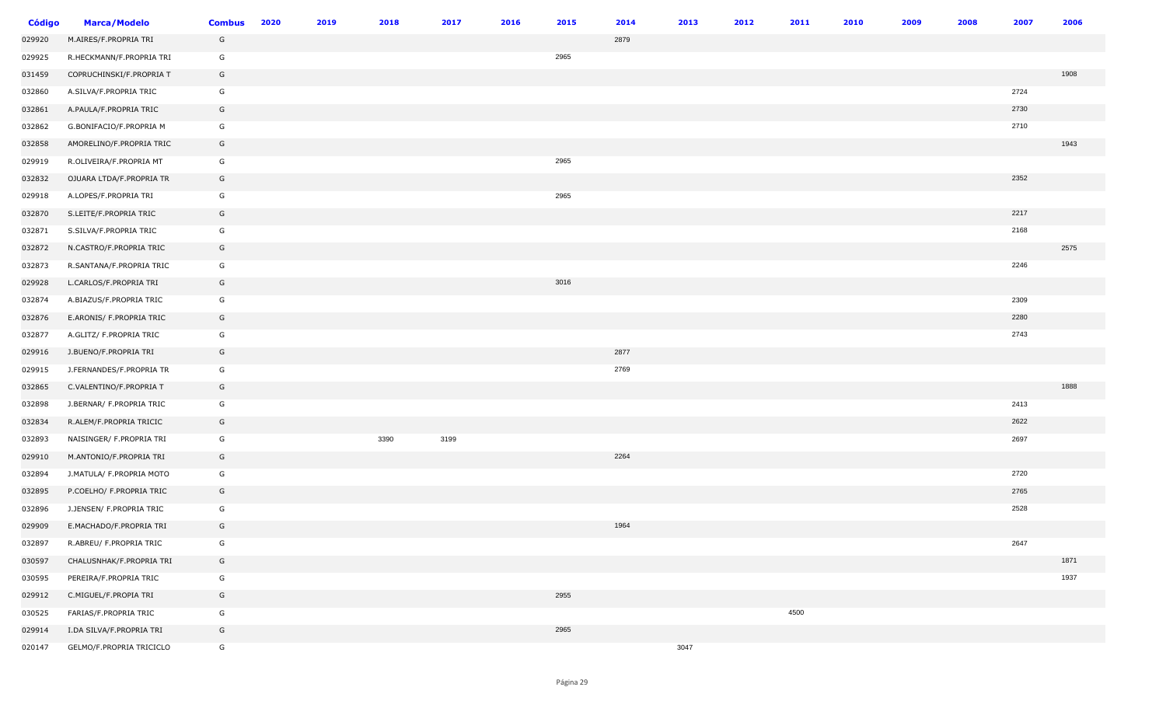| <b>Código</b> | <b>Marca/Modelo</b>      | <b>Combus</b> | 2020 | 2019 | 2018 | 2017 | 2016 | 2015 | 2014 | 2013 | 2012 | 2011 | 2010 | 2009 | 2008 | 2007 | 2006 |
|---------------|--------------------------|---------------|------|------|------|------|------|------|------|------|------|------|------|------|------|------|------|
| 029920        | M.AIRES/F.PROPRIA TRI    | G             |      |      |      |      |      |      | 2879 |      |      |      |      |      |      |      |      |
| 029925        | R.HECKMANN/F.PROPRIA TRI | G             |      |      |      |      |      | 2965 |      |      |      |      |      |      |      |      |      |
| 031459        | COPRUCHINSKI/F.PROPRIA T | G             |      |      |      |      |      |      |      |      |      |      |      |      |      |      | 1908 |
| 032860        | A.SILVA/F.PROPRIA TRIC   | G             |      |      |      |      |      |      |      |      |      |      |      |      |      | 2724 |      |
| 032861        | A.PAULA/F.PROPRIA TRIC   | G             |      |      |      |      |      |      |      |      |      |      |      |      |      | 2730 |      |
| 032862        | G.BONIFACIO/F.PROPRIA M  | G             |      |      |      |      |      |      |      |      |      |      |      |      |      | 2710 |      |
| 032858        | AMORELINO/F.PROPRIA TRIC | G             |      |      |      |      |      |      |      |      |      |      |      |      |      |      | 1943 |
| 029919        | R.OLIVEIRA/F.PROPRIA MT  | G             |      |      |      |      |      | 2965 |      |      |      |      |      |      |      |      |      |
| 032832        | OJUARA LTDA/F.PROPRIA TR | G             |      |      |      |      |      |      |      |      |      |      |      |      |      | 2352 |      |
| 029918        | A.LOPES/F.PROPRIA TRI    | G             |      |      |      |      |      | 2965 |      |      |      |      |      |      |      |      |      |
| 032870        | S.LEITE/F.PROPRIA TRIC   | G             |      |      |      |      |      |      |      |      |      |      |      |      |      | 2217 |      |
| 032871        | S.SILVA/F.PROPRIA TRIC   | G             |      |      |      |      |      |      |      |      |      |      |      |      |      | 2168 |      |
| 032872        | N.CASTRO/F.PROPRIA TRIC  | G             |      |      |      |      |      |      |      |      |      |      |      |      |      |      | 2575 |
| 032873        | R.SANTANA/F.PROPRIA TRIC | G             |      |      |      |      |      |      |      |      |      |      |      |      |      | 2246 |      |
| 029928        | L.CARLOS/F.PROPRIA TRI   | G             |      |      |      |      |      | 3016 |      |      |      |      |      |      |      |      |      |
| 032874        | A.BIAZUS/F.PROPRIA TRIC  | G             |      |      |      |      |      |      |      |      |      |      |      |      |      | 2309 |      |
| 032876        | E.ARONIS/ F.PROPRIA TRIC | G             |      |      |      |      |      |      |      |      |      |      |      |      |      | 2280 |      |
| 032877        | A.GLITZ/ F.PROPRIA TRIC  | G             |      |      |      |      |      |      |      |      |      |      |      |      |      | 2743 |      |
| 029916        | J.BUENO/F.PROPRIA TRI    | G             |      |      |      |      |      |      | 2877 |      |      |      |      |      |      |      |      |
| 029915        | J.FERNANDES/F.PROPRIA TR | G             |      |      |      |      |      |      | 2769 |      |      |      |      |      |      |      |      |
| 032865        | C.VALENTINO/F.PROPRIA T  | G             |      |      |      |      |      |      |      |      |      |      |      |      |      |      | 1888 |
| 032898        | J.BERNAR/ F.PROPRIA TRIC | G             |      |      |      |      |      |      |      |      |      |      |      |      |      | 2413 |      |
| 032834        | R.ALEM/F.PROPRIA TRICIC  | G             |      |      |      |      |      |      |      |      |      |      |      |      |      | 2622 |      |
| 032893        | NAISINGER/ F.PROPRIA TRI | G             |      |      | 3390 | 3199 |      |      |      |      |      |      |      |      |      | 2697 |      |
| 029910        | M.ANTONIO/F.PROPRIA TRI  | G             |      |      |      |      |      |      | 2264 |      |      |      |      |      |      |      |      |
| 032894        | J.MATULA/ F.PROPRIA MOTO | G             |      |      |      |      |      |      |      |      |      |      |      |      |      | 2720 |      |
| 032895        | P.COELHO/ F.PROPRIA TRIC | G             |      |      |      |      |      |      |      |      |      |      |      |      |      | 2765 |      |
| 032896        | J.JENSEN/ F.PROPRIA TRIC | G             |      |      |      |      |      |      |      |      |      |      |      |      |      | 2528 |      |
| 029909        | E.MACHADO/F.PROPRIA TRI  | G             |      |      |      |      |      |      | 1964 |      |      |      |      |      |      |      |      |
| 032897        | R.ABREU/ F.PROPRIA TRIC  | G             |      |      |      |      |      |      |      |      |      |      |      |      |      | 2647 |      |
| 030597        | CHALUSNHAK/F.PROPRIA TRI | G             |      |      |      |      |      |      |      |      |      |      |      |      |      |      | 1871 |
| 030595        | PEREIRA/F.PROPRIA TRIC   | G             |      |      |      |      |      |      |      |      |      |      |      |      |      |      | 1937 |
| 029912        | C.MIGUEL/F.PROPIA TRI    | G             |      |      |      |      |      | 2955 |      |      |      |      |      |      |      |      |      |
| 030525        | FARIAS/F.PROPRIA TRIC    | G             |      |      |      |      |      |      |      |      |      | 4500 |      |      |      |      |      |
| 029914        | I.DA SILVA/F.PROPRIA TRI | G             |      |      |      |      |      | 2965 |      |      |      |      |      |      |      |      |      |
| 020147        | GELMO/F.PROPRIA TRICICLO | G             |      |      |      |      |      |      |      | 3047 |      |      |      |      |      |      |      |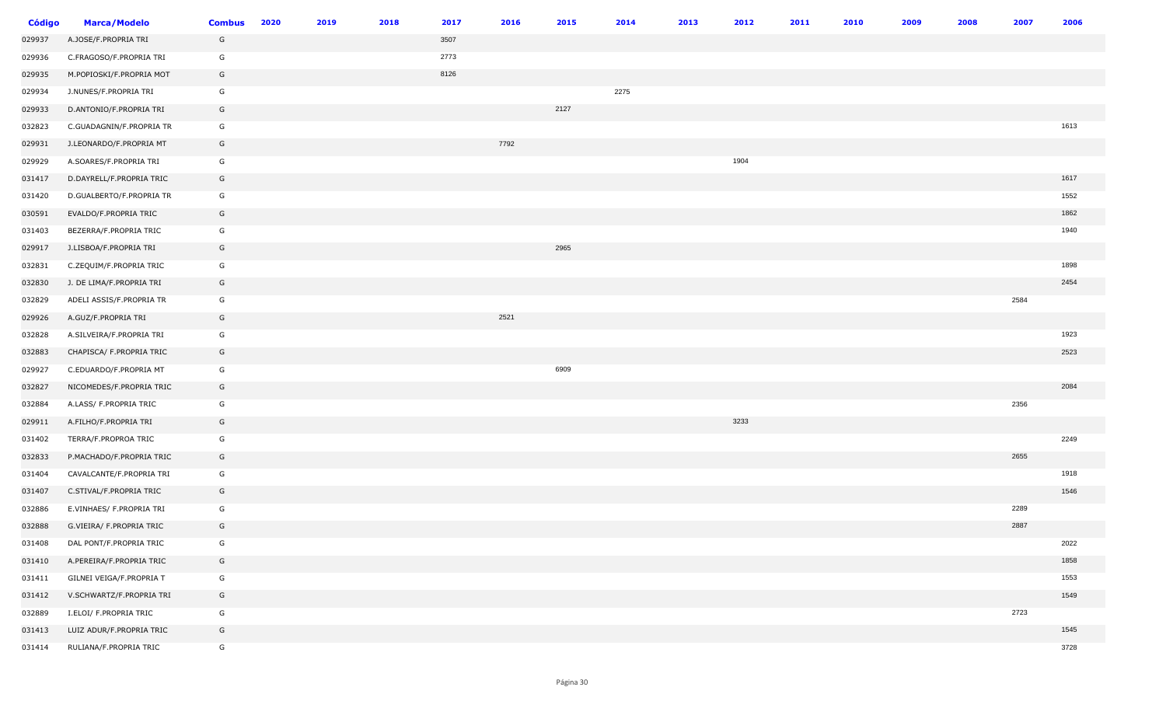| <b>Código</b> | <b>Marca/Modelo</b>      | <b>Combus</b> | 2020 | 2019 | 2018 | 2017 | 2016 | 2015 | 2014 | 2013 | 2012 | 2011 | 2010 | 2009 | 2008 | 2007 | 2006 |
|---------------|--------------------------|---------------|------|------|------|------|------|------|------|------|------|------|------|------|------|------|------|
| 029937        | A.JOSE/F.PROPRIA TRI     | G             |      |      |      | 3507 |      |      |      |      |      |      |      |      |      |      |      |
| 029936        | C.FRAGOSO/F.PROPRIA TRI  | G             |      |      |      | 2773 |      |      |      |      |      |      |      |      |      |      |      |
| 029935        | M.POPIOSKI/F.PROPRIA MOT | G             |      |      |      | 8126 |      |      |      |      |      |      |      |      |      |      |      |
| 029934        | J.NUNES/F.PROPRIA TRI    | G             |      |      |      |      |      |      | 2275 |      |      |      |      |      |      |      |      |
| 029933        | D.ANTONIO/F.PROPRIA TRI  | G             |      |      |      |      |      | 2127 |      |      |      |      |      |      |      |      |      |
| 032823        | C.GUADAGNIN/F.PROPRIA TR | G             |      |      |      |      |      |      |      |      |      |      |      |      |      |      | 1613 |
| 029931        | J.LEONARDO/F.PROPRIA MT  | G             |      |      |      |      | 7792 |      |      |      |      |      |      |      |      |      |      |
| 029929        | A.SOARES/F.PROPRIA TRI   | G             |      |      |      |      |      |      |      |      | 1904 |      |      |      |      |      |      |
| 031417        | D.DAYRELL/F.PROPRIA TRIC | G             |      |      |      |      |      |      |      |      |      |      |      |      |      |      | 1617 |
| 031420        | D.GUALBERTO/F.PROPRIA TR | G             |      |      |      |      |      |      |      |      |      |      |      |      |      |      | 1552 |
| 030591        | EVALDO/F.PROPRIA TRIC    | G             |      |      |      |      |      |      |      |      |      |      |      |      |      |      | 1862 |
| 031403        | BEZERRA/F.PROPRIA TRIC   | G             |      |      |      |      |      |      |      |      |      |      |      |      |      |      | 1940 |
| 029917        | J.LISBOA/F.PROPRIA TRI   | G             |      |      |      |      |      | 2965 |      |      |      |      |      |      |      |      |      |
| 032831        | C.ZEQUIM/F.PROPRIA TRIC  | G             |      |      |      |      |      |      |      |      |      |      |      |      |      |      | 1898 |
| 032830        | J. DE LIMA/F.PROPRIA TRI | G             |      |      |      |      |      |      |      |      |      |      |      |      |      |      | 2454 |
| 032829        | ADELI ASSIS/F.PROPRIA TR | G             |      |      |      |      |      |      |      |      |      |      |      |      |      | 2584 |      |
| 029926        | A.GUZ/F.PROPRIA TRI      | G             |      |      |      |      | 2521 |      |      |      |      |      |      |      |      |      |      |
| 032828        | A.SILVEIRA/F.PROPRIA TRI | G             |      |      |      |      |      |      |      |      |      |      |      |      |      |      | 1923 |
| 032883        | CHAPISCA/ F.PROPRIA TRIC | G             |      |      |      |      |      |      |      |      |      |      |      |      |      |      | 2523 |
| 029927        | C.EDUARDO/F.PROPRIA MT   | G             |      |      |      |      |      | 6909 |      |      |      |      |      |      |      |      |      |
| 032827        | NICOMEDES/F.PROPRIA TRIC | G             |      |      |      |      |      |      |      |      |      |      |      |      |      |      | 2084 |
| 032884        | A.LASS/ F.PROPRIA TRIC   | G             |      |      |      |      |      |      |      |      |      |      |      |      |      | 2356 |      |
| 029911        | A.FILHO/F.PROPRIA TRI    | G             |      |      |      |      |      |      |      |      | 3233 |      |      |      |      |      |      |
| 031402        | TERRA/F.PROPROA TRIC     | G             |      |      |      |      |      |      |      |      |      |      |      |      |      |      | 2249 |
| 032833        | P.MACHADO/F.PROPRIA TRIC | G             |      |      |      |      |      |      |      |      |      |      |      |      |      | 2655 |      |
| 031404        | CAVALCANTE/F.PROPRIA TRI | G             |      |      |      |      |      |      |      |      |      |      |      |      |      |      | 1918 |
| 031407        | C.STIVAL/F.PROPRIA TRIC  | G             |      |      |      |      |      |      |      |      |      |      |      |      |      |      | 1546 |
| 032886        | E.VINHAES/ F.PROPRIA TRI | G             |      |      |      |      |      |      |      |      |      |      |      |      |      | 2289 |      |
| 032888        | G.VIEIRA/ F.PROPRIA TRIC | G             |      |      |      |      |      |      |      |      |      |      |      |      |      | 2887 |      |
| 031408        | DAL PONT/F.PROPRIA TRIC  | G             |      |      |      |      |      |      |      |      |      |      |      |      |      |      | 2022 |
| 031410        | A.PEREIRA/F.PROPRIA TRIC | G             |      |      |      |      |      |      |      |      |      |      |      |      |      |      | 1858 |
| 031411        | GILNEI VEIGA/F.PROPRIA T | G             |      |      |      |      |      |      |      |      |      |      |      |      |      |      | 1553 |
| 031412        | V.SCHWARTZ/F.PROPRIA TRI | G             |      |      |      |      |      |      |      |      |      |      |      |      |      |      | 1549 |
| 032889        | I.ELOI/ F.PROPRIA TRIC   | G             |      |      |      |      |      |      |      |      |      |      |      |      |      | 2723 |      |
| 031413        | LUIZ ADUR/F.PROPRIA TRIC | G             |      |      |      |      |      |      |      |      |      |      |      |      |      |      | 1545 |
| 031414        | RULIANA/F.PROPRIA TRIC   | G             |      |      |      |      |      |      |      |      |      |      |      |      |      |      | 3728 |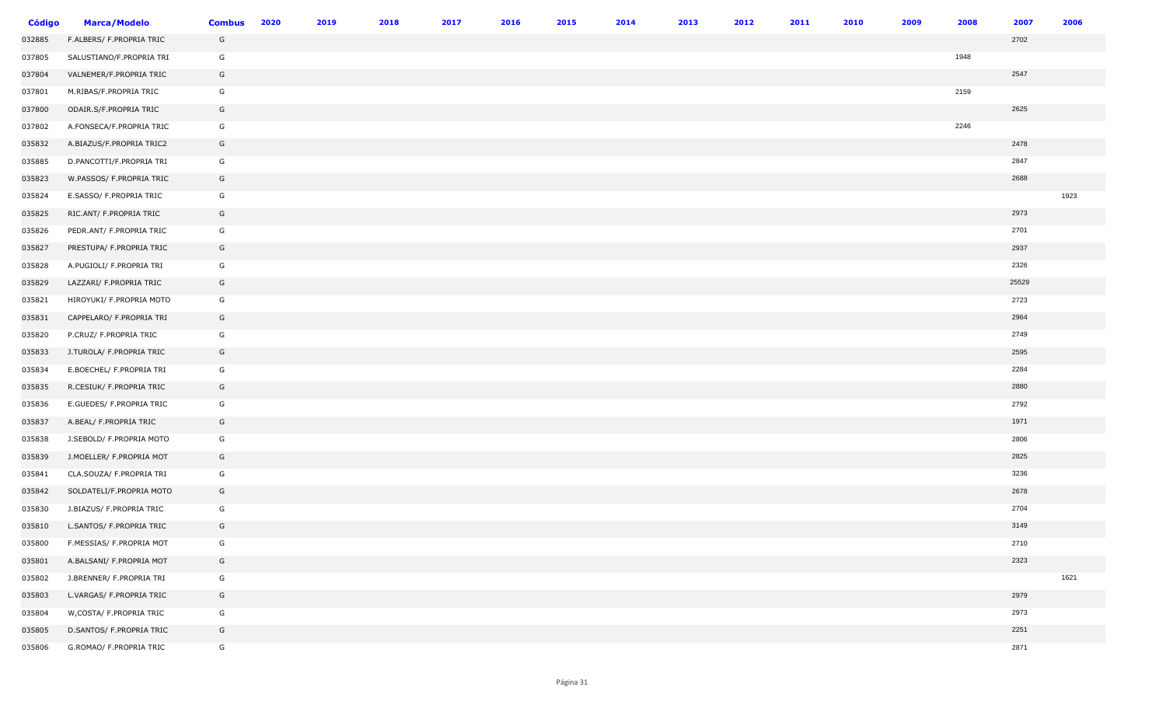| <b>Código</b> | <b>Marca/Modelo</b>       | <b>Combus</b> | 2020 | 2019 | 2018 | 2017 | 2016 | 2015 | 2014 | 2013 | 2012 | 2011 | 2010 | 2009 | 2008 | 2007  | 2006 |
|---------------|---------------------------|---------------|------|------|------|------|------|------|------|------|------|------|------|------|------|-------|------|
| 032885        | F.ALBERS/ F.PROPRIA TRIC  | G             |      |      |      |      |      |      |      |      |      |      |      |      |      | 2702  |      |
| 037805        | SALUSTIANO/F.PROPRIA TRI  | G             |      |      |      |      |      |      |      |      |      |      |      |      | 1948 |       |      |
| 037804        | VALNEMER/F.PROPRIA TRIC   | G             |      |      |      |      |      |      |      |      |      |      |      |      |      | 2547  |      |
| 037801        | M.RIBAS/F.PROPRIA TRIC    | G             |      |      |      |      |      |      |      |      |      |      |      |      | 2159 |       |      |
| 037800        | ODAIR.S/F.PROPRIA TRIC    | G             |      |      |      |      |      |      |      |      |      |      |      |      |      | 2625  |      |
| 037802        | A.FONSECA/F.PROPRIA TRIC  | G             |      |      |      |      |      |      |      |      |      |      |      |      | 2246 |       |      |
| 035832        | A.BIAZUS/F.PROPRIA TRIC2  | G             |      |      |      |      |      |      |      |      |      |      |      |      |      | 2478  |      |
| 035885        | D.PANCOTTI/F.PROPRIA TRI  | G             |      |      |      |      |      |      |      |      |      |      |      |      |      | 2847  |      |
| 035823        | W.PASSOS/ F.PROPRIA TRIC  | G             |      |      |      |      |      |      |      |      |      |      |      |      |      | 2688  |      |
| 035824        | E.SASSO/ F.PROPRIA TRIC   | G             |      |      |      |      |      |      |      |      |      |      |      |      |      |       | 1923 |
| 035825        | RIC.ANT/ F.PROPRIA TRIC   | G             |      |      |      |      |      |      |      |      |      |      |      |      |      | 2973  |      |
| 035826        | PEDR.ANT/ F.PROPRIA TRIC  | G             |      |      |      |      |      |      |      |      |      |      |      |      |      | 2701  |      |
| 035827        | PRESTUPA/ F.PROPRIA TRIC  | G             |      |      |      |      |      |      |      |      |      |      |      |      |      | 2937  |      |
| 035828        | A.PUGIOLI/ F.PROPRIA TRI  | G             |      |      |      |      |      |      |      |      |      |      |      |      |      | 2326  |      |
| 035829        | LAZZARI/ F.PROPRIA TRIC   | G             |      |      |      |      |      |      |      |      |      |      |      |      |      | 25529 |      |
| 035821        | HIROYUKI/ F.PROPRIA MOTO  | G             |      |      |      |      |      |      |      |      |      |      |      |      |      | 2723  |      |
| 035831        | CAPPELARO/ F.PROPRIA TRI  | G             |      |      |      |      |      |      |      |      |      |      |      |      |      | 2964  |      |
| 035820        | P.CRUZ/ F.PROPRIA TRIC    | G             |      |      |      |      |      |      |      |      |      |      |      |      |      | 2749  |      |
| 035833        | J.TUROLA/ F.PROPRIA TRIC  | G             |      |      |      |      |      |      |      |      |      |      |      |      |      | 2595  |      |
| 035834        | E.BOECHEL/ F.PROPRIA TRI  | G             |      |      |      |      |      |      |      |      |      |      |      |      |      | 2284  |      |
| 035835        | R.CESIUK/ F.PROPRIA TRIC  | G             |      |      |      |      |      |      |      |      |      |      |      |      |      | 2880  |      |
| 035836        | E.GUEDES/ F.PROPRIA TRIC  | G             |      |      |      |      |      |      |      |      |      |      |      |      |      | 2792  |      |
| 035837        | A.BEAL/ F.PROPRIA TRIC    | G             |      |      |      |      |      |      |      |      |      |      |      |      |      | 1971  |      |
| 035838        | J.SEBOLD/ F.PROPRIA MOTO  | G             |      |      |      |      |      |      |      |      |      |      |      |      |      | 2806  |      |
| 035839        | J.MOELLER/ F.PROPRIA MOT  | G             |      |      |      |      |      |      |      |      |      |      |      |      |      | 2825  |      |
| 035841        | CLA.SOUZA/ F.PROPRIA TRI  | G             |      |      |      |      |      |      |      |      |      |      |      |      |      | 3236  |      |
| 035842        | SOLDATELI/F.PROPRIA MOTO  | G             |      |      |      |      |      |      |      |      |      |      |      |      |      | 2678  |      |
| 035830        | J.BIAZUS/ F.PROPRIA TRIC  | G             |      |      |      |      |      |      |      |      |      |      |      |      |      | 2704  |      |
| 035810        | L.SANTOS/ F.PROPRIA TRIC  | G             |      |      |      |      |      |      |      |      |      |      |      |      |      | 3149  |      |
| 035800        | F.MESSIAS/ F.PROPRIA MOT  | G             |      |      |      |      |      |      |      |      |      |      |      |      |      | 2710  |      |
| 035801        | A.BALSANI/ F.PROPRIA MOT  | G             |      |      |      |      |      |      |      |      |      |      |      |      |      | 2323  |      |
| 035802        | J.BRENNER/ F.PROPRIA TRI  | G             |      |      |      |      |      |      |      |      |      |      |      |      |      |       | 1621 |
| 035803        | L.VARGAS/ F.PROPRIA TRIC  | G             |      |      |      |      |      |      |      |      |      |      |      |      |      | 2979  |      |
| 035804        | W, COSTA/ F. PROPRIA TRIC | G             |      |      |      |      |      |      |      |      |      |      |      |      |      | 2973  |      |
| 035805        | D.SANTOS/ F.PROPRIA TRIC  | G             |      |      |      |      |      |      |      |      |      |      |      |      |      | 2251  |      |
| 035806        | G.ROMAO/ F.PROPRIA TRIC   | G             |      |      |      |      |      |      |      |      |      |      |      |      |      | 2871  |      |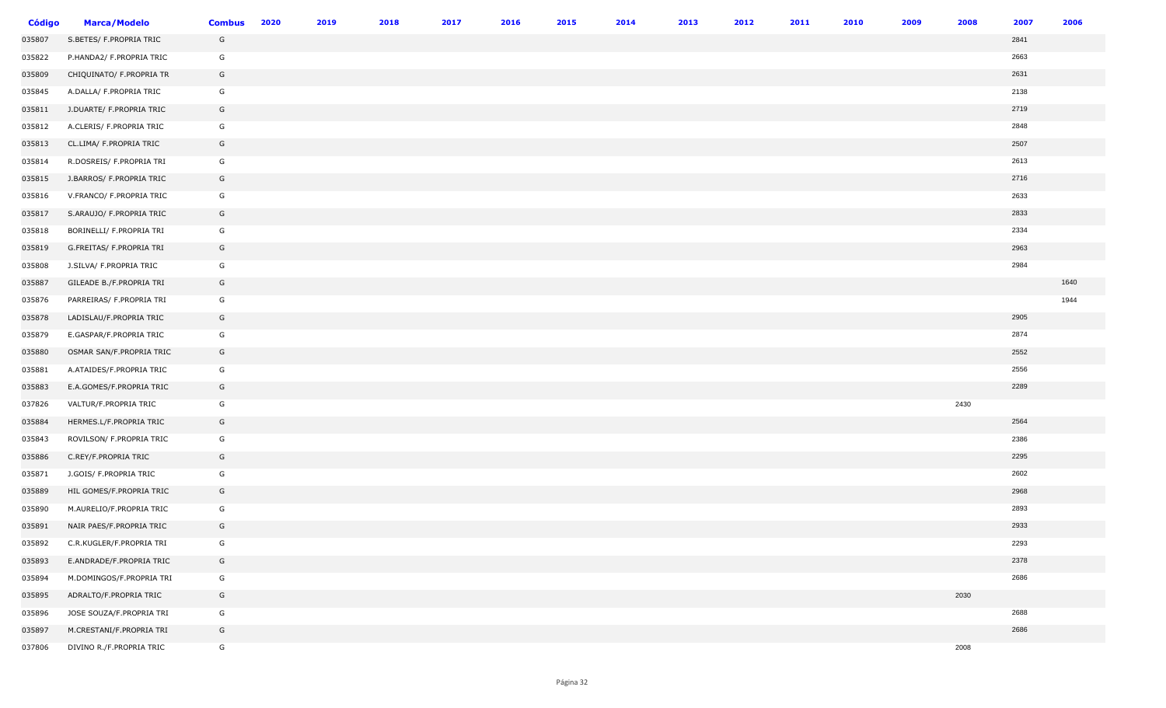| <b>Código</b> | <b>Marca/Modelo</b>      | <b>Combus</b> | 2020 | 2019 | 2018 | 2017 | 2016 | 2015 | 2014 | 2013 | 2012 | 2011 | 2010 | 2009 | 2008 | 2007 | 2006 |
|---------------|--------------------------|---------------|------|------|------|------|------|------|------|------|------|------|------|------|------|------|------|
| 035807        | S.BETES/ F.PROPRIA TRIC  | G             |      |      |      |      |      |      |      |      |      |      |      |      |      | 2841 |      |
| 035822        | P.HANDA2/ F.PROPRIA TRIC | G             |      |      |      |      |      |      |      |      |      |      |      |      |      | 2663 |      |
| 035809        | CHIQUINATO/ F.PROPRIA TR | G             |      |      |      |      |      |      |      |      |      |      |      |      |      | 2631 |      |
| 035845        | A.DALLA/ F.PROPRIA TRIC  | G             |      |      |      |      |      |      |      |      |      |      |      |      |      | 2138 |      |
| 035811        | J.DUARTE/ F.PROPRIA TRIC | G             |      |      |      |      |      |      |      |      |      |      |      |      |      | 2719 |      |
| 035812        | A.CLERIS/ F.PROPRIA TRIC | G             |      |      |      |      |      |      |      |      |      |      |      |      |      | 2848 |      |
| 035813        | CL.LIMA/ F.PROPRIA TRIC  | G             |      |      |      |      |      |      |      |      |      |      |      |      |      | 2507 |      |
| 035814        | R.DOSREIS/ F.PROPRIA TRI | G             |      |      |      |      |      |      |      |      |      |      |      |      |      | 2613 |      |
| 035815        | J.BARROS/ F.PROPRIA TRIC | G             |      |      |      |      |      |      |      |      |      |      |      |      |      | 2716 |      |
| 035816        | V.FRANCO/ F.PROPRIA TRIC | G             |      |      |      |      |      |      |      |      |      |      |      |      |      | 2633 |      |
| 035817        | S.ARAUJO/ F.PROPRIA TRIC | G             |      |      |      |      |      |      |      |      |      |      |      |      |      | 2833 |      |
| 035818        | BORINELLI/ F.PROPRIA TRI | G             |      |      |      |      |      |      |      |      |      |      |      |      |      | 2334 |      |
| 035819        | G.FREITAS/ F.PROPRIA TRI | G             |      |      |      |      |      |      |      |      |      |      |      |      |      | 2963 |      |
| 035808        | J.SILVA/ F.PROPRIA TRIC  | G             |      |      |      |      |      |      |      |      |      |      |      |      |      | 2984 |      |
| 035887        | GILEADE B./F.PROPRIA TRI | G             |      |      |      |      |      |      |      |      |      |      |      |      |      |      | 1640 |
| 035876        | PARREIRAS/ F.PROPRIA TRI | G             |      |      |      |      |      |      |      |      |      |      |      |      |      |      | 1944 |
| 035878        | LADISLAU/F.PROPRIA TRIC  | G             |      |      |      |      |      |      |      |      |      |      |      |      |      | 2905 |      |
| 035879        | E.GASPAR/F.PROPRIA TRIC  | G             |      |      |      |      |      |      |      |      |      |      |      |      |      | 2874 |      |
| 035880        | OSMAR SAN/F.PROPRIA TRIC | G             |      |      |      |      |      |      |      |      |      |      |      |      |      | 2552 |      |
| 035881        | A.ATAIDES/F.PROPRIA TRIC | G             |      |      |      |      |      |      |      |      |      |      |      |      |      | 2556 |      |
| 035883        | E.A.GOMES/F.PROPRIA TRIC | G             |      |      |      |      |      |      |      |      |      |      |      |      |      | 2289 |      |
| 037826        | VALTUR/F.PROPRIA TRIC    | G             |      |      |      |      |      |      |      |      |      |      |      |      | 2430 |      |      |
| 035884        | HERMES.L/F.PROPRIA TRIC  | G             |      |      |      |      |      |      |      |      |      |      |      |      |      | 2564 |      |
| 035843        | ROVILSON/ F.PROPRIA TRIC | G             |      |      |      |      |      |      |      |      |      |      |      |      |      | 2386 |      |
| 035886        | C.REY/F.PROPRIA TRIC     | G             |      |      |      |      |      |      |      |      |      |      |      |      |      | 2295 |      |
| 035871        | J.GOIS/ F.PROPRIA TRIC   | G             |      |      |      |      |      |      |      |      |      |      |      |      |      | 2602 |      |
| 035889        | HIL GOMES/F.PROPRIA TRIC | G             |      |      |      |      |      |      |      |      |      |      |      |      |      | 2968 |      |
| 035890        | M.AURELIO/F.PROPRIA TRIC | G             |      |      |      |      |      |      |      |      |      |      |      |      |      | 2893 |      |
| 035891        | NAIR PAES/F.PROPRIA TRIC | G             |      |      |      |      |      |      |      |      |      |      |      |      |      | 2933 |      |
| 035892        | C.R.KUGLER/F.PROPRIA TRI | G             |      |      |      |      |      |      |      |      |      |      |      |      |      | 2293 |      |
| 035893        | E.ANDRADE/F.PROPRIA TRIC | G             |      |      |      |      |      |      |      |      |      |      |      |      |      | 2378 |      |
| 035894        | M.DOMINGOS/F.PROPRIA TRI | G             |      |      |      |      |      |      |      |      |      |      |      |      |      | 2686 |      |
| 035895        | ADRALTO/F.PROPRIA TRIC   | G             |      |      |      |      |      |      |      |      |      |      |      |      | 2030 |      |      |
| 035896        | JOSE SOUZA/F.PROPRIA TRI | G             |      |      |      |      |      |      |      |      |      |      |      |      |      | 2688 |      |
| 035897        | M.CRESTANI/F.PROPRIA TRI | G             |      |      |      |      |      |      |      |      |      |      |      |      |      | 2686 |      |
| 037806        | DIVINO R./F.PROPRIA TRIC | G             |      |      |      |      |      |      |      |      |      |      |      |      | 2008 |      |      |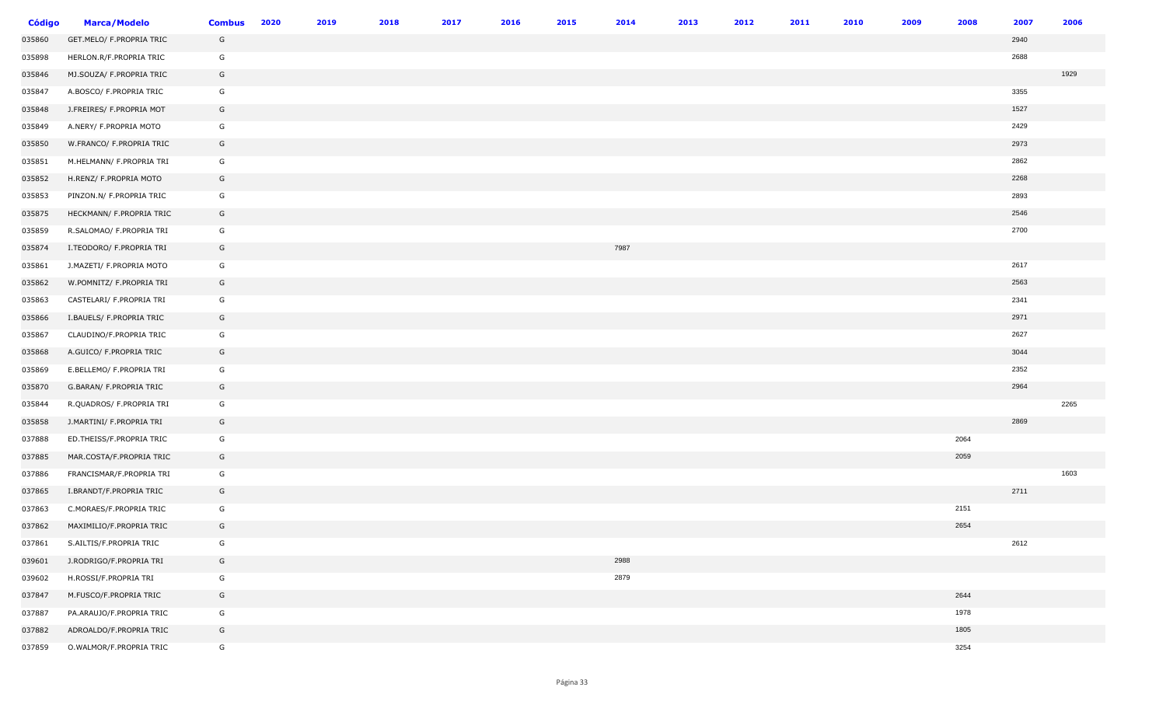| <b>Código</b> | <b>Marca/Modelo</b>      | <b>Combus</b> | 2020 | 2019 | 2018 | 2017 | 2016 | 2015 | 2014 | 2013 | 2012 | 2011 | 2010 | 2009 | 2008 | 2007 | 2006 |
|---------------|--------------------------|---------------|------|------|------|------|------|------|------|------|------|------|------|------|------|------|------|
| 035860        | GET.MELO/ F.PROPRIA TRIC | G             |      |      |      |      |      |      |      |      |      |      |      |      |      | 2940 |      |
| 035898        | HERLON.R/F.PROPRIA TRIC  | G             |      |      |      |      |      |      |      |      |      |      |      |      |      | 2688 |      |
| 035846        | MJ.SOUZA/ F.PROPRIA TRIC | G             |      |      |      |      |      |      |      |      |      |      |      |      |      |      | 1929 |
| 035847        | A.BOSCO/ F.PROPRIA TRIC  | G             |      |      |      |      |      |      |      |      |      |      |      |      |      | 3355 |      |
| 035848        | J.FREIRES/ F.PROPRIA MOT | G             |      |      |      |      |      |      |      |      |      |      |      |      |      | 1527 |      |
| 035849        | A.NERY/ F.PROPRIA MOTO   | G             |      |      |      |      |      |      |      |      |      |      |      |      |      | 2429 |      |
| 035850        | W.FRANCO/ F.PROPRIA TRIC | G             |      |      |      |      |      |      |      |      |      |      |      |      |      | 2973 |      |
| 035851        | M.HELMANN/ F.PROPRIA TRI | G             |      |      |      |      |      |      |      |      |      |      |      |      |      | 2862 |      |
| 035852        | H.RENZ/ F.PROPRIA MOTO   | G             |      |      |      |      |      |      |      |      |      |      |      |      |      | 2268 |      |
| 035853        | PINZON.N/ F.PROPRIA TRIC | G             |      |      |      |      |      |      |      |      |      |      |      |      |      | 2893 |      |
| 035875        | HECKMANN/ F.PROPRIA TRIC | G             |      |      |      |      |      |      |      |      |      |      |      |      |      | 2546 |      |
| 035859        | R.SALOMAO/ F.PROPRIA TRI | G             |      |      |      |      |      |      |      |      |      |      |      |      |      | 2700 |      |
| 035874        | I.TEODORO/ F.PROPRIA TRI | G             |      |      |      |      |      |      | 7987 |      |      |      |      |      |      |      |      |
| 035861        | J.MAZETI/ F.PROPRIA MOTO | G             |      |      |      |      |      |      |      |      |      |      |      |      |      | 2617 |      |
| 035862        | W.POMNITZ/ F.PROPRIA TRI | G             |      |      |      |      |      |      |      |      |      |      |      |      |      | 2563 |      |
| 035863        | CASTELARI/ F.PROPRIA TRI | G             |      |      |      |      |      |      |      |      |      |      |      |      |      | 2341 |      |
| 035866        | I.BAUELS/ F.PROPRIA TRIC | G             |      |      |      |      |      |      |      |      |      |      |      |      |      | 2971 |      |
| 035867        | CLAUDINO/F.PROPRIA TRIC  | G             |      |      |      |      |      |      |      |      |      |      |      |      |      | 2627 |      |
| 035868        | A.GUICO/ F.PROPRIA TRIC  | G             |      |      |      |      |      |      |      |      |      |      |      |      |      | 3044 |      |
| 035869        | E.BELLEMO/ F.PROPRIA TRI | G             |      |      |      |      |      |      |      |      |      |      |      |      |      | 2352 |      |
| 035870        | G.BARAN/ F.PROPRIA TRIC  | G             |      |      |      |      |      |      |      |      |      |      |      |      |      | 2964 |      |
| 035844        | R.QUADROS/ F.PROPRIA TRI | G             |      |      |      |      |      |      |      |      |      |      |      |      |      |      | 2265 |
| 035858        | J.MARTINI/ F.PROPRIA TRI | G             |      |      |      |      |      |      |      |      |      |      |      |      |      | 2869 |      |
| 037888        | ED.THEISS/F.PROPRIA TRIC | G             |      |      |      |      |      |      |      |      |      |      |      |      | 2064 |      |      |
| 037885        | MAR.COSTA/F.PROPRIA TRIC | G             |      |      |      |      |      |      |      |      |      |      |      |      | 2059 |      |      |
| 037886        | FRANCISMAR/F.PROPRIA TRI | G             |      |      |      |      |      |      |      |      |      |      |      |      |      |      | 1603 |
| 037865        | I.BRANDT/F.PROPRIA TRIC  | G             |      |      |      |      |      |      |      |      |      |      |      |      |      | 2711 |      |
| 037863        | C.MORAES/F.PROPRIA TRIC  | G             |      |      |      |      |      |      |      |      |      |      |      |      | 2151 |      |      |
| 037862        | MAXIMILIO/F.PROPRIA TRIC | G             |      |      |      |      |      |      |      |      |      |      |      |      | 2654 |      |      |
| 037861        | S.AILTIS/F.PROPRIA TRIC  | G             |      |      |      |      |      |      |      |      |      |      |      |      |      | 2612 |      |
| 039601        | J.RODRIGO/F.PROPRIA TRI  | G             |      |      |      |      |      |      | 2988 |      |      |      |      |      |      |      |      |
| 039602        | H.ROSSI/F.PROPRIA TRI    | G             |      |      |      |      |      |      | 2879 |      |      |      |      |      |      |      |      |
| 037847        | M.FUSCO/F.PROPRIA TRIC   | G             |      |      |      |      |      |      |      |      |      |      |      |      | 2644 |      |      |
| 037887        | PA.ARAUJO/F.PROPRIA TRIC | G             |      |      |      |      |      |      |      |      |      |      |      |      | 1978 |      |      |
| 037882        | ADROALDO/F.PROPRIA TRIC  | G             |      |      |      |      |      |      |      |      |      |      |      |      | 1805 |      |      |
| 037859        | O.WALMOR/F.PROPRIA TRIC  | G             |      |      |      |      |      |      |      |      |      |      |      |      | 3254 |      |      |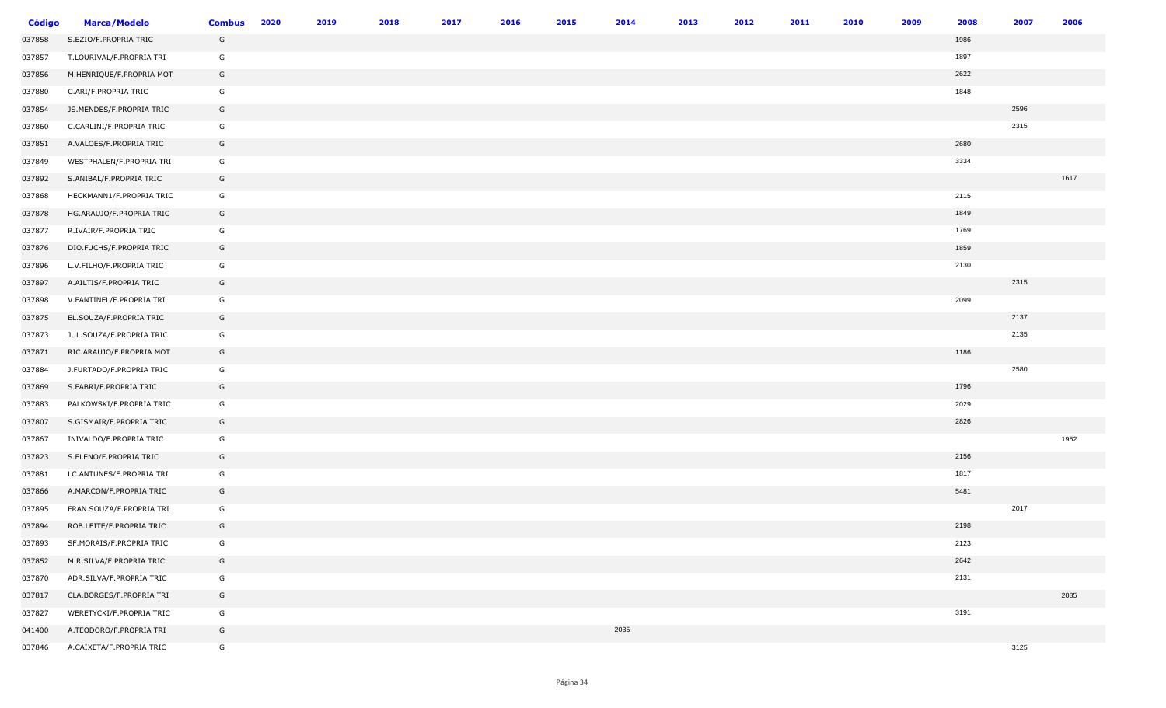| <b>Código</b> | <b>Marca/Modelo</b>      | <b>Combus</b> | 2020 | 2019 | 2018 | 2017 | 2016 | 2015 | 2014 | 2013 | 2012 | 2011 | 2010 | 2009 | 2008 | 2007 | 2006 |
|---------------|--------------------------|---------------|------|------|------|------|------|------|------|------|------|------|------|------|------|------|------|
| 037858        | S.EZIO/F.PROPRIA TRIC    | G             |      |      |      |      |      |      |      |      |      |      |      |      | 1986 |      |      |
| 037857        | T.LOURIVAL/F.PROPRIA TRI | G             |      |      |      |      |      |      |      |      |      |      |      |      | 1897 |      |      |
| 037856        | M.HENRIQUE/F.PROPRIA MOT | G             |      |      |      |      |      |      |      |      |      |      |      |      | 2622 |      |      |
| 037880        | C.ARI/F.PROPRIA TRIC     | G             |      |      |      |      |      |      |      |      |      |      |      |      | 1848 |      |      |
| 037854        | JS.MENDES/F.PROPRIA TRIC | G             |      |      |      |      |      |      |      |      |      |      |      |      |      | 2596 |      |
| 037860        | C.CARLINI/F.PROPRIA TRIC | G             |      |      |      |      |      |      |      |      |      |      |      |      |      | 2315 |      |
| 037851        | A.VALOES/F.PROPRIA TRIC  | G             |      |      |      |      |      |      |      |      |      |      |      |      | 2680 |      |      |
| 037849        | WESTPHALEN/F.PROPRIA TRI | G             |      |      |      |      |      |      |      |      |      |      |      |      | 3334 |      |      |
| 037892        | S.ANIBAL/F.PROPRIA TRIC  | G             |      |      |      |      |      |      |      |      |      |      |      |      |      |      | 1617 |
| 037868        | HECKMANN1/F.PROPRIA TRIC | G             |      |      |      |      |      |      |      |      |      |      |      |      | 2115 |      |      |
| 037878        | HG.ARAUJO/F.PROPRIA TRIC | G             |      |      |      |      |      |      |      |      |      |      |      |      | 1849 |      |      |
| 037877        | R.IVAIR/F.PROPRIA TRIC   | G             |      |      |      |      |      |      |      |      |      |      |      |      | 1769 |      |      |
| 037876        | DIO.FUCHS/F.PROPRIA TRIC | G             |      |      |      |      |      |      |      |      |      |      |      |      | 1859 |      |      |
| 037896        | L.V.FILHO/F.PROPRIA TRIC | G             |      |      |      |      |      |      |      |      |      |      |      |      | 2130 |      |      |
| 037897        | A.AILTIS/F.PROPRIA TRIC  | G             |      |      |      |      |      |      |      |      |      |      |      |      |      | 2315 |      |
| 037898        | V.FANTINEL/F.PROPRIA TRI | G             |      |      |      |      |      |      |      |      |      |      |      |      | 2099 |      |      |
| 037875        | EL.SOUZA/F.PROPRIA TRIC  | G             |      |      |      |      |      |      |      |      |      |      |      |      |      | 2137 |      |
| 037873        | JUL.SOUZA/F.PROPRIA TRIC | G             |      |      |      |      |      |      |      |      |      |      |      |      |      | 2135 |      |
| 037871        | RIC.ARAUJO/F.PROPRIA MOT | G             |      |      |      |      |      |      |      |      |      |      |      |      | 1186 |      |      |
| 037884        | J.FURTADO/F.PROPRIA TRIC | G             |      |      |      |      |      |      |      |      |      |      |      |      |      | 2580 |      |
| 037869        | S.FABRI/F.PROPRIA TRIC   | G             |      |      |      |      |      |      |      |      |      |      |      |      | 1796 |      |      |
| 037883        | PALKOWSKI/F.PROPRIA TRIC | G             |      |      |      |      |      |      |      |      |      |      |      |      | 2029 |      |      |
| 037807        | S.GISMAIR/F.PROPRIA TRIC | G             |      |      |      |      |      |      |      |      |      |      |      |      | 2826 |      |      |
| 037867        | INIVALDO/F.PROPRIA TRIC  | G             |      |      |      |      |      |      |      |      |      |      |      |      |      |      | 1952 |
| 037823        | S.ELENO/F.PROPRIA TRIC   | G             |      |      |      |      |      |      |      |      |      |      |      |      | 2156 |      |      |
| 037881        | LC.ANTUNES/F.PROPRIA TRI | G             |      |      |      |      |      |      |      |      |      |      |      |      | 1817 |      |      |
| 037866        | A.MARCON/F.PROPRIA TRIC  | G             |      |      |      |      |      |      |      |      |      |      |      |      | 5481 |      |      |
| 037895        | FRAN.SOUZA/F.PROPRIA TRI | G             |      |      |      |      |      |      |      |      |      |      |      |      |      | 2017 |      |
| 037894        | ROB.LEITE/F.PROPRIA TRIC | G             |      |      |      |      |      |      |      |      |      |      |      |      | 2198 |      |      |
| 037893        | SF.MORAIS/F.PROPRIA TRIC | G             |      |      |      |      |      |      |      |      |      |      |      |      | 2123 |      |      |
| 037852        | M.R.SILVA/F.PROPRIA TRIC | G             |      |      |      |      |      |      |      |      |      |      |      |      | 2642 |      |      |
| 037870        | ADR.SILVA/F.PROPRIA TRIC | G             |      |      |      |      |      |      |      |      |      |      |      |      | 2131 |      |      |
| 037817        | CLA.BORGES/F.PROPRIA TRI | G             |      |      |      |      |      |      |      |      |      |      |      |      |      |      | 2085 |
| 037827        | WERETYCKI/F.PROPRIA TRIC | G             |      |      |      |      |      |      |      |      |      |      |      |      | 3191 |      |      |
| 041400        | A.TEODORO/F.PROPRIA TRI  | G             |      |      |      |      |      |      | 2035 |      |      |      |      |      |      |      |      |
| 037846        | A.CAIXETA/F.PROPRIA TRIC | G             |      |      |      |      |      |      |      |      |      |      |      |      |      | 3125 |      |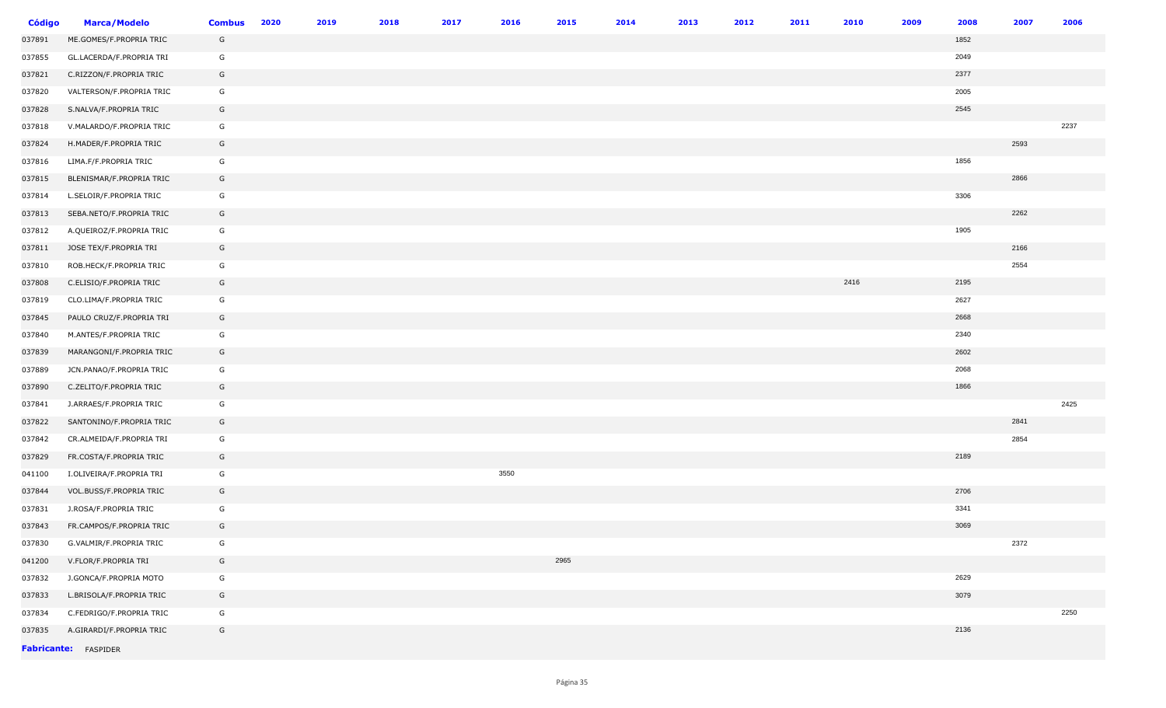| <b>Código</b> | <b>Marca/Modelo</b>      | <b>Combus</b> | 2020 | 2019 | 2018 | 2017 | 2016 | 2015 | 2014 | 2013 | 2012 | 2011 | 2010 | 2009 | 2008 | 2007 | 2006 |
|---------------|--------------------------|---------------|------|------|------|------|------|------|------|------|------|------|------|------|------|------|------|
| 037891        | ME.GOMES/F.PROPRIA TRIC  | G             |      |      |      |      |      |      |      |      |      |      |      |      | 1852 |      |      |
| 037855        | GL.LACERDA/F.PROPRIA TRI | G             |      |      |      |      |      |      |      |      |      |      |      |      | 2049 |      |      |
| 037821        | C.RIZZON/F.PROPRIA TRIC  | G             |      |      |      |      |      |      |      |      |      |      |      |      | 2377 |      |      |
| 037820        | VALTERSON/F.PROPRIA TRIC | G             |      |      |      |      |      |      |      |      |      |      |      |      | 2005 |      |      |
| 037828        | S.NALVA/F.PROPRIA TRIC   | G             |      |      |      |      |      |      |      |      |      |      |      |      | 2545 |      |      |
| 037818        | V.MALARDO/F.PROPRIA TRIC | G             |      |      |      |      |      |      |      |      |      |      |      |      |      |      | 2237 |
| 037824        | H.MADER/F.PROPRIA TRIC   | G             |      |      |      |      |      |      |      |      |      |      |      |      |      | 2593 |      |
| 037816        | LIMA.F/F.PROPRIA TRIC    | G             |      |      |      |      |      |      |      |      |      |      |      |      | 1856 |      |      |
| 037815        | BLENISMAR/F.PROPRIA TRIC | G             |      |      |      |      |      |      |      |      |      |      |      |      |      | 2866 |      |
| 037814        | L.SELOIR/F.PROPRIA TRIC  | G             |      |      |      |      |      |      |      |      |      |      |      |      | 3306 |      |      |
| 037813        | SEBA.NETO/F.PROPRIA TRIC | G             |      |      |      |      |      |      |      |      |      |      |      |      |      | 2262 |      |
| 037812        | A.QUEIROZ/F.PROPRIA TRIC | G             |      |      |      |      |      |      |      |      |      |      |      |      | 1905 |      |      |
| 037811        | JOSE TEX/F.PROPRIA TRI   | G             |      |      |      |      |      |      |      |      |      |      |      |      |      | 2166 |      |
| 037810        | ROB.HECK/F.PROPRIA TRIC  | G             |      |      |      |      |      |      |      |      |      |      |      |      |      | 2554 |      |
| 037808        | C.ELISIO/F.PROPRIA TRIC  | G             |      |      |      |      |      |      |      |      |      |      | 2416 |      | 2195 |      |      |
| 037819        | CLO.LIMA/F.PROPRIA TRIC  | G             |      |      |      |      |      |      |      |      |      |      |      |      | 2627 |      |      |
| 037845        | PAULO CRUZ/F.PROPRIA TRI | G             |      |      |      |      |      |      |      |      |      |      |      |      | 2668 |      |      |
| 037840        | M.ANTES/F.PROPRIA TRIC   | G             |      |      |      |      |      |      |      |      |      |      |      |      | 2340 |      |      |
| 037839        | MARANGONI/F.PROPRIA TRIC | G             |      |      |      |      |      |      |      |      |      |      |      |      | 2602 |      |      |
| 037889        | JCN.PANAO/F.PROPRIA TRIC | G             |      |      |      |      |      |      |      |      |      |      |      |      | 2068 |      |      |
| 037890        | C.ZELITO/F.PROPRIA TRIC  | G             |      |      |      |      |      |      |      |      |      |      |      |      | 1866 |      |      |
| 037841        | J.ARRAES/F.PROPRIA TRIC  | G             |      |      |      |      |      |      |      |      |      |      |      |      |      |      | 2425 |
| 037822        | SANTONINO/F.PROPRIA TRIC | G             |      |      |      |      |      |      |      |      |      |      |      |      |      | 2841 |      |
| 037842        | CR.ALMEIDA/F.PROPRIA TRI | G             |      |      |      |      |      |      |      |      |      |      |      |      |      | 2854 |      |
| 037829        | FR.COSTA/F.PROPRIA TRIC  | G             |      |      |      |      |      |      |      |      |      |      |      |      | 2189 |      |      |
| 041100        | I.OLIVEIRA/F.PROPRIA TRI | G             |      |      |      |      | 3550 |      |      |      |      |      |      |      |      |      |      |
| 037844        | VOL.BUSS/F.PROPRIA TRIC  | G             |      |      |      |      |      |      |      |      |      |      |      |      | 2706 |      |      |
| 037831        | J.ROSA/F.PROPRIA TRIC    | G             |      |      |      |      |      |      |      |      |      |      |      |      | 3341 |      |      |
| 037843        | FR.CAMPOS/F.PROPRIA TRIC | G             |      |      |      |      |      |      |      |      |      |      |      |      | 3069 |      |      |
| 037830        | G.VALMIR/F.PROPRIA TRIC  | G             |      |      |      |      |      |      |      |      |      |      |      |      |      | 2372 |      |
| 041200        | V.FLOR/F.PROPRIA TRI     | G             |      |      |      |      |      | 2965 |      |      |      |      |      |      |      |      |      |
| 037832        | J.GONCA/F.PROPRIA MOTO   | G             |      |      |      |      |      |      |      |      |      |      |      |      | 2629 |      |      |
| 037833        | L.BRISOLA/F.PROPRIA TRIC | G             |      |      |      |      |      |      |      |      |      |      |      |      | 3079 |      |      |
| 037834        | C.FEDRIGO/F.PROPRIA TRIC | G             |      |      |      |      |      |      |      |      |      |      |      |      |      |      | 2250 |
| 037835        | A.GIRARDI/F.PROPRIA TRIC | G             |      |      |      |      |      |      |      |      |      |      |      |      | 2136 |      |      |
|               | Fabricante: FASPIDER     |               |      |      |      |      |      |      |      |      |      |      |      |      |      |      |      |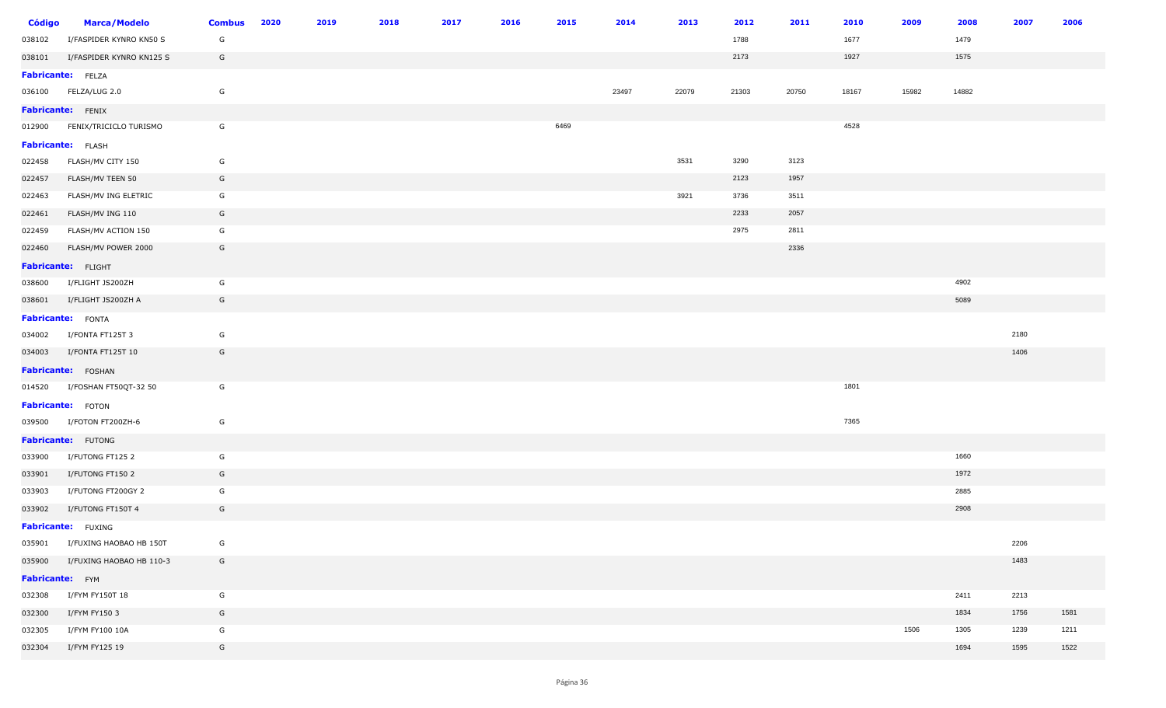| <b>Código</b>            | <b>Marca/Modelo</b>             | <b>Combus</b> | 2020 | 2019 | 2018 | 2017 | 2016 | 2015 | 2014  | 2013  | 2012  | 2011  | 2010  | 2009  | 2008  | 2007 | 2006 |
|--------------------------|---------------------------------|---------------|------|------|------|------|------|------|-------|-------|-------|-------|-------|-------|-------|------|------|
| 038102                   | I/FASPIDER KYNRO KN50 S         | G             |      |      |      |      |      |      |       |       | 1788  |       | 1677  |       | 1479  |      |      |
|                          | 038101 I/FASPIDER KYNRO KN125 S | G             |      |      |      |      |      |      |       |       | 2173  |       | 1927  |       | 1575  |      |      |
| <b>Fabricante:</b> FELZA |                                 |               |      |      |      |      |      |      |       |       |       |       |       |       |       |      |      |
|                          | 036100 FELZA/LUG 2.0            | G             |      |      |      |      |      |      | 23497 | 22079 | 21303 | 20750 | 18167 | 15982 | 14882 |      |      |
| <b>Fabricante:</b> FENIX |                                 |               |      |      |      |      |      |      |       |       |       |       |       |       |       |      |      |
|                          | 012900 FENIX/TRICICLO TURISMO   | G             |      |      |      |      |      | 6469 |       |       |       |       | 4528  |       |       |      |      |
| Fabricante: FLASH        |                                 |               |      |      |      |      |      |      |       |       |       |       |       |       |       |      |      |
| 022458                   | FLASH/MV CITY 150               | G             |      |      |      |      |      |      |       | 3531  | 3290  | 3123  |       |       |       |      |      |
| 022457                   | FLASH/MV TEEN 50                | G             |      |      |      |      |      |      |       |       | 2123  | 1957  |       |       |       |      |      |
| 022463                   | FLASH/MV ING ELETRIC            | G             |      |      |      |      |      |      |       | 3921  | 3736  | 3511  |       |       |       |      |      |
| 022461                   | FLASH/MV ING 110                | G             |      |      |      |      |      |      |       |       | 2233  | 2057  |       |       |       |      |      |
| 022459                   | FLASH/MV ACTION 150             | G             |      |      |      |      |      |      |       |       | 2975  | 2811  |       |       |       |      |      |
| 022460                   | FLASH/MV POWER 2000             | G             |      |      |      |      |      |      |       |       |       | 2336  |       |       |       |      |      |
|                          | Fabricante: FLIGHT              |               |      |      |      |      |      |      |       |       |       |       |       |       |       |      |      |
| 038600                   | I/FLIGHT JS200ZH                | G             |      |      |      |      |      |      |       |       |       |       |       |       | 4902  |      |      |
| 038601                   | I/FLIGHT JS200ZH A              | G             |      |      |      |      |      |      |       |       |       |       |       |       | 5089  |      |      |
| Fabricante: FONTA        |                                 |               |      |      |      |      |      |      |       |       |       |       |       |       |       |      |      |
|                          | 034002 I/FONTA FT125T 3         | G             |      |      |      |      |      |      |       |       |       |       |       |       |       | 2180 |      |
|                          | 034003 I/FONTA FT125T 10        | G             |      |      |      |      |      |      |       |       |       |       |       |       |       | 1406 |      |
|                          | Fabricante: FOSHAN              |               |      |      |      |      |      |      |       |       |       |       |       |       |       |      |      |
|                          | 014520 I/FOSHAN FT50QT-32 50    | G             |      |      |      |      |      |      |       |       |       |       | 1801  |       |       |      |      |
|                          | Fabricante: FOTON               |               |      |      |      |      |      |      |       |       |       |       |       |       |       |      |      |
|                          | 039500 I/FOTON FT200ZH-6        | G             |      |      |      |      |      |      |       |       |       |       | 7365  |       |       |      |      |
|                          | Fabricante: FUTONG              |               |      |      |      |      |      |      |       |       |       |       |       |       |       |      |      |
| 033900                   | I/FUTONG FT125 2                | G             |      |      |      |      |      |      |       |       |       |       |       |       | 1660  |      |      |
| 033901                   | I/FUTONG FT150 2                | G             |      |      |      |      |      |      |       |       |       |       |       |       | 1972  |      |      |
| 033903                   | I/FUTONG FT200GY 2              | G             |      |      |      |      |      |      |       |       |       |       |       |       | 2885  |      |      |
| 033902                   | I/FUTONG FT150T 4               | G             |      |      |      |      |      |      |       |       |       |       |       |       | 2908  |      |      |
|                          | Fabricante: FUXING              |               |      |      |      |      |      |      |       |       |       |       |       |       |       |      |      |
| 035901                   | I/FUXING HAOBAO HB 150T         | G             |      |      |      |      |      |      |       |       |       |       |       |       |       | 2206 |      |
| 035900                   | I/FUXING HAOBAO HB 110-3        | G             |      |      |      |      |      |      |       |       |       |       |       |       |       | 1483 |      |
| Fabricante: FYM          |                                 |               |      |      |      |      |      |      |       |       |       |       |       |       |       |      |      |
| 032308                   | I/FYM FY150T 18                 | G             |      |      |      |      |      |      |       |       |       |       |       |       | 2411  | 2213 |      |
| 032300                   | I/FYM FY150 3                   | G             |      |      |      |      |      |      |       |       |       |       |       |       | 1834  | 1756 | 1581 |
| 032305                   | I/FYM FY100 10A                 | G             |      |      |      |      |      |      |       |       |       |       |       | 1506  | 1305  | 1239 | 1211 |
| 032304                   | I/FYM FY125 19                  | G             |      |      |      |      |      |      |       |       |       |       |       |       | 1694  | 1595 | 1522 |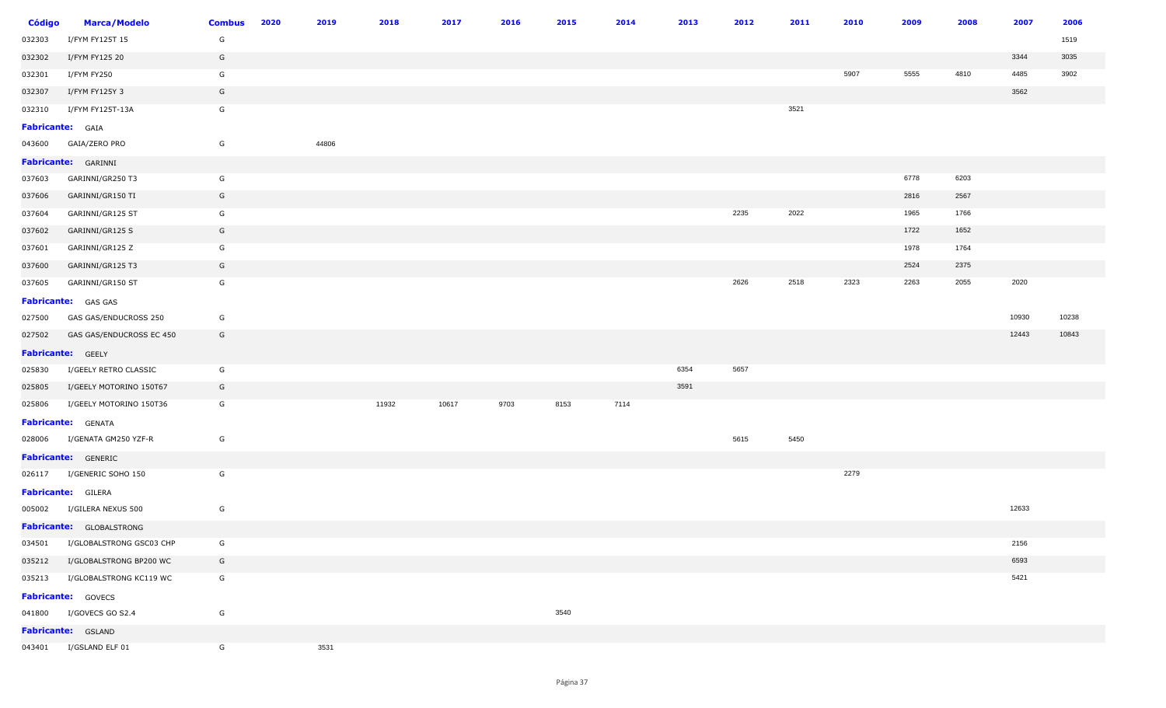| Código                  | <b>Marca/Modelo</b>        | <b>Combus</b> | 2020 | 2019  | 2018  | 2017  | 2016 | 2015 | 2014 | 2013 | 2012 | 2011 | 2010 | 2009 | 2008 | 2007  | 2006  |
|-------------------------|----------------------------|---------------|------|-------|-------|-------|------|------|------|------|------|------|------|------|------|-------|-------|
| 032303                  | I/FYM FY125T 15            | G             |      |       |       |       |      |      |      |      |      |      |      |      |      |       | 1519  |
| 032302                  | I/FYM FY125 20             | G             |      |       |       |       |      |      |      |      |      |      |      |      |      | 3344  | 3035  |
| 032301                  | I/FYM FY250                | G             |      |       |       |       |      |      |      |      |      |      | 5907 | 5555 | 4810 | 4485  | 3902  |
| 032307                  | I/FYM FY125Y 3             | G             |      |       |       |       |      |      |      |      |      |      |      |      |      | 3562  |       |
| 032310                  | I/FYM FY125T-13A           | G             |      |       |       |       |      |      |      |      |      | 3521 |      |      |      |       |       |
| <b>Fabricante:</b> GAIA |                            |               |      |       |       |       |      |      |      |      |      |      |      |      |      |       |       |
| 043600                  | GAIA/ZERO PRO              | G             |      | 44806 |       |       |      |      |      |      |      |      |      |      |      |       |       |
|                         | Fabricante: GARINNI        |               |      |       |       |       |      |      |      |      |      |      |      |      |      |       |       |
| 037603                  | GARINNI/GR250 T3           | G             |      |       |       |       |      |      |      |      |      |      |      | 6778 | 6203 |       |       |
| 037606                  | GARINNI/GR150 TI           | G             |      |       |       |       |      |      |      |      |      |      |      | 2816 | 2567 |       |       |
| 037604                  | GARINNI/GR125 ST           | G             |      |       |       |       |      |      |      |      | 2235 | 2022 |      | 1965 | 1766 |       |       |
| 037602                  | GARINNI/GR125 S            | G             |      |       |       |       |      |      |      |      |      |      |      | 1722 | 1652 |       |       |
| 037601                  | GARINNI/GR125 Z            | G             |      |       |       |       |      |      |      |      |      |      |      | 1978 | 1764 |       |       |
| 037600                  | GARINNI/GR125 T3           | G             |      |       |       |       |      |      |      |      |      |      |      | 2524 | 2375 |       |       |
| 037605                  | GARINNI/GR150 ST           | G             |      |       |       |       |      |      |      |      | 2626 | 2518 | 2323 | 2263 | 2055 | 2020  |       |
|                         | <b>Fabricante:</b> GAS GAS |               |      |       |       |       |      |      |      |      |      |      |      |      |      |       |       |
| 027500                  | GAS GAS/ENDUCROSS 250      | G             |      |       |       |       |      |      |      |      |      |      |      |      |      | 10930 | 10238 |
| 027502                  | GAS GAS/ENDUCROSS EC 450   | G             |      |       |       |       |      |      |      |      |      |      |      |      |      | 12443 | 10843 |
|                         | Fabricante: GEELY          |               |      |       |       |       |      |      |      |      |      |      |      |      |      |       |       |
| 025830                  | I/GEELY RETRO CLASSIC      | G             |      |       |       |       |      |      |      | 6354 | 5657 |      |      |      |      |       |       |
| 025805                  | I/GEELY MOTORINO 150T67    | G             |      |       |       |       |      |      |      | 3591 |      |      |      |      |      |       |       |
| 025806                  | I/GEELY MOTORINO 150T36    | G             |      |       | 11932 | 10617 | 9703 | 8153 | 7114 |      |      |      |      |      |      |       |       |
|                         | <b>Fabricante:</b> GENATA  |               |      |       |       |       |      |      |      |      |      |      |      |      |      |       |       |
| 028006                  | I/GENATA GM250 YZF-R       | G             |      |       |       |       |      |      |      |      | 5615 | 5450 |      |      |      |       |       |
|                         | <b>Fabricante:</b> GENERIC |               |      |       |       |       |      |      |      |      |      |      |      |      |      |       |       |
|                         | 026117 I/GENERIC SOHO 150  | G             |      |       |       |       |      |      |      |      |      |      | 2279 |      |      |       |       |
|                         | <b>Fabricante:</b> GILERA  |               |      |       |       |       |      |      |      |      |      |      |      |      |      |       |       |
| 005002                  | I/GILERA NEXUS 500         | G             |      |       |       |       |      |      |      |      |      |      |      |      |      | 12633 |       |
|                         | Fabricante: GLOBALSTRONG   |               |      |       |       |       |      |      |      |      |      |      |      |      |      |       |       |
| 034501                  | I/GLOBALSTRONG GSC03 CHP   | G             |      |       |       |       |      |      |      |      |      |      |      |      |      | 2156  |       |
| 035212                  | I/GLOBALSTRONG BP200 WC    | G             |      |       |       |       |      |      |      |      |      |      |      |      |      | 6593  |       |
| 035213                  | I/GLOBALSTRONG KC119 WC    | G             |      |       |       |       |      |      |      |      |      |      |      |      |      | 5421  |       |
|                         | Fabricante: GOVECS         |               |      |       |       |       |      |      |      |      |      |      |      |      |      |       |       |
| 041800                  | I/GOVECS GO S2.4           | G             |      |       |       |       |      | 3540 |      |      |      |      |      |      |      |       |       |
|                         | Fabricante: GSLAND         |               |      |       |       |       |      |      |      |      |      |      |      |      |      |       |       |
| 043401                  | I/GSLAND ELF 01            | G             |      | 3531  |       |       |      |      |      |      |      |      |      |      |      |       |       |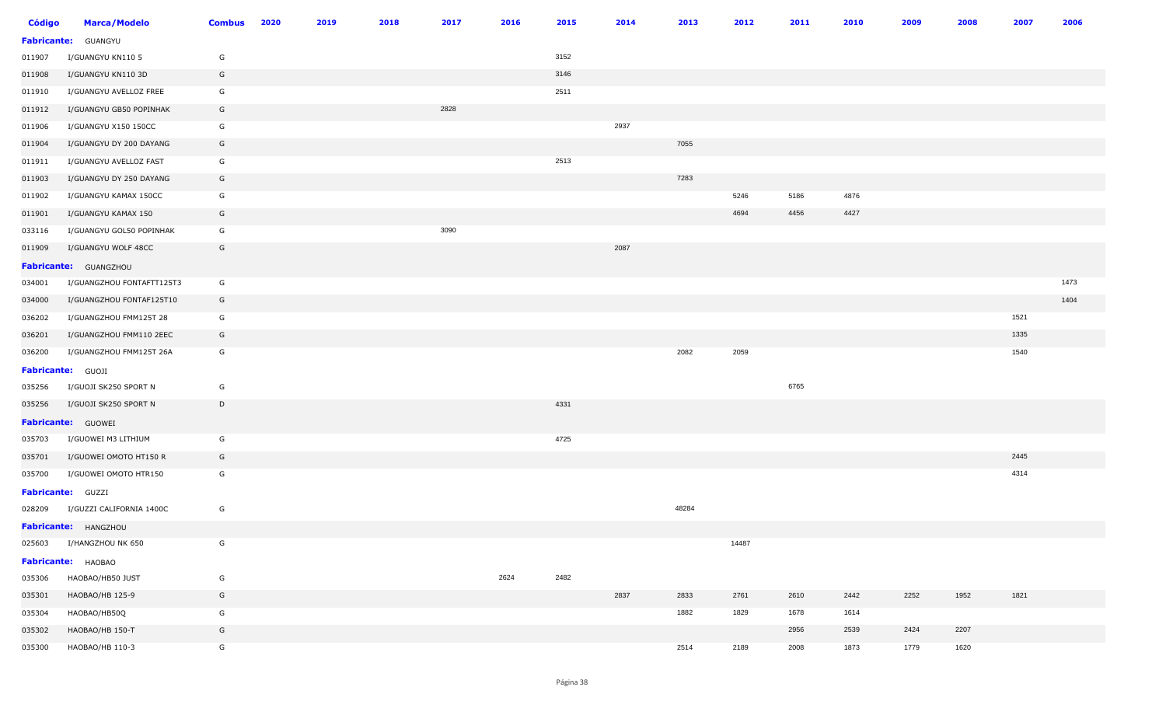| <b>Código</b> | <b>Marca/Modelo</b>       | <b>Combus</b> | 2020 | 2019 | 2018 | 2017 | 2016 | 2015 | 2014 | 2013  | 2012  | 2011 | 2010 | 2009 | 2008 | 2007 | 2006 |
|---------------|---------------------------|---------------|------|------|------|------|------|------|------|-------|-------|------|------|------|------|------|------|
|               | Fabricante: GUANGYU       |               |      |      |      |      |      |      |      |       |       |      |      |      |      |      |      |
| 011907        | I/GUANGYU KN110 5         | G             |      |      |      |      |      | 3152 |      |       |       |      |      |      |      |      |      |
| 011908        | I/GUANGYU KN110 3D        | G             |      |      |      |      |      | 3146 |      |       |       |      |      |      |      |      |      |
| 011910        | I/GUANGYU AVELLOZ FREE    | G             |      |      |      |      |      | 2511 |      |       |       |      |      |      |      |      |      |
| 011912        | I/GUANGYU GB50 POPINHAK   | G             |      |      |      | 2828 |      |      |      |       |       |      |      |      |      |      |      |
| 011906        | I/GUANGYU X150 150CC      | G             |      |      |      |      |      |      | 2937 |       |       |      |      |      |      |      |      |
| 011904        | I/GUANGYU DY 200 DAYANG   | G             |      |      |      |      |      |      |      | 7055  |       |      |      |      |      |      |      |
| 011911        | I/GUANGYU AVELLOZ FAST    | G             |      |      |      |      |      | 2513 |      |       |       |      |      |      |      |      |      |
| 011903        | I/GUANGYU DY 250 DAYANG   | G             |      |      |      |      |      |      |      | 7283  |       |      |      |      |      |      |      |
| 011902        | I/GUANGYU KAMAX 150CC     | G             |      |      |      |      |      |      |      |       | 5246  | 5186 | 4876 |      |      |      |      |
| 011901        | I/GUANGYU KAMAX 150       | G             |      |      |      |      |      |      |      |       | 4694  | 4456 | 4427 |      |      |      |      |
| 033116        | I/GUANGYU GOL50 POPINHAK  | G             |      |      |      | 3090 |      |      |      |       |       |      |      |      |      |      |      |
| 011909        | I/GUANGYU WOLF 48CC       | G             |      |      |      |      |      |      | 2087 |       |       |      |      |      |      |      |      |
|               | Fabricante: GUANGZHOU     |               |      |      |      |      |      |      |      |       |       |      |      |      |      |      |      |
| 034001        | I/GUANGZHOU FONTAFTT125T3 | G             |      |      |      |      |      |      |      |       |       |      |      |      |      |      | 1473 |
| 034000        | I/GUANGZHOU FONTAF125T10  | G             |      |      |      |      |      |      |      |       |       |      |      |      |      |      | 1404 |
| 036202        | I/GUANGZHOU FMM125T 28    | G             |      |      |      |      |      |      |      |       |       |      |      |      |      | 1521 |      |
| 036201        | I/GUANGZHOU FMM110 2EEC   | G             |      |      |      |      |      |      |      |       |       |      |      |      |      | 1335 |      |
| 036200        | I/GUANGZHOU FMM125T 26A   | G             |      |      |      |      |      |      |      | 2082  | 2059  |      |      |      |      | 1540 |      |
|               | Fabricante: GUOJI         |               |      |      |      |      |      |      |      |       |       |      |      |      |      |      |      |
| 035256        | I/GUOJI SK250 SPORT N     | G             |      |      |      |      |      |      |      |       |       | 6765 |      |      |      |      |      |
| 035256        | I/GUOJI SK250 SPORT N     | D             |      |      |      |      |      | 4331 |      |       |       |      |      |      |      |      |      |
|               | Fabricante: GUOWEI        |               |      |      |      |      |      |      |      |       |       |      |      |      |      |      |      |
| 035703        | I/GUOWEI M3 LITHIUM       | G             |      |      |      |      |      | 4725 |      |       |       |      |      |      |      |      |      |
| 035701        | I/GUOWEI OMOTO HT150 R    | G             |      |      |      |      |      |      |      |       |       |      |      |      |      | 2445 |      |
| 035700        | I/GUOWEI OMOTO HTR150     | G             |      |      |      |      |      |      |      |       |       |      |      |      |      | 4314 |      |
|               | Fabricante: GUZZI         |               |      |      |      |      |      |      |      |       |       |      |      |      |      |      |      |
| 028209        | I/GUZZI CALIFORNIA 1400C  | G             |      |      |      |      |      |      |      | 48284 |       |      |      |      |      |      |      |
|               | Fabricante: HANGZHOU      |               |      |      |      |      |      |      |      |       |       |      |      |      |      |      |      |
| 025603        | I/HANGZHOU NK 650         | G             |      |      |      |      |      |      |      |       | 14487 |      |      |      |      |      |      |
|               | Fabricante: HAOBAO        |               |      |      |      |      |      |      |      |       |       |      |      |      |      |      |      |
| 035306        | HAOBAO/HB50 JUST          | G             |      |      |      |      | 2624 | 2482 |      |       |       |      |      |      |      |      |      |
| 035301        | HAOBAO/HB 125-9           | G             |      |      |      |      |      |      | 2837 | 2833  | 2761  | 2610 | 2442 | 2252 | 1952 | 1821 |      |
| 035304        | HAOBAO/HB50Q              | G             |      |      |      |      |      |      |      | 1882  | 1829  | 1678 | 1614 |      |      |      |      |
| 035302        | HAOBAO/HB 150-T           | G             |      |      |      |      |      |      |      |       |       | 2956 | 2539 | 2424 | 2207 |      |      |
| 035300        | HAOBAO/HB 110-3           | G             |      |      |      |      |      |      |      | 2514  | 2189  | 2008 | 1873 | 1779 | 1620 |      |      |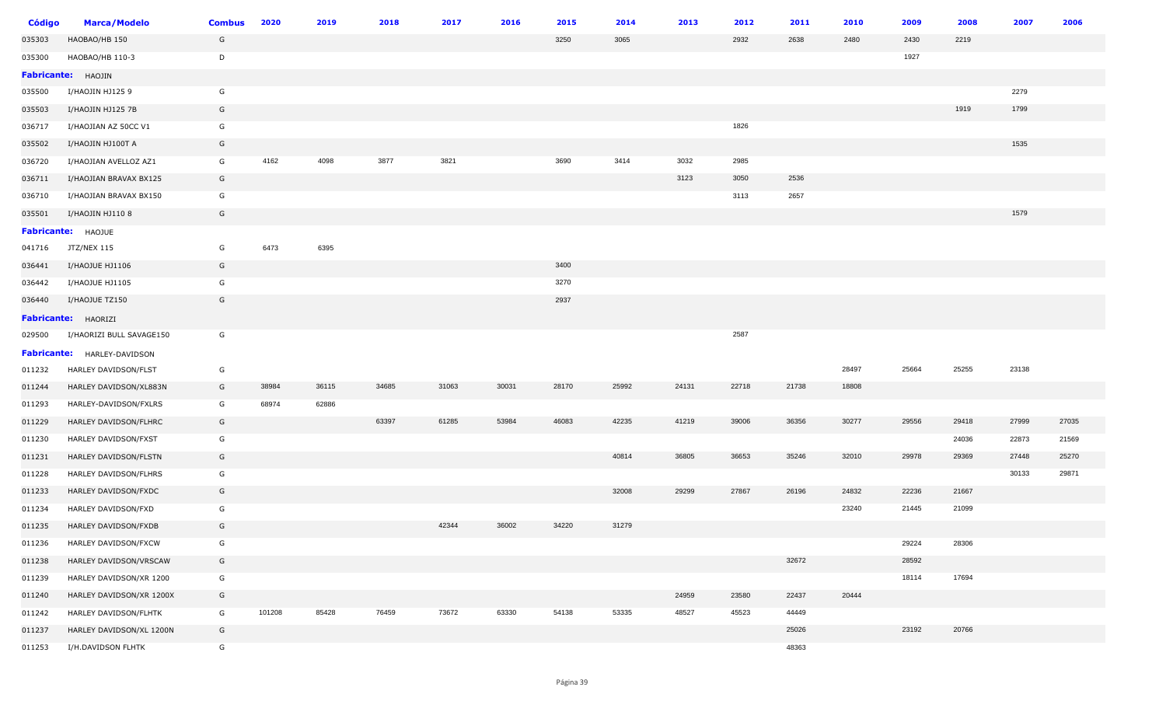| Código | <b>Marca/Modelo</b>         | <b>Combus</b> | 2020   | 2019  | 2018  | 2017  | 2016  | 2015  | 2014  | 2013  | 2012  | 2011  | 2010  | 2009  | 2008  | 2007  | 2006  |
|--------|-----------------------------|---------------|--------|-------|-------|-------|-------|-------|-------|-------|-------|-------|-------|-------|-------|-------|-------|
| 035303 | HAOBAO/HB 150               | G             |        |       |       |       |       | 3250  | 3065  |       | 2932  | 2638  | 2480  | 2430  | 2219  |       |       |
| 035300 | HAOBAO/HB 110-3             | D             |        |       |       |       |       |       |       |       |       |       |       | 1927  |       |       |       |
|        | Fabricante: HAOJIN          |               |        |       |       |       |       |       |       |       |       |       |       |       |       |       |       |
| 035500 | I/HAOJIN HJ125 9            | G             |        |       |       |       |       |       |       |       |       |       |       |       |       | 2279  |       |
| 035503 | I/HAOJIN HJ125 7B           | G             |        |       |       |       |       |       |       |       |       |       |       |       | 1919  | 1799  |       |
| 036717 | I/HAOJIAN AZ 50CC V1        | G             |        |       |       |       |       |       |       |       | 1826  |       |       |       |       |       |       |
| 035502 | I/HAOJIN HJ100T A           | G             |        |       |       |       |       |       |       |       |       |       |       |       |       | 1535  |       |
| 036720 | I/HAOJIAN AVELLOZ AZ1       | G             | 4162   | 4098  | 3877  | 3821  |       | 3690  | 3414  | 3032  | 2985  |       |       |       |       |       |       |
| 036711 | I/HAOJIAN BRAVAX BX125      | G             |        |       |       |       |       |       |       | 3123  | 3050  | 2536  |       |       |       |       |       |
| 036710 | I/HAOJIAN BRAVAX BX150      | G             |        |       |       |       |       |       |       |       | 3113  | 2657  |       |       |       |       |       |
| 035501 | I/HAOJIN HJ110 8            | G             |        |       |       |       |       |       |       |       |       |       |       |       |       | 1579  |       |
|        | Fabricante: HAOJUE          |               |        |       |       |       |       |       |       |       |       |       |       |       |       |       |       |
| 041716 | JTZ/NEX 115                 | G             | 6473   | 6395  |       |       |       |       |       |       |       |       |       |       |       |       |       |
| 036441 | I/HAOJUE HJ1106             | G             |        |       |       |       |       | 3400  |       |       |       |       |       |       |       |       |       |
| 036442 | I/HAOJUE HJ1105             | G             |        |       |       |       |       | 3270  |       |       |       |       |       |       |       |       |       |
| 036440 | I/HAOJUE TZ150              | G             |        |       |       |       |       | 2937  |       |       |       |       |       |       |       |       |       |
|        | <b>Fabricante:</b> HAORIZI  |               |        |       |       |       |       |       |       |       |       |       |       |       |       |       |       |
| 029500 | I/HAORIZI BULL SAVAGE150    | G             |        |       |       |       |       |       |       |       | 2587  |       |       |       |       |       |       |
|        | Fabricante: HARLEY-DAVIDSON |               |        |       |       |       |       |       |       |       |       |       |       |       |       |       |       |
| 011232 | HARLEY DAVIDSON/FLST        | G             |        |       |       |       |       |       |       |       |       |       | 28497 | 25664 | 25255 | 23138 |       |
| 011244 | HARLEY DAVIDSON/XL883N      | G             | 38984  | 36115 | 34685 | 31063 | 30031 | 28170 | 25992 | 24131 | 22718 | 21738 | 18808 |       |       |       |       |
| 011293 | HARLEY-DAVIDSON/FXLRS       | G             | 68974  | 62886 |       |       |       |       |       |       |       |       |       |       |       |       |       |
| 011229 | HARLEY DAVIDSON/FLHRC       | G             |        |       | 63397 | 61285 | 53984 | 46083 | 42235 | 41219 | 39006 | 36356 | 30277 | 29556 | 29418 | 27999 | 27035 |
| 011230 | HARLEY DAVIDSON/FXST        | G             |        |       |       |       |       |       |       |       |       |       |       |       | 24036 | 22873 | 21569 |
| 011231 | HARLEY DAVIDSON/FLSTN       | G             |        |       |       |       |       |       | 40814 | 36805 | 36653 | 35246 | 32010 | 29978 | 29369 | 27448 | 25270 |
| 011228 | HARLEY DAVIDSON/FLHRS       | G             |        |       |       |       |       |       |       |       |       |       |       |       |       | 30133 | 29871 |
| 011233 | HARLEY DAVIDSON/FXDC        | G             |        |       |       |       |       |       | 32008 | 29299 | 27867 | 26196 | 24832 | 22236 | 21667 |       |       |
| 011234 | HARLEY DAVIDSON/FXD         | G             |        |       |       |       |       |       |       |       |       |       | 23240 | 21445 | 21099 |       |       |
| 011235 | HARLEY DAVIDSON/FXDB        | G             |        |       |       | 42344 | 36002 | 34220 | 31279 |       |       |       |       |       |       |       |       |
| 011236 | HARLEY DAVIDSON/FXCW        | G             |        |       |       |       |       |       |       |       |       |       |       | 29224 | 28306 |       |       |
| 011238 | HARLEY DAVIDSON/VRSCAW      | G             |        |       |       |       |       |       |       |       |       | 32672 |       | 28592 |       |       |       |
| 011239 | HARLEY DAVIDSON/XR 1200     | G             |        |       |       |       |       |       |       |       |       |       |       | 18114 | 17694 |       |       |
| 011240 | HARLEY DAVIDSON/XR 1200X    | G             |        |       |       |       |       |       |       | 24959 | 23580 | 22437 | 20444 |       |       |       |       |
| 011242 | HARLEY DAVIDSON/FLHTK       | G             | 101208 | 85428 | 76459 | 73672 | 63330 | 54138 | 53335 | 48527 | 45523 | 44449 |       |       |       |       |       |
| 011237 | HARLEY DAVIDSON/XL 1200N    | G             |        |       |       |       |       |       |       |       |       | 25026 |       | 23192 | 20766 |       |       |
| 011253 | I/H.DAVIDSON FLHTK          | G             |        |       |       |       |       |       |       |       |       | 48363 |       |       |       |       |       |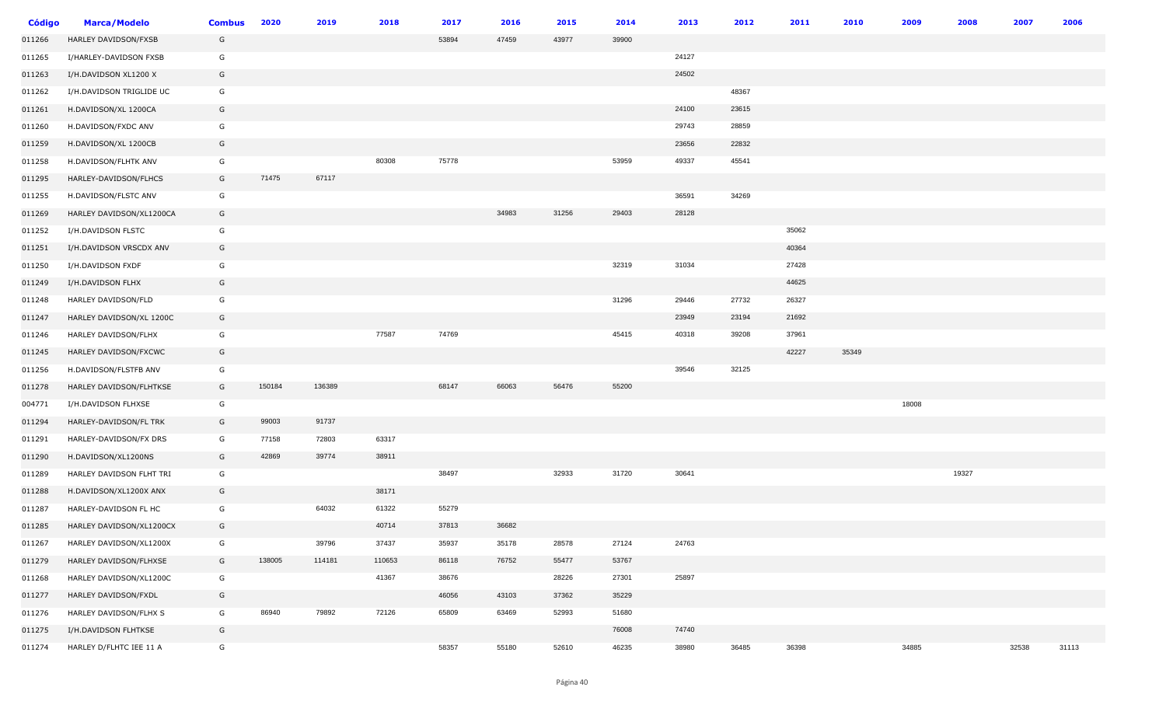| <b>Código</b> | <b>Marca/Modelo</b>      | <b>Combus</b> | 2020   | 2019   | 2018   | 2017  | 2016  | 2015  | 2014  | 2013  | 2012  | 2011  | 2010  | 2009  | 2008  | 2007  | 2006  |
|---------------|--------------------------|---------------|--------|--------|--------|-------|-------|-------|-------|-------|-------|-------|-------|-------|-------|-------|-------|
| 011266        | HARLEY DAVIDSON/FXSB     | G             |        |        |        | 53894 | 47459 | 43977 | 39900 |       |       |       |       |       |       |       |       |
| 011265        | I/HARLEY-DAVIDSON FXSB   | G             |        |        |        |       |       |       |       | 24127 |       |       |       |       |       |       |       |
| 011263        | I/H.DAVIDSON XL1200 X    | G             |        |        |        |       |       |       |       | 24502 |       |       |       |       |       |       |       |
| 011262        | I/H.DAVIDSON TRIGLIDE UC | G             |        |        |        |       |       |       |       |       | 48367 |       |       |       |       |       |       |
| 011261        | H.DAVIDSON/XL 1200CA     | G             |        |        |        |       |       |       |       | 24100 | 23615 |       |       |       |       |       |       |
| 011260        | H.DAVIDSON/FXDC ANV      | G             |        |        |        |       |       |       |       | 29743 | 28859 |       |       |       |       |       |       |
| 011259        | H.DAVIDSON/XL 1200CB     | G             |        |        |        |       |       |       |       | 23656 | 22832 |       |       |       |       |       |       |
| 011258        | H.DAVIDSON/FLHTK ANV     | G             |        |        | 80308  | 75778 |       |       | 53959 | 49337 | 45541 |       |       |       |       |       |       |
| 011295        | HARLEY-DAVIDSON/FLHCS    | G             | 71475  | 67117  |        |       |       |       |       |       |       |       |       |       |       |       |       |
| 011255        | H.DAVIDSON/FLSTC ANV     | G             |        |        |        |       |       |       |       | 36591 | 34269 |       |       |       |       |       |       |
| 011269        | HARLEY DAVIDSON/XL1200CA | G             |        |        |        |       | 34983 | 31256 | 29403 | 28128 |       |       |       |       |       |       |       |
| 011252        | I/H.DAVIDSON FLSTC       | G             |        |        |        |       |       |       |       |       |       | 35062 |       |       |       |       |       |
| 011251        | I/H.DAVIDSON VRSCDX ANV  | G             |        |        |        |       |       |       |       |       |       | 40364 |       |       |       |       |       |
| 011250        | I/H.DAVIDSON FXDF        | G             |        |        |        |       |       |       | 32319 | 31034 |       | 27428 |       |       |       |       |       |
| 011249        | I/H.DAVIDSON FLHX        | G             |        |        |        |       |       |       |       |       |       | 44625 |       |       |       |       |       |
| 011248        | HARLEY DAVIDSON/FLD      | G             |        |        |        |       |       |       | 31296 | 29446 | 27732 | 26327 |       |       |       |       |       |
| 011247        | HARLEY DAVIDSON/XL 1200C | G             |        |        |        |       |       |       |       | 23949 | 23194 | 21692 |       |       |       |       |       |
| 011246        | HARLEY DAVIDSON/FLHX     | G             |        |        | 77587  | 74769 |       |       | 45415 | 40318 | 39208 | 37961 |       |       |       |       |       |
| 011245        | HARLEY DAVIDSON/FXCWC    | G             |        |        |        |       |       |       |       |       |       | 42227 | 35349 |       |       |       |       |
| 011256        | H.DAVIDSON/FLSTFB ANV    | G             |        |        |        |       |       |       |       | 39546 | 32125 |       |       |       |       |       |       |
| 011278        | HARLEY DAVIDSON/FLHTKSE  | G             | 150184 | 136389 |        | 68147 | 66063 | 56476 | 55200 |       |       |       |       |       |       |       |       |
| 004771        | I/H.DAVIDSON FLHXSE      | G             |        |        |        |       |       |       |       |       |       |       |       | 18008 |       |       |       |
| 011294        | HARLEY-DAVIDSON/FL TRK   | G             | 99003  | 91737  |        |       |       |       |       |       |       |       |       |       |       |       |       |
| 011291        | HARLEY-DAVIDSON/FX DRS   | G             | 77158  | 72803  | 63317  |       |       |       |       |       |       |       |       |       |       |       |       |
| 011290        | H.DAVIDSON/XL1200NS      | G             | 42869  | 39774  | 38911  |       |       |       |       |       |       |       |       |       |       |       |       |
| 011289        | HARLEY DAVIDSON FLHT TRI | G             |        |        |        | 38497 |       | 32933 | 31720 | 30641 |       |       |       |       | 19327 |       |       |
| 011288        | H.DAVIDSON/XL1200X ANX   | G             |        |        | 38171  |       |       |       |       |       |       |       |       |       |       |       |       |
| 011287        | HARLEY-DAVIDSON FL HC    | G             |        | 64032  | 61322  | 55279 |       |       |       |       |       |       |       |       |       |       |       |
| 011285        | HARLEY DAVIDSON/XL1200CX | G             |        |        | 40714  | 37813 | 36682 |       |       |       |       |       |       |       |       |       |       |
| 011267        | HARLEY DAVIDSON/XL1200X  | G             |        | 39796  | 37437  | 35937 | 35178 | 28578 | 27124 | 24763 |       |       |       |       |       |       |       |
| 011279        | HARLEY DAVIDSON/FLHXSE   | G             | 138005 | 114181 | 110653 | 86118 | 76752 | 55477 | 53767 |       |       |       |       |       |       |       |       |
| 011268        | HARLEY DAVIDSON/XL1200C  | G             |        |        | 41367  | 38676 |       | 28226 | 27301 | 25897 |       |       |       |       |       |       |       |
| 011277        | HARLEY DAVIDSON/FXDL     | G             |        |        |        | 46056 | 43103 | 37362 | 35229 |       |       |       |       |       |       |       |       |
| 011276        | HARLEY DAVIDSON/FLHX S   | G             | 86940  | 79892  | 72126  | 65809 | 63469 | 52993 | 51680 |       |       |       |       |       |       |       |       |
| 011275        | I/H.DAVIDSON FLHTKSE     | G             |        |        |        |       |       |       | 76008 | 74740 |       |       |       |       |       |       |       |
| 011274        | HARLEY D/FLHTC IEE 11 A  | G             |        |        |        | 58357 | 55180 | 52610 | 46235 | 38980 | 36485 | 36398 |       | 34885 |       | 32538 | 31113 |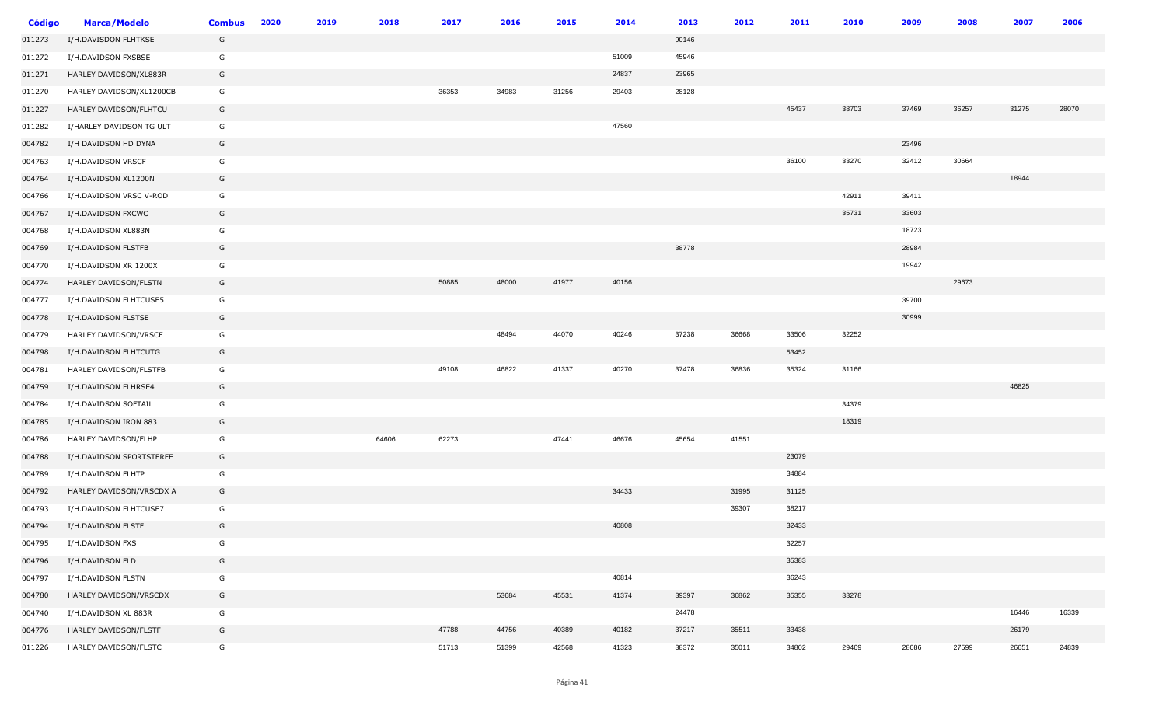| <b>Código</b> | <b>Marca/Modelo</b>      | <b>Combus</b> | 2020 | 2019 | 2018  | 2017  | 2016  | 2015  | 2014  | 2013  | 2012  | 2011  | 2010  | 2009  | 2008  | 2007  | 2006  |
|---------------|--------------------------|---------------|------|------|-------|-------|-------|-------|-------|-------|-------|-------|-------|-------|-------|-------|-------|
| 011273        | I/H.DAVISDON FLHTKSE     | G             |      |      |       |       |       |       |       | 90146 |       |       |       |       |       |       |       |
| 011272        | I/H.DAVIDSON FXSBSE      | G             |      |      |       |       |       |       | 51009 | 45946 |       |       |       |       |       |       |       |
| 011271        | HARLEY DAVIDSON/XL883R   | G             |      |      |       |       |       |       | 24837 | 23965 |       |       |       |       |       |       |       |
| 011270        | HARLEY DAVIDSON/XL1200CB | G             |      |      |       | 36353 | 34983 | 31256 | 29403 | 28128 |       |       |       |       |       |       |       |
| 011227        | HARLEY DAVIDSON/FLHTCU   | G             |      |      |       |       |       |       |       |       |       | 45437 | 38703 | 37469 | 36257 | 31275 | 28070 |
| 011282        | I/HARLEY DAVIDSON TG ULT | G             |      |      |       |       |       |       | 47560 |       |       |       |       |       |       |       |       |
| 004782        | I/H DAVIDSON HD DYNA     | G             |      |      |       |       |       |       |       |       |       |       |       | 23496 |       |       |       |
| 004763        | I/H.DAVIDSON VRSCF       | G             |      |      |       |       |       |       |       |       |       | 36100 | 33270 | 32412 | 30664 |       |       |
| 004764        | I/H.DAVIDSON XL1200N     | G             |      |      |       |       |       |       |       |       |       |       |       |       |       | 18944 |       |
| 004766        | I/H.DAVIDSON VRSC V-ROD  | G             |      |      |       |       |       |       |       |       |       |       | 42911 | 39411 |       |       |       |
| 004767        | I/H.DAVIDSON FXCWC       | G             |      |      |       |       |       |       |       |       |       |       | 35731 | 33603 |       |       |       |
| 004768        | I/H.DAVIDSON XL883N      | G             |      |      |       |       |       |       |       |       |       |       |       | 18723 |       |       |       |
| 004769        | I/H.DAVIDSON FLSTFB      | G             |      |      |       |       |       |       |       | 38778 |       |       |       | 28984 |       |       |       |
| 004770        | I/H.DAVIDSON XR 1200X    | G             |      |      |       |       |       |       |       |       |       |       |       | 19942 |       |       |       |
| 004774        | HARLEY DAVIDSON/FLSTN    | G             |      |      |       | 50885 | 48000 | 41977 | 40156 |       |       |       |       |       | 29673 |       |       |
| 004777        | I/H.DAVIDSON FLHTCUSE5   | G             |      |      |       |       |       |       |       |       |       |       |       | 39700 |       |       |       |
| 004778        | I/H.DAVIDSON FLSTSE      | G             |      |      |       |       |       |       |       |       |       |       |       | 30999 |       |       |       |
| 004779        | HARLEY DAVIDSON/VRSCF    | G             |      |      |       |       | 48494 | 44070 | 40246 | 37238 | 36668 | 33506 | 32252 |       |       |       |       |
| 004798        | I/H.DAVIDSON FLHTCUTG    | G             |      |      |       |       |       |       |       |       |       | 53452 |       |       |       |       |       |
| 004781        | HARLEY DAVIDSON/FLSTFB   | G             |      |      |       | 49108 | 46822 | 41337 | 40270 | 37478 | 36836 | 35324 | 31166 |       |       |       |       |
| 004759        | I/H.DAVIDSON FLHRSE4     | G             |      |      |       |       |       |       |       |       |       |       |       |       |       | 46825 |       |
| 004784        | I/H.DAVIDSON SOFTAIL     | G             |      |      |       |       |       |       |       |       |       |       | 34379 |       |       |       |       |
| 004785        | I/H.DAVIDSON IRON 883    | G             |      |      |       |       |       |       |       |       |       |       | 18319 |       |       |       |       |
| 004786        | HARLEY DAVIDSON/FLHP     | G             |      |      | 64606 | 62273 |       | 47441 | 46676 | 45654 | 41551 |       |       |       |       |       |       |
| 004788        | I/H.DAVIDSON SPORTSTERFE | G             |      |      |       |       |       |       |       |       |       | 23079 |       |       |       |       |       |
| 004789        | I/H.DAVIDSON FLHTP       | G             |      |      |       |       |       |       |       |       |       | 34884 |       |       |       |       |       |
| 004792        | HARLEY DAVIDSON/VRSCDX A | G             |      |      |       |       |       |       | 34433 |       | 31995 | 31125 |       |       |       |       |       |
| 004793        | I/H.DAVIDSON FLHTCUSE7   | G             |      |      |       |       |       |       |       |       | 39307 | 38217 |       |       |       |       |       |
| 004794        | I/H.DAVIDSON FLSTF       | G             |      |      |       |       |       |       | 40808 |       |       | 32433 |       |       |       |       |       |
| 004795        | I/H.DAVIDSON FXS         | G             |      |      |       |       |       |       |       |       |       | 32257 |       |       |       |       |       |
| 004796        | I/H.DAVIDSON FLD         | G             |      |      |       |       |       |       |       |       |       | 35383 |       |       |       |       |       |
| 004797        | I/H.DAVIDSON FLSTN       | G             |      |      |       |       |       |       | 40814 |       |       | 36243 |       |       |       |       |       |
| 004780        | HARLEY DAVIDSON/VRSCDX   | G             |      |      |       |       | 53684 | 45531 | 41374 | 39397 | 36862 | 35355 | 33278 |       |       |       |       |
| 004740        | I/H.DAVIDSON XL 883R     | G             |      |      |       |       |       |       |       | 24478 |       |       |       |       |       | 16446 | 16339 |
| 004776        | HARLEY DAVIDSON/FLSTF    | G             |      |      |       | 47788 | 44756 | 40389 | 40182 | 37217 | 35511 | 33438 |       |       |       | 26179 |       |
| 011226        | HARLEY DAVIDSON/FLSTC    | G             |      |      |       | 51713 | 51399 | 42568 | 41323 | 38372 | 35011 | 34802 | 29469 | 28086 | 27599 | 26651 | 24839 |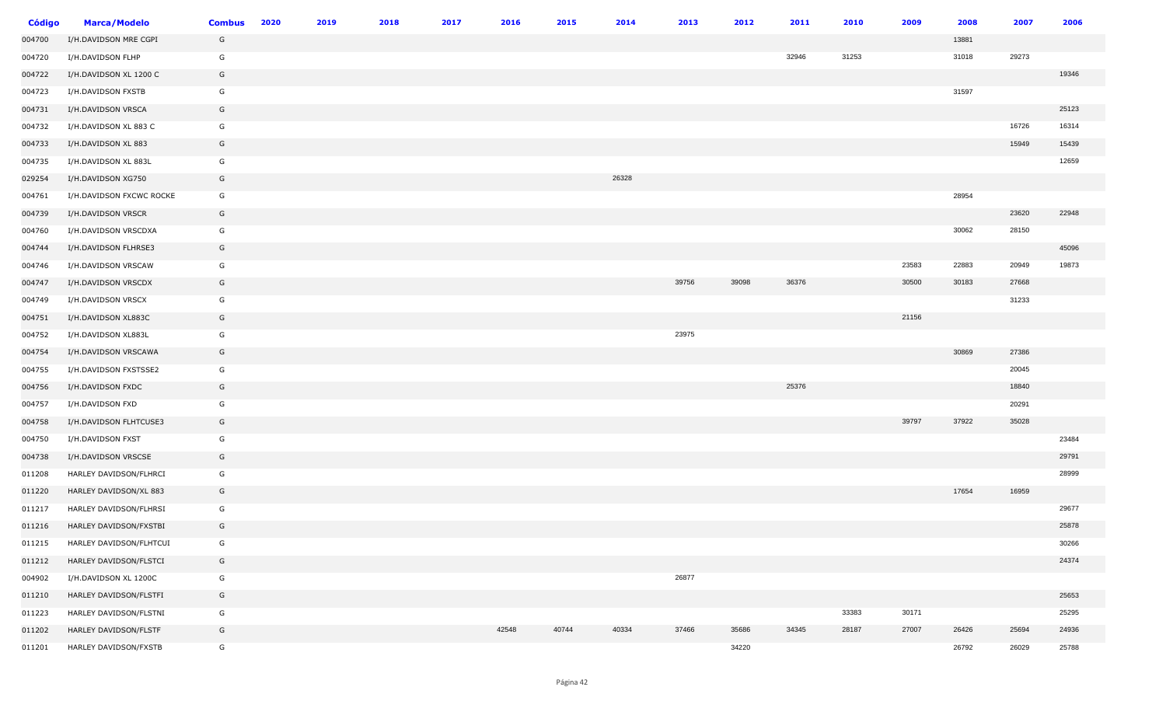| <b>Código</b> | <b>Marca/Modelo</b>      | <b>Combus</b> | 2020 | 2019 | 2018 | 2017 | 2016  | 2015  | 2014  | 2013  | 2012  | 2011  | 2010  | 2009  | 2008  | 2007  | 2006  |
|---------------|--------------------------|---------------|------|------|------|------|-------|-------|-------|-------|-------|-------|-------|-------|-------|-------|-------|
| 004700        | I/H.DAVIDSON MRE CGPI    | G             |      |      |      |      |       |       |       |       |       |       |       |       | 13881 |       |       |
| 004720        | I/H.DAVIDSON FLHP        | G             |      |      |      |      |       |       |       |       |       | 32946 | 31253 |       | 31018 | 29273 |       |
| 004722        | I/H.DAVIDSON XL 1200 C   | G             |      |      |      |      |       |       |       |       |       |       |       |       |       |       | 19346 |
| 004723        | I/H.DAVIDSON FXSTB       | G             |      |      |      |      |       |       |       |       |       |       |       |       | 31597 |       |       |
| 004731        | I/H.DAVIDSON VRSCA       | G             |      |      |      |      |       |       |       |       |       |       |       |       |       |       | 25123 |
| 004732        | I/H.DAVIDSON XL 883 C    | G             |      |      |      |      |       |       |       |       |       |       |       |       |       | 16726 | 16314 |
| 004733        | I/H.DAVIDSON XL 883      | G             |      |      |      |      |       |       |       |       |       |       |       |       |       | 15949 | 15439 |
| 004735        | I/H.DAVIDSON XL 883L     | G             |      |      |      |      |       |       |       |       |       |       |       |       |       |       | 12659 |
| 029254        | I/H.DAVIDSON XG750       | G             |      |      |      |      |       |       | 26328 |       |       |       |       |       |       |       |       |
| 004761        | I/H.DAVIDSON FXCWC ROCKE | G             |      |      |      |      |       |       |       |       |       |       |       |       | 28954 |       |       |
| 004739        | I/H.DAVIDSON VRSCR       | G             |      |      |      |      |       |       |       |       |       |       |       |       |       | 23620 | 22948 |
| 004760        | I/H.DAVIDSON VRSCDXA     | G             |      |      |      |      |       |       |       |       |       |       |       |       | 30062 | 28150 |       |
| 004744        | I/H.DAVIDSON FLHRSE3     | G             |      |      |      |      |       |       |       |       |       |       |       |       |       |       | 45096 |
| 004746        | I/H.DAVIDSON VRSCAW      | G             |      |      |      |      |       |       |       |       |       |       |       | 23583 | 22883 | 20949 | 19873 |
| 004747        | I/H.DAVIDSON VRSCDX      | G             |      |      |      |      |       |       |       | 39756 | 39098 | 36376 |       | 30500 | 30183 | 27668 |       |
| 004749        | I/H.DAVIDSON VRSCX       | G             |      |      |      |      |       |       |       |       |       |       |       |       |       | 31233 |       |
| 004751        | I/H.DAVIDSON XL883C      | G             |      |      |      |      |       |       |       |       |       |       |       | 21156 |       |       |       |
| 004752        | I/H.DAVIDSON XL883L      | G             |      |      |      |      |       |       |       | 23975 |       |       |       |       |       |       |       |
| 004754        | I/H.DAVIDSON VRSCAWA     | G             |      |      |      |      |       |       |       |       |       |       |       |       | 30869 | 27386 |       |
| 004755        | I/H.DAVIDSON FXSTSSE2    | G             |      |      |      |      |       |       |       |       |       |       |       |       |       | 20045 |       |
| 004756        | I/H.DAVIDSON FXDC        | G             |      |      |      |      |       |       |       |       |       | 25376 |       |       |       | 18840 |       |
| 004757        | I/H.DAVIDSON FXD         | G             |      |      |      |      |       |       |       |       |       |       |       |       |       | 20291 |       |
| 004758        | I/H.DAVIDSON FLHTCUSE3   | G             |      |      |      |      |       |       |       |       |       |       |       | 39797 | 37922 | 35028 |       |
| 004750        | I/H.DAVIDSON FXST        | G             |      |      |      |      |       |       |       |       |       |       |       |       |       |       | 23484 |
| 004738        | I/H.DAVIDSON VRSCSE      | G             |      |      |      |      |       |       |       |       |       |       |       |       |       |       | 29791 |
| 011208        | HARLEY DAVIDSON/FLHRCI   | G             |      |      |      |      |       |       |       |       |       |       |       |       |       |       | 28999 |
| 011220        | HARLEY DAVIDSON/XL 883   | G             |      |      |      |      |       |       |       |       |       |       |       |       | 17654 | 16959 |       |
| 011217        | HARLEY DAVIDSON/FLHRSI   | G             |      |      |      |      |       |       |       |       |       |       |       |       |       |       | 29677 |
| 011216        | HARLEY DAVIDSON/FXSTBI   | G             |      |      |      |      |       |       |       |       |       |       |       |       |       |       | 25878 |
| 011215        | HARLEY DAVIDSON/FLHTCUI  | G             |      |      |      |      |       |       |       |       |       |       |       |       |       |       | 30266 |
| 011212        | HARLEY DAVIDSON/FLSTCI   | G             |      |      |      |      |       |       |       |       |       |       |       |       |       |       | 24374 |
| 004902        | I/H.DAVIDSON XL 1200C    | G             |      |      |      |      |       |       |       | 26877 |       |       |       |       |       |       |       |
| 011210        | HARLEY DAVIDSON/FLSTFI   | G             |      |      |      |      |       |       |       |       |       |       |       |       |       |       | 25653 |
| 011223        | HARLEY DAVIDSON/FLSTNI   | G             |      |      |      |      |       |       |       |       |       |       | 33383 | 30171 |       |       | 25295 |
| 011202        | HARLEY DAVIDSON/FLSTF    | G             |      |      |      |      | 42548 | 40744 | 40334 | 37466 | 35686 | 34345 | 28187 | 27007 | 26426 | 25694 | 24936 |
| 011201        | HARLEY DAVIDSON/FXSTB    | G             |      |      |      |      |       |       |       |       | 34220 |       |       |       | 26792 | 26029 | 25788 |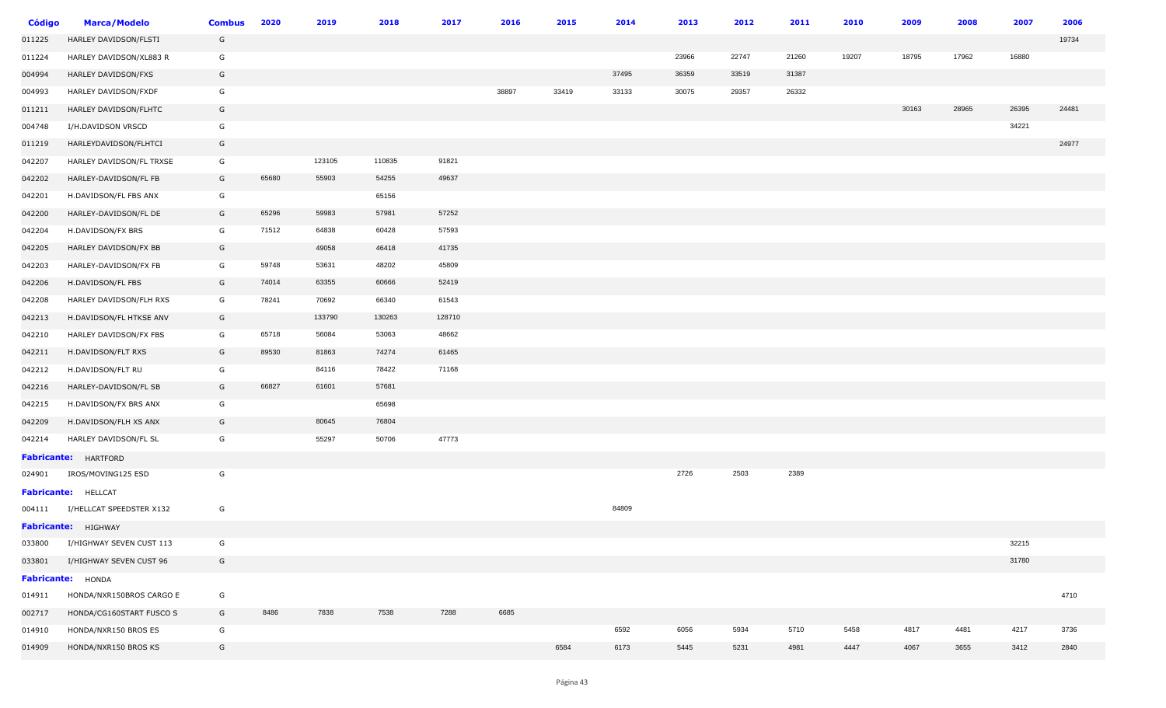| Código | <b>Marca/Modelo</b>         | <b>Combus</b> | 2020  | 2019   | 2018   | 2017   | 2016  | 2015  | 2014  | 2013  | 2012  | 2011  | 2010  | 2009  | 2008  | 2007  | 2006  |
|--------|-----------------------------|---------------|-------|--------|--------|--------|-------|-------|-------|-------|-------|-------|-------|-------|-------|-------|-------|
| 011225 | HARLEY DAVIDSON/FLSTI       | G             |       |        |        |        |       |       |       |       |       |       |       |       |       |       | 19734 |
| 011224 | HARLEY DAVIDSON/XL883 R     | G             |       |        |        |        |       |       |       | 23966 | 22747 | 21260 | 19207 | 18795 | 17962 | 16880 |       |
| 004994 | HARLEY DAVIDSON/FXS         | G             |       |        |        |        |       |       | 37495 | 36359 | 33519 | 31387 |       |       |       |       |       |
| 004993 | HARLEY DAVIDSON/FXDF        | G             |       |        |        |        | 38897 | 33419 | 33133 | 30075 | 29357 | 26332 |       |       |       |       |       |
| 011211 | HARLEY DAVIDSON/FLHTC       | G             |       |        |        |        |       |       |       |       |       |       |       | 30163 | 28965 | 26395 | 24481 |
| 004748 | I/H.DAVIDSON VRSCD          | G             |       |        |        |        |       |       |       |       |       |       |       |       |       | 34221 |       |
| 011219 | HARLEYDAVIDSON/FLHTCI       | G             |       |        |        |        |       |       |       |       |       |       |       |       |       |       | 24977 |
| 042207 | HARLEY DAVIDSON/FL TRXSE    | G             |       | 123105 | 110835 | 91821  |       |       |       |       |       |       |       |       |       |       |       |
| 042202 | HARLEY-DAVIDSON/FL FB       | G             | 65680 | 55903  | 54255  | 49637  |       |       |       |       |       |       |       |       |       |       |       |
| 042201 | H.DAVIDSON/FL FBS ANX       | G             |       |        | 65156  |        |       |       |       |       |       |       |       |       |       |       |       |
| 042200 | HARLEY-DAVIDSON/FL DE       | G             | 65296 | 59983  | 57981  | 57252  |       |       |       |       |       |       |       |       |       |       |       |
| 042204 | H.DAVIDSON/FX BRS           | G             | 71512 | 64838  | 60428  | 57593  |       |       |       |       |       |       |       |       |       |       |       |
| 042205 | HARLEY DAVIDSON/FX BB       | G             |       | 49058  | 46418  | 41735  |       |       |       |       |       |       |       |       |       |       |       |
| 042203 | HARLEY-DAVIDSON/FX FB       | G             | 59748 | 53631  | 48202  | 45809  |       |       |       |       |       |       |       |       |       |       |       |
| 042206 | H.DAVIDSON/FL FBS           | G             | 74014 | 63355  | 60666  | 52419  |       |       |       |       |       |       |       |       |       |       |       |
| 042208 | HARLEY DAVIDSON/FLH RXS     | G             | 78241 | 70692  | 66340  | 61543  |       |       |       |       |       |       |       |       |       |       |       |
| 042213 | H.DAVIDSON/FL HTKSE ANV     | G             |       | 133790 | 130263 | 128710 |       |       |       |       |       |       |       |       |       |       |       |
| 042210 | HARLEY DAVIDSON/FX FBS      | G             | 65718 | 56084  | 53063  | 48662  |       |       |       |       |       |       |       |       |       |       |       |
| 042211 | H.DAVIDSON/FLT RXS          | G             | 89530 | 81863  | 74274  | 61465  |       |       |       |       |       |       |       |       |       |       |       |
| 042212 | H.DAVIDSON/FLT RU           | G             |       | 84116  | 78422  | 71168  |       |       |       |       |       |       |       |       |       |       |       |
| 042216 | HARLEY-DAVIDSON/FL SB       | G             | 66827 | 61601  | 57681  |        |       |       |       |       |       |       |       |       |       |       |       |
| 042215 | H.DAVIDSON/FX BRS ANX       | G             |       |        | 65698  |        |       |       |       |       |       |       |       |       |       |       |       |
| 042209 | H.DAVIDSON/FLH XS ANX       | G             |       | 80645  | 76804  |        |       |       |       |       |       |       |       |       |       |       |       |
| 042214 | HARLEY DAVIDSON/FL SL       | G             |       | 55297  | 50706  | 47773  |       |       |       |       |       |       |       |       |       |       |       |
|        | <b>Fabricante:</b> HARTFORD |               |       |        |        |        |       |       |       |       |       |       |       |       |       |       |       |
| 024901 | IROS/MOVING125 ESD          | G             |       |        |        |        |       |       |       | 2726  | 2503  | 2389  |       |       |       |       |       |
|        | Fabricante: HELLCAT         |               |       |        |        |        |       |       |       |       |       |       |       |       |       |       |       |
| 004111 | I/HELLCAT SPEEDSTER X132    | G             |       |        |        |        |       |       | 84809 |       |       |       |       |       |       |       |       |
|        | Fabricante: HIGHWAY         |               |       |        |        |        |       |       |       |       |       |       |       |       |       |       |       |
| 033800 | I/HIGHWAY SEVEN CUST 113    | G             |       |        |        |        |       |       |       |       |       |       |       |       |       | 32215 |       |
| 033801 | I/HIGHWAY SEVEN CUST 96     | G             |       |        |        |        |       |       |       |       |       |       |       |       |       | 31780 |       |
|        | Fabricante: HONDA           |               |       |        |        |        |       |       |       |       |       |       |       |       |       |       |       |
| 014911 | HONDA/NXR150BROS CARGO E    | G             |       |        |        |        |       |       |       |       |       |       |       |       |       |       | 4710  |
| 002717 | HONDA/CG160START FUSCO S    | G             | 8486  | 7838   | 7538   | 7288   | 6685  |       |       |       |       |       |       |       |       |       |       |
| 014910 | HONDA/NXR150 BROS ES        | G             |       |        |        |        |       |       | 6592  | 6056  | 5934  | 5710  | 5458  | 4817  | 4481  | 4217  | 3736  |
| 014909 | HONDA/NXR150 BROS KS        | G             |       |        |        |        |       | 6584  | 6173  | 5445  | 5231  | 4981  | 4447  | 4067  | 3655  | 3412  | 2840  |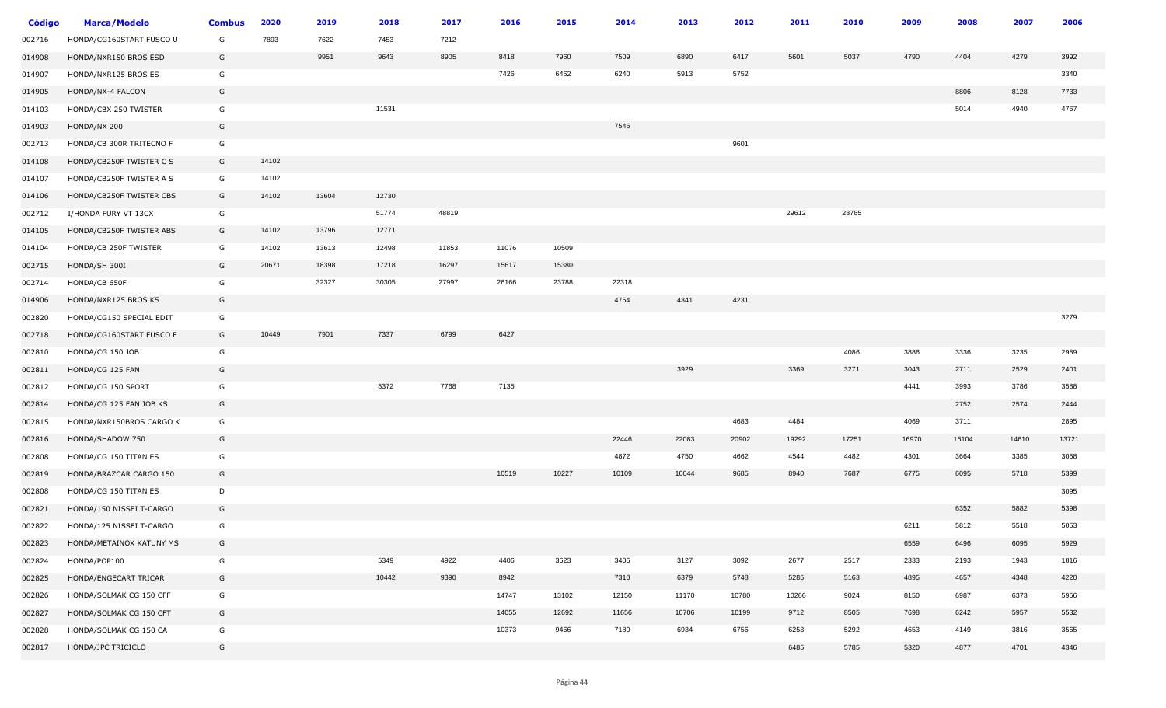| <b>Código</b> | <b>Marca/Modelo</b>      | <b>Combus</b> | 2020  | 2019  | 2018  | 2017  | 2016  | 2015  | 2014  | 2013  | 2012  | 2011  | 2010  | 2009  | 2008  | 2007  | 2006  |
|---------------|--------------------------|---------------|-------|-------|-------|-------|-------|-------|-------|-------|-------|-------|-------|-------|-------|-------|-------|
| 002716        | HONDA/CG160START FUSCO U | G             | 7893  | 7622  | 7453  | 7212  |       |       |       |       |       |       |       |       |       |       |       |
| 014908        | HONDA/NXR150 BROS ESD    | G             |       | 9951  | 9643  | 8905  | 8418  | 7960  | 7509  | 6890  | 6417  | 5601  | 5037  | 4790  | 4404  | 4279  | 3992  |
| 014907        | HONDA/NXR125 BROS ES     | G             |       |       |       |       | 7426  | 6462  | 6240  | 5913  | 5752  |       |       |       |       |       | 3340  |
| 014905        | HONDA/NX-4 FALCON        | G             |       |       |       |       |       |       |       |       |       |       |       |       | 8806  | 8128  | 7733  |
| 014103        | HONDA/CBX 250 TWISTER    | G             |       |       | 11531 |       |       |       |       |       |       |       |       |       | 5014  | 4940  | 4767  |
| 014903        | HONDA/NX 200             | G             |       |       |       |       |       |       | 7546  |       |       |       |       |       |       |       |       |
| 002713        | HONDA/CB 300R TRITECNO F | G             |       |       |       |       |       |       |       |       | 9601  |       |       |       |       |       |       |
| 014108        | HONDA/CB250F TWISTER C S | G             | 14102 |       |       |       |       |       |       |       |       |       |       |       |       |       |       |
| 014107        | HONDA/CB250F TWISTER A S | G             | 14102 |       |       |       |       |       |       |       |       |       |       |       |       |       |       |
| 014106        | HONDA/CB250F TWISTER CBS | G             | 14102 | 13604 | 12730 |       |       |       |       |       |       |       |       |       |       |       |       |
| 002712        | I/HONDA FURY VT 13CX     | G             |       |       | 51774 | 48819 |       |       |       |       |       | 29612 | 28765 |       |       |       |       |
| 014105        | HONDA/CB250F TWISTER ABS | G             | 14102 | 13796 | 12771 |       |       |       |       |       |       |       |       |       |       |       |       |
| 014104        | HONDA/CB 250F TWISTER    | G             | 14102 | 13613 | 12498 | 11853 | 11076 | 10509 |       |       |       |       |       |       |       |       |       |
| 002715        | HONDA/SH 300I            | G             | 20671 | 18398 | 17218 | 16297 | 15617 | 15380 |       |       |       |       |       |       |       |       |       |
| 002714        | HONDA/CB 650F            | G             |       | 32327 | 30305 | 27997 | 26166 | 23788 | 22318 |       |       |       |       |       |       |       |       |
| 014906        | HONDA/NXR125 BROS KS     | G             |       |       |       |       |       |       | 4754  | 4341  | 4231  |       |       |       |       |       |       |
| 002820        | HONDA/CG150 SPECIAL EDIT | G             |       |       |       |       |       |       |       |       |       |       |       |       |       |       | 3279  |
| 002718        | HONDA/CG160START FUSCO F | G             | 10449 | 7901  | 7337  | 6799  | 6427  |       |       |       |       |       |       |       |       |       |       |
| 002810        | HONDA/CG 150 JOB         | G             |       |       |       |       |       |       |       |       |       |       | 4086  | 3886  | 3336  | 3235  | 2989  |
| 002811        | HONDA/CG 125 FAN         | G             |       |       |       |       |       |       |       | 3929  |       | 3369  | 3271  | 3043  | 2711  | 2529  | 2401  |
| 002812        | HONDA/CG 150 SPORT       | G             |       |       | 8372  | 7768  | 7135  |       |       |       |       |       |       | 4441  | 3993  | 3786  | 3588  |
| 002814        | HONDA/CG 125 FAN JOB KS  | G             |       |       |       |       |       |       |       |       |       |       |       |       | 2752  | 2574  | 2444  |
| 002815        | HONDA/NXR150BROS CARGO K | G             |       |       |       |       |       |       |       |       | 4683  | 4484  |       | 4069  | 3711  |       | 2895  |
| 002816        | HONDA/SHADOW 750         | G             |       |       |       |       |       |       | 22446 | 22083 | 20902 | 19292 | 17251 | 16970 | 15104 | 14610 | 13721 |
| 002808        | HONDA/CG 150 TITAN ES    | G             |       |       |       |       |       |       | 4872  | 4750  | 4662  | 4544  | 4482  | 4301  | 3664  | 3385  | 3058  |
| 002819        | HONDA/BRAZCAR CARGO 150  | G             |       |       |       |       | 10519 | 10227 | 10109 | 10044 | 9685  | 8940  | 7687  | 6775  | 6095  | 5718  | 5399  |
| 002808        | HONDA/CG 150 TITAN ES    | D             |       |       |       |       |       |       |       |       |       |       |       |       |       |       | 3095  |
| 002821        | HONDA/150 NISSEI T-CARGO | G             |       |       |       |       |       |       |       |       |       |       |       |       | 6352  | 5882  | 5398  |
| 002822        | HONDA/125 NISSEI T-CARGO | G             |       |       |       |       |       |       |       |       |       |       |       | 6211  | 5812  | 5518  | 5053  |
| 002823        | HONDA/METAINOX KATUNY MS | G             |       |       |       |       |       |       |       |       |       |       |       | 6559  | 6496  | 6095  | 5929  |
| 002824        | HONDA/POP100             | G             |       |       | 5349  | 4922  | 4406  | 3623  | 3406  | 3127  | 3092  | 2677  | 2517  | 2333  | 2193  | 1943  | 1816  |
| 002825        | HONDA/ENGECART TRICAR    | G             |       |       | 10442 | 9390  | 8942  |       | 7310  | 6379  | 5748  | 5285  | 5163  | 4895  | 4657  | 4348  | 4220  |
| 002826        | HONDA/SOLMAK CG 150 CFF  | G             |       |       |       |       | 14747 | 13102 | 12150 | 11170 | 10780 | 10266 | 9024  | 8150  | 6987  | 6373  | 5956  |
| 002827        | HONDA/SOLMAK CG 150 CFT  | G             |       |       |       |       | 14055 | 12692 | 11656 | 10706 | 10199 | 9712  | 8505  | 7698  | 6242  | 5957  | 5532  |
| 002828        | HONDA/SOLMAK CG 150 CA   | G             |       |       |       |       | 10373 | 9466  | 7180  | 6934  | 6756  | 6253  | 5292  | 4653  | 4149  | 3816  | 3565  |
| 002817        | HONDA/JPC TRICICLO       | G             |       |       |       |       |       |       |       |       |       | 6485  | 5785  | 5320  | 4877  | 4701  | 4346  |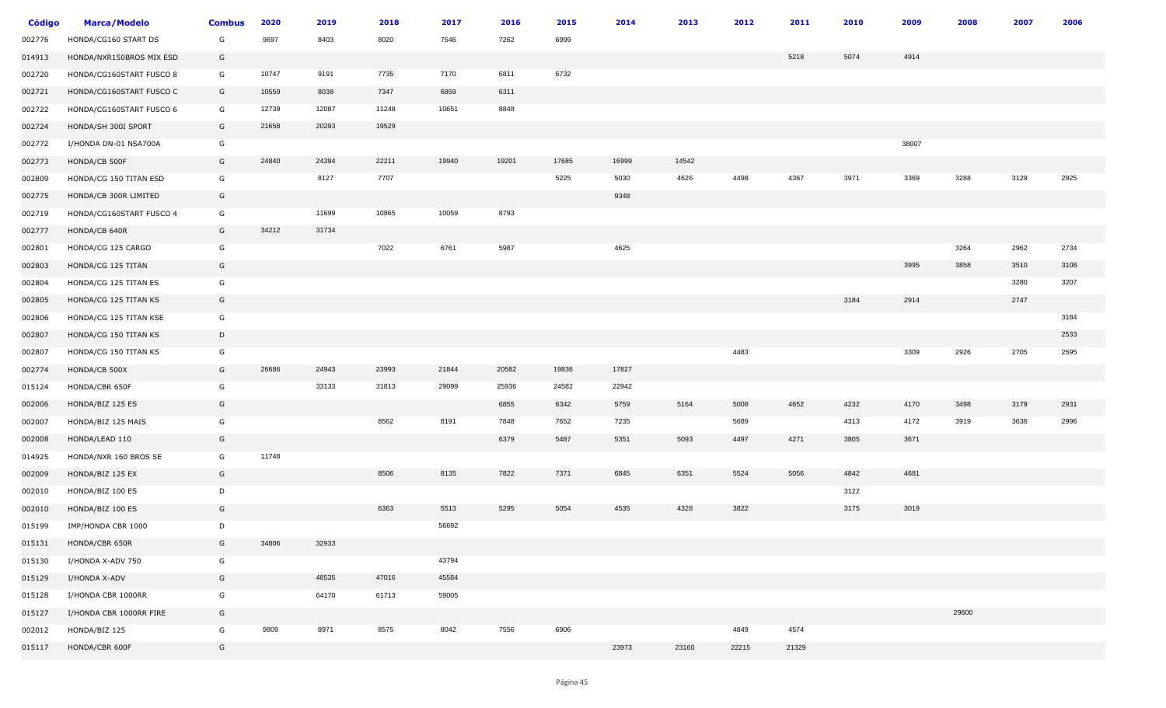| <b>Código</b> | <b>Marca/Modelo</b>      | <b>Combus</b> | 2020  | 2019  | 2018  | 2017  | 2016  | 2015  | 2014  | 2013  | 2012  | 2011  | 2010 | 2009  | 2008  | 2007 | 2006 |
|---------------|--------------------------|---------------|-------|-------|-------|-------|-------|-------|-------|-------|-------|-------|------|-------|-------|------|------|
| 002776        | HONDA/CG160 START DS     | G             | 9697  | 8403  | 8020  | 7546  | 7262  | 6999  |       |       |       |       |      |       |       |      |      |
| 014913        | HONDA/NXR150BROS MIX ESD | G             |       |       |       |       |       |       |       |       |       | 5218  | 5074 | 4914  |       |      |      |
| 002720        | HONDA/CG160START FUSCO 8 | G             | 10747 | 9191  | 7735  | 7170  | 6811  | 6732  |       |       |       |       |      |       |       |      |      |
| 002721        | HONDA/CG160START FUSCO C | G             | 10559 | 8038  | 7347  | 6859  | 6311  |       |       |       |       |       |      |       |       |      |      |
| 002722        | HONDA/CG160START FUSCO 6 | G             | 12739 | 12087 | 11248 | 10651 | 8848  |       |       |       |       |       |      |       |       |      |      |
| 002724        | HONDA/SH 300I SPORT      | G             | 21658 | 20293 | 19529 |       |       |       |       |       |       |       |      |       |       |      |      |
| 002772        | I/HONDA DN-01 NSA700A    | G             |       |       |       |       |       |       |       |       |       |       |      | 38007 |       |      |      |
| 002773        | HONDA/CB 500F            | G             | 24840 | 24394 | 22211 | 19940 | 19201 | 17685 | 16999 | 14542 |       |       |      |       |       |      |      |
| 002809        | HONDA/CG 150 TITAN ESD   | G             |       | 8127  | 7707  |       |       | 5225  | 5030  | 4626  | 4498  | 4367  | 3971 | 3369  | 3288  | 3129 | 2925 |
| 002775        | HONDA/CB 300R LIMITED    | G             |       |       |       |       |       |       | 9348  |       |       |       |      |       |       |      |      |
| 002719        | HONDA/CG160START FUSCO 4 | G             |       | 11699 | 10865 | 10059 | 8793  |       |       |       |       |       |      |       |       |      |      |
| 002777        | HONDA/CB 640R            | G             | 34212 | 31734 |       |       |       |       |       |       |       |       |      |       |       |      |      |
| 002801        | HONDA/CG 125 CARGO       | G             |       |       | 7022  | 6761  | 5987  |       | 4625  |       |       |       |      |       | 3264  | 2962 | 2734 |
| 002803        | HONDA/CG 125 TITAN       | G             |       |       |       |       |       |       |       |       |       |       |      | 3995  | 3858  | 3510 | 3108 |
| 002804        | HONDA/CG 125 TITAN ES    | G             |       |       |       |       |       |       |       |       |       |       |      |       |       | 3280 | 3207 |
| 002805        | HONDA/CG 125 TITAN KS    | G             |       |       |       |       |       |       |       |       |       |       | 3184 | 2914  |       | 2747 |      |
| 002806        | HONDA/CG 125 TITAN KSE   | G             |       |       |       |       |       |       |       |       |       |       |      |       |       |      | 3184 |
| 002807        | HONDA/CG 150 TITAN KS    | D             |       |       |       |       |       |       |       |       |       |       |      |       |       |      | 2533 |
| 002807        | HONDA/CG 150 TITAN KS    | G             |       |       |       |       |       |       |       |       | 4483  |       |      | 3309  | 2926  | 2705 | 2595 |
| 002774        | HONDA/CB 500X            | G             | 26686 | 24943 | 23993 | 21844 | 20582 | 19836 | 17827 |       |       |       |      |       |       |      |      |
| 015124        | HONDA/CBR 650F           | G             |       | 33133 | 31813 | 29099 | 25936 | 24582 | 22942 |       |       |       |      |       |       |      |      |
| 002006        | HONDA/BIZ 125 ES         | G             |       |       |       |       | 6855  | 6342  | 5759  | 5164  | 5008  | 4652  | 4232 | 4170  | 3498  | 3179 | 2931 |
| 002007        | HONDA/BIZ 125 MAIS       | G             |       |       | 8562  | 8191  | 7848  | 7652  | 7235  |       | 5689  |       | 4313 | 4172  | 3919  | 3636 | 2996 |
| 002008        | HONDA/LEAD 110           | G             |       |       |       |       | 6379  | 5487  | 5351  | 5093  | 4497  | 4271  | 3805 | 3671  |       |      |      |
| 014925        | HONDA/NXR 160 BROS SE    | G             | 11748 |       |       |       |       |       |       |       |       |       |      |       |       |      |      |
| 002009        | HONDA/BIZ 125 EX         | G             |       |       | 8506  | 8135  | 7822  | 7371  | 6845  | 6351  | 5524  | 5056  | 4842 | 4681  |       |      |      |
| 002010        | HONDA/BIZ 100 ES         | D             |       |       |       |       |       |       |       |       |       |       | 3122 |       |       |      |      |
| 002010        | HONDA/BIZ 100 ES         | G             |       |       | 6363  | 5513  | 5295  | 5054  | 4535  | 4328  | 3822  |       | 3175 | 3019  |       |      |      |
| 015199        | IMP/HONDA CBR 1000       | D             |       |       |       | 56692 |       |       |       |       |       |       |      |       |       |      |      |
| 015131        | HONDA/CBR 650R           | G             | 34806 | 32933 |       |       |       |       |       |       |       |       |      |       |       |      |      |
| 015130        | I/HONDA X-ADV 750        | G             |       |       |       | 43794 |       |       |       |       |       |       |      |       |       |      |      |
| 015129        | I/HONDA X-ADV            | G             |       | 48535 | 47016 | 45584 |       |       |       |       |       |       |      |       |       |      |      |
| 015128        | I/HONDA CBR 1000RR       | G             |       | 64170 | 61713 | 59005 |       |       |       |       |       |       |      |       |       |      |      |
| 015127        | I/HONDA CBR 1000RR FIRE  | G             |       |       |       |       |       |       |       |       |       |       |      |       | 29600 |      |      |
| 002012        | HONDA/BIZ 125            | G             | 9809  | 8971  | 8575  | 8042  | 7556  | 6906  |       |       | 4849  | 4574  |      |       |       |      |      |
| 015117        | HONDA/CBR 600F           | G             |       |       |       |       |       |       | 23973 | 23160 | 22215 | 21329 |      |       |       |      |      |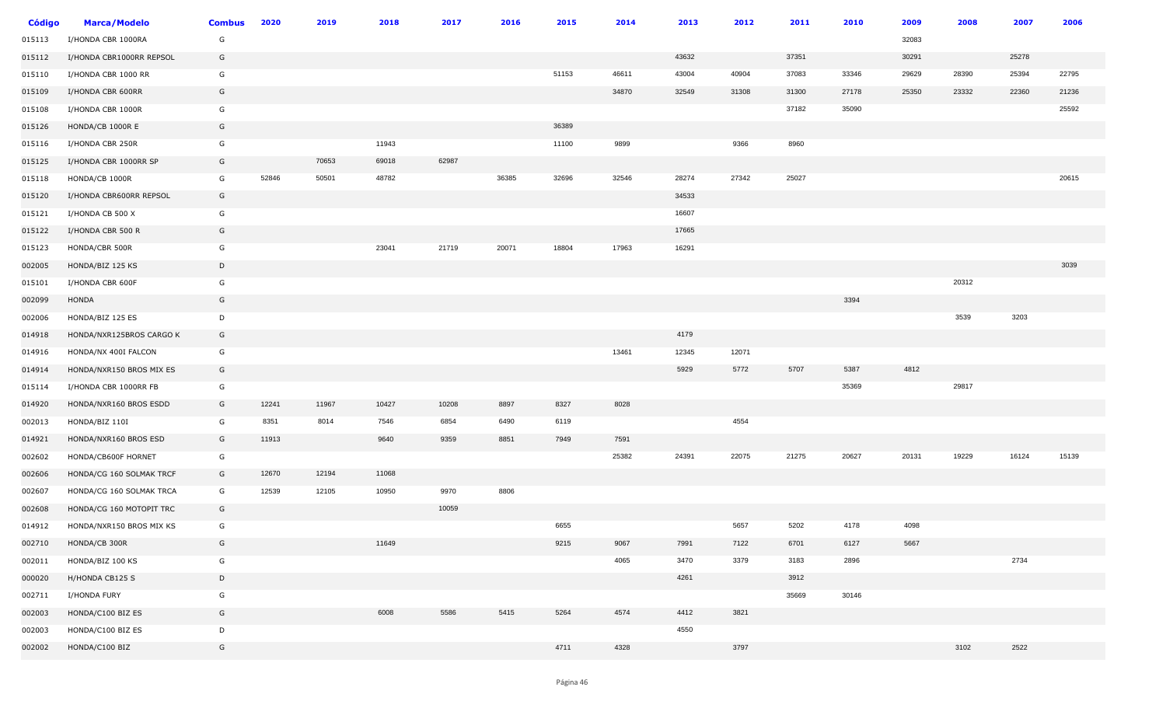| <b>Código</b> | <b>Marca/Modelo</b>      | <b>Combus</b> | 2020  | 2019  | 2018  | 2017  | 2016  | 2015  | 2014  | 2013  | 2012  | 2011  | 2010  | 2009  | 2008  | 2007  | 2006  |
|---------------|--------------------------|---------------|-------|-------|-------|-------|-------|-------|-------|-------|-------|-------|-------|-------|-------|-------|-------|
| 015113        | I/HONDA CBR 1000RA       | G             |       |       |       |       |       |       |       |       |       |       |       | 32083 |       |       |       |
| 015112        | I/HONDA CBR1000RR REPSOL | G             |       |       |       |       |       |       |       | 43632 |       | 37351 |       | 30291 |       | 25278 |       |
| 015110        | I/HONDA CBR 1000 RR      | G             |       |       |       |       |       | 51153 | 46611 | 43004 | 40904 | 37083 | 33346 | 29629 | 28390 | 25394 | 22795 |
| 015109        | I/HONDA CBR 600RR        | G             |       |       |       |       |       |       | 34870 | 32549 | 31308 | 31300 | 27178 | 25350 | 23332 | 22360 | 21236 |
| 015108        | I/HONDA CBR 1000R        | G             |       |       |       |       |       |       |       |       |       | 37182 | 35090 |       |       |       | 25592 |
| 015126        | HONDA/CB 1000R E         | G             |       |       |       |       |       | 36389 |       |       |       |       |       |       |       |       |       |
| 015116        | I/HONDA CBR 250R         | G             |       |       | 11943 |       |       | 11100 | 9899  |       | 9366  | 8960  |       |       |       |       |       |
| 015125        | I/HONDA CBR 1000RR SP    | G             |       | 70653 | 69018 | 62987 |       |       |       |       |       |       |       |       |       |       |       |
| 015118        | HONDA/CB 1000R           | G             | 52846 | 50501 | 48782 |       | 36385 | 32696 | 32546 | 28274 | 27342 | 25027 |       |       |       |       | 20615 |
| 015120        | I/HONDA CBR600RR REPSOL  | G             |       |       |       |       |       |       |       | 34533 |       |       |       |       |       |       |       |
| 015121        | I/HONDA CB 500 X         | G             |       |       |       |       |       |       |       | 16607 |       |       |       |       |       |       |       |
| 015122        | I/HONDA CBR 500 R        | G             |       |       |       |       |       |       |       | 17665 |       |       |       |       |       |       |       |
| 015123        | HONDA/CBR 500R           | G             |       |       | 23041 | 21719 | 20071 | 18804 | 17963 | 16291 |       |       |       |       |       |       |       |
| 002005        | HONDA/BIZ 125 KS         | D             |       |       |       |       |       |       |       |       |       |       |       |       |       |       | 3039  |
| 015101        | I/HONDA CBR 600F         | G             |       |       |       |       |       |       |       |       |       |       |       |       | 20312 |       |       |
| 002099        | HONDA                    | G             |       |       |       |       |       |       |       |       |       |       | 3394  |       |       |       |       |
| 002006        | HONDA/BIZ 125 ES         | D             |       |       |       |       |       |       |       |       |       |       |       |       | 3539  | 3203  |       |
| 014918        | HONDA/NXR125BROS CARGO K | G             |       |       |       |       |       |       |       | 4179  |       |       |       |       |       |       |       |
| 014916        | HONDA/NX 400I FALCON     | G             |       |       |       |       |       |       | 13461 | 12345 | 12071 |       |       |       |       |       |       |
| 014914        | HONDA/NXR150 BROS MIX ES | G             |       |       |       |       |       |       |       | 5929  | 5772  | 5707  | 5387  | 4812  |       |       |       |
| 015114        | I/HONDA CBR 1000RR FB    | G             |       |       |       |       |       |       |       |       |       |       | 35369 |       | 29817 |       |       |
| 014920        | HONDA/NXR160 BROS ESDD   | G             | 12241 | 11967 | 10427 | 10208 | 8897  | 8327  | 8028  |       |       |       |       |       |       |       |       |
| 002013        | HONDA/BIZ 110I           | G             | 8351  | 8014  | 7546  | 6854  | 6490  | 6119  |       |       | 4554  |       |       |       |       |       |       |
| 014921        | HONDA/NXR160 BROS ESD    | G             | 11913 |       | 9640  | 9359  | 8851  | 7949  | 7591  |       |       |       |       |       |       |       |       |
| 002602        | HONDA/CB600F HORNET      | G             |       |       |       |       |       |       | 25382 | 24391 | 22075 | 21275 | 20627 | 20131 | 19229 | 16124 | 15139 |
| 002606        | HONDA/CG 160 SOLMAK TRCF | G             | 12670 | 12194 | 11068 |       |       |       |       |       |       |       |       |       |       |       |       |
| 002607        | HONDA/CG 160 SOLMAK TRCA | G             | 12539 | 12105 | 10950 | 9970  | 8806  |       |       |       |       |       |       |       |       |       |       |
| 002608        | HONDA/CG 160 MOTOPIT TRC | G             |       |       |       | 10059 |       |       |       |       |       |       |       |       |       |       |       |
| 014912        | HONDA/NXR150 BROS MIX KS | G             |       |       |       |       |       | 6655  |       |       | 5657  | 5202  | 4178  | 4098  |       |       |       |
| 002710        | HONDA/CB 300R            | G             |       |       | 11649 |       |       | 9215  | 9067  | 7991  | 7122  | 6701  | 6127  | 5667  |       |       |       |
| 002011        | HONDA/BIZ 100 KS         | G             |       |       |       |       |       |       | 4065  | 3470  | 3379  | 3183  | 2896  |       |       | 2734  |       |
| 000020        | H/HONDA CB125 S          | D             |       |       |       |       |       |       |       | 4261  |       | 3912  |       |       |       |       |       |
| 002711        | I/HONDA FURY             | G             |       |       |       |       |       |       |       |       |       | 35669 | 30146 |       |       |       |       |
| 002003        | HONDA/C100 BIZ ES        | G             |       |       | 6008  | 5586  | 5415  | 5264  | 4574  | 4412  | 3821  |       |       |       |       |       |       |
| 002003        | HONDA/C100 BIZ ES        | D             |       |       |       |       |       |       |       | 4550  |       |       |       |       |       |       |       |
| 002002        | HONDA/C100 BIZ           | G             |       |       |       |       |       | 4711  | 4328  |       | 3797  |       |       |       | 3102  | 2522  |       |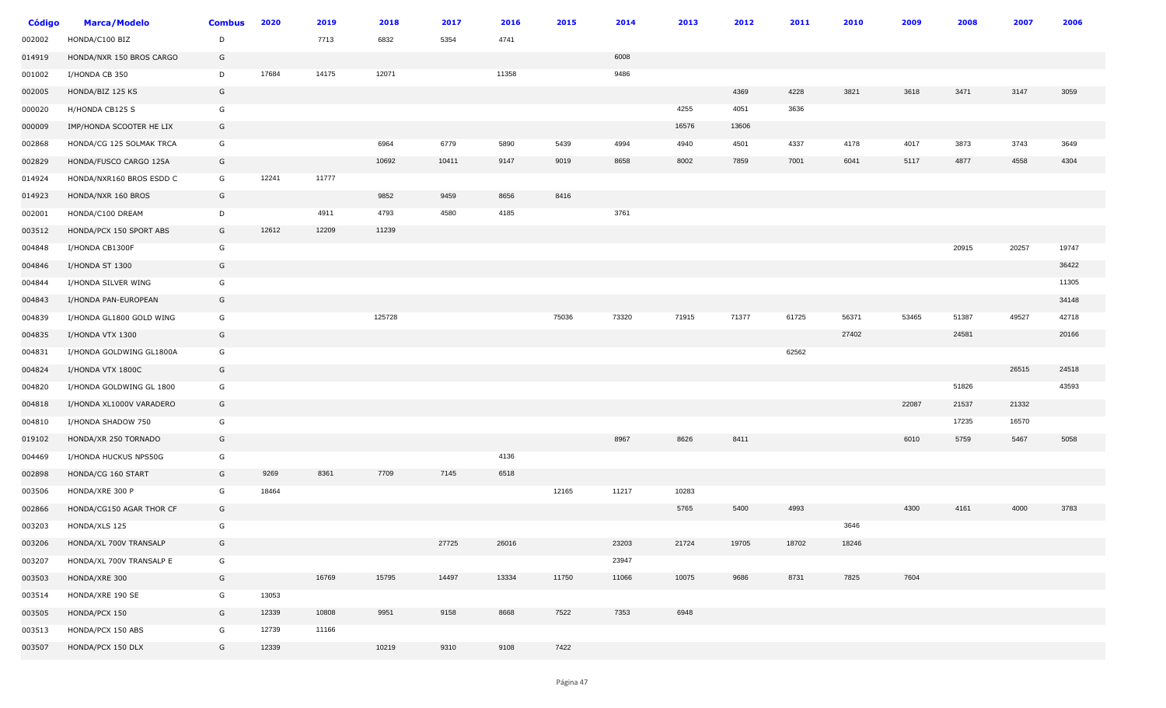| Código | <b>Marca/Modelo</b>      | <b>Combus</b> | 2020  | 2019  | 2018   | 2017  | 2016  | 2015  | 2014  | 2013  | 2012  | 2011  | 2010  | 2009  | 2008  | 2007  | 2006  |
|--------|--------------------------|---------------|-------|-------|--------|-------|-------|-------|-------|-------|-------|-------|-------|-------|-------|-------|-------|
| 002002 | HONDA/C100 BIZ           | D             |       | 7713  | 6832   | 5354  | 4741  |       |       |       |       |       |       |       |       |       |       |
| 014919 | HONDA/NXR 150 BROS CARGO | G             |       |       |        |       |       |       | 6008  |       |       |       |       |       |       |       |       |
| 001002 | I/HONDA CB 350           | D             | 17684 | 14175 | 12071  |       | 11358 |       | 9486  |       |       |       |       |       |       |       |       |
| 002005 | HONDA/BIZ 125 KS         | G             |       |       |        |       |       |       |       |       | 4369  | 4228  | 3821  | 3618  | 3471  | 3147  | 3059  |
| 000020 | H/HONDA CB125 S          | G             |       |       |        |       |       |       |       | 4255  | 4051  | 3636  |       |       |       |       |       |
| 000009 | IMP/HONDA SCOOTER HE LIX | G             |       |       |        |       |       |       |       | 16576 | 13606 |       |       |       |       |       |       |
| 002868 | HONDA/CG 125 SOLMAK TRCA | G             |       |       | 6964   | 6779  | 5890  | 5439  | 4994  | 4940  | 4501  | 4337  | 4178  | 4017  | 3873  | 3743  | 3649  |
| 002829 | HONDA/FUSCO CARGO 125A   | G             |       |       | 10692  | 10411 | 9147  | 9019  | 8658  | 8002  | 7859  | 7001  | 6041  | 5117  | 4877  | 4558  | 4304  |
| 014924 | HONDA/NXR160 BROS ESDD C | G             | 12241 | 11777 |        |       |       |       |       |       |       |       |       |       |       |       |       |
| 014923 | HONDA/NXR 160 BROS       | G             |       |       | 9852   | 9459  | 8656  | 8416  |       |       |       |       |       |       |       |       |       |
| 002001 | HONDA/C100 DREAM         | D             |       | 4911  | 4793   | 4580  | 4185  |       | 3761  |       |       |       |       |       |       |       |       |
| 003512 | HONDA/PCX 150 SPORT ABS  | G             | 12612 | 12209 | 11239  |       |       |       |       |       |       |       |       |       |       |       |       |
| 004848 | I/HONDA CB1300F          | G             |       |       |        |       |       |       |       |       |       |       |       |       | 20915 | 20257 | 19747 |
| 004846 | I/HONDA ST 1300          | G             |       |       |        |       |       |       |       |       |       |       |       |       |       |       | 36422 |
| 004844 | I/HONDA SILVER WING      | G             |       |       |        |       |       |       |       |       |       |       |       |       |       |       | 11305 |
| 004843 | I/HONDA PAN-EUROPEAN     | G             |       |       |        |       |       |       |       |       |       |       |       |       |       |       | 34148 |
| 004839 | I/HONDA GL1800 GOLD WING | G             |       |       | 125728 |       |       | 75036 | 73320 | 71915 | 71377 | 61725 | 56371 | 53465 | 51387 | 49527 | 42718 |
| 004835 | I/HONDA VTX 1300         | G             |       |       |        |       |       |       |       |       |       |       | 27402 |       | 24581 |       | 20166 |
| 004831 | I/HONDA GOLDWING GL1800A | G             |       |       |        |       |       |       |       |       |       | 62562 |       |       |       |       |       |
| 004824 | I/HONDA VTX 1800C        | G             |       |       |        |       |       |       |       |       |       |       |       |       |       | 26515 | 24518 |
| 004820 | I/HONDA GOLDWING GL 1800 | G             |       |       |        |       |       |       |       |       |       |       |       |       | 51826 |       | 43593 |
| 004818 | I/HONDA XL1000V VARADERO | G             |       |       |        |       |       |       |       |       |       |       |       | 22087 | 21537 | 21332 |       |
| 004810 | I/HONDA SHADOW 750       | G             |       |       |        |       |       |       |       |       |       |       |       |       | 17235 | 16570 |       |
| 019102 | HONDA/XR 250 TORNADO     | G             |       |       |        |       |       |       | 8967  | 8626  | 8411  |       |       | 6010  | 5759  | 5467  | 5058  |
| 004469 | I/HONDA HUCKUS NPS50G    | G             |       |       |        |       | 4136  |       |       |       |       |       |       |       |       |       |       |
| 002898 | HONDA/CG 160 START       | G             | 9269  | 8361  | 7709   | 7145  | 6518  |       |       |       |       |       |       |       |       |       |       |
| 003506 | HONDA/XRE 300 P          | G             | 18464 |       |        |       |       | 12165 | 11217 | 10283 |       |       |       |       |       |       |       |
| 002866 | HONDA/CG150 AGAR THOR CF | G             |       |       |        |       |       |       |       | 5765  | 5400  | 4993  |       | 4300  | 4161  | 4000  | 3783  |
| 003203 | HONDA/XLS 125            | G             |       |       |        |       |       |       |       |       |       |       | 3646  |       |       |       |       |
| 003206 | HONDA/XL 700V TRANSALP   | G             |       |       |        | 27725 | 26016 |       | 23203 | 21724 | 19705 | 18702 | 18246 |       |       |       |       |
| 003207 | HONDA/XL 700V TRANSALP E | G             |       |       |        |       |       |       | 23947 |       |       |       |       |       |       |       |       |
| 003503 | HONDA/XRE 300            | G             |       | 16769 | 15795  | 14497 | 13334 | 11750 | 11066 | 10075 | 9686  | 8731  | 7825  | 7604  |       |       |       |
| 003514 | HONDA/XRE 190 SE         | G             | 13053 |       |        |       |       |       |       |       |       |       |       |       |       |       |       |
| 003505 | HONDA/PCX 150            | G             | 12339 | 10808 | 9951   | 9158  | 8668  | 7522  | 7353  | 6948  |       |       |       |       |       |       |       |
| 003513 | HONDA/PCX 150 ABS        | G             | 12739 | 11166 |        |       |       |       |       |       |       |       |       |       |       |       |       |
| 003507 | HONDA/PCX 150 DLX        | G             | 12339 |       | 10219  | 9310  | 9108  | 7422  |       |       |       |       |       |       |       |       |       |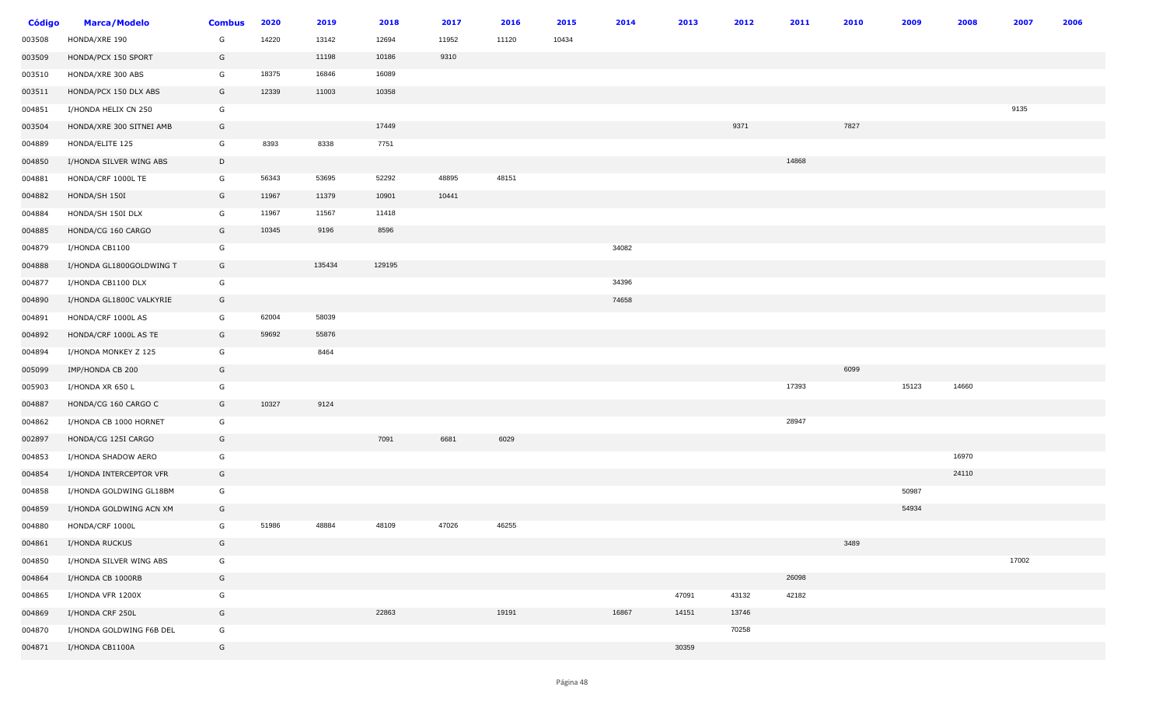| <b>Código</b> | <b>Marca/Modelo</b>      | <b>Combus</b> | 2020  | 2019   | 2018   | 2017  | 2016  | 2015  | 2014  | 2013  | 2012  | 2011  | 2010 | 2009  | 2008  | 2007  | 2006 |
|---------------|--------------------------|---------------|-------|--------|--------|-------|-------|-------|-------|-------|-------|-------|------|-------|-------|-------|------|
| 003508        | HONDA/XRE 190            | G             | 14220 | 13142  | 12694  | 11952 | 11120 | 10434 |       |       |       |       |      |       |       |       |      |
| 003509        | HONDA/PCX 150 SPORT      | G             |       | 11198  | 10186  | 9310  |       |       |       |       |       |       |      |       |       |       |      |
| 003510        | HONDA/XRE 300 ABS        | G             | 18375 | 16846  | 16089  |       |       |       |       |       |       |       |      |       |       |       |      |
| 003511        | HONDA/PCX 150 DLX ABS    | G             | 12339 | 11003  | 10358  |       |       |       |       |       |       |       |      |       |       |       |      |
| 004851        | I/HONDA HELIX CN 250     | G             |       |        |        |       |       |       |       |       |       |       |      |       |       | 9135  |      |
| 003504        | HONDA/XRE 300 SITNEI AMB | G             |       |        | 17449  |       |       |       |       |       | 9371  |       | 7827 |       |       |       |      |
| 004889        | HONDA/ELITE 125          | G             | 8393  | 8338   | 7751   |       |       |       |       |       |       |       |      |       |       |       |      |
| 004850        | I/HONDA SILVER WING ABS  | D             |       |        |        |       |       |       |       |       |       | 14868 |      |       |       |       |      |
| 004881        | HONDA/CRF 1000L TE       | G             | 56343 | 53695  | 52292  | 48895 | 48151 |       |       |       |       |       |      |       |       |       |      |
| 004882        | HONDA/SH 150I            | G             | 11967 | 11379  | 10901  | 10441 |       |       |       |       |       |       |      |       |       |       |      |
| 004884        | HONDA/SH 150I DLX        | G             | 11967 | 11567  | 11418  |       |       |       |       |       |       |       |      |       |       |       |      |
| 004885        | HONDA/CG 160 CARGO       | G             | 10345 | 9196   | 8596   |       |       |       |       |       |       |       |      |       |       |       |      |
| 004879        | I/HONDA CB1100           | G             |       |        |        |       |       |       | 34082 |       |       |       |      |       |       |       |      |
| 004888        | I/HONDA GL1800GOLDWING T | G             |       | 135434 | 129195 |       |       |       |       |       |       |       |      |       |       |       |      |
| 004877        | I/HONDA CB1100 DLX       | G             |       |        |        |       |       |       | 34396 |       |       |       |      |       |       |       |      |
| 004890        | I/HONDA GL1800C VALKYRIE | G             |       |        |        |       |       |       | 74658 |       |       |       |      |       |       |       |      |
| 004891        | HONDA/CRF 1000L AS       | G             | 62004 | 58039  |        |       |       |       |       |       |       |       |      |       |       |       |      |
| 004892        | HONDA/CRF 1000L AS TE    | G             | 59692 | 55876  |        |       |       |       |       |       |       |       |      |       |       |       |      |
| 004894        | I/HONDA MONKEY Z 125     | G             |       | 8464   |        |       |       |       |       |       |       |       |      |       |       |       |      |
| 005099        | IMP/HONDA CB 200         | G             |       |        |        |       |       |       |       |       |       |       | 6099 |       |       |       |      |
| 005903        | I/HONDA XR 650 L         | G             |       |        |        |       |       |       |       |       |       | 17393 |      | 15123 | 14660 |       |      |
| 004887        | HONDA/CG 160 CARGO C     | G             | 10327 | 9124   |        |       |       |       |       |       |       |       |      |       |       |       |      |
| 004862        | I/HONDA CB 1000 HORNET   | G             |       |        |        |       |       |       |       |       |       | 28947 |      |       |       |       |      |
| 002897        | HONDA/CG 125I CARGO      | G             |       |        | 7091   | 6681  | 6029  |       |       |       |       |       |      |       |       |       |      |
| 004853        | I/HONDA SHADOW AERO      | G             |       |        |        |       |       |       |       |       |       |       |      |       | 16970 |       |      |
| 004854        | I/HONDA INTERCEPTOR VFR  | G             |       |        |        |       |       |       |       |       |       |       |      |       | 24110 |       |      |
| 004858        | I/HONDA GOLDWING GL18BM  | G             |       |        |        |       |       |       |       |       |       |       |      | 50987 |       |       |      |
| 004859        | I/HONDA GOLDWING ACN XM  | G             |       |        |        |       |       |       |       |       |       |       |      | 54934 |       |       |      |
| 004880        | HONDA/CRF 1000L          | G             | 51986 | 48884  | 48109  | 47026 | 46255 |       |       |       |       |       |      |       |       |       |      |
| 004861        | I/HONDA RUCKUS           | G             |       |        |        |       |       |       |       |       |       |       | 3489 |       |       |       |      |
| 004850        | I/HONDA SILVER WING ABS  | G             |       |        |        |       |       |       |       |       |       |       |      |       |       | 17002 |      |
| 004864        | I/HONDA CB 1000RB        | G             |       |        |        |       |       |       |       |       |       | 26098 |      |       |       |       |      |
| 004865        | I/HONDA VFR 1200X        | G             |       |        |        |       |       |       |       | 47091 | 43132 | 42182 |      |       |       |       |      |
| 004869        | I/HONDA CRF 250L         | G             |       |        | 22863  |       | 19191 |       | 16867 | 14151 | 13746 |       |      |       |       |       |      |
| 004870        | I/HONDA GOLDWING F6B DEL | G             |       |        |        |       |       |       |       |       | 70258 |       |      |       |       |       |      |
| 004871        | I/HONDA CB1100A          | G             |       |        |        |       |       |       |       | 30359 |       |       |      |       |       |       |      |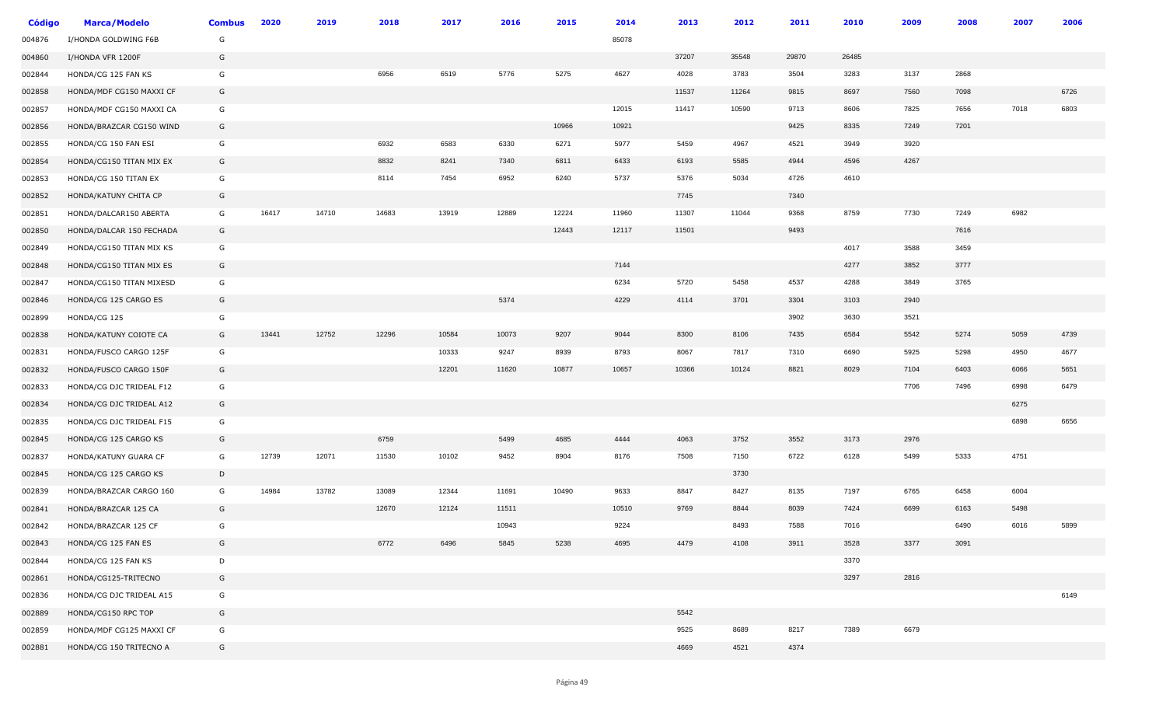| Código | <b>Marca/Modelo</b>      | <b>Combus</b> | 2020  | 2019  | 2018  | 2017  | 2016  | 2015  | 2014  | 2013  | 2012  | 2011  | 2010  | 2009 | 2008 | 2007 | 2006 |
|--------|--------------------------|---------------|-------|-------|-------|-------|-------|-------|-------|-------|-------|-------|-------|------|------|------|------|
| 004876 | I/HONDA GOLDWING F6B     | G             |       |       |       |       |       |       | 85078 |       |       |       |       |      |      |      |      |
| 004860 | I/HONDA VFR 1200F        | G             |       |       |       |       |       |       |       | 37207 | 35548 | 29870 | 26485 |      |      |      |      |
| 002844 | HONDA/CG 125 FAN KS      | G             |       |       | 6956  | 6519  | 5776  | 5275  | 4627  | 4028  | 3783  | 3504  | 3283  | 3137 | 2868 |      |      |
| 002858 | HONDA/MDF CG150 MAXXI CF | G             |       |       |       |       |       |       |       | 11537 | 11264 | 9815  | 8697  | 7560 | 7098 |      | 6726 |
| 002857 | HONDA/MDF CG150 MAXXI CA | G             |       |       |       |       |       |       | 12015 | 11417 | 10590 | 9713  | 8606  | 7825 | 7656 | 7018 | 6803 |
| 002856 | HONDA/BRAZCAR CG150 WIND | G             |       |       |       |       |       | 10966 | 10921 |       |       | 9425  | 8335  | 7249 | 7201 |      |      |
| 002855 | HONDA/CG 150 FAN ESI     | G             |       |       | 6932  | 6583  | 6330  | 6271  | 5977  | 5459  | 4967  | 4521  | 3949  | 3920 |      |      |      |
| 002854 | HONDA/CG150 TITAN MIX EX | G             |       |       | 8832  | 8241  | 7340  | 6811  | 6433  | 6193  | 5585  | 4944  | 4596  | 4267 |      |      |      |
| 002853 | HONDA/CG 150 TITAN EX    | G             |       |       | 8114  | 7454  | 6952  | 6240  | 5737  | 5376  | 5034  | 4726  | 4610  |      |      |      |      |
| 002852 | HONDA/KATUNY CHITA CP    | G             |       |       |       |       |       |       |       | 7745  |       | 7340  |       |      |      |      |      |
| 002851 | HONDA/DALCAR150 ABERTA   | G             | 16417 | 14710 | 14683 | 13919 | 12889 | 12224 | 11960 | 11307 | 11044 | 9368  | 8759  | 7730 | 7249 | 6982 |      |
| 002850 | HONDA/DALCAR 150 FECHADA | G             |       |       |       |       |       | 12443 | 12117 | 11501 |       | 9493  |       |      | 7616 |      |      |
| 002849 | HONDA/CG150 TITAN MIX KS | G             |       |       |       |       |       |       |       |       |       |       | 4017  | 3588 | 3459 |      |      |
| 002848 | HONDA/CG150 TITAN MIX ES | G             |       |       |       |       |       |       | 7144  |       |       |       | 4277  | 3852 | 3777 |      |      |
| 002847 | HONDA/CG150 TITAN MIXESD | G             |       |       |       |       |       |       | 6234  | 5720  | 5458  | 4537  | 4288  | 3849 | 3765 |      |      |
| 002846 | HONDA/CG 125 CARGO ES    | G             |       |       |       |       | 5374  |       | 4229  | 4114  | 3701  | 3304  | 3103  | 2940 |      |      |      |
| 002899 | HONDA/CG 125             | G             |       |       |       |       |       |       |       |       |       | 3902  | 3630  | 3521 |      |      |      |
| 002838 | HONDA/KATUNY COIOTE CA   | G             | 13441 | 12752 | 12296 | 10584 | 10073 | 9207  | 9044  | 8300  | 8106  | 7435  | 6584  | 5542 | 5274 | 5059 | 4739 |
| 002831 | HONDA/FUSCO CARGO 125F   | G             |       |       |       | 10333 | 9247  | 8939  | 8793  | 8067  | 7817  | 7310  | 6690  | 5925 | 5298 | 4950 | 4677 |
| 002832 | HONDA/FUSCO CARGO 150F   | G             |       |       |       | 12201 | 11620 | 10877 | 10657 | 10366 | 10124 | 8821  | 8029  | 7104 | 6403 | 6066 | 5651 |
| 002833 | HONDA/CG DJC TRIDEAL F12 | G             |       |       |       |       |       |       |       |       |       |       |       | 7706 | 7496 | 6998 | 6479 |
| 002834 | HONDA/CG DJC TRIDEAL A12 | G             |       |       |       |       |       |       |       |       |       |       |       |      |      | 6275 |      |
| 002835 | HONDA/CG DJC TRIDEAL F15 | G             |       |       |       |       |       |       |       |       |       |       |       |      |      | 6898 | 6656 |
| 002845 | HONDA/CG 125 CARGO KS    | G             |       |       | 6759  |       | 5499  | 4685  | 4444  | 4063  | 3752  | 3552  | 3173  | 2976 |      |      |      |
| 002837 | HONDA/KATUNY GUARA CF    | G             | 12739 | 12071 | 11530 | 10102 | 9452  | 8904  | 8176  | 7508  | 7150  | 6722  | 6128  | 5499 | 5333 | 4751 |      |
| 002845 | HONDA/CG 125 CARGO KS    | D             |       |       |       |       |       |       |       |       | 3730  |       |       |      |      |      |      |
| 002839 | HONDA/BRAZCAR CARGO 160  | G             | 14984 | 13782 | 13089 | 12344 | 11691 | 10490 | 9633  | 8847  | 8427  | 8135  | 7197  | 6765 | 6458 | 6004 |      |
| 002841 | HONDA/BRAZCAR 125 CA     | G             |       |       | 12670 | 12124 | 11511 |       | 10510 | 9769  | 8844  | 8039  | 7424  | 6699 | 6163 | 5498 |      |
| 002842 | HONDA/BRAZCAR 125 CF     | G             |       |       |       |       | 10943 |       | 9224  |       | 8493  | 7588  | 7016  |      | 6490 | 6016 | 5899 |
| 002843 | HONDA/CG 125 FAN ES      | G             |       |       | 6772  | 6496  | 5845  | 5238  | 4695  | 4479  | 4108  | 3911  | 3528  | 3377 | 3091 |      |      |
| 002844 | HONDA/CG 125 FAN KS      | D             |       |       |       |       |       |       |       |       |       |       | 3370  |      |      |      |      |
| 002861 | HONDA/CG125-TRITECNO     | G             |       |       |       |       |       |       |       |       |       |       | 3297  | 2816 |      |      |      |
| 002836 | HONDA/CG DJC TRIDEAL A15 | G             |       |       |       |       |       |       |       |       |       |       |       |      |      |      | 6149 |
| 002889 | HONDA/CG150 RPC TOP      | G             |       |       |       |       |       |       |       | 5542  |       |       |       |      |      |      |      |
| 002859 | HONDA/MDF CG125 MAXXI CF | G             |       |       |       |       |       |       |       | 9525  | 8689  | 8217  | 7389  | 6679 |      |      |      |
| 002881 | HONDA/CG 150 TRITECNO A  | G             |       |       |       |       |       |       |       | 4669  | 4521  | 4374  |       |      |      |      |      |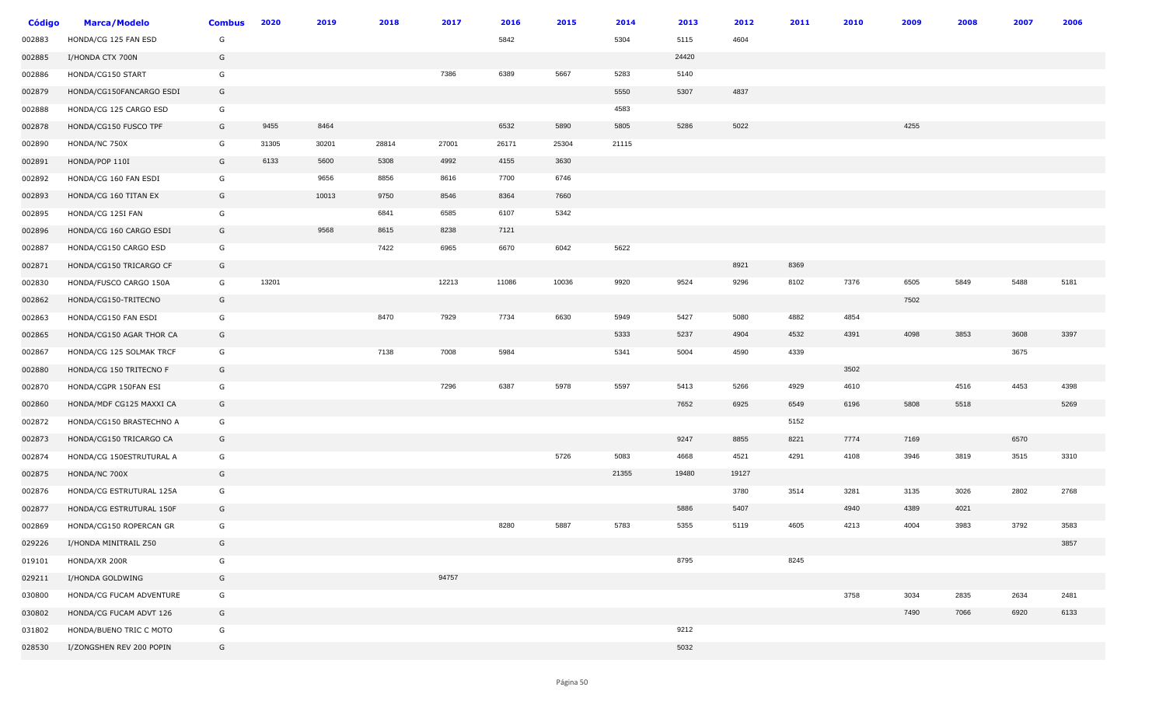| <b>Código</b> | <b>Marca/Modelo</b>      | <b>Combus</b> | 2020  | 2019  | 2018  | 2017  | 2016  | 2015  | 2014  | 2013  | 2012  | 2011 | 2010 | 2009 | 2008 | 2007 | 2006 |
|---------------|--------------------------|---------------|-------|-------|-------|-------|-------|-------|-------|-------|-------|------|------|------|------|------|------|
| 002883        | HONDA/CG 125 FAN ESD     | G             |       |       |       |       | 5842  |       | 5304  | 5115  | 4604  |      |      |      |      |      |      |
| 002885        | I/HONDA CTX 700N         | G             |       |       |       |       |       |       |       | 24420 |       |      |      |      |      |      |      |
| 002886        | HONDA/CG150 START        | G             |       |       |       | 7386  | 6389  | 5667  | 5283  | 5140  |       |      |      |      |      |      |      |
| 002879        | HONDA/CG150FANCARGO ESDI | G             |       |       |       |       |       |       | 5550  | 5307  | 4837  |      |      |      |      |      |      |
| 002888        | HONDA/CG 125 CARGO ESD   | G             |       |       |       |       |       |       | 4583  |       |       |      |      |      |      |      |      |
| 002878        | HONDA/CG150 FUSCO TPF    | G             | 9455  | 8464  |       |       | 6532  | 5890  | 5805  | 5286  | 5022  |      |      | 4255 |      |      |      |
| 002890        | HONDA/NC 750X            | G             | 31305 | 30201 | 28814 | 27001 | 26171 | 25304 | 21115 |       |       |      |      |      |      |      |      |
| 002891        | HONDA/POP 110I           | G             | 6133  | 5600  | 5308  | 4992  | 4155  | 3630  |       |       |       |      |      |      |      |      |      |
| 002892        | HONDA/CG 160 FAN ESDI    | G             |       | 9656  | 8856  | 8616  | 7700  | 6746  |       |       |       |      |      |      |      |      |      |
| 002893        | HONDA/CG 160 TITAN EX    | G             |       | 10013 | 9750  | 8546  | 8364  | 7660  |       |       |       |      |      |      |      |      |      |
| 002895        | HONDA/CG 125I FAN        | G             |       |       | 6841  | 6585  | 6107  | 5342  |       |       |       |      |      |      |      |      |      |
| 002896        | HONDA/CG 160 CARGO ESDI  | G             |       | 9568  | 8615  | 8238  | 7121  |       |       |       |       |      |      |      |      |      |      |
| 002887        | HONDA/CG150 CARGO ESD    | G             |       |       | 7422  | 6965  | 6670  | 6042  | 5622  |       |       |      |      |      |      |      |      |
| 002871        | HONDA/CG150 TRICARGO CF  | G             |       |       |       |       |       |       |       |       | 8921  | 8369 |      |      |      |      |      |
| 002830        | HONDA/FUSCO CARGO 150A   | G             | 13201 |       |       | 12213 | 11086 | 10036 | 9920  | 9524  | 9296  | 8102 | 7376 | 6505 | 5849 | 5488 | 5181 |
| 002862        | HONDA/CG150-TRITECNO     | G             |       |       |       |       |       |       |       |       |       |      |      | 7502 |      |      |      |
| 002863        | HONDA/CG150 FAN ESDI     | G             |       |       | 8470  | 7929  | 7734  | 6630  | 5949  | 5427  | 5080  | 4882 | 4854 |      |      |      |      |
| 002865        | HONDA/CG150 AGAR THOR CA | G             |       |       |       |       |       |       | 5333  | 5237  | 4904  | 4532 | 4391 | 4098 | 3853 | 3608 | 3397 |
| 002867        | HONDA/CG 125 SOLMAK TRCF | G             |       |       | 7138  | 7008  | 5984  |       | 5341  | 5004  | 4590  | 4339 |      |      |      | 3675 |      |
| 002880        | HONDA/CG 150 TRITECNO F  | G             |       |       |       |       |       |       |       |       |       |      | 3502 |      |      |      |      |
| 002870        | HONDA/CGPR 150FAN ESI    | G             |       |       |       | 7296  | 6387  | 5978  | 5597  | 5413  | 5266  | 4929 | 4610 |      | 4516 | 4453 | 4398 |
| 002860        | HONDA/MDF CG125 MAXXI CA | G             |       |       |       |       |       |       |       | 7652  | 6925  | 6549 | 6196 | 5808 | 5518 |      | 5269 |
| 002872        | HONDA/CG150 BRASTECHNO A | G             |       |       |       |       |       |       |       |       |       | 5152 |      |      |      |      |      |
| 002873        | HONDA/CG150 TRICARGO CA  | G             |       |       |       |       |       |       |       | 9247  | 8855  | 8221 | 7774 | 7169 |      | 6570 |      |
| 002874        | HONDA/CG 150ESTRUTURAL A | G             |       |       |       |       |       | 5726  | 5083  | 4668  | 4521  | 4291 | 4108 | 3946 | 3819 | 3515 | 3310 |
| 002875        | HONDA/NC 700X            | G             |       |       |       |       |       |       | 21355 | 19480 | 19127 |      |      |      |      |      |      |
| 002876        | HONDA/CG ESTRUTURAL 125A | G             |       |       |       |       |       |       |       |       | 3780  | 3514 | 3281 | 3135 | 3026 | 2802 | 2768 |
| 002877        | HONDA/CG ESTRUTURAL 150F | G             |       |       |       |       |       |       |       | 5886  | 5407  |      | 4940 | 4389 | 4021 |      |      |
| 002869        | HONDA/CG150 ROPERCAN GR  | G             |       |       |       |       | 8280  | 5887  | 5783  | 5355  | 5119  | 4605 | 4213 | 4004 | 3983 | 3792 | 3583 |
| 029226        | I/HONDA MINITRAIL Z50    | G             |       |       |       |       |       |       |       |       |       |      |      |      |      |      | 3857 |
| 019101        | HONDA/XR 200R            | G             |       |       |       |       |       |       |       | 8795  |       | 8245 |      |      |      |      |      |
| 029211        | I/HONDA GOLDWING         | G             |       |       |       | 94757 |       |       |       |       |       |      |      |      |      |      |      |
| 030800        | HONDA/CG FUCAM ADVENTURE | G             |       |       |       |       |       |       |       |       |       |      | 3758 | 3034 | 2835 | 2634 | 2481 |
| 030802        | HONDA/CG FUCAM ADVT 126  | G             |       |       |       |       |       |       |       |       |       |      |      | 7490 | 7066 | 6920 | 6133 |
| 031802        | HONDA/BUENO TRIC C MOTO  | G             |       |       |       |       |       |       |       | 9212  |       |      |      |      |      |      |      |
| 028530        | I/ZONGSHEN REV 200 POPIN | G             |       |       |       |       |       |       |       | 5032  |       |      |      |      |      |      |      |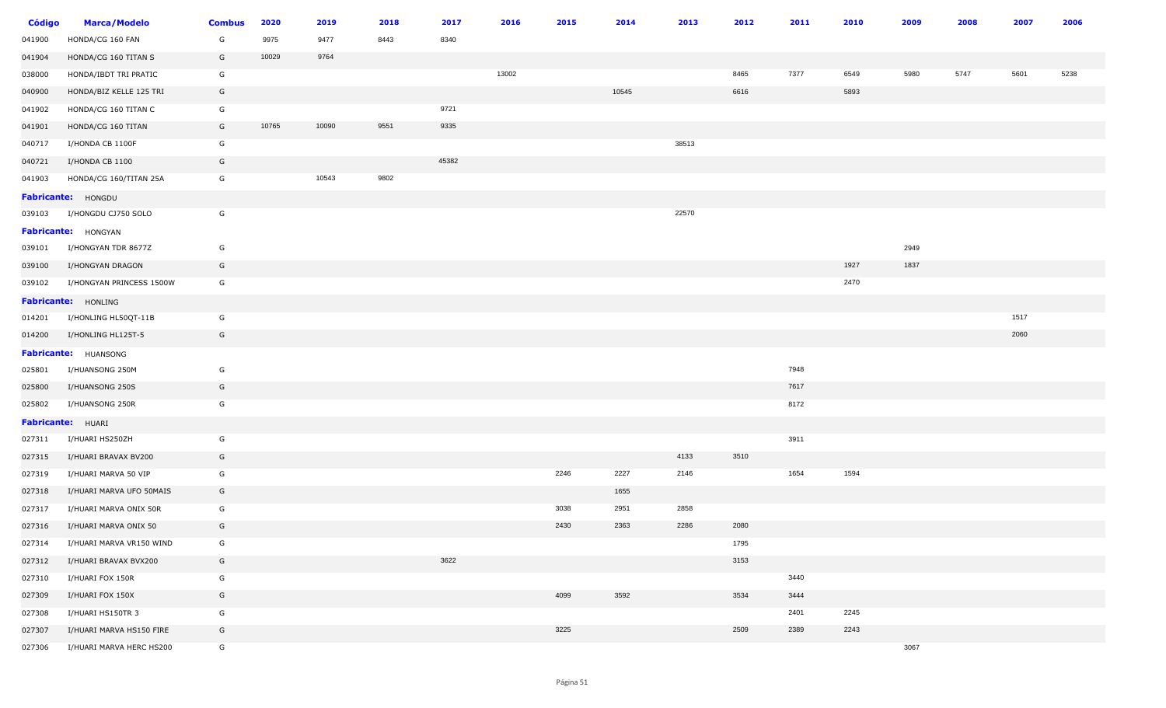| <b>Código</b> | <b>Marca/Modelo</b>      | <b>Combus</b> | 2020  | 2019  | 2018 | 2017  | 2016  | 2015 | 2014  | 2013  | 2012 | 2011 | 2010 | 2009 | 2008 | 2007 | 2006 |
|---------------|--------------------------|---------------|-------|-------|------|-------|-------|------|-------|-------|------|------|------|------|------|------|------|
| 041900        | HONDA/CG 160 FAN         | G             | 9975  | 9477  | 8443 | 8340  |       |      |       |       |      |      |      |      |      |      |      |
| 041904        | HONDA/CG 160 TITAN S     | G             | 10029 | 9764  |      |       |       |      |       |       |      |      |      |      |      |      |      |
| 038000        | HONDA/IBDT TRI PRATIC    | G             |       |       |      |       | 13002 |      |       |       | 8465 | 7377 | 6549 | 5980 | 5747 | 5601 | 5238 |
| 040900        | HONDA/BIZ KELLE 125 TRI  | G             |       |       |      |       |       |      | 10545 |       | 6616 |      | 5893 |      |      |      |      |
| 041902        | HONDA/CG 160 TITAN C     | G             |       |       |      | 9721  |       |      |       |       |      |      |      |      |      |      |      |
| 041901        | HONDA/CG 160 TITAN       | G             | 10765 | 10090 | 9551 | 9335  |       |      |       |       |      |      |      |      |      |      |      |
| 040717        | I/HONDA CB 1100F         | G             |       |       |      |       |       |      |       | 38513 |      |      |      |      |      |      |      |
| 040721        | I/HONDA CB 1100          | G             |       |       |      | 45382 |       |      |       |       |      |      |      |      |      |      |      |
| 041903        | HONDA/CG 160/TITAN 25A   | G             |       | 10543 | 9802 |       |       |      |       |       |      |      |      |      |      |      |      |
|               | Fabricante: HONGDU       |               |       |       |      |       |       |      |       |       |      |      |      |      |      |      |      |
| 039103        | I/HONGDU CJ750 SOLO      | G             |       |       |      |       |       |      |       | 22570 |      |      |      |      |      |      |      |
|               | Fabricante: HONGYAN      |               |       |       |      |       |       |      |       |       |      |      |      |      |      |      |      |
| 039101        | I/HONGYAN TDR 8677Z      | G             |       |       |      |       |       |      |       |       |      |      |      | 2949 |      |      |      |
| 039100        | I/HONGYAN DRAGON         | G             |       |       |      |       |       |      |       |       |      |      | 1927 | 1837 |      |      |      |
| 039102        | I/HONGYAN PRINCESS 1500W | G             |       |       |      |       |       |      |       |       |      |      | 2470 |      |      |      |      |
|               | Fabricante: HONLING      |               |       |       |      |       |       |      |       |       |      |      |      |      |      |      |      |
| 014201        | I/HONLING HL50QT-11B     | G             |       |       |      |       |       |      |       |       |      |      |      |      |      | 1517 |      |
| 014200        | I/HONLING HL125T-5       | G             |       |       |      |       |       |      |       |       |      |      |      |      |      | 2060 |      |
|               | Fabricante: HUANSONG     |               |       |       |      |       |       |      |       |       |      |      |      |      |      |      |      |
| 025801        | I/HUANSONG 250M          | G             |       |       |      |       |       |      |       |       |      | 7948 |      |      |      |      |      |
| 025800        | I/HUANSONG 250S          | G             |       |       |      |       |       |      |       |       |      | 7617 |      |      |      |      |      |
| 025802        | I/HUANSONG 250R          | G             |       |       |      |       |       |      |       |       |      | 8172 |      |      |      |      |      |
|               | Fabricante: HUARI        |               |       |       |      |       |       |      |       |       |      |      |      |      |      |      |      |
| 027311        | I/HUARI HS250ZH          | G             |       |       |      |       |       |      |       |       |      | 3911 |      |      |      |      |      |
| 027315        | I/HUARI BRAVAX BV200     | G             |       |       |      |       |       |      |       | 4133  | 3510 |      |      |      |      |      |      |
| 027319        | I/HUARI MARVA 50 VIP     | G             |       |       |      |       |       | 2246 | 2227  | 2146  |      | 1654 | 1594 |      |      |      |      |
| 027318        | I/HUARI MARVA UFO 50MAIS | G             |       |       |      |       |       |      | 1655  |       |      |      |      |      |      |      |      |
| 027317        | I/HUARI MARVA ONIX 50R   | G             |       |       |      |       |       | 3038 | 2951  | 2858  |      |      |      |      |      |      |      |
| 027316        | I/HUARI MARVA ONIX 50    | G             |       |       |      |       |       | 2430 | 2363  | 2286  | 2080 |      |      |      |      |      |      |
| 027314        | I/HUARI MARVA VR150 WIND | G             |       |       |      |       |       |      |       |       | 1795 |      |      |      |      |      |      |
| 027312        | I/HUARI BRAVAX BVX200    | G             |       |       |      | 3622  |       |      |       |       | 3153 |      |      |      |      |      |      |
| 027310        | I/HUARI FOX 150R         | G             |       |       |      |       |       |      |       |       |      | 3440 |      |      |      |      |      |
| 027309        | I/HUARI FOX 150X         | G             |       |       |      |       |       | 4099 | 3592  |       | 3534 | 3444 |      |      |      |      |      |
| 027308        | I/HUARI HS150TR 3        | G             |       |       |      |       |       |      |       |       |      | 2401 | 2245 |      |      |      |      |
| 027307        | I/HUARI MARVA HS150 FIRE | G             |       |       |      |       |       | 3225 |       |       | 2509 | 2389 | 2243 |      |      |      |      |
| 027306        | I/HUARI MARVA HERC HS200 | G             |       |       |      |       |       |      |       |       |      |      |      | 3067 |      |      |      |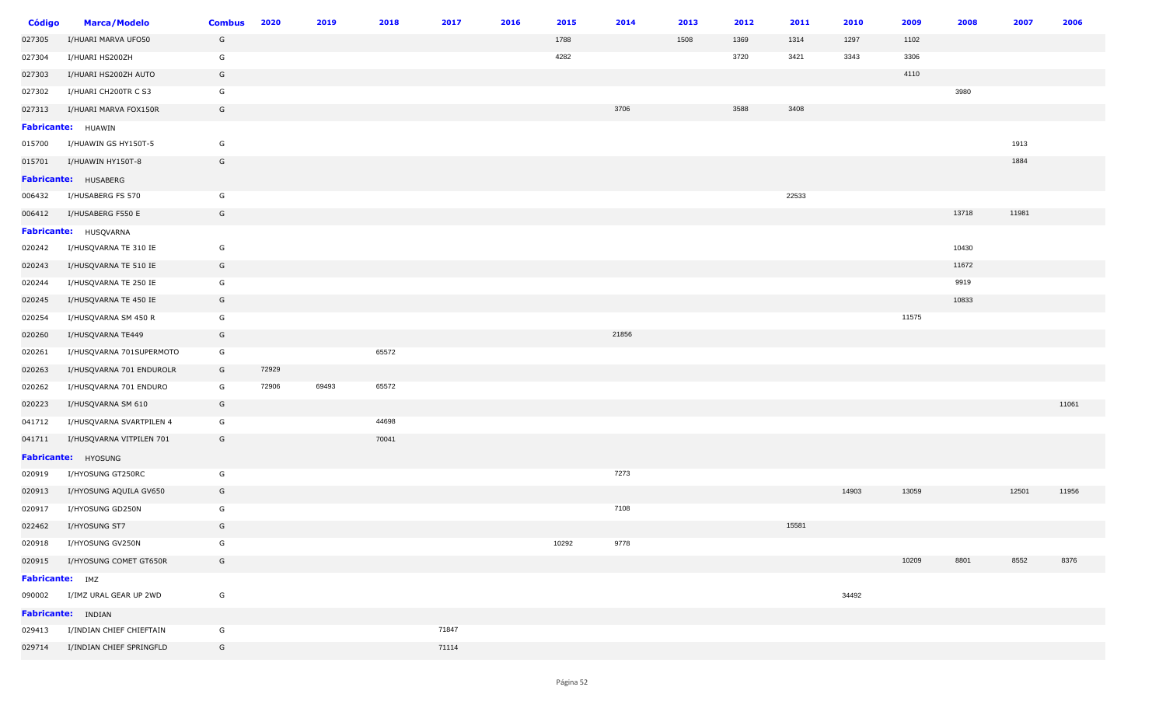| <b>Código</b>   | <b>Marca/Modelo</b>      | <b>Combus</b> | 2020  | 2019  | 2018  | 2017  | 2016 | 2015  | 2014  | 2013 | 2012 | 2011  | 2010  | 2009  | 2008  | 2007  | 2006  |
|-----------------|--------------------------|---------------|-------|-------|-------|-------|------|-------|-------|------|------|-------|-------|-------|-------|-------|-------|
| 027305          | I/HUARI MARVA UFO50      | G             |       |       |       |       |      | 1788  |       | 1508 | 1369 | 1314  | 1297  | 1102  |       |       |       |
| 027304          | I/HUARI HS200ZH          | G             |       |       |       |       |      | 4282  |       |      | 3720 | 3421  | 3343  | 3306  |       |       |       |
| 027303          | I/HUARI HS200ZH AUTO     | G             |       |       |       |       |      |       |       |      |      |       |       | 4110  |       |       |       |
| 027302          | I/HUARI CH200TR C S3     | G             |       |       |       |       |      |       |       |      |      |       |       |       | 3980  |       |       |
| 027313          | I/HUARI MARVA FOX150R    | G             |       |       |       |       |      |       | 3706  |      | 3588 | 3408  |       |       |       |       |       |
|                 | Fabricante: HUAWIN       |               |       |       |       |       |      |       |       |      |      |       |       |       |       |       |       |
| 015700          | I/HUAWIN GS HY150T-5     | G             |       |       |       |       |      |       |       |      |      |       |       |       |       | 1913  |       |
| 015701          | I/HUAWIN HY150T-8        | G             |       |       |       |       |      |       |       |      |      |       |       |       |       | 1884  |       |
|                 | Fabricante: HUSABERG     |               |       |       |       |       |      |       |       |      |      |       |       |       |       |       |       |
| 006432          | I/HUSABERG FS 570        | G             |       |       |       |       |      |       |       |      |      | 22533 |       |       |       |       |       |
| 006412          | I/HUSABERG F550 E        | G             |       |       |       |       |      |       |       |      |      |       |       |       | 13718 | 11981 |       |
|                 | Fabricante: HUSQVARNA    |               |       |       |       |       |      |       |       |      |      |       |       |       |       |       |       |
| 020242          | I/HUSQVARNA TE 310 IE    | G             |       |       |       |       |      |       |       |      |      |       |       |       | 10430 |       |       |
| 020243          | I/HUSQVARNA TE 510 IE    | G             |       |       |       |       |      |       |       |      |      |       |       |       | 11672 |       |       |
| 020244          | I/HUSQVARNA TE 250 IE    | G             |       |       |       |       |      |       |       |      |      |       |       |       | 9919  |       |       |
| 020245          | I/HUSQVARNA TE 450 IE    | G             |       |       |       |       |      |       |       |      |      |       |       |       | 10833 |       |       |
| 020254          | I/HUSQVARNA SM 450 R     | G             |       |       |       |       |      |       |       |      |      |       |       | 11575 |       |       |       |
| 020260          | I/HUSQVARNA TE449        | G             |       |       |       |       |      |       | 21856 |      |      |       |       |       |       |       |       |
| 020261          | I/HUSQVARNA 701SUPERMOTO | G             |       |       | 65572 |       |      |       |       |      |      |       |       |       |       |       |       |
| 020263          | I/HUSQVARNA 701 ENDUROLR | G             | 72929 |       |       |       |      |       |       |      |      |       |       |       |       |       |       |
| 020262          | I/HUSQVARNA 701 ENDURO   | G             | 72906 | 69493 | 65572 |       |      |       |       |      |      |       |       |       |       |       |       |
| 020223          | I/HUSQVARNA SM 610       | G             |       |       |       |       |      |       |       |      |      |       |       |       |       |       | 11061 |
| 041712          | I/HUSQVARNA SVARTPILEN 4 | G             |       |       | 44698 |       |      |       |       |      |      |       |       |       |       |       |       |
| 041711          | I/HUSQVARNA VITPILEN 701 | G             |       |       | 70041 |       |      |       |       |      |      |       |       |       |       |       |       |
|                 | Fabricante: HYOSUNG      |               |       |       |       |       |      |       |       |      |      |       |       |       |       |       |       |
| 020919          | I/HYOSUNG GT250RC        | G             |       |       |       |       |      |       | 7273  |      |      |       |       |       |       |       |       |
| 020913          | I/HYOSUNG AQUILA GV650   | G             |       |       |       |       |      |       |       |      |      |       | 14903 | 13059 |       | 12501 | 11956 |
| 020917          | I/HYOSUNG GD250N         | G             |       |       |       |       |      |       | 7108  |      |      |       |       |       |       |       |       |
| 022462          | I/HYOSUNG ST7            | G             |       |       |       |       |      |       |       |      |      | 15581 |       |       |       |       |       |
| 020918          | I/HYOSUNG GV250N         | G             |       |       |       |       |      | 10292 | 9778  |      |      |       |       |       |       |       |       |
| 020915          | I/HYOSUNG COMET GT650R   | G             |       |       |       |       |      |       |       |      |      |       |       | 10209 | 8801  | 8552  | 8376  |
| Fabricante: IMZ |                          |               |       |       |       |       |      |       |       |      |      |       |       |       |       |       |       |
| 090002          | I/IMZ URAL GEAR UP 2WD   | G             |       |       |       |       |      |       |       |      |      |       | 34492 |       |       |       |       |
|                 | Fabricante: INDIAN       |               |       |       |       |       |      |       |       |      |      |       |       |       |       |       |       |
| 029413          | I/INDIAN CHIEF CHIEFTAIN | G             |       |       |       | 71847 |      |       |       |      |      |       |       |       |       |       |       |
| 029714          | I/INDIAN CHIEF SPRINGFLD | G             |       |       |       | 71114 |      |       |       |      |      |       |       |       |       |       |       |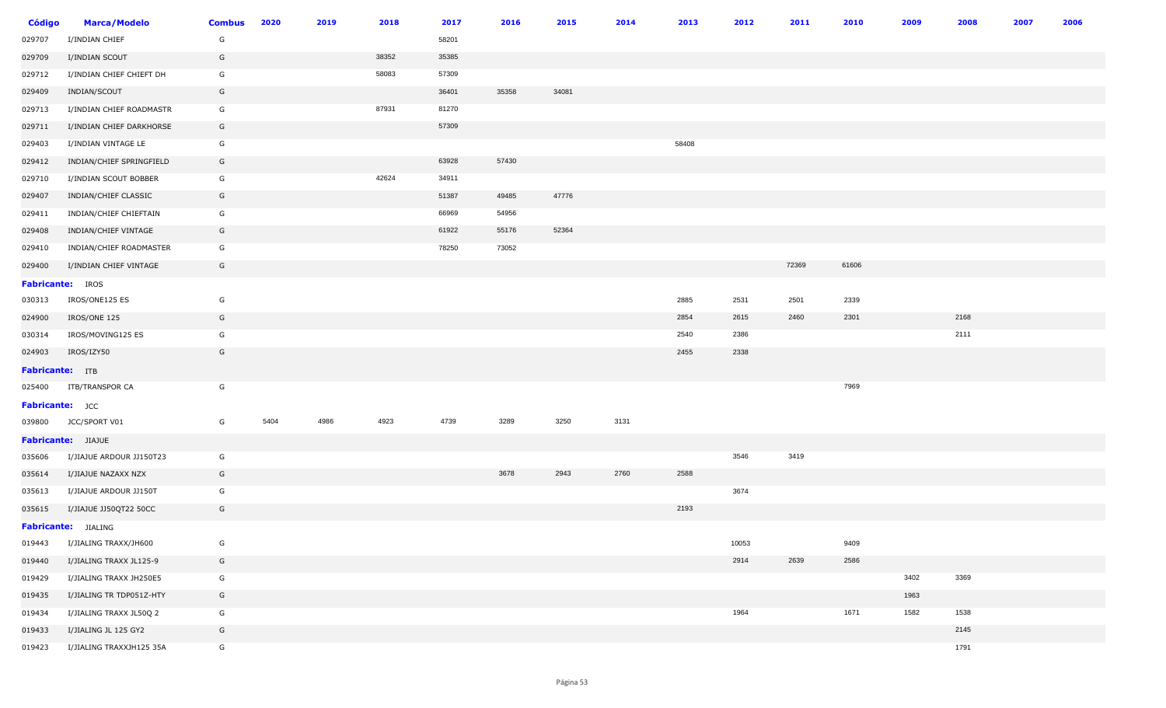| <b>Código</b>           | <b>Marca/Modelo</b>      | <b>Combus</b> | 2020 | 2019 | 2018  | 2017  | 2016  | 2015  | 2014 | 2013  | 2012  | 2011  | 2010  | 2009 | 2008 | 2007 | 2006 |
|-------------------------|--------------------------|---------------|------|------|-------|-------|-------|-------|------|-------|-------|-------|-------|------|------|------|------|
| 029707                  | I/INDIAN CHIEF           | G             |      |      |       | 58201 |       |       |      |       |       |       |       |      |      |      |      |
| 029709                  | I/INDIAN SCOUT           | G             |      |      | 38352 | 35385 |       |       |      |       |       |       |       |      |      |      |      |
| 029712                  | I/INDIAN CHIEF CHIEFT DH | G             |      |      | 58083 | 57309 |       |       |      |       |       |       |       |      |      |      |      |
| 029409                  | INDIAN/SCOUT             | G             |      |      |       | 36401 | 35358 | 34081 |      |       |       |       |       |      |      |      |      |
| 029713                  | I/INDIAN CHIEF ROADMASTR | G             |      |      | 87931 | 81270 |       |       |      |       |       |       |       |      |      |      |      |
| 029711                  | I/INDIAN CHIEF DARKHORSE | G             |      |      |       | 57309 |       |       |      |       |       |       |       |      |      |      |      |
| 029403                  | I/INDIAN VINTAGE LE      | G             |      |      |       |       |       |       |      | 58408 |       |       |       |      |      |      |      |
| 029412                  | INDIAN/CHIEF SPRINGFIELD | G             |      |      |       | 63928 | 57430 |       |      |       |       |       |       |      |      |      |      |
| 029710                  | I/INDIAN SCOUT BOBBER    | G             |      |      | 42624 | 34911 |       |       |      |       |       |       |       |      |      |      |      |
| 029407                  | INDIAN/CHIEF CLASSIC     | G             |      |      |       | 51387 | 49485 | 47776 |      |       |       |       |       |      |      |      |      |
| 029411                  | INDIAN/CHIEF CHIEFTAIN   | G             |      |      |       | 66969 | 54956 |       |      |       |       |       |       |      |      |      |      |
| 029408                  | INDIAN/CHIEF VINTAGE     | G             |      |      |       | 61922 | 55176 | 52364 |      |       |       |       |       |      |      |      |      |
| 029410                  | INDIAN/CHIEF ROADMASTER  | G             |      |      |       | 78250 | 73052 |       |      |       |       |       |       |      |      |      |      |
| 029400                  | I/INDIAN CHIEF VINTAGE   | G             |      |      |       |       |       |       |      |       |       | 72369 | 61606 |      |      |      |      |
| <b>Fabricante:</b> IROS |                          |               |      |      |       |       |       |       |      |       |       |       |       |      |      |      |      |
| 030313                  | IROS/ONE125 ES           | G             |      |      |       |       |       |       |      | 2885  | 2531  | 2501  | 2339  |      |      |      |      |
| 024900                  | IROS/ONE 125             | G             |      |      |       |       |       |       |      | 2854  | 2615  | 2460  | 2301  |      | 2168 |      |      |
| 030314                  | IROS/MOVING125 ES        | G             |      |      |       |       |       |       |      | 2540  | 2386  |       |       |      | 2111 |      |      |
| 024903                  | IROS/IZY50               | G             |      |      |       |       |       |       |      | 2455  | 2338  |       |       |      |      |      |      |
| Fabricante: ITB         |                          |               |      |      |       |       |       |       |      |       |       |       |       |      |      |      |      |
| 025400                  | ITB/TRANSPOR CA          | G             |      |      |       |       |       |       |      |       |       |       | 7969  |      |      |      |      |
| Fabricante: JCC         |                          |               |      |      |       |       |       |       |      |       |       |       |       |      |      |      |      |
| 039800                  | JCC/SPORT V01            | G             | 5404 | 4986 | 4923  | 4739  | 3289  | 3250  | 3131 |       |       |       |       |      |      |      |      |
|                         | Fabricante: JIAJUE       |               |      |      |       |       |       |       |      |       |       |       |       |      |      |      |      |
| 035606                  | I/JIAJUE ARDOUR JJ150T23 | G             |      |      |       |       |       |       |      |       | 3546  | 3419  |       |      |      |      |      |
| 035614                  | I/JIAJUE NAZAXX NZX      | G             |      |      |       |       | 3678  | 2943  | 2760 | 2588  |       |       |       |      |      |      |      |
| 035613                  | I/JIAJUE ARDOUR JJ150T   | G             |      |      |       |       |       |       |      |       | 3674  |       |       |      |      |      |      |
| 035615                  | I/JIAJUE JJ50QT22 50CC   | G             |      |      |       |       |       |       |      | 2193  |       |       |       |      |      |      |      |
|                         | Fabricante: JIALING      |               |      |      |       |       |       |       |      |       |       |       |       |      |      |      |      |
| 019443                  | I/JIALING TRAXX/JH600    | G             |      |      |       |       |       |       |      |       | 10053 |       | 9409  |      |      |      |      |
| 019440                  | I/JIALING TRAXX JL125-9  | G             |      |      |       |       |       |       |      |       | 2914  | 2639  | 2586  |      |      |      |      |
| 019429                  | I/JIALING TRAXX JH250E5  | G             |      |      |       |       |       |       |      |       |       |       |       | 3402 | 3369 |      |      |
| 019435                  | I/JIALING TR TDP051Z-HTY | G             |      |      |       |       |       |       |      |       |       |       |       | 1963 |      |      |      |
| 019434                  | I/JIALING TRAXX JL50Q 2  | G             |      |      |       |       |       |       |      |       | 1964  |       | 1671  | 1582 | 1538 |      |      |
| 019433                  | I/JIALING JL 125 GY2     | G             |      |      |       |       |       |       |      |       |       |       |       |      | 2145 |      |      |
| 019423                  | I/JIALING TRAXXJH125 35A | G             |      |      |       |       |       |       |      |       |       |       |       |      | 1791 |      |      |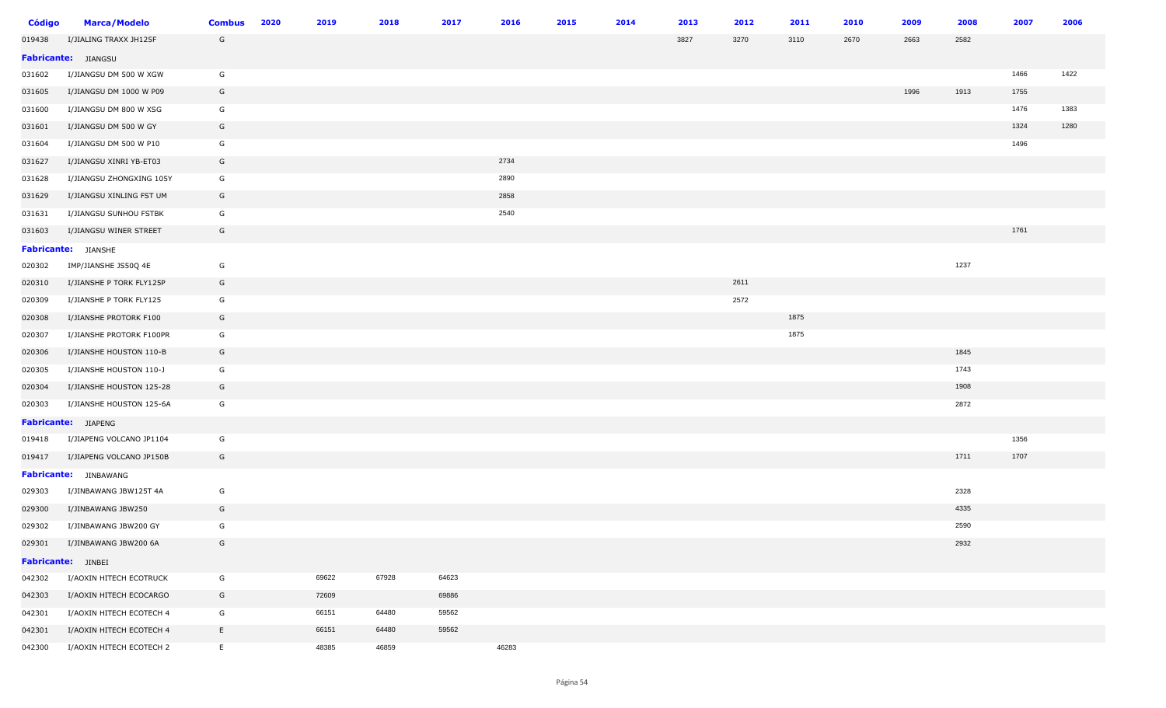| Código | <b>Marca/Modelo</b>        | <b>Combus</b> | 2020 | 2019  | 2018  | 2017  | 2016  | 2015 | 2014 | 2013 | 2012 | 2011 | 2010 | 2009 | 2008 | 2007 | 2006 |
|--------|----------------------------|---------------|------|-------|-------|-------|-------|------|------|------|------|------|------|------|------|------|------|
| 019438 | I/JIALING TRAXX JH125F     | G             |      |       |       |       |       |      |      | 3827 | 3270 | 3110 | 2670 | 2663 | 2582 |      |      |
|        | Fabricante: JIANGSU        |               |      |       |       |       |       |      |      |      |      |      |      |      |      |      |      |
| 031602 | I/JIANGSU DM 500 W XGW     | G             |      |       |       |       |       |      |      |      |      |      |      |      |      | 1466 | 1422 |
| 031605 | I/JIANGSU DM 1000 W P09    | G             |      |       |       |       |       |      |      |      |      |      |      | 1996 | 1913 | 1755 |      |
| 031600 | I/JIANGSU DM 800 W XSG     | G             |      |       |       |       |       |      |      |      |      |      |      |      |      | 1476 | 1383 |
| 031601 | I/JIANGSU DM 500 W GY      | G             |      |       |       |       |       |      |      |      |      |      |      |      |      | 1324 | 1280 |
| 031604 | I/JIANGSU DM 500 W P10     | G             |      |       |       |       |       |      |      |      |      |      |      |      |      | 1496 |      |
| 031627 | I/JIANGSU XINRI YB-ET03    | G             |      |       |       |       | 2734  |      |      |      |      |      |      |      |      |      |      |
| 031628 | I/JIANGSU ZHONGXING 105Y   | G             |      |       |       |       | 2890  |      |      |      |      |      |      |      |      |      |      |
| 031629 | I/JIANGSU XINLING FST UM   | G             |      |       |       |       | 2858  |      |      |      |      |      |      |      |      |      |      |
| 031631 | I/JIANGSU SUNHOU FSTBK     | G             |      |       |       |       | 2540  |      |      |      |      |      |      |      |      |      |      |
| 031603 | I/JIANGSU WINER STREET     | G             |      |       |       |       |       |      |      |      |      |      |      |      |      | 1761 |      |
|        | <b>Fabricante:</b> JIANSHE |               |      |       |       |       |       |      |      |      |      |      |      |      |      |      |      |
| 020302 | IMP/JIANSHE JS50Q 4E       | G             |      |       |       |       |       |      |      |      |      |      |      |      | 1237 |      |      |
| 020310 | I/JIANSHE P TORK FLY125P   | G             |      |       |       |       |       |      |      |      | 2611 |      |      |      |      |      |      |
| 020309 | I/JIANSHE P TORK FLY125    | G             |      |       |       |       |       |      |      |      | 2572 |      |      |      |      |      |      |
| 020308 | I/JIANSHE PROTORK F100     | G             |      |       |       |       |       |      |      |      |      | 1875 |      |      |      |      |      |
| 020307 | I/JIANSHE PROTORK F100PR   | G             |      |       |       |       |       |      |      |      |      | 1875 |      |      |      |      |      |
| 020306 | I/JIANSHE HOUSTON 110-B    | G             |      |       |       |       |       |      |      |      |      |      |      |      | 1845 |      |      |
| 020305 | I/JIANSHE HOUSTON 110-J    | G             |      |       |       |       |       |      |      |      |      |      |      |      | 1743 |      |      |
| 020304 | I/JIANSHE HOUSTON 125-28   | G             |      |       |       |       |       |      |      |      |      |      |      |      | 1908 |      |      |
| 020303 | I/JIANSHE HOUSTON 125-6A   | G             |      |       |       |       |       |      |      |      |      |      |      |      | 2872 |      |      |
|        | Fabricante: JIAPENG        |               |      |       |       |       |       |      |      |      |      |      |      |      |      |      |      |
| 019418 | I/JIAPENG VOLCANO JP1104   | G             |      |       |       |       |       |      |      |      |      |      |      |      |      | 1356 |      |
| 019417 | I/JIAPENG VOLCANO JP150B   | G             |      |       |       |       |       |      |      |      |      |      |      |      | 1711 | 1707 |      |
|        | Fabricante: JINBAWANG      |               |      |       |       |       |       |      |      |      |      |      |      |      |      |      |      |
| 029303 | I/JINBAWANG JBW125T 4A     | G             |      |       |       |       |       |      |      |      |      |      |      |      | 2328 |      |      |
| 029300 | I/JINBAWANG JBW250         | G             |      |       |       |       |       |      |      |      |      |      |      |      | 4335 |      |      |
| 029302 | I/JINBAWANG JBW200 GY      | G             |      |       |       |       |       |      |      |      |      |      |      |      | 2590 |      |      |
| 029301 | I/JINBAWANG JBW200 6A      | G             |      |       |       |       |       |      |      |      |      |      |      |      | 2932 |      |      |
|        | <b>Fabricante:</b> JINBEI  |               |      |       |       |       |       |      |      |      |      |      |      |      |      |      |      |
| 042302 | I/AOXIN HITECH ECOTRUCK    | G             |      | 69622 | 67928 | 64623 |       |      |      |      |      |      |      |      |      |      |      |
| 042303 | I/AOXIN HITECH ECOCARGO    | G             |      | 72609 |       | 69886 |       |      |      |      |      |      |      |      |      |      |      |
| 042301 | I/AOXIN HITECH ECOTECH 4   | G             |      | 66151 | 64480 | 59562 |       |      |      |      |      |      |      |      |      |      |      |
| 042301 | I/AOXIN HITECH ECOTECH 4   | E             |      | 66151 | 64480 | 59562 |       |      |      |      |      |      |      |      |      |      |      |
| 042300 | I/AOXIN HITECH ECOTECH 2   | E             |      | 48385 | 46859 |       | 46283 |      |      |      |      |      |      |      |      |      |      |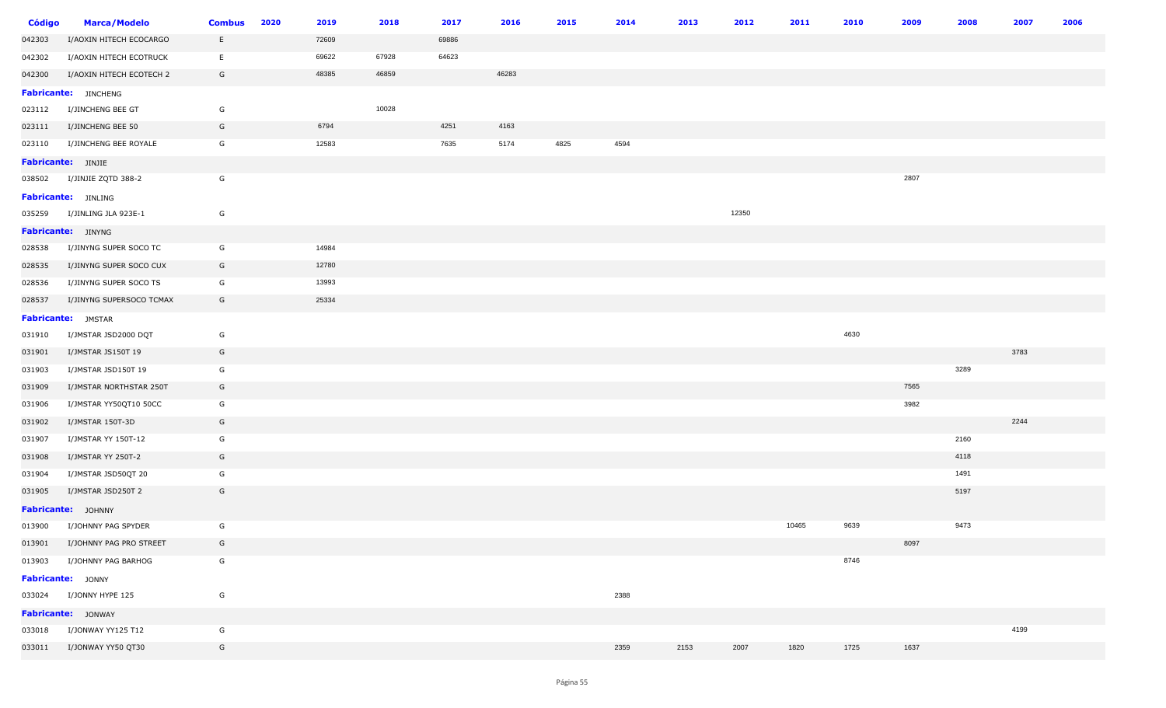| Código | <b>Marca/Modelo</b>            | <b>Combus</b> | 2020 | 2019  | 2018  | 2017  | 2016  | 2015 | 2014 | 2013 | 2012  | 2011  | 2010 | 2009 | 2008 | 2007 | 2006 |
|--------|--------------------------------|---------------|------|-------|-------|-------|-------|------|------|------|-------|-------|------|------|------|------|------|
| 042303 | I/AOXIN HITECH ECOCARGO        | E.            |      | 72609 |       | 69886 |       |      |      |      |       |       |      |      |      |      |      |
| 042302 | I/AOXIN HITECH ECOTRUCK        | E             |      | 69622 | 67928 | 64623 |       |      |      |      |       |       |      |      |      |      |      |
| 042300 | I/AOXIN HITECH ECOTECH 2       | G             |      | 48385 | 46859 |       | 46283 |      |      |      |       |       |      |      |      |      |      |
|        | Fabricante: JINCHENG           |               |      |       |       |       |       |      |      |      |       |       |      |      |      |      |      |
| 023112 | I/JINCHENG BEE GT              | G             |      |       | 10028 |       |       |      |      |      |       |       |      |      |      |      |      |
| 023111 | I/JINCHENG BEE 50              | G             |      | 6794  |       | 4251  | 4163  |      |      |      |       |       |      |      |      |      |      |
| 023110 | I/JINCHENG BEE ROYALE          | G             |      | 12583 |       | 7635  | 5174  | 4825 | 4594 |      |       |       |      |      |      |      |      |
|        | Fabricante: JINJIE             |               |      |       |       |       |       |      |      |      |       |       |      |      |      |      |      |
| 038502 | I/JINJIE ZQTD 388-2            | G             |      |       |       |       |       |      |      |      |       |       |      | 2807 |      |      |      |
|        | <b>Fabricante:</b> JINLING     |               |      |       |       |       |       |      |      |      |       |       |      |      |      |      |      |
| 035259 | I/JINLING JLA 923E-1           | G             |      |       |       |       |       |      |      |      | 12350 |       |      |      |      |      |      |
|        | Fabricante: JINYNG             |               |      |       |       |       |       |      |      |      |       |       |      |      |      |      |      |
| 028538 | I/JINYNG SUPER SOCO TC         | G             |      | 14984 |       |       |       |      |      |      |       |       |      |      |      |      |      |
| 028535 | I/JINYNG SUPER SOCO CUX        | G             |      | 12780 |       |       |       |      |      |      |       |       |      |      |      |      |      |
| 028536 | I/JINYNG SUPER SOCO TS         | G             |      | 13993 |       |       |       |      |      |      |       |       |      |      |      |      |      |
| 028537 | I/JINYNG SUPERSOCO TCMAX       | G             |      | 25334 |       |       |       |      |      |      |       |       |      |      |      |      |      |
|        | Fabricante: JMSTAR             |               |      |       |       |       |       |      |      |      |       |       |      |      |      |      |      |
| 031910 | I/JMSTAR JSD2000 DQT           | G             |      |       |       |       |       |      |      |      |       |       | 4630 |      |      |      |      |
| 031901 | I/JMSTAR JS150T 19             | G             |      |       |       |       |       |      |      |      |       |       |      |      |      | 3783 |      |
| 031903 | I/JMSTAR JSD150T 19            | G             |      |       |       |       |       |      |      |      |       |       |      |      | 3289 |      |      |
| 031909 | I/JMSTAR NORTHSTAR 250T        | G             |      |       |       |       |       |      |      |      |       |       |      | 7565 |      |      |      |
| 031906 | I/JMSTAR YY50QT10 50CC         | G             |      |       |       |       |       |      |      |      |       |       |      | 3982 |      |      |      |
| 031902 | I/JMSTAR 150T-3D               | G             |      |       |       |       |       |      |      |      |       |       |      |      |      | 2244 |      |
| 031907 | I/JMSTAR YY 150T-12            | G             |      |       |       |       |       |      |      |      |       |       |      |      | 2160 |      |      |
| 031908 | I/JMSTAR YY 250T-2             | G             |      |       |       |       |       |      |      |      |       |       |      |      | 4118 |      |      |
| 031904 | I/JMSTAR JSD50QT 20            | G             |      |       |       |       |       |      |      |      |       |       |      |      | 1491 |      |      |
| 031905 | I/JMSTAR JSD250T 2             | G             |      |       |       |       |       |      |      |      |       |       |      |      | 5197 |      |      |
|        | Fabricante: JOHNNY             |               |      |       |       |       |       |      |      |      |       |       |      |      |      |      |      |
| 013900 | I/JOHNNY PAG SPYDER            | G             |      |       |       |       |       |      |      |      |       | 10465 | 9639 |      | 9473 |      |      |
|        | 013901 I/JOHNNY PAG PRO STREET | G             |      |       |       |       |       |      |      |      |       |       |      | 8097 |      |      |      |
| 013903 | I/JOHNNY PAG BARHOG            | G             |      |       |       |       |       |      |      |      |       |       | 8746 |      |      |      |      |
|        | Fabricante: JONNY              |               |      |       |       |       |       |      |      |      |       |       |      |      |      |      |      |
|        | 033024 I/JONNY HYPE 125        | G             |      |       |       |       |       |      | 2388 |      |       |       |      |      |      |      |      |
|        | Fabricante: JONWAY             |               |      |       |       |       |       |      |      |      |       |       |      |      |      |      |      |
| 033018 | I/JONWAY YY125 T12             | G             |      |       |       |       |       |      |      |      |       |       |      |      |      | 4199 |      |
|        | 033011 I/JONWAY YY50 QT30      | G             |      |       |       |       |       |      | 2359 | 2153 | 2007  | 1820  | 1725 | 1637 |      |      |      |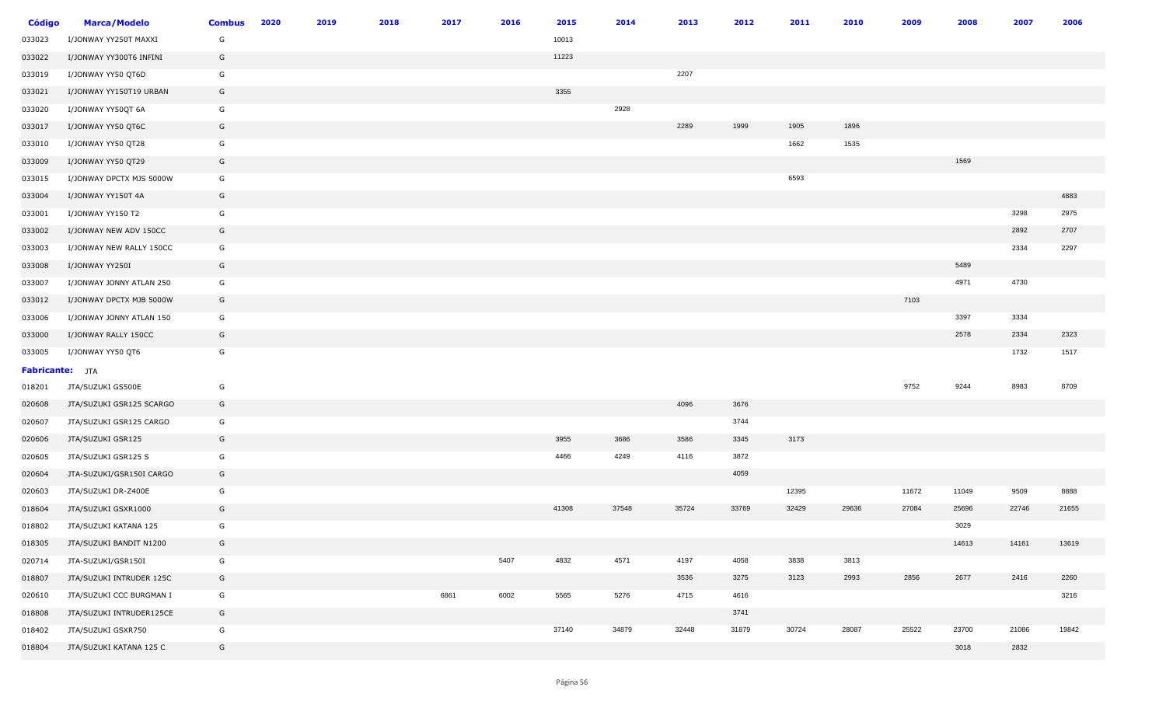| <b>Código</b>          | <b>Marca/Modelo</b>      | <b>Combus</b> | 2020 | 2019 | 2018 | 2017 | 2016 | 2015  | 2014  | 2013  | 2012  | 2011  | 2010  | 2009  | 2008  | 2007  | 2006  |
|------------------------|--------------------------|---------------|------|------|------|------|------|-------|-------|-------|-------|-------|-------|-------|-------|-------|-------|
| 033023                 | I/JONWAY YY250T MAXXI    | G             |      |      |      |      |      | 10013 |       |       |       |       |       |       |       |       |       |
| 033022                 | I/JONWAY YY300T6 INFINI  | G             |      |      |      |      |      | 11223 |       |       |       |       |       |       |       |       |       |
| 033019                 | I/JONWAY YY50 QT6D       | G             |      |      |      |      |      |       |       | 2207  |       |       |       |       |       |       |       |
| 033021                 | I/JONWAY YY150T19 URBAN  | G             |      |      |      |      |      | 3355  |       |       |       |       |       |       |       |       |       |
| 033020                 | I/JONWAY YY50QT 6A       | G             |      |      |      |      |      |       | 2928  |       |       |       |       |       |       |       |       |
| 033017                 | I/JONWAY YY50 QT6C       | G             |      |      |      |      |      |       |       | 2289  | 1999  | 1905  | 1896  |       |       |       |       |
| 033010                 | I/JONWAY YY50 QT28       | G             |      |      |      |      |      |       |       |       |       | 1662  | 1535  |       |       |       |       |
| 033009                 | I/JONWAY YY50 QT29       | G             |      |      |      |      |      |       |       |       |       |       |       |       | 1569  |       |       |
| 033015                 | I/JONWAY DPCTX MJS 5000W | G             |      |      |      |      |      |       |       |       |       | 6593  |       |       |       |       |       |
| 033004                 | I/JONWAY YY150T 4A       | G             |      |      |      |      |      |       |       |       |       |       |       |       |       |       | 4883  |
| 033001                 | I/JONWAY YY150 T2        | G             |      |      |      |      |      |       |       |       |       |       |       |       |       | 3298  | 2975  |
| 033002                 | I/JONWAY NEW ADV 150CC   | G             |      |      |      |      |      |       |       |       |       |       |       |       |       | 2892  | 2707  |
| 033003                 | I/JONWAY NEW RALLY 150CC | G             |      |      |      |      |      |       |       |       |       |       |       |       |       | 2334  | 2297  |
| 033008                 | I/JONWAY YY250I          | G             |      |      |      |      |      |       |       |       |       |       |       |       | 5489  |       |       |
| 033007                 | I/JONWAY JONNY ATLAN 250 | G             |      |      |      |      |      |       |       |       |       |       |       |       | 4971  | 4730  |       |
| 033012                 | I/JONWAY DPCTX MJB 5000W | G             |      |      |      |      |      |       |       |       |       |       |       | 7103  |       |       |       |
| 033006                 | I/JONWAY JONNY ATLAN 150 | G             |      |      |      |      |      |       |       |       |       |       |       |       | 3397  | 3334  |       |
| 033000                 | I/JONWAY RALLY 150CC     | G             |      |      |      |      |      |       |       |       |       |       |       |       | 2578  | 2334  | 2323  |
| 033005                 | I/JONWAY YY50 QT6        | G             |      |      |      |      |      |       |       |       |       |       |       |       |       | 1732  | 1517  |
| <b>Fabricante:</b> JTA |                          |               |      |      |      |      |      |       |       |       |       |       |       |       |       |       |       |
| 018201                 | JTA/SUZUKI GS500E        | G             |      |      |      |      |      |       |       |       |       |       |       | 9752  | 9244  | 8983  | 8709  |
| 020608                 | JTA/SUZUKI GSR125 SCARGO | G             |      |      |      |      |      |       |       | 4096  | 3676  |       |       |       |       |       |       |
| 020607                 | JTA/SUZUKI GSR125 CARGO  | G             |      |      |      |      |      |       |       |       | 3744  |       |       |       |       |       |       |
| 020606                 | JTA/SUZUKI GSR125        | G             |      |      |      |      |      | 3955  | 3686  | 3586  | 3345  | 3173  |       |       |       |       |       |
| 020605                 | JTA/SUZUKI GSR125 S      | G             |      |      |      |      |      | 4466  | 4249  | 4116  | 3872  |       |       |       |       |       |       |
| 020604                 | JTA-SUZUKI/GSR150I CARGO | G             |      |      |      |      |      |       |       |       | 4059  |       |       |       |       |       |       |
| 020603                 | JTA/SUZUKI DR-Z400E      | G             |      |      |      |      |      |       |       |       |       | 12395 |       | 11672 | 11049 | 9509  | 8888  |
| 018604                 | JTA/SUZUKI GSXR1000      | G             |      |      |      |      |      | 41308 | 37548 | 35724 | 33769 | 32429 | 29636 | 27084 | 25696 | 22746 | 21655 |
| 018802                 | JTA/SUZUKI KATANA 125    | G             |      |      |      |      |      |       |       |       |       |       |       |       | 3029  |       |       |
| 018305                 | JTA/SUZUKI BANDIT N1200  | G             |      |      |      |      |      |       |       |       |       |       |       |       | 14613 | 14161 | 13619 |
| 020714                 | JTA-SUZUKI/GSR150I       | G             |      |      |      |      | 5407 | 4832  | 4571  | 4197  | 4058  | 3838  | 3813  |       |       |       |       |
| 018807                 | JTA/SUZUKI INTRUDER 125C | G             |      |      |      |      |      |       |       | 3536  | 3275  | 3123  | 2993  | 2856  | 2677  | 2416  | 2260  |
| 020610                 | JTA/SUZUKI CCC BURGMAN I | G             |      |      |      | 6861 | 6002 | 5565  | 5276  | 4715  | 4616  |       |       |       |       |       | 3216  |
| 018808                 | JTA/SUZUKI INTRUDER125CE | G             |      |      |      |      |      |       |       |       | 3741  |       |       |       |       |       |       |
| 018402                 | JTA/SUZUKI GSXR750       | G             |      |      |      |      |      | 37140 | 34879 | 32448 | 31879 | 30724 | 28087 | 25522 | 23700 | 21086 | 19842 |
| 018804                 | JTA/SUZUKI KATANA 125 C  | G             |      |      |      |      |      |       |       |       |       |       |       |       | 3018  | 2832  |       |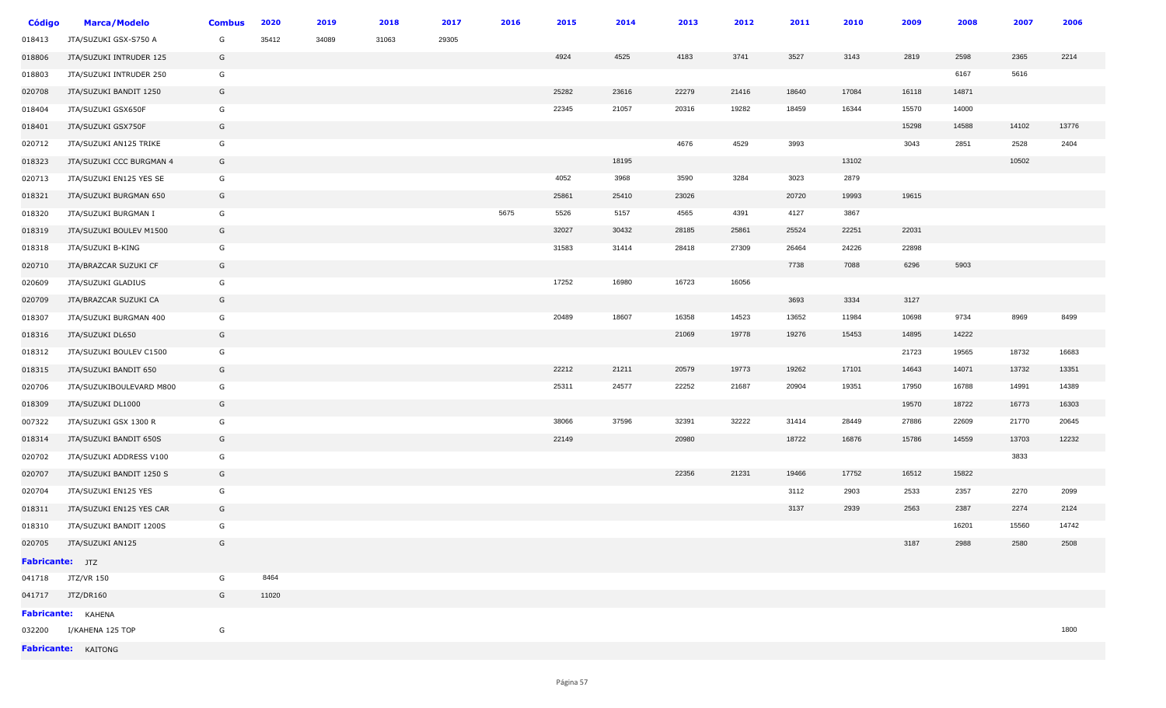| <b>Código</b>          | <b>Marca/Modelo</b>       | <b>Combus</b> | 2020  | 2019  | 2018  | 2017  | 2016 | 2015  | 2014  | 2013  | 2012  | 2011  | 2010  | 2009  | 2008  | 2007  | 2006  |
|------------------------|---------------------------|---------------|-------|-------|-------|-------|------|-------|-------|-------|-------|-------|-------|-------|-------|-------|-------|
| 018413                 | JTA/SUZUKI GSX-S750 A     | G             | 35412 | 34089 | 31063 | 29305 |      |       |       |       |       |       |       |       |       |       |       |
| 018806                 | JTA/SUZUKI INTRUDER 125   | G             |       |       |       |       |      | 4924  | 4525  | 4183  | 3741  | 3527  | 3143  | 2819  | 2598  | 2365  | 2214  |
| 018803                 | JTA/SUZUKI INTRUDER 250   | G             |       |       |       |       |      |       |       |       |       |       |       |       | 6167  | 5616  |       |
| 020708                 | JTA/SUZUKI BANDIT 1250    | G             |       |       |       |       |      | 25282 | 23616 | 22279 | 21416 | 18640 | 17084 | 16118 | 14871 |       |       |
| 018404                 | JTA/SUZUKI GSX650F        | G             |       |       |       |       |      | 22345 | 21057 | 20316 | 19282 | 18459 | 16344 | 15570 | 14000 |       |       |
| 018401                 | JTA/SUZUKI GSX750F        | G             |       |       |       |       |      |       |       |       |       |       |       | 15298 | 14588 | 14102 | 13776 |
| 020712                 | JTA/SUZUKI AN125 TRIKE    | G             |       |       |       |       |      |       |       | 4676  | 4529  | 3993  |       | 3043  | 2851  | 2528  | 2404  |
| 018323                 | JTA/SUZUKI CCC BURGMAN 4  | G             |       |       |       |       |      |       | 18195 |       |       |       | 13102 |       |       | 10502 |       |
| 020713                 | JTA/SUZUKI EN125 YES SE   | G             |       |       |       |       |      | 4052  | 3968  | 3590  | 3284  | 3023  | 2879  |       |       |       |       |
| 018321                 | JTA/SUZUKI BURGMAN 650    | G             |       |       |       |       |      | 25861 | 25410 | 23026 |       | 20720 | 19993 | 19615 |       |       |       |
| 018320                 | JTA/SUZUKI BURGMAN I      | G             |       |       |       |       | 5675 | 5526  | 5157  | 4565  | 4391  | 4127  | 3867  |       |       |       |       |
| 018319                 | JTA/SUZUKI BOULEV M1500   | G             |       |       |       |       |      | 32027 | 30432 | 28185 | 25861 | 25524 | 22251 | 22031 |       |       |       |
| 018318                 | JTA/SUZUKI B-KING         | G             |       |       |       |       |      | 31583 | 31414 | 28418 | 27309 | 26464 | 24226 | 22898 |       |       |       |
| 020710                 | JTA/BRAZCAR SUZUKI CF     | G             |       |       |       |       |      |       |       |       |       | 7738  | 7088  | 6296  | 5903  |       |       |
| 020609                 | JTA/SUZUKI GLADIUS        | G             |       |       |       |       |      | 17252 | 16980 | 16723 | 16056 |       |       |       |       |       |       |
| 020709                 | JTA/BRAZCAR SUZUKI CA     | G             |       |       |       |       |      |       |       |       |       | 3693  | 3334  | 3127  |       |       |       |
| 018307                 | JTA/SUZUKI BURGMAN 400    | G             |       |       |       |       |      | 20489 | 18607 | 16358 | 14523 | 13652 | 11984 | 10698 | 9734  | 8969  | 8499  |
| 018316                 | JTA/SUZUKI DL650          | G             |       |       |       |       |      |       |       | 21069 | 19778 | 19276 | 15453 | 14895 | 14222 |       |       |
| 018312                 | JTA/SUZUKI BOULEV C1500   | G             |       |       |       |       |      |       |       |       |       |       |       | 21723 | 19565 | 18732 | 16683 |
| 018315                 | JTA/SUZUKI BANDIT 650     | G             |       |       |       |       |      | 22212 | 21211 | 20579 | 19773 | 19262 | 17101 | 14643 | 14071 | 13732 | 13351 |
| 020706                 | JTA/SUZUKIBOULEVARD M800  | G             |       |       |       |       |      | 25311 | 24577 | 22252 | 21687 | 20904 | 19351 | 17950 | 16788 | 14991 | 14389 |
| 018309                 | JTA/SUZUKI DL1000         | G             |       |       |       |       |      |       |       |       |       |       |       | 19570 | 18722 | 16773 | 16303 |
| 007322                 | JTA/SUZUKI GSX 1300 R     | G             |       |       |       |       |      | 38066 | 37596 | 32391 | 32222 | 31414 | 28449 | 27886 | 22609 | 21770 | 20645 |
| 018314                 | JTA/SUZUKI BANDIT 650S    | G             |       |       |       |       |      | 22149 |       | 20980 |       | 18722 | 16876 | 15786 | 14559 | 13703 | 12232 |
| 020702                 | JTA/SUZUKI ADDRESS V100   | G             |       |       |       |       |      |       |       |       |       |       |       |       |       | 3833  |       |
| 020707                 | JTA/SUZUKI BANDIT 1250 S  | G             |       |       |       |       |      |       |       | 22356 | 21231 | 19466 | 17752 | 16512 | 15822 |       |       |
| 020704                 | JTA/SUZUKI EN125 YES      | G             |       |       |       |       |      |       |       |       |       | 3112  | 2903  | 2533  | 2357  | 2270  | 2099  |
| 018311                 | JTA/SUZUKI EN125 YES CAR  | G             |       |       |       |       |      |       |       |       |       | 3137  | 2939  | 2563  | 2387  | 2274  | 2124  |
| 018310                 | JTA/SUZUKI BANDIT 1200S   | G             |       |       |       |       |      |       |       |       |       |       |       |       | 16201 | 15560 | 14742 |
|                        | 020705 JTA/SUZUKI AN125   | G             |       |       |       |       |      |       |       |       |       |       |       | 3187  | 2988  | 2580  | 2508  |
| <b>Fabricante:</b> JTZ |                           |               |       |       |       |       |      |       |       |       |       |       |       |       |       |       |       |
|                        | 041718 JTZ/VR 150         | G             | 8464  |       |       |       |      |       |       |       |       |       |       |       |       |       |       |
|                        | 041717 JTZ/DR160          | G             | 11020 |       |       |       |      |       |       |       |       |       |       |       |       |       |       |
|                        | <b>Fabricante:</b> KAHENA |               |       |       |       |       |      |       |       |       |       |       |       |       |       |       |       |
|                        | 032200 I/KAHENA 125 TOP   | G             |       |       |       |       |      |       |       |       |       |       |       |       |       |       | 1800  |
|                        | Fabricante: KAITONG       |               |       |       |       |       |      |       |       |       |       |       |       |       |       |       |       |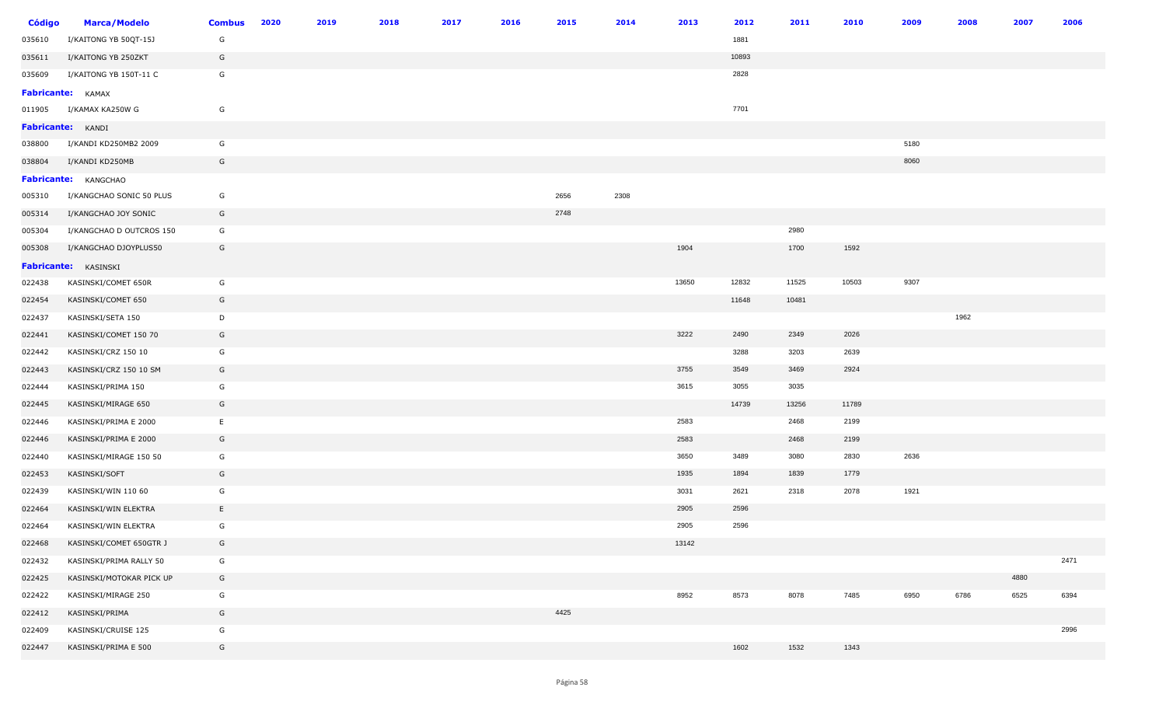| <b>Código</b> | <b>Marca/Modelo</b>         | <b>Combus</b> | 2020 | 2019 | 2018 | 2017 | 2016 | 2015 | 2014 | 2013  | 2012  | 2011  | 2010  | 2009 | 2008 | 2007 | 2006 |
|---------------|-----------------------------|---------------|------|------|------|------|------|------|------|-------|-------|-------|-------|------|------|------|------|
| 035610        | I/KAITONG YB 50QT-15J       | G             |      |      |      |      |      |      |      |       | 1881  |       |       |      |      |      |      |
| 035611        | I/KAITONG YB 250ZKT         | G             |      |      |      |      |      |      |      |       | 10893 |       |       |      |      |      |      |
| 035609        | I/KAITONG YB 150T-11 C      | G             |      |      |      |      |      |      |      |       | 2828  |       |       |      |      |      |      |
|               | <b>Fabricante:</b> KAMAX    |               |      |      |      |      |      |      |      |       |       |       |       |      |      |      |      |
| 011905        | I/KAMAX KA250W G            | G             |      |      |      |      |      |      |      |       | 7701  |       |       |      |      |      |      |
|               | <b>Fabricante:</b> KANDI    |               |      |      |      |      |      |      |      |       |       |       |       |      |      |      |      |
| 038800        | I/KANDI KD250MB2 2009       | G             |      |      |      |      |      |      |      |       |       |       |       | 5180 |      |      |      |
| 038804        | I/KANDI KD250MB             | G             |      |      |      |      |      |      |      |       |       |       |       | 8060 |      |      |      |
|               | <b>Fabricante:</b> KANGCHAO |               |      |      |      |      |      |      |      |       |       |       |       |      |      |      |      |
| 005310        | I/KANGCHAO SONIC 50 PLUS    | G             |      |      |      |      |      | 2656 | 2308 |       |       |       |       |      |      |      |      |
| 005314        | I/KANGCHAO JOY SONIC        | G             |      |      |      |      |      | 2748 |      |       |       |       |       |      |      |      |      |
| 005304        | I/KANGCHAO D OUTCROS 150    | G             |      |      |      |      |      |      |      |       |       | 2980  |       |      |      |      |      |
| 005308        | I/KANGCHAO DJOYPLUS50       | G             |      |      |      |      |      |      |      | 1904  |       | 1700  | 1592  |      |      |      |      |
|               | Fabricante: KASINSKI        |               |      |      |      |      |      |      |      |       |       |       |       |      |      |      |      |
| 022438        | KASINSKI/COMET 650R         | G             |      |      |      |      |      |      |      | 13650 | 12832 | 11525 | 10503 | 9307 |      |      |      |
| 022454        | KASINSKI/COMET 650          | G             |      |      |      |      |      |      |      |       | 11648 | 10481 |       |      |      |      |      |
| 022437        | KASINSKI/SETA 150           | D             |      |      |      |      |      |      |      |       |       |       |       |      | 1962 |      |      |
| 022441        | KASINSKI/COMET 150 70       | G             |      |      |      |      |      |      |      | 3222  | 2490  | 2349  | 2026  |      |      |      |      |
| 022442        | KASINSKI/CRZ 150 10         | G             |      |      |      |      |      |      |      |       | 3288  | 3203  | 2639  |      |      |      |      |
| 022443        | KASINSKI/CRZ 150 10 SM      | G             |      |      |      |      |      |      |      | 3755  | 3549  | 3469  | 2924  |      |      |      |      |
| 022444        | KASINSKI/PRIMA 150          | G             |      |      |      |      |      |      |      | 3615  | 3055  | 3035  |       |      |      |      |      |
| 022445        | KASINSKI/MIRAGE 650         | G             |      |      |      |      |      |      |      |       | 14739 | 13256 | 11789 |      |      |      |      |
| 022446        | KASINSKI/PRIMA E 2000       | E             |      |      |      |      |      |      |      | 2583  |       | 2468  | 2199  |      |      |      |      |
| 022446        | KASINSKI/PRIMA E 2000       | G             |      |      |      |      |      |      |      | 2583  |       | 2468  | 2199  |      |      |      |      |
| 022440        | KASINSKI/MIRAGE 150 50      | G             |      |      |      |      |      |      |      | 3650  | 3489  | 3080  | 2830  | 2636 |      |      |      |
| 022453        | KASINSKI/SOFT               | G             |      |      |      |      |      |      |      | 1935  | 1894  | 1839  | 1779  |      |      |      |      |
| 022439        | KASINSKI/WIN 110 60         | G             |      |      |      |      |      |      |      | 3031  | 2621  | 2318  | 2078  | 1921 |      |      |      |
| 022464        | KASINSKI/WIN ELEKTRA        | E             |      |      |      |      |      |      |      | 2905  | 2596  |       |       |      |      |      |      |
| 022464        | KASINSKI/WIN ELEKTRA        | G             |      |      |      |      |      |      |      | 2905  | 2596  |       |       |      |      |      |      |
| 022468        | KASINSKI/COMET 650GTR J     | G             |      |      |      |      |      |      |      | 13142 |       |       |       |      |      |      |      |
| 022432        | KASINSKI/PRIMA RALLY 50     | G             |      |      |      |      |      |      |      |       |       |       |       |      |      |      | 2471 |
| 022425        | KASINSKI/MOTOKAR PICK UP    | G             |      |      |      |      |      |      |      |       |       |       |       |      |      | 4880 |      |
| 022422        | KASINSKI/MIRAGE 250         | G             |      |      |      |      |      |      |      | 8952  | 8573  | 8078  | 7485  | 6950 | 6786 | 6525 | 6394 |
| 022412        | KASINSKI/PRIMA              | G             |      |      |      |      |      | 4425 |      |       |       |       |       |      |      |      |      |
| 022409        | KASINSKI/CRUISE 125         | G             |      |      |      |      |      |      |      |       |       |       |       |      |      |      | 2996 |
| 022447        | KASINSKI/PRIMA E 500        | G             |      |      |      |      |      |      |      |       | 1602  | 1532  | 1343  |      |      |      |      |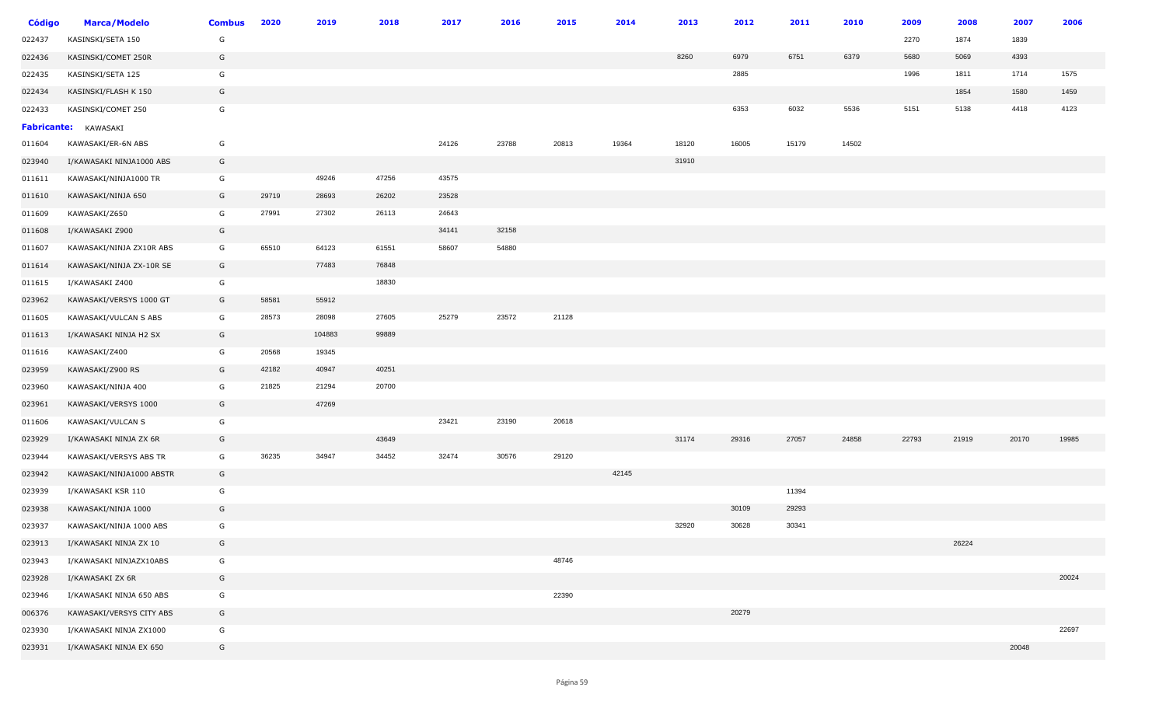| <b>Código</b> | <b>Marca/Modelo</b>         | <b>Combus</b> | 2020  | 2019   | 2018  | 2017  | 2016  | 2015  | 2014  | 2013  | 2012  | 2011  | 2010  | 2009  | 2008  | 2007  | 2006  |
|---------------|-----------------------------|---------------|-------|--------|-------|-------|-------|-------|-------|-------|-------|-------|-------|-------|-------|-------|-------|
| 022437        | KASINSKI/SETA 150           | G             |       |        |       |       |       |       |       |       |       |       |       | 2270  | 1874  | 1839  |       |
| 022436        | KASINSKI/COMET 250R         | G             |       |        |       |       |       |       |       | 8260  | 6979  | 6751  | 6379  | 5680  | 5069  | 4393  |       |
| 022435        | KASINSKI/SETA 125           | G             |       |        |       |       |       |       |       |       | 2885  |       |       | 1996  | 1811  | 1714  | 1575  |
| 022434        | KASINSKI/FLASH K 150        | G             |       |        |       |       |       |       |       |       |       |       |       |       | 1854  | 1580  | 1459  |
| 022433        | KASINSKI/COMET 250          | G             |       |        |       |       |       |       |       |       | 6353  | 6032  | 5536  | 5151  | 5138  | 4418  | 4123  |
|               | <b>Fabricante:</b> KAWASAKI |               |       |        |       |       |       |       |       |       |       |       |       |       |       |       |       |
| 011604        | KAWASAKI/ER-6N ABS          | G             |       |        |       | 24126 | 23788 | 20813 | 19364 | 18120 | 16005 | 15179 | 14502 |       |       |       |       |
| 023940        | I/KAWASAKI NINJA1000 ABS    | G             |       |        |       |       |       |       |       | 31910 |       |       |       |       |       |       |       |
| 011611        | KAWASAKI/NINJA1000 TR       | G             |       | 49246  | 47256 | 43575 |       |       |       |       |       |       |       |       |       |       |       |
| 011610        | KAWASAKI/NINJA 650          | G             | 29719 | 28693  | 26202 | 23528 |       |       |       |       |       |       |       |       |       |       |       |
| 011609        | KAWASAKI/Z650               | G             | 27991 | 27302  | 26113 | 24643 |       |       |       |       |       |       |       |       |       |       |       |
| 011608        | I/KAWASAKI Z900             | G             |       |        |       | 34141 | 32158 |       |       |       |       |       |       |       |       |       |       |
| 011607        | KAWASAKI/NINJA ZX10R ABS    | G             | 65510 | 64123  | 61551 | 58607 | 54880 |       |       |       |       |       |       |       |       |       |       |
| 011614        | KAWASAKI/NINJA ZX-10R SE    | G             |       | 77483  | 76848 |       |       |       |       |       |       |       |       |       |       |       |       |
| 011615        | I/KAWASAKI Z400             | G             |       |        | 18830 |       |       |       |       |       |       |       |       |       |       |       |       |
| 023962        | KAWASAKI/VERSYS 1000 GT     | G             | 58581 | 55912  |       |       |       |       |       |       |       |       |       |       |       |       |       |
| 011605        | KAWASAKI/VULCAN S ABS       | G             | 28573 | 28098  | 27605 | 25279 | 23572 | 21128 |       |       |       |       |       |       |       |       |       |
| 011613        | I/KAWASAKI NINJA H2 SX      | G             |       | 104883 | 99889 |       |       |       |       |       |       |       |       |       |       |       |       |
| 011616        | KAWASAKI/Z400               | G             | 20568 | 19345  |       |       |       |       |       |       |       |       |       |       |       |       |       |
| 023959        | KAWASAKI/Z900 RS            | G             | 42182 | 40947  | 40251 |       |       |       |       |       |       |       |       |       |       |       |       |
| 023960        | KAWASAKI/NINJA 400          | G             | 21825 | 21294  | 20700 |       |       |       |       |       |       |       |       |       |       |       |       |
| 023961        | KAWASAKI/VERSYS 1000        | G             |       | 47269  |       |       |       |       |       |       |       |       |       |       |       |       |       |
| 011606        | KAWASAKI/VULCAN S           | G             |       |        |       | 23421 | 23190 | 20618 |       |       |       |       |       |       |       |       |       |
| 023929        | I/KAWASAKI NINJA ZX 6R      | G             |       |        | 43649 |       |       |       |       | 31174 | 29316 | 27057 | 24858 | 22793 | 21919 | 20170 | 19985 |
| 023944        | KAWASAKI/VERSYS ABS TR      | G             | 36235 | 34947  | 34452 | 32474 | 30576 | 29120 |       |       |       |       |       |       |       |       |       |
| 023942        | KAWASAKI/NINJA1000 ABSTR    | G             |       |        |       |       |       |       | 42145 |       |       |       |       |       |       |       |       |
| 023939        | I/KAWASAKI KSR 110          | G             |       |        |       |       |       |       |       |       |       | 11394 |       |       |       |       |       |
| 023938        | KAWASAKI/NINJA 1000         | G             |       |        |       |       |       |       |       |       | 30109 | 29293 |       |       |       |       |       |
| 023937        | KAWASAKI/NINJA 1000 ABS     | G             |       |        |       |       |       |       |       | 32920 | 30628 | 30341 |       |       |       |       |       |
| 023913        | I/KAWASAKI NINJA ZX 10      | G             |       |        |       |       |       |       |       |       |       |       |       |       | 26224 |       |       |
| 023943        | I/KAWASAKI NINJAZX10ABS     | G             |       |        |       |       |       | 48746 |       |       |       |       |       |       |       |       |       |
| 023928        | I/KAWASAKI ZX 6R            | G             |       |        |       |       |       |       |       |       |       |       |       |       |       |       | 20024 |
| 023946        | I/KAWASAKI NINJA 650 ABS    | G             |       |        |       |       |       | 22390 |       |       |       |       |       |       |       |       |       |
| 006376        | KAWASAKI/VERSYS CITY ABS    | G             |       |        |       |       |       |       |       |       | 20279 |       |       |       |       |       |       |
| 023930        | I/KAWASAKI NINJA ZX1000     | G             |       |        |       |       |       |       |       |       |       |       |       |       |       |       | 22697 |
| 023931        | I/KAWASAKI NINJA EX 650     | G             |       |        |       |       |       |       |       |       |       |       |       |       |       | 20048 |       |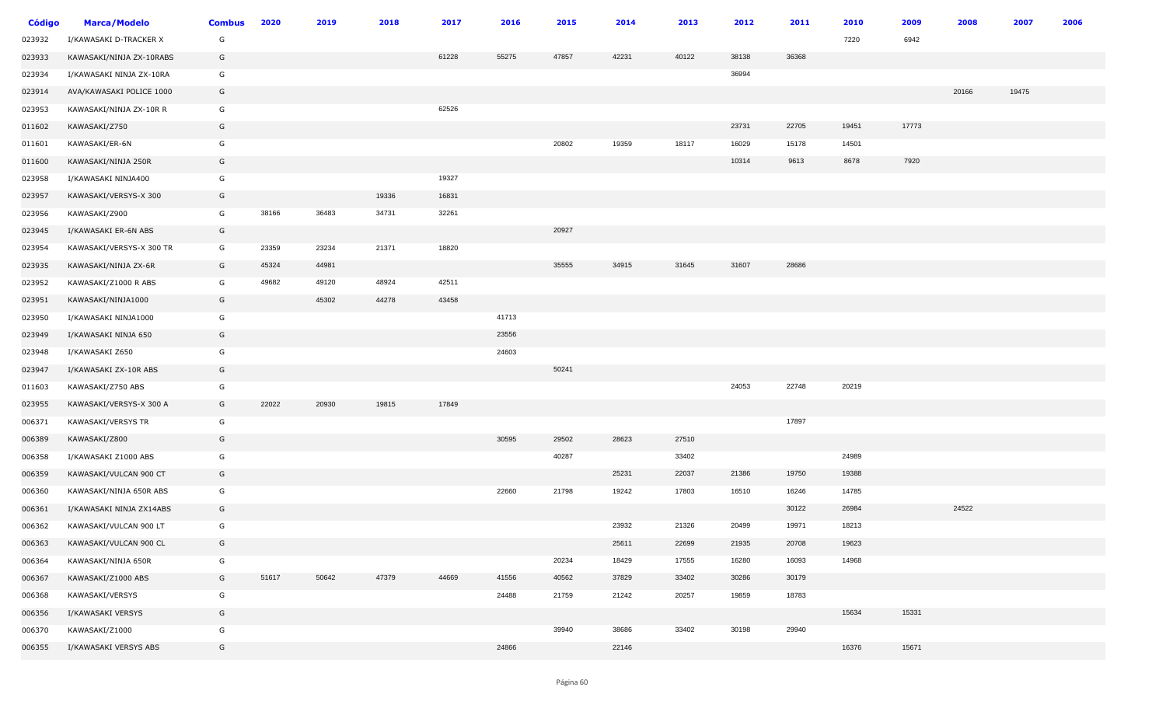| <b>Código</b> | <b>Marca/Modelo</b>      | <b>Combus</b> | 2020  | 2019  | 2018  | 2017  | 2016  | 2015  | 2014  | 2013  | 2012  | 2011  | 2010  | 2009  | 2008  | 2007  | 2006 |
|---------------|--------------------------|---------------|-------|-------|-------|-------|-------|-------|-------|-------|-------|-------|-------|-------|-------|-------|------|
| 023932        | I/KAWASAKI D-TRACKER X   | G             |       |       |       |       |       |       |       |       |       |       | 7220  | 6942  |       |       |      |
| 023933        | KAWASAKI/NINJA ZX-10RABS | G             |       |       |       | 61228 | 55275 | 47857 | 42231 | 40122 | 38138 | 36368 |       |       |       |       |      |
| 023934        | I/KAWASAKI NINJA ZX-10RA | G             |       |       |       |       |       |       |       |       | 36994 |       |       |       |       |       |      |
| 023914        | AVA/KAWASAKI POLICE 1000 | G             |       |       |       |       |       |       |       |       |       |       |       |       | 20166 | 19475 |      |
| 023953        | KAWASAKI/NINJA ZX-10R R  | G             |       |       |       | 62526 |       |       |       |       |       |       |       |       |       |       |      |
| 011602        | KAWASAKI/Z750            | G             |       |       |       |       |       |       |       |       | 23731 | 22705 | 19451 | 17773 |       |       |      |
| 011601        | KAWASAKI/ER-6N           | G             |       |       |       |       |       | 20802 | 19359 | 18117 | 16029 | 15178 | 14501 |       |       |       |      |
| 011600        | KAWASAKI/NINJA 250R      | G             |       |       |       |       |       |       |       |       | 10314 | 9613  | 8678  | 7920  |       |       |      |
| 023958        | I/KAWASAKI NINJA400      | G             |       |       |       | 19327 |       |       |       |       |       |       |       |       |       |       |      |
| 023957        | KAWASAKI/VERSYS-X 300    | G             |       |       | 19336 | 16831 |       |       |       |       |       |       |       |       |       |       |      |
| 023956        | KAWASAKI/Z900            | G             | 38166 | 36483 | 34731 | 32261 |       |       |       |       |       |       |       |       |       |       |      |
| 023945        | I/KAWASAKI ER-6N ABS     | G             |       |       |       |       |       | 20927 |       |       |       |       |       |       |       |       |      |
| 023954        | KAWASAKI/VERSYS-X 300 TR | G             | 23359 | 23234 | 21371 | 18820 |       |       |       |       |       |       |       |       |       |       |      |
| 023935        | KAWASAKI/NINJA ZX-6R     | G             | 45324 | 44981 |       |       |       | 35555 | 34915 | 31645 | 31607 | 28686 |       |       |       |       |      |
| 023952        | KAWASAKI/Z1000 R ABS     | G             | 49682 | 49120 | 48924 | 42511 |       |       |       |       |       |       |       |       |       |       |      |
| 023951        | KAWASAKI/NINJA1000       | G             |       | 45302 | 44278 | 43458 |       |       |       |       |       |       |       |       |       |       |      |
| 023950        | I/KAWASAKI NINJA1000     | G             |       |       |       |       | 41713 |       |       |       |       |       |       |       |       |       |      |
| 023949        | I/KAWASAKI NINJA 650     | G             |       |       |       |       | 23556 |       |       |       |       |       |       |       |       |       |      |
| 023948        | I/KAWASAKI Z650          | G             |       |       |       |       | 24603 |       |       |       |       |       |       |       |       |       |      |
| 023947        | I/KAWASAKI ZX-10R ABS    | G             |       |       |       |       |       | 50241 |       |       |       |       |       |       |       |       |      |
| 011603        | KAWASAKI/Z750 ABS        | G             |       |       |       |       |       |       |       |       | 24053 | 22748 | 20219 |       |       |       |      |
| 023955        | KAWASAKI/VERSYS-X 300 A  | G             | 22022 | 20930 | 19815 | 17849 |       |       |       |       |       |       |       |       |       |       |      |
| 006371        | KAWASAKI/VERSYS TR       | G             |       |       |       |       |       |       |       |       |       | 17897 |       |       |       |       |      |
| 006389        | KAWASAKI/Z800            | G             |       |       |       |       | 30595 | 29502 | 28623 | 27510 |       |       |       |       |       |       |      |
| 006358        | I/KAWASAKI Z1000 ABS     | G             |       |       |       |       |       | 40287 |       | 33402 |       |       | 24989 |       |       |       |      |
| 006359        | KAWASAKI/VULCAN 900 CT   | G             |       |       |       |       |       |       | 25231 | 22037 | 21386 | 19750 | 19388 |       |       |       |      |
| 006360        | KAWASAKI/NINJA 650R ABS  | G             |       |       |       |       | 22660 | 21798 | 19242 | 17803 | 16510 | 16246 | 14785 |       |       |       |      |
| 006361        | I/KAWASAKI NINJA ZX14ABS | G             |       |       |       |       |       |       |       |       |       | 30122 | 26984 |       | 24522 |       |      |
| 006362        | KAWASAKI/VULCAN 900 LT   | G             |       |       |       |       |       |       | 23932 | 21326 | 20499 | 19971 | 18213 |       |       |       |      |
| 006363        | KAWASAKI/VULCAN 900 CL   | G             |       |       |       |       |       |       | 25611 | 22699 | 21935 | 20708 | 19623 |       |       |       |      |
| 006364        | KAWASAKI/NINJA 650R      | G             |       |       |       |       |       | 20234 | 18429 | 17555 | 16280 | 16093 | 14968 |       |       |       |      |
| 006367        | KAWASAKI/Z1000 ABS       | G             | 51617 | 50642 | 47379 | 44669 | 41556 | 40562 | 37829 | 33402 | 30286 | 30179 |       |       |       |       |      |
| 006368        | KAWASAKI/VERSYS          | G             |       |       |       |       | 24488 | 21759 | 21242 | 20257 | 19859 | 18783 |       |       |       |       |      |
| 006356        | I/KAWASAKI VERSYS        | G             |       |       |       |       |       |       |       |       |       |       | 15634 | 15331 |       |       |      |
| 006370        | KAWASAKI/Z1000           | G             |       |       |       |       |       | 39940 | 38686 | 33402 | 30198 | 29940 |       |       |       |       |      |
| 006355        | I/KAWASAKI VERSYS ABS    | G             |       |       |       |       | 24866 |       | 22146 |       |       |       | 16376 | 15671 |       |       |      |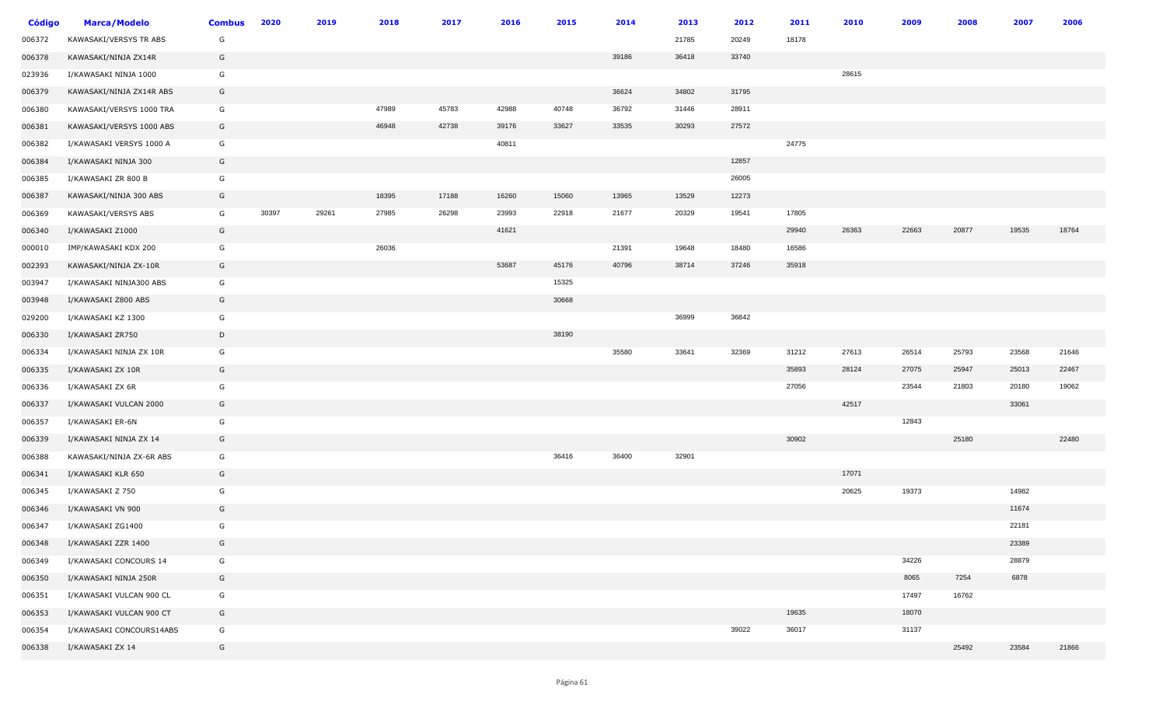| <b>Código</b> | <b>Marca/Modelo</b>      | <b>Combus</b> | 2020  | 2019  | 2018  | 2017  | 2016  | 2015  | 2014  | 2013  | 2012  | 2011  | 2010  | 2009  | 2008  | 2007  | 2006  |
|---------------|--------------------------|---------------|-------|-------|-------|-------|-------|-------|-------|-------|-------|-------|-------|-------|-------|-------|-------|
| 006372        | KAWASAKI/VERSYS TR ABS   | G             |       |       |       |       |       |       |       | 21785 | 20249 | 18178 |       |       |       |       |       |
| 006378        | KAWASAKI/NINJA ZX14R     | G             |       |       |       |       |       |       | 39186 | 36418 | 33740 |       |       |       |       |       |       |
| 023936        | I/KAWASAKI NINJA 1000    | G             |       |       |       |       |       |       |       |       |       |       | 28615 |       |       |       |       |
| 006379        | KAWASAKI/NINJA ZX14R ABS | G             |       |       |       |       |       |       | 36624 | 34802 | 31795 |       |       |       |       |       |       |
| 006380        | KAWASAKI/VERSYS 1000 TRA | G             |       |       | 47989 | 45783 | 42988 | 40748 | 36792 | 31446 | 28911 |       |       |       |       |       |       |
| 006381        | KAWASAKI/VERSYS 1000 ABS | G             |       |       | 46948 | 42738 | 39176 | 33627 | 33535 | 30293 | 27572 |       |       |       |       |       |       |
| 006382        | I/KAWASAKI VERSYS 1000 A | G             |       |       |       |       | 40811 |       |       |       |       | 24775 |       |       |       |       |       |
| 006384        | I/KAWASAKI NINJA 300     | G             |       |       |       |       |       |       |       |       | 12857 |       |       |       |       |       |       |
| 006385        | I/KAWASAKI ZR 800 B      | G             |       |       |       |       |       |       |       |       | 26005 |       |       |       |       |       |       |
| 006387        | KAWASAKI/NINJA 300 ABS   | G             |       |       | 18395 | 17188 | 16260 | 15060 | 13965 | 13529 | 12273 |       |       |       |       |       |       |
| 006369        | KAWASAKI/VERSYS ABS      | G             | 30397 | 29261 | 27985 | 26298 | 23993 | 22918 | 21677 | 20329 | 19541 | 17805 |       |       |       |       |       |
| 006340        | I/KAWASAKI Z1000         | G             |       |       |       |       | 41621 |       |       |       |       | 29940 | 26363 | 22663 | 20877 | 19535 | 18764 |
| 000010        | IMP/KAWASAKI KDX 200     | G             |       |       | 26036 |       |       |       | 21391 | 19648 | 18480 | 16586 |       |       |       |       |       |
| 002393        | KAWASAKI/NINJA ZX-10R    | G             |       |       |       |       | 53687 | 45176 | 40796 | 38714 | 37246 | 35918 |       |       |       |       |       |
| 003947        | I/KAWASAKI NINJA300 ABS  | G             |       |       |       |       |       | 15325 |       |       |       |       |       |       |       |       |       |
| 003948        | I/KAWASAKI Z800 ABS      | G             |       |       |       |       |       | 30668 |       |       |       |       |       |       |       |       |       |
| 029200        | I/KAWASAKI KZ 1300       | G             |       |       |       |       |       |       |       | 36999 | 36842 |       |       |       |       |       |       |
| 006330        | I/KAWASAKI ZR750         | D             |       |       |       |       |       | 38190 |       |       |       |       |       |       |       |       |       |
| 006334        | I/KAWASAKI NINJA ZX 10R  | G             |       |       |       |       |       |       | 35580 | 33641 | 32369 | 31212 | 27613 | 26514 | 25793 | 23568 | 21646 |
| 006335        | I/KAWASAKI ZX 10R        | G             |       |       |       |       |       |       |       |       |       | 35893 | 28124 | 27075 | 25947 | 25013 | 22467 |
| 006336        | I/KAWASAKI ZX 6R         | G             |       |       |       |       |       |       |       |       |       | 27056 |       | 23544 | 21803 | 20180 | 19062 |
| 006337        | I/KAWASAKI VULCAN 2000   | G             |       |       |       |       |       |       |       |       |       |       | 42517 |       |       | 33061 |       |
| 006357        | I/KAWASAKI ER-6N         | G             |       |       |       |       |       |       |       |       |       |       |       | 12843 |       |       |       |
| 006339        | I/KAWASAKI NINJA ZX 14   | G             |       |       |       |       |       |       |       |       |       | 30902 |       |       | 25180 |       | 22480 |
| 006388        | KAWASAKI/NINJA ZX-6R ABS | G             |       |       |       |       |       | 36416 | 36400 | 32901 |       |       |       |       |       |       |       |
| 006341        | I/KAWASAKI KLR 650       | G             |       |       |       |       |       |       |       |       |       |       | 17071 |       |       |       |       |
| 006345        | I/KAWASAKI Z 750         | G             |       |       |       |       |       |       |       |       |       |       | 20625 | 19373 |       | 14982 |       |
| 006346        | I/KAWASAKI VN 900        | G             |       |       |       |       |       |       |       |       |       |       |       |       |       | 11674 |       |
| 006347        | I/KAWASAKI ZG1400        | G             |       |       |       |       |       |       |       |       |       |       |       |       |       | 22181 |       |
| 006348        | I/KAWASAKI ZZR 1400      | G             |       |       |       |       |       |       |       |       |       |       |       |       |       | 23389 |       |
| 006349        | I/KAWASAKI CONCOURS 14   | G             |       |       |       |       |       |       |       |       |       |       |       | 34226 |       | 28879 |       |
| 006350        | I/KAWASAKI NINJA 250R    | G             |       |       |       |       |       |       |       |       |       |       |       | 8065  | 7254  | 6878  |       |
| 006351        | I/KAWASAKI VULCAN 900 CL | G             |       |       |       |       |       |       |       |       |       |       |       | 17497 | 16762 |       |       |
| 006353        | I/KAWASAKI VULCAN 900 CT | G             |       |       |       |       |       |       |       |       |       | 19635 |       | 18070 |       |       |       |
| 006354        | I/KAWASAKI CONCOURS14ABS | G             |       |       |       |       |       |       |       |       | 39022 | 36017 |       | 31137 |       |       |       |
| 006338        | I/KAWASAKI ZX 14         | G             |       |       |       |       |       |       |       |       |       |       |       |       | 25492 | 23584 | 21866 |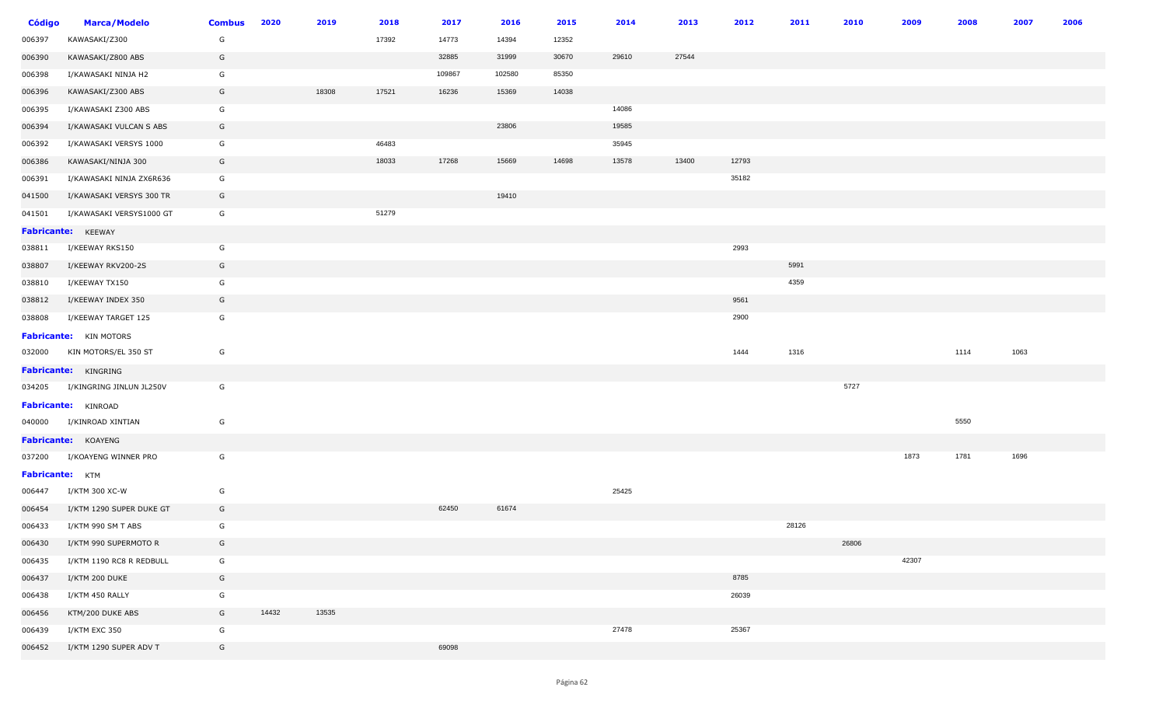| <b>Código</b>          | <b>Marca/Modelo</b>             | <b>Combus</b> | 2020  | 2019  | 2018  | 2017   | 2016   | 2015  | 2014  | 2013  | 2012  | 2011  | 2010  | 2009  | 2008 | 2007 | 2006 |
|------------------------|---------------------------------|---------------|-------|-------|-------|--------|--------|-------|-------|-------|-------|-------|-------|-------|------|------|------|
| 006397                 | KAWASAKI/Z300                   | G             |       |       | 17392 | 14773  | 14394  | 12352 |       |       |       |       |       |       |      |      |      |
| 006390                 | KAWASAKI/Z800 ABS               | G             |       |       |       | 32885  | 31999  | 30670 | 29610 | 27544 |       |       |       |       |      |      |      |
| 006398                 | I/KAWASAKI NINJA H2             | G             |       |       |       | 109867 | 102580 | 85350 |       |       |       |       |       |       |      |      |      |
| 006396                 | KAWASAKI/Z300 ABS               | G             |       | 18308 | 17521 | 16236  | 15369  | 14038 |       |       |       |       |       |       |      |      |      |
| 006395                 | I/KAWASAKI Z300 ABS             | G             |       |       |       |        |        |       | 14086 |       |       |       |       |       |      |      |      |
| 006394                 | I/KAWASAKI VULCAN S ABS         | G             |       |       |       |        | 23806  |       | 19585 |       |       |       |       |       |      |      |      |
| 006392                 | I/KAWASAKI VERSYS 1000          | G             |       |       | 46483 |        |        |       | 35945 |       |       |       |       |       |      |      |      |
| 006386                 | KAWASAKI/NINJA 300              | G             |       |       | 18033 | 17268  | 15669  | 14698 | 13578 | 13400 | 12793 |       |       |       |      |      |      |
| 006391                 | I/KAWASAKI NINJA ZX6R636        | G             |       |       |       |        |        |       |       |       | 35182 |       |       |       |      |      |      |
| 041500                 | I/KAWASAKI VERSYS 300 TR        | G             |       |       |       |        | 19410  |       |       |       |       |       |       |       |      |      |      |
| 041501                 | I/KAWASAKI VERSYS1000 GT        | G             |       |       | 51279 |        |        |       |       |       |       |       |       |       |      |      |      |
|                        | Fabricante: KEEWAY              |               |       |       |       |        |        |       |       |       |       |       |       |       |      |      |      |
| 038811                 | I/KEEWAY RKS150                 | G             |       |       |       |        |        |       |       |       | 2993  |       |       |       |      |      |      |
| 038807                 | I/KEEWAY RKV200-2S              | G             |       |       |       |        |        |       |       |       |       | 5991  |       |       |      |      |      |
| 038810                 | I/KEEWAY TX150                  | G             |       |       |       |        |        |       |       |       |       | 4359  |       |       |      |      |      |
| 038812                 | I/KEEWAY INDEX 350              | G             |       |       |       |        |        |       |       |       | 9561  |       |       |       |      |      |      |
| 038808                 | I/KEEWAY TARGET 125             | G             |       |       |       |        |        |       |       |       | 2900  |       |       |       |      |      |      |
|                        | <b>Fabricante:</b> KIN MOTORS   |               |       |       |       |        |        |       |       |       |       |       |       |       |      |      |      |
|                        | 032000 KIN MOTORS/EL 350 ST     | G             |       |       |       |        |        |       |       |       | 1444  | 1316  |       |       | 1114 | 1063 |      |
|                        | <b>Fabricante: KINGRING</b>     |               |       |       |       |        |        |       |       |       |       |       |       |       |      |      |      |
|                        | 034205 I/KINGRING JINLUN JL250V | G             |       |       |       |        |        |       |       |       |       |       | 5727  |       |      |      |      |
|                        | Fabricante: KINROAD             |               |       |       |       |        |        |       |       |       |       |       |       |       |      |      |      |
|                        | 040000 I/KINROAD XINTIAN        | G             |       |       |       |        |        |       |       |       |       |       |       |       | 5550 |      |      |
|                        | Fabricante: KOAYENG             |               |       |       |       |        |        |       |       |       |       |       |       |       |      |      |      |
| 037200                 | I/KOAYENG WINNER PRO            | G             |       |       |       |        |        |       |       |       |       |       |       | 1873  | 1781 | 1696 |      |
| <b>Fabricante:</b> KTM |                                 |               |       |       |       |        |        |       |       |       |       |       |       |       |      |      |      |
| 006447                 | I/KTM 300 XC-W                  | G             |       |       |       |        |        |       | 25425 |       |       |       |       |       |      |      |      |
| 006454                 | I/KTM 1290 SUPER DUKE GT        | G             |       |       |       | 62450  | 61674  |       |       |       |       |       |       |       |      |      |      |
| 006433                 | I/KTM 990 SM T ABS              | G             |       |       |       |        |        |       |       |       |       | 28126 |       |       |      |      |      |
| 006430                 | I/KTM 990 SUPERMOTO R           | G             |       |       |       |        |        |       |       |       |       |       | 26806 |       |      |      |      |
| 006435                 | I/KTM 1190 RC8 R REDBULL        | G             |       |       |       |        |        |       |       |       |       |       |       | 42307 |      |      |      |
| 006437                 | I/KTM 200 DUKE                  | G             |       |       |       |        |        |       |       |       | 8785  |       |       |       |      |      |      |
| 006438                 | I/KTM 450 RALLY                 | G             |       |       |       |        |        |       |       |       | 26039 |       |       |       |      |      |      |
| 006456                 | KTM/200 DUKE ABS                | G             | 14432 | 13535 |       |        |        |       |       |       |       |       |       |       |      |      |      |
| 006439                 | I/KTM EXC 350                   | G             |       |       |       |        |        |       | 27478 |       | 25367 |       |       |       |      |      |      |
| 006452                 | I/KTM 1290 SUPER ADV T          | G             |       |       |       | 69098  |        |       |       |       |       |       |       |       |      |      |      |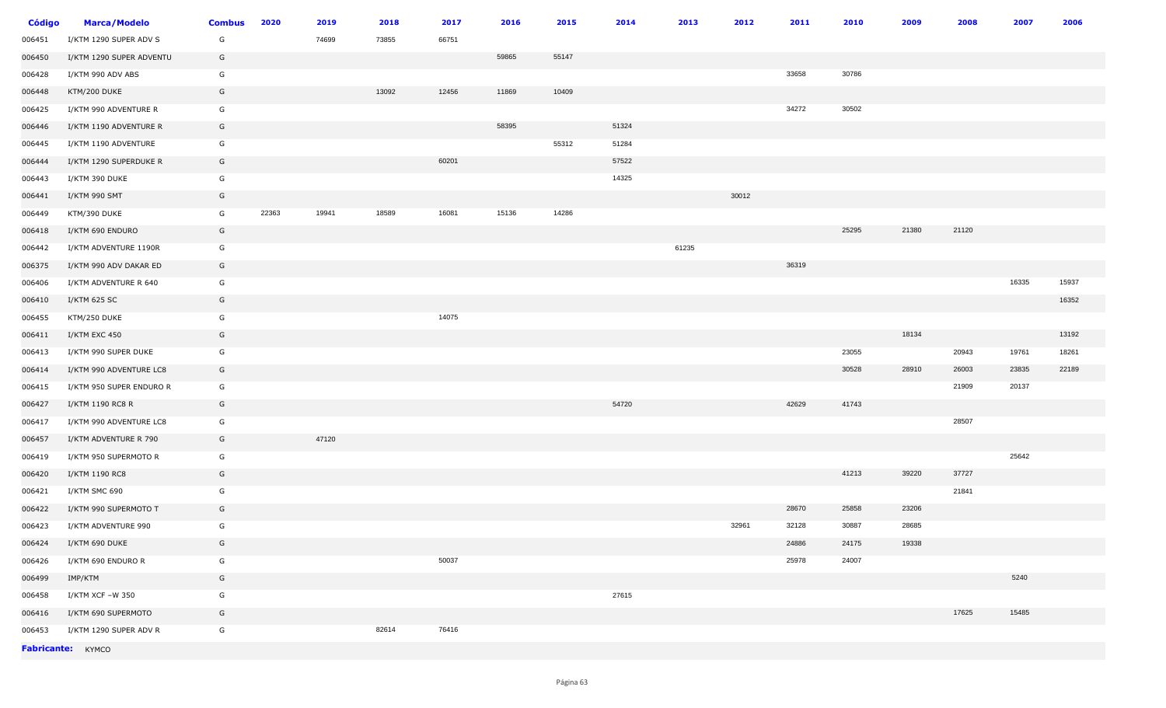| <b>Código</b> | <b>Marca/Modelo</b>      | <b>Combus</b> | 2020  | 2019  | 2018  | 2017  | 2016  | 2015  | 2014  | 2013  | 2012  | 2011  | 2010  | 2009  | 2008  | 2007  | 2006  |
|---------------|--------------------------|---------------|-------|-------|-------|-------|-------|-------|-------|-------|-------|-------|-------|-------|-------|-------|-------|
| 006451        | I/KTM 1290 SUPER ADV S   | G             |       | 74699 | 73855 | 66751 |       |       |       |       |       |       |       |       |       |       |       |
| 006450        | I/KTM 1290 SUPER ADVENTU | G             |       |       |       |       | 59865 | 55147 |       |       |       |       |       |       |       |       |       |
| 006428        | I/KTM 990 ADV ABS        | G             |       |       |       |       |       |       |       |       |       | 33658 | 30786 |       |       |       |       |
| 006448        | KTM/200 DUKE             | G             |       |       | 13092 | 12456 | 11869 | 10409 |       |       |       |       |       |       |       |       |       |
| 006425        | I/KTM 990 ADVENTURE R    | G             |       |       |       |       |       |       |       |       |       | 34272 | 30502 |       |       |       |       |
| 006446        | I/KTM 1190 ADVENTURE R   | G             |       |       |       |       | 58395 |       | 51324 |       |       |       |       |       |       |       |       |
| 006445        | I/KTM 1190 ADVENTURE     | G             |       |       |       |       |       | 55312 | 51284 |       |       |       |       |       |       |       |       |
| 006444        | I/KTM 1290 SUPERDUKE R   | G             |       |       |       | 60201 |       |       | 57522 |       |       |       |       |       |       |       |       |
| 006443        | I/KTM 390 DUKE           | G             |       |       |       |       |       |       | 14325 |       |       |       |       |       |       |       |       |
| 006441        | I/KTM 990 SMT            | G             |       |       |       |       |       |       |       |       | 30012 |       |       |       |       |       |       |
| 006449        | KTM/390 DUKE             | G             | 22363 | 19941 | 18589 | 16081 | 15136 | 14286 |       |       |       |       |       |       |       |       |       |
| 006418        | I/KTM 690 ENDURO         | G             |       |       |       |       |       |       |       |       |       |       | 25295 | 21380 | 21120 |       |       |
| 006442        | I/KTM ADVENTURE 1190R    | G             |       |       |       |       |       |       |       | 61235 |       |       |       |       |       |       |       |
| 006375        | I/KTM 990 ADV DAKAR ED   | G             |       |       |       |       |       |       |       |       |       | 36319 |       |       |       |       |       |
| 006406        | I/KTM ADVENTURE R 640    | G             |       |       |       |       |       |       |       |       |       |       |       |       |       | 16335 | 15937 |
| 006410        | I/KTM 625 SC             | G             |       |       |       |       |       |       |       |       |       |       |       |       |       |       | 16352 |
| 006455        | KTM/250 DUKE             | G             |       |       |       | 14075 |       |       |       |       |       |       |       |       |       |       |       |
| 006411        | I/KTM EXC 450            | G             |       |       |       |       |       |       |       |       |       |       |       | 18134 |       |       | 13192 |
| 006413        | I/KTM 990 SUPER DUKE     | G             |       |       |       |       |       |       |       |       |       |       | 23055 |       | 20943 | 19761 | 18261 |
| 006414        | I/KTM 990 ADVENTURE LC8  | G             |       |       |       |       |       |       |       |       |       |       | 30528 | 28910 | 26003 | 23835 | 22189 |
| 006415        | I/KTM 950 SUPER ENDURO R | G             |       |       |       |       |       |       |       |       |       |       |       |       | 21909 | 20137 |       |
| 006427        | I/KTM 1190 RC8 R         | G             |       |       |       |       |       |       | 54720 |       |       | 42629 | 41743 |       |       |       |       |
| 006417        | I/KTM 990 ADVENTURE LC8  | G             |       |       |       |       |       |       |       |       |       |       |       |       | 28507 |       |       |
| 006457        | I/KTM ADVENTURE R 790    | G             |       | 47120 |       |       |       |       |       |       |       |       |       |       |       |       |       |
| 006419        | I/KTM 950 SUPERMOTO R    | G             |       |       |       |       |       |       |       |       |       |       |       |       |       | 25642 |       |
| 006420        | I/KTM 1190 RC8           | G             |       |       |       |       |       |       |       |       |       |       | 41213 | 39220 | 37727 |       |       |
| 006421        | I/KTM SMC 690            | G             |       |       |       |       |       |       |       |       |       |       |       |       | 21841 |       |       |
| 006422        | I/KTM 990 SUPERMOTO T    | G             |       |       |       |       |       |       |       |       |       | 28670 | 25858 | 23206 |       |       |       |
| 006423        | I/KTM ADVENTURE 990      | G             |       |       |       |       |       |       |       |       | 32961 | 32128 | 30887 | 28685 |       |       |       |
| 006424        | I/KTM 690 DUKE           | G             |       |       |       |       |       |       |       |       |       | 24886 | 24175 | 19338 |       |       |       |
| 006426        | I/KTM 690 ENDURO R       | G             |       |       |       | 50037 |       |       |       |       |       | 25978 | 24007 |       |       |       |       |
| 006499        | IMP/KTM                  | G             |       |       |       |       |       |       |       |       |       |       |       |       |       | 5240  |       |
| 006458        | I/KTM XCF -W 350         | G             |       |       |       |       |       |       | 27615 |       |       |       |       |       |       |       |       |
| 006416        | I/KTM 690 SUPERMOTO      | G             |       |       |       |       |       |       |       |       |       |       |       |       | 17625 | 15485 |       |
| 006453        | I/KTM 1290 SUPER ADV R   | G             |       |       | 82614 | 76416 |       |       |       |       |       |       |       |       |       |       |       |
|               | Fabricante: KYMCO        |               |       |       |       |       |       |       |       |       |       |       |       |       |       |       |       |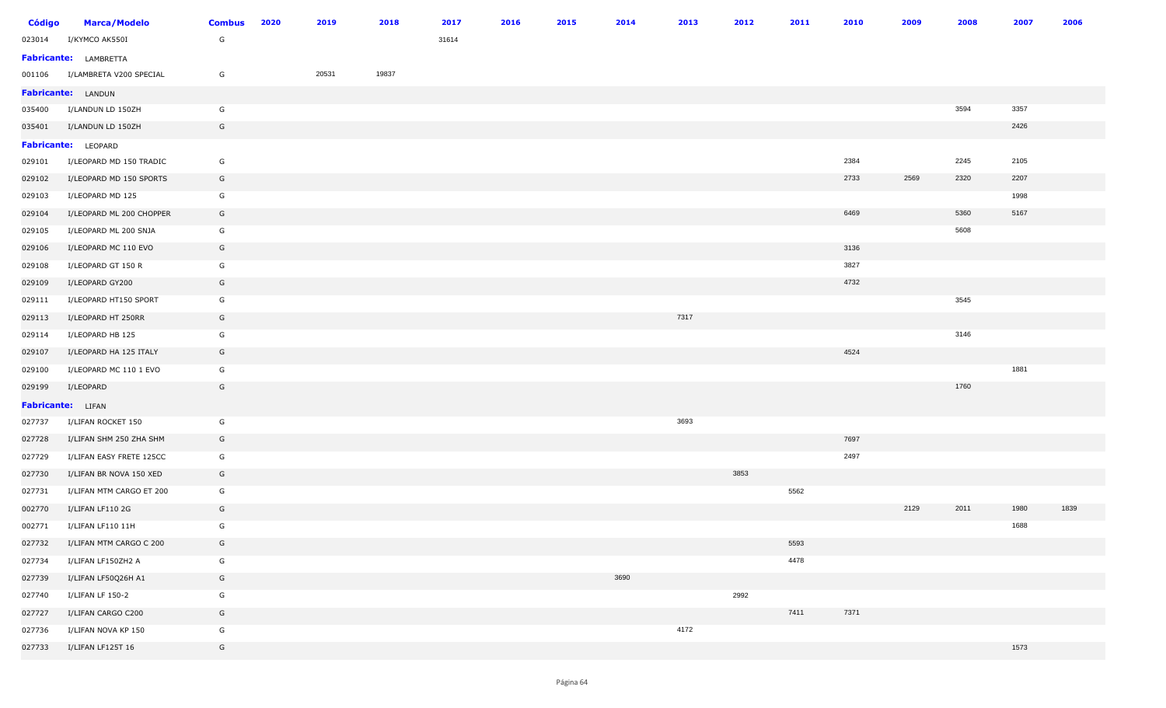| <b>Código</b>            | <b>Marca/Modelo</b>          | <b>Combus</b> | 2020 | 2019  | 2018  | 2017  | 2016 | 2015 | 2014 | 2013 | 2012 | 2011 | 2010 | 2009 | 2008 | 2007 | 2006 |
|--------------------------|------------------------------|---------------|------|-------|-------|-------|------|------|------|------|------|------|------|------|------|------|------|
| 023014                   | I/KYMCO AK550I               | G             |      |       |       | 31614 |      |      |      |      |      |      |      |      |      |      |      |
|                          | <b>Fabricante:</b> LAMBRETTA |               |      |       |       |       |      |      |      |      |      |      |      |      |      |      |      |
| 001106                   | I/LAMBRETA V200 SPECIAL      | G             |      | 20531 | 19837 |       |      |      |      |      |      |      |      |      |      |      |      |
|                          | <b>Fabricante:</b> LANDUN    |               |      |       |       |       |      |      |      |      |      |      |      |      |      |      |      |
| 035400                   | I/LANDUN LD 150ZH            | G             |      |       |       |       |      |      |      |      |      |      |      |      | 3594 | 3357 |      |
| 035401                   | I/LANDUN LD 150ZH            | G             |      |       |       |       |      |      |      |      |      |      |      |      |      | 2426 |      |
|                          | Fabricante: LEOPARD          |               |      |       |       |       |      |      |      |      |      |      |      |      |      |      |      |
| 029101                   | I/LEOPARD MD 150 TRADIC      | G             |      |       |       |       |      |      |      |      |      |      | 2384 |      | 2245 | 2105 |      |
| 029102                   | I/LEOPARD MD 150 SPORTS      | G             |      |       |       |       |      |      |      |      |      |      | 2733 | 2569 | 2320 | 2207 |      |
| 029103                   | I/LEOPARD MD 125             | G             |      |       |       |       |      |      |      |      |      |      |      |      |      | 1998 |      |
| 029104                   | I/LEOPARD ML 200 CHOPPER     | G             |      |       |       |       |      |      |      |      |      |      | 6469 |      | 5360 | 5167 |      |
| 029105                   | I/LEOPARD ML 200 SNJA        | G             |      |       |       |       |      |      |      |      |      |      |      |      | 5608 |      |      |
| 029106                   | I/LEOPARD MC 110 EVO         | G             |      |       |       |       |      |      |      |      |      |      | 3136 |      |      |      |      |
| 029108                   | I/LEOPARD GT 150 R           | G             |      |       |       |       |      |      |      |      |      |      | 3827 |      |      |      |      |
| 029109                   | I/LEOPARD GY200              | G             |      |       |       |       |      |      |      |      |      |      | 4732 |      |      |      |      |
| 029111                   | I/LEOPARD HT150 SPORT        | G             |      |       |       |       |      |      |      |      |      |      |      |      | 3545 |      |      |
| 029113                   | I/LEOPARD HT 250RR           | G             |      |       |       |       |      |      |      | 7317 |      |      |      |      |      |      |      |
| 029114                   | I/LEOPARD HB 125             | G             |      |       |       |       |      |      |      |      |      |      |      |      | 3146 |      |      |
| 029107                   | I/LEOPARD HA 125 ITALY       | G             |      |       |       |       |      |      |      |      |      |      | 4524 |      |      |      |      |
| 029100                   | I/LEOPARD MC 110 1 EVO       | G             |      |       |       |       |      |      |      |      |      |      |      |      |      | 1881 |      |
| 029199                   | I/LEOPARD                    | G             |      |       |       |       |      |      |      |      |      |      |      |      | 1760 |      |      |
| <b>Fabricante:</b> LIFAN |                              |               |      |       |       |       |      |      |      |      |      |      |      |      |      |      |      |
| 027737                   | I/LIFAN ROCKET 150           | G             |      |       |       |       |      |      |      | 3693 |      |      |      |      |      |      |      |
| 027728                   | I/LIFAN SHM 250 ZHA SHM      | G             |      |       |       |       |      |      |      |      |      |      | 7697 |      |      |      |      |
| 027729                   | I/LIFAN EASY FRETE 125CC     | G             |      |       |       |       |      |      |      |      |      |      | 2497 |      |      |      |      |
| 027730                   | I/LIFAN BR NOVA 150 XED      | G             |      |       |       |       |      |      |      |      | 3853 |      |      |      |      |      |      |
| 027731                   | I/LIFAN MTM CARGO ET 200     | G             |      |       |       |       |      |      |      |      |      | 5562 |      |      |      |      |      |
| 002770                   | I/LIFAN LF110 2G             | G             |      |       |       |       |      |      |      |      |      |      |      | 2129 | 2011 | 1980 | 1839 |
| 002771                   | I/LIFAN LF110 11H            | G             |      |       |       |       |      |      |      |      |      |      |      |      |      | 1688 |      |
| 027732                   | I/LIFAN MTM CARGO C 200      | G             |      |       |       |       |      |      |      |      |      | 5593 |      |      |      |      |      |
| 027734                   | I/LIFAN LF150ZH2 A           | G             |      |       |       |       |      |      |      |      |      | 4478 |      |      |      |      |      |
| 027739                   | I/LIFAN LF50Q26H A1          | G             |      |       |       |       |      |      | 3690 |      |      |      |      |      |      |      |      |
| 027740                   | I/LIFAN LF 150-2             | G             |      |       |       |       |      |      |      |      | 2992 |      |      |      |      |      |      |
| 027727                   | I/LIFAN CARGO C200           | G             |      |       |       |       |      |      |      |      |      | 7411 | 7371 |      |      |      |      |
| 027736                   | I/LIFAN NOVA KP 150          | G             |      |       |       |       |      |      |      | 4172 |      |      |      |      |      |      |      |
| 027733                   | I/LIFAN LF125T 16            | G             |      |       |       |       |      |      |      |      |      |      |      |      |      | 1573 |      |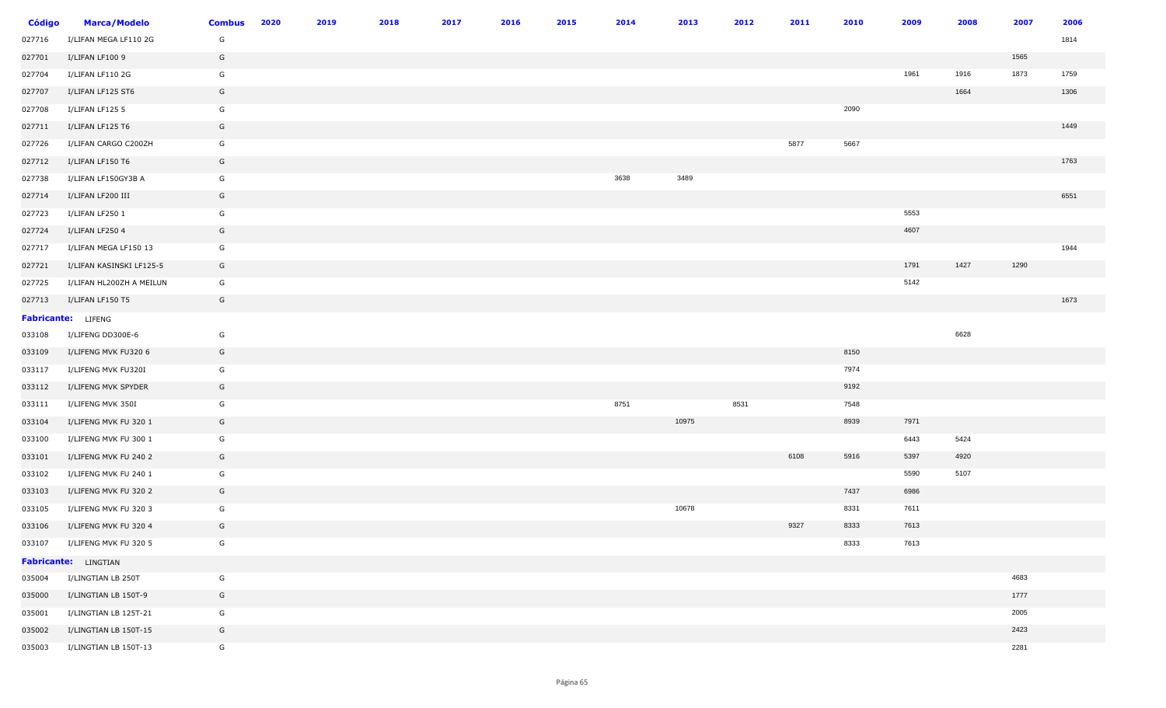| <b>Código</b> | <b>Marca/Modelo</b>       | <b>Combus</b> | 2020 | 2019 | 2018 | 2017 | 2016 | 2015 | 2014 | 2013  | 2012 | 2011 | 2010 | 2009 | 2008 | 2007 | 2006 |
|---------------|---------------------------|---------------|------|------|------|------|------|------|------|-------|------|------|------|------|------|------|------|
| 027716        | I/LIFAN MEGA LF110 2G     | G             |      |      |      |      |      |      |      |       |      |      |      |      |      |      | 1814 |
| 027701        | I/LIFAN LF100 9           | G             |      |      |      |      |      |      |      |       |      |      |      |      |      | 1565 |      |
| 027704        | I/LIFAN LF110 2G          | G             |      |      |      |      |      |      |      |       |      |      |      | 1961 | 1916 | 1873 | 1759 |
| 027707        | I/LIFAN LF125 ST6         | G             |      |      |      |      |      |      |      |       |      |      |      |      | 1664 |      | 1306 |
| 027708        | I/LIFAN LF125 5           | G             |      |      |      |      |      |      |      |       |      |      | 2090 |      |      |      |      |
| 027711        | I/LIFAN LF125 T6          | G             |      |      |      |      |      |      |      |       |      |      |      |      |      |      | 1449 |
| 027726        | I/LIFAN CARGO C200ZH      | G             |      |      |      |      |      |      |      |       |      | 5877 | 5667 |      |      |      |      |
| 027712        | I/LIFAN LF150 T6          | G             |      |      |      |      |      |      |      |       |      |      |      |      |      |      | 1763 |
| 027738        | I/LIFAN LF150GY3B A       | G             |      |      |      |      |      |      | 3638 | 3489  |      |      |      |      |      |      |      |
| 027714        | I/LIFAN LF200 III         | G             |      |      |      |      |      |      |      |       |      |      |      |      |      |      | 6551 |
| 027723        | I/LIFAN LF250 1           | G             |      |      |      |      |      |      |      |       |      |      |      | 5553 |      |      |      |
| 027724        | I/LIFAN LF250 4           | G             |      |      |      |      |      |      |      |       |      |      |      | 4607 |      |      |      |
| 027717        | I/LIFAN MEGA LF150 13     | G             |      |      |      |      |      |      |      |       |      |      |      |      |      |      | 1944 |
| 027721        | I/LIFAN KASINSKI LF125-5  | G             |      |      |      |      |      |      |      |       |      |      |      | 1791 | 1427 | 1290 |      |
| 027725        | I/LIFAN HL200ZH A MEILUN  | G             |      |      |      |      |      |      |      |       |      |      |      | 5142 |      |      |      |
| 027713        | I/LIFAN LF150 T5          | G             |      |      |      |      |      |      |      |       |      |      |      |      |      |      | 1673 |
|               | <b>Fabricante:</b> LIFENG |               |      |      |      |      |      |      |      |       |      |      |      |      |      |      |      |
| 033108        | I/LIFENG DD300E-6         | G             |      |      |      |      |      |      |      |       |      |      |      |      | 6628 |      |      |
| 033109        | I/LIFENG MVK FU320 6      | G             |      |      |      |      |      |      |      |       |      |      | 8150 |      |      |      |      |
| 033117        | I/LIFENG MVK FU320I       | G             |      |      |      |      |      |      |      |       |      |      | 7974 |      |      |      |      |
| 033112        | I/LIFENG MVK SPYDER       | G             |      |      |      |      |      |      |      |       |      |      | 9192 |      |      |      |      |
| 033111        | I/LIFENG MVK 350I         | G             |      |      |      |      |      |      | 8751 |       | 8531 |      | 7548 |      |      |      |      |
| 033104        | I/LIFENG MVK FU 320 1     | G             |      |      |      |      |      |      |      | 10975 |      |      | 8939 | 7971 |      |      |      |
| 033100        | I/LIFENG MVK FU 300 1     | G             |      |      |      |      |      |      |      |       |      |      |      | 6443 | 5424 |      |      |
| 033101        | I/LIFENG MVK FU 240 2     | G             |      |      |      |      |      |      |      |       |      | 6108 | 5916 | 5397 | 4920 |      |      |
| 033102        | I/LIFENG MVK FU 240 1     | G             |      |      |      |      |      |      |      |       |      |      |      | 5590 | 5107 |      |      |
| 033103        | I/LIFENG MVK FU 320 2     | G             |      |      |      |      |      |      |      |       |      |      | 7437 | 6986 |      |      |      |
| 033105        | I/LIFENG MVK FU 320 3     | G             |      |      |      |      |      |      |      | 10678 |      |      | 8331 | 7611 |      |      |      |
| 033106        | I/LIFENG MVK FU 320 4     | G             |      |      |      |      |      |      |      |       |      | 9327 | 8333 | 7613 |      |      |      |
| 033107        | I/LIFENG MVK FU 320 5     | G             |      |      |      |      |      |      |      |       |      |      | 8333 | 7613 |      |      |      |
|               | Fabricante: LINGTIAN      |               |      |      |      |      |      |      |      |       |      |      |      |      |      |      |      |
| 035004        | I/LINGTIAN LB 250T        | G             |      |      |      |      |      |      |      |       |      |      |      |      |      | 4683 |      |
| 035000        | I/LINGTIAN LB 150T-9      | G             |      |      |      |      |      |      |      |       |      |      |      |      |      | 1777 |      |
| 035001        | I/LINGTIAN LB 125T-21     | G             |      |      |      |      |      |      |      |       |      |      |      |      |      | 2005 |      |
| 035002        | I/LINGTIAN LB 150T-15     | G             |      |      |      |      |      |      |      |       |      |      |      |      |      | 2423 |      |
| 035003        | I/LINGTIAN LB 150T-13     | G             |      |      |      |      |      |      |      |       |      |      |      |      |      | 2281 |      |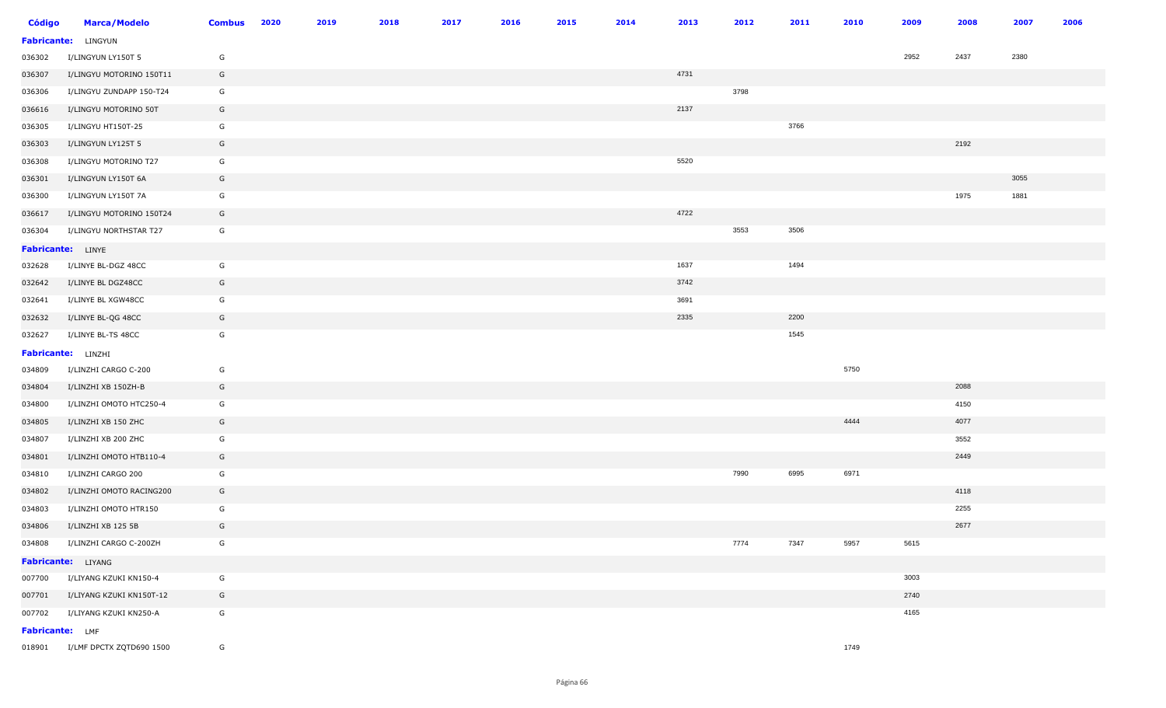| <b>Código</b>      | <b>Marca/Modelo</b>             | <b>Combus</b> | 2020 | 2019 | 2018 | 2017 | 2016 | 2015 | 2014 | 2013 | 2012 | 2011 | 2010 | 2009 | 2008 | 2007 | 2006 |
|--------------------|---------------------------------|---------------|------|------|------|------|------|------|------|------|------|------|------|------|------|------|------|
| <b>Fabricante:</b> | LINGYUN                         |               |      |      |      |      |      |      |      |      |      |      |      |      |      |      |      |
| 036302             | I/LINGYUN LY150T 5              | G             |      |      |      |      |      |      |      |      |      |      |      | 2952 | 2437 | 2380 |      |
| 036307             | I/LINGYU MOTORINO 150T11        | G             |      |      |      |      |      |      |      | 4731 |      |      |      |      |      |      |      |
| 036306             | I/LINGYU ZUNDAPP 150-T24        | G             |      |      |      |      |      |      |      |      | 3798 |      |      |      |      |      |      |
| 036616             | I/LINGYU MOTORINO 50T           | G             |      |      |      |      |      |      |      | 2137 |      |      |      |      |      |      |      |
| 036305             | I/LINGYU HT150T-25              | G             |      |      |      |      |      |      |      |      |      | 3766 |      |      |      |      |      |
| 036303             | I/LINGYUN LY125T 5              | G             |      |      |      |      |      |      |      |      |      |      |      |      | 2192 |      |      |
| 036308             | I/LINGYU MOTORINO T27           | G             |      |      |      |      |      |      |      | 5520 |      |      |      |      |      |      |      |
| 036301             | I/LINGYUN LY150T 6A             | G             |      |      |      |      |      |      |      |      |      |      |      |      |      | 3055 |      |
| 036300             | I/LINGYUN LY150T 7A             | G             |      |      |      |      |      |      |      |      |      |      |      |      | 1975 | 1881 |      |
| 036617             | I/LINGYU MOTORINO 150T24        | G             |      |      |      |      |      |      |      | 4722 |      |      |      |      |      |      |      |
| 036304             | I/LINGYU NORTHSTAR T27          | G             |      |      |      |      |      |      |      |      | 3553 | 3506 |      |      |      |      |      |
| Fabricante: LINYE  |                                 |               |      |      |      |      |      |      |      |      |      |      |      |      |      |      |      |
| 032628             | I/LINYE BL-DGZ 48CC             | G             |      |      |      |      |      |      |      | 1637 |      | 1494 |      |      |      |      |      |
| 032642             | I/LINYE BL DGZ48CC              | G             |      |      |      |      |      |      |      | 3742 |      |      |      |      |      |      |      |
| 032641             | I/LINYE BL XGW48CC              | G             |      |      |      |      |      |      |      | 3691 |      |      |      |      |      |      |      |
| 032632             | I/LINYE BL-QG 48CC              | G             |      |      |      |      |      |      |      | 2335 |      | 2200 |      |      |      |      |      |
| 032627             | I/LINYE BL-TS 48CC              | G             |      |      |      |      |      |      |      |      |      | 1545 |      |      |      |      |      |
|                    | Fabricante: LINZHI              |               |      |      |      |      |      |      |      |      |      |      |      |      |      |      |      |
| 034809             | I/LINZHI CARGO C-200            | G             |      |      |      |      |      |      |      |      |      |      | 5750 |      |      |      |      |
| 034804             | I/LINZHI XB 150ZH-B             | G             |      |      |      |      |      |      |      |      |      |      |      |      | 2088 |      |      |
| 034800             | I/LINZHI OMOTO HTC250-4         | G             |      |      |      |      |      |      |      |      |      |      |      |      | 4150 |      |      |
| 034805             | I/LINZHI XB 150 ZHC             | G             |      |      |      |      |      |      |      |      |      |      | 4444 |      | 4077 |      |      |
| 034807             | I/LINZHI XB 200 ZHC             | G             |      |      |      |      |      |      |      |      |      |      |      |      | 3552 |      |      |
| 034801             | I/LINZHI OMOTO HTB110-4         | G             |      |      |      |      |      |      |      |      |      |      |      |      | 2449 |      |      |
| 034810             | I/LINZHI CARGO 200              | G             |      |      |      |      |      |      |      |      | 7990 | 6995 | 6971 |      |      |      |      |
| 034802             | I/LINZHI OMOTO RACING200        | G             |      |      |      |      |      |      |      |      |      |      |      |      | 4118 |      |      |
| 034803             | I/LINZHI OMOTO HTR150           | G             |      |      |      |      |      |      |      |      |      |      |      |      | 2255 |      |      |
| 034806             | I/LINZHI XB 125 5B              | G             |      |      |      |      |      |      |      |      |      |      |      |      | 2677 |      |      |
| 034808             | I/LINZHI CARGO C-200ZH          | G             |      |      |      |      |      |      |      |      | 7774 | 7347 | 5957 | 5615 |      |      |      |
|                    | Fabricante: LIYANG              |               |      |      |      |      |      |      |      |      |      |      |      |      |      |      |      |
| 007700             | I/LIYANG KZUKI KN150-4          | G             |      |      |      |      |      |      |      |      |      |      |      | 3003 |      |      |      |
| 007701             | I/LIYANG KZUKI KN150T-12        | G             |      |      |      |      |      |      |      |      |      |      |      | 2740 |      |      |      |
|                    | 007702 I/LIYANG KZUKI KN250-A   | G             |      |      |      |      |      |      |      |      |      |      |      | 4165 |      |      |      |
| Fabricante: LMF    |                                 |               |      |      |      |      |      |      |      |      |      |      |      |      |      |      |      |
|                    | 018901 I/LMF DPCTX ZQTD690 1500 | G             |      |      |      |      |      |      |      |      |      |      | 1749 |      |      |      |      |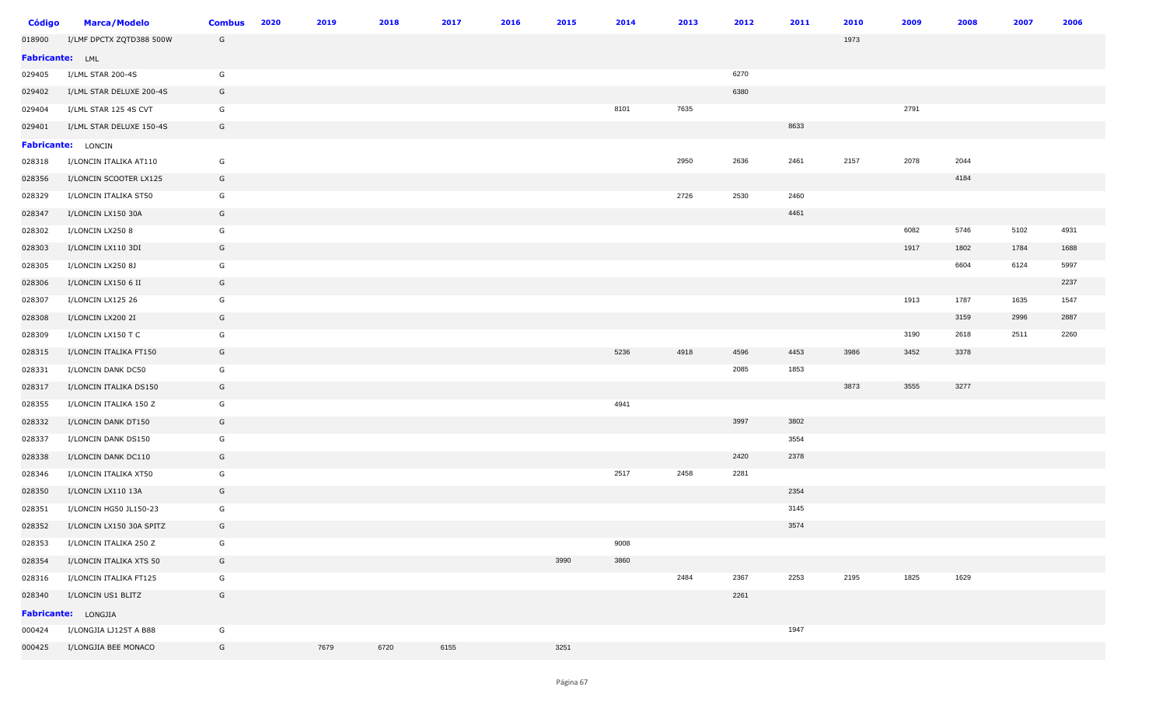| <b>Código</b>   | <b>Marca/Modelo</b>      | <b>Combus</b> | 2020 | 2019 | 2018 | 2017 | 2016 | 2015 | 2014 | 2013 | 2012 | 2011 | 2010 | 2009 | 2008 | 2007 | 2006 |
|-----------------|--------------------------|---------------|------|------|------|------|------|------|------|------|------|------|------|------|------|------|------|
| 018900          | I/LMF DPCTX ZQTD388 500W | G             |      |      |      |      |      |      |      |      |      |      | 1973 |      |      |      |      |
| Fabricante: LML |                          |               |      |      |      |      |      |      |      |      |      |      |      |      |      |      |      |
| 029405          | I/LML STAR 200-4S        | G             |      |      |      |      |      |      |      |      | 6270 |      |      |      |      |      |      |
| 029402          | I/LML STAR DELUXE 200-4S | G             |      |      |      |      |      |      |      |      | 6380 |      |      |      |      |      |      |
| 029404          | I/LML STAR 125 4S CVT    | G             |      |      |      |      |      |      | 8101 | 7635 |      |      |      | 2791 |      |      |      |
| 029401          | I/LML STAR DELUXE 150-4S | G             |      |      |      |      |      |      |      |      |      | 8633 |      |      |      |      |      |
|                 | Fabricante: LONCIN       |               |      |      |      |      |      |      |      |      |      |      |      |      |      |      |      |
| 028318          | I/LONCIN ITALIKA AT110   | G             |      |      |      |      |      |      |      | 2950 | 2636 | 2461 | 2157 | 2078 | 2044 |      |      |
| 028356          | I/LONCIN SCOOTER LX125   | G             |      |      |      |      |      |      |      |      |      |      |      |      | 4184 |      |      |
| 028329          | I/LONCIN ITALIKA ST50    | G             |      |      |      |      |      |      |      | 2726 | 2530 | 2460 |      |      |      |      |      |
| 028347          | I/LONCIN LX150 30A       | G             |      |      |      |      |      |      |      |      |      | 4461 |      |      |      |      |      |
| 028302          | I/LONCIN LX250 8         | G             |      |      |      |      |      |      |      |      |      |      |      | 6082 | 5746 | 5102 | 4931 |
| 028303          | I/LONCIN LX110 3DI       | G             |      |      |      |      |      |      |      |      |      |      |      | 1917 | 1802 | 1784 | 1688 |
| 028305          | I/LONCIN LX250 8J        | G             |      |      |      |      |      |      |      |      |      |      |      |      | 6604 | 6124 | 5997 |
| 028306          | I/LONCIN LX150 6 II      | G             |      |      |      |      |      |      |      |      |      |      |      |      |      |      | 2237 |
| 028307          | I/LONCIN LX125 26        | G             |      |      |      |      |      |      |      |      |      |      |      | 1913 | 1787 | 1635 | 1547 |
| 028308          | I/LONCIN LX200 2I        | G             |      |      |      |      |      |      |      |      |      |      |      |      | 3159 | 2996 | 2887 |
| 028309          | I/LONCIN LX150 T C       | G             |      |      |      |      |      |      |      |      |      |      |      | 3190 | 2618 | 2511 | 2260 |
| 028315          | I/LONCIN ITALIKA FT150   | G             |      |      |      |      |      |      | 5236 | 4918 | 4596 | 4453 | 3986 | 3452 | 3378 |      |      |
| 028331          | I/LONCIN DANK DC50       | G             |      |      |      |      |      |      |      |      | 2085 | 1853 |      |      |      |      |      |
| 028317          | I/LONCIN ITALIKA DS150   | G             |      |      |      |      |      |      |      |      |      |      | 3873 | 3555 | 3277 |      |      |
| 028355          | I/LONCIN ITALIKA 150 Z   | G             |      |      |      |      |      |      | 4941 |      |      |      |      |      |      |      |      |
| 028332          | I/LONCIN DANK DT150      | G             |      |      |      |      |      |      |      |      | 3997 | 3802 |      |      |      |      |      |
| 028337          | I/LONCIN DANK DS150      | G             |      |      |      |      |      |      |      |      |      | 3554 |      |      |      |      |      |
| 028338          | I/LONCIN DANK DC110      | G             |      |      |      |      |      |      |      |      | 2420 | 2378 |      |      |      |      |      |
| 028346          | I/LONCIN ITALIKA XT50    | G             |      |      |      |      |      |      | 2517 | 2458 | 2281 |      |      |      |      |      |      |
| 028350          | I/LONCIN LX110 13A       | G             |      |      |      |      |      |      |      |      |      | 2354 |      |      |      |      |      |
| 028351          | I/LONCIN HG50 JL150-23   | G             |      |      |      |      |      |      |      |      |      | 3145 |      |      |      |      |      |
| 028352          | I/LONCIN LX150 30A SPITZ | G             |      |      |      |      |      |      |      |      |      | 3574 |      |      |      |      |      |
| 028353          | I/LONCIN ITALIKA 250 Z   | G             |      |      |      |      |      |      | 9008 |      |      |      |      |      |      |      |      |
| 028354          | I/LONCIN ITALIKA XTS 50  | G             |      |      |      |      |      | 3990 | 3860 |      |      |      |      |      |      |      |      |
| 028316          | I/LONCIN ITALIKA FT125   | G             |      |      |      |      |      |      |      | 2484 | 2367 | 2253 | 2195 | 1825 | 1629 |      |      |
| 028340          | I/LONCIN US1 BLITZ       | G             |      |      |      |      |      |      |      |      | 2261 |      |      |      |      |      |      |
|                 | Fabricante: LONGJIA      |               |      |      |      |      |      |      |      |      |      |      |      |      |      |      |      |
| 000424          | I/LONGJIA LJ125T A B88   | G             |      |      |      |      |      |      |      |      |      | 1947 |      |      |      |      |      |
| 000425          | I/LONGJIA BEE MONACO     | G             |      | 7679 | 6720 | 6155 |      | 3251 |      |      |      |      |      |      |      |      |      |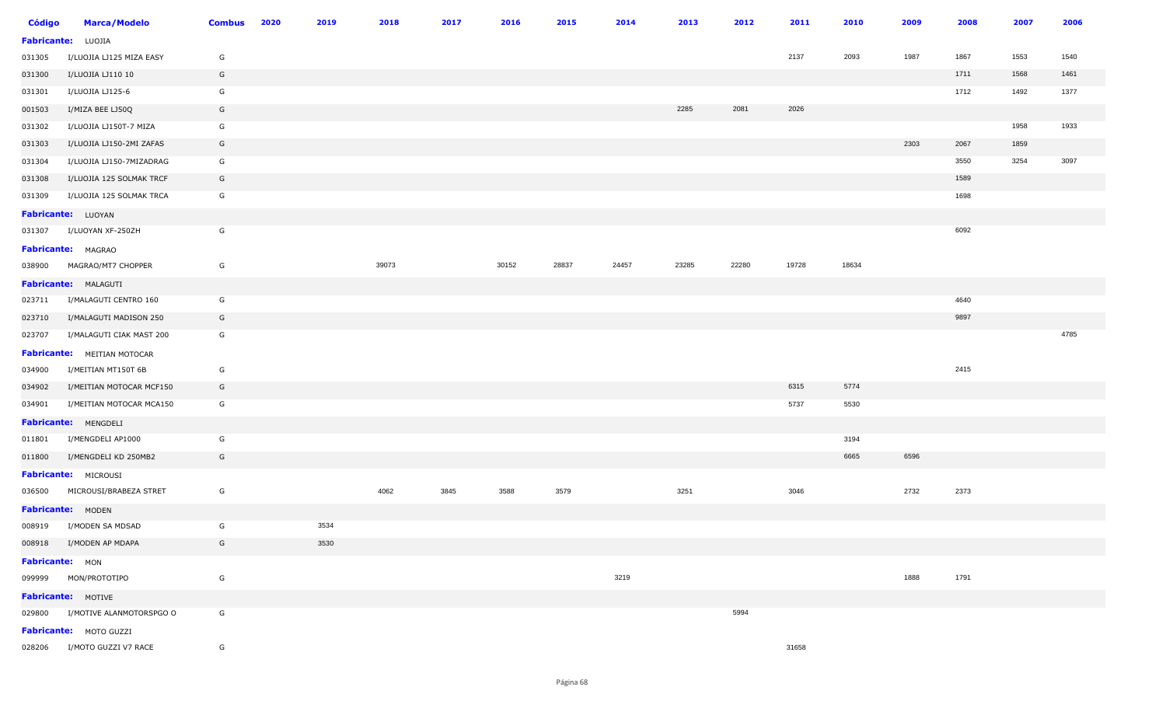| <b>Código</b> | <b>Marca/Modelo</b>             | <b>Combus</b> | 2020 | 2019 | 2018  | 2017 | 2016  | 2015  | 2014  | 2013  | 2012  | 2011  | 2010  | 2009 | 2008 | 2007 | 2006 |
|---------------|---------------------------------|---------------|------|------|-------|------|-------|-------|-------|-------|-------|-------|-------|------|------|------|------|
|               | Fabricante: LUOJIA              |               |      |      |       |      |       |       |       |       |       |       |       |      |      |      |      |
| 031305        | I/LUOJIA LJ125 MIZA EASY        | G             |      |      |       |      |       |       |       |       |       | 2137  | 2093  | 1987 | 1867 | 1553 | 1540 |
| 031300        | I/LUOJIA LJ110 10               | G             |      |      |       |      |       |       |       |       |       |       |       |      | 1711 | 1568 | 1461 |
| 031301        | I/LUOJIA LJ125-6                | G             |      |      |       |      |       |       |       |       |       |       |       |      | 1712 | 1492 | 1377 |
| 001503        | I/MIZA BEE LJ50Q                | G             |      |      |       |      |       |       |       | 2285  | 2081  | 2026  |       |      |      |      |      |
| 031302        | I/LUOJIA LJ150T-7 MIZA          | G             |      |      |       |      |       |       |       |       |       |       |       |      |      | 1958 | 1933 |
| 031303        | I/LUOJIA LJ150-2MI ZAFAS        | G             |      |      |       |      |       |       |       |       |       |       |       | 2303 | 2067 | 1859 |      |
| 031304        | I/LUOJIA LJ150-7MIZADRAG        | G             |      |      |       |      |       |       |       |       |       |       |       |      | 3550 | 3254 | 3097 |
| 031308        | I/LUOJIA 125 SOLMAK TRCF        | G             |      |      |       |      |       |       |       |       |       |       |       |      | 1589 |      |      |
| 031309        | I/LUOJIA 125 SOLMAK TRCA        | G             |      |      |       |      |       |       |       |       |       |       |       |      | 1698 |      |      |
|               | <b>Fabricante:</b> LUOYAN       |               |      |      |       |      |       |       |       |       |       |       |       |      |      |      |      |
| 031307        | I/LUOYAN XF-250ZH               | G             |      |      |       |      |       |       |       |       |       |       |       |      | 6092 |      |      |
|               | <b>Fabricante:</b> MAGRAO       |               |      |      |       |      |       |       |       |       |       |       |       |      |      |      |      |
| 038900        | MAGRAO/MT7 CHOPPER              | G             |      |      | 39073 |      | 30152 | 28837 | 24457 | 23285 | 22280 | 19728 | 18634 |      |      |      |      |
|               | Fabricante: MALAGUTI            |               |      |      |       |      |       |       |       |       |       |       |       |      |      |      |      |
| 023711        | I/MALAGUTI CENTRO 160           | G             |      |      |       |      |       |       |       |       |       |       |       |      | 4640 |      |      |
| 023710        | I/MALAGUTI MADISON 250          | G             |      |      |       |      |       |       |       |       |       |       |       |      | 9897 |      |      |
| 023707        | I/MALAGUTI CIAK MAST 200        | G             |      |      |       |      |       |       |       |       |       |       |       |      |      |      | 4785 |
|               | Fabricante: MEITIAN MOTOCAR     |               |      |      |       |      |       |       |       |       |       |       |       |      |      |      |      |
| 034900        | I/MEITIAN MT150T 6B             | G             |      |      |       |      |       |       |       |       |       |       |       |      | 2415 |      |      |
| 034902        | I/MEITIAN MOTOCAR MCF150        | G             |      |      |       |      |       |       |       |       |       | 6315  | 5774  |      |      |      |      |
| 034901        | I/MEITIAN MOTOCAR MCA150        | G             |      |      |       |      |       |       |       |       |       | 5737  | 5530  |      |      |      |      |
|               | Fabricante: MENGDELI            |               |      |      |       |      |       |       |       |       |       |       |       |      |      |      |      |
| 011801        | I/MENGDELI AP1000               | G             |      |      |       |      |       |       |       |       |       |       | 3194  |      |      |      |      |
| 011800        | I/MENGDELI KD 250MB2            | G             |      |      |       |      |       |       |       |       |       |       | 6665  | 6596 |      |      |      |
|               | Fabricante: MICROUSI            |               |      |      |       |      |       |       |       |       |       |       |       |      |      |      |      |
| 036500        | MICROUSI/BRABEZA STRET          | G             |      |      | 4062  | 3845 | 3588  | 3579  |       | 3251  |       | 3046  |       | 2732 | 2373 |      |      |
|               | Fabricante: MODEN               |               |      |      |       |      |       |       |       |       |       |       |       |      |      |      |      |
|               | 008919 I/MODEN SA MDSAD         | G             |      | 3534 |       |      |       |       |       |       |       |       |       |      |      |      |      |
|               | 008918 I/MODEN AP MDAPA         | G             |      | 3530 |       |      |       |       |       |       |       |       |       |      |      |      |      |
|               | Fabricante: MON                 |               |      |      |       |      |       |       |       |       |       |       |       |      |      |      |      |
|               | 099999 MON/PROTOTIPO            | G             |      |      |       |      |       |       | 3219  |       |       |       |       | 1888 | 1791 |      |      |
|               | Fabricante: MOTIVE              |               |      |      |       |      |       |       |       |       |       |       |       |      |      |      |      |
|               | 029800 I/MOTIVE ALANMOTORSPGO O | G             |      |      |       |      |       |       |       |       | 5994  |       |       |      |      |      |      |
|               | Fabricante: MOTO GUZZI          |               |      |      |       |      |       |       |       |       |       |       |       |      |      |      |      |
|               | 028206 I/MOTO GUZZI V7 RACE     | G             |      |      |       |      |       |       |       |       |       | 31658 |       |      |      |      |      |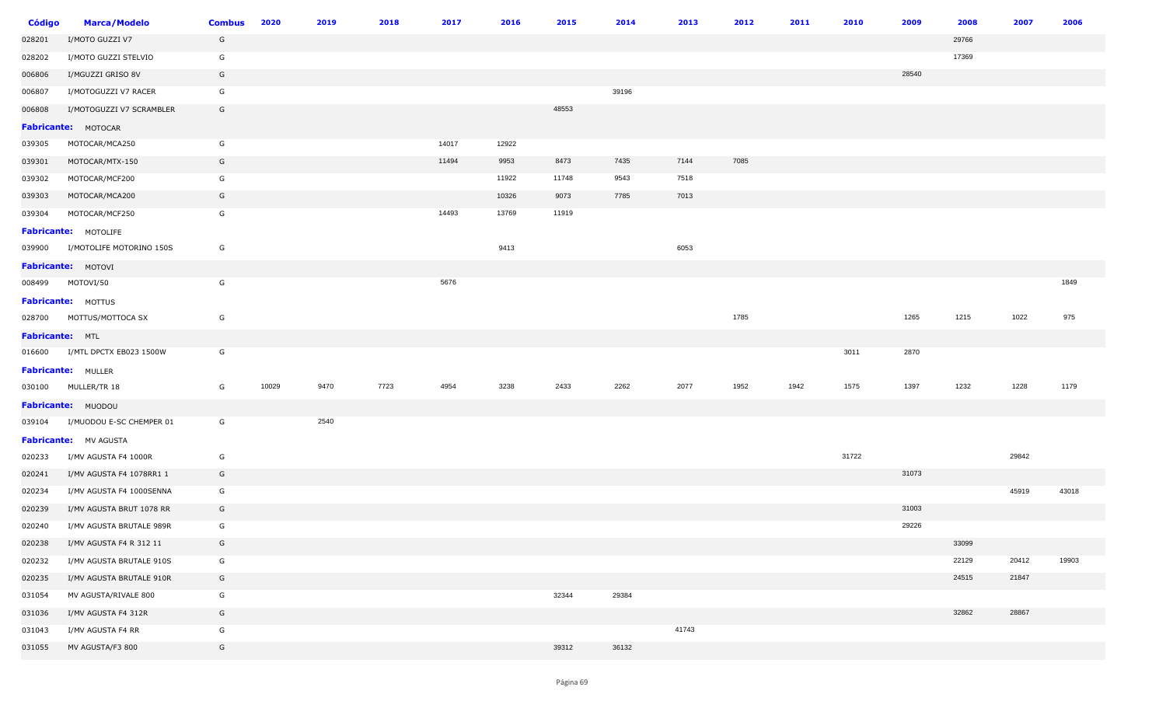| <b>Código</b>          | <b>Marca/Modelo</b>             | <b>Combus</b> | 2020  | 2019 | 2018 | 2017  | 2016  | 2015  | 2014  | 2013  | 2012 | 2011 | 2010  | 2009  | 2008  | 2007  | 2006  |
|------------------------|---------------------------------|---------------|-------|------|------|-------|-------|-------|-------|-------|------|------|-------|-------|-------|-------|-------|
| 028201                 | I/MOTO GUZZI V7                 | G             |       |      |      |       |       |       |       |       |      |      |       |       | 29766 |       |       |
| 028202                 | I/MOTO GUZZI STELVIO            | G             |       |      |      |       |       |       |       |       |      |      |       |       | 17369 |       |       |
| 006806                 | I/MGUZZI GRISO 8V               | G             |       |      |      |       |       |       |       |       |      |      |       | 28540 |       |       |       |
| 006807                 | I/MOTOGUZZI V7 RACER            | G             |       |      |      |       |       |       | 39196 |       |      |      |       |       |       |       |       |
| 006808                 | I/MOTOGUZZI V7 SCRAMBLER        | G             |       |      |      |       |       | 48553 |       |       |      |      |       |       |       |       |       |
|                        | Fabricante: MOTOCAR             |               |       |      |      |       |       |       |       |       |      |      |       |       |       |       |       |
| 039305                 | MOTOCAR/MCA250                  | G             |       |      |      | 14017 | 12922 |       |       |       |      |      |       |       |       |       |       |
| 039301                 | MOTOCAR/MTX-150                 | G             |       |      |      | 11494 | 9953  | 8473  | 7435  | 7144  | 7085 |      |       |       |       |       |       |
| 039302                 | MOTOCAR/MCF200                  | G             |       |      |      |       | 11922 | 11748 | 9543  | 7518  |      |      |       |       |       |       |       |
| 039303                 | MOTOCAR/MCA200                  | G             |       |      |      |       | 10326 | 9073  | 7785  | 7013  |      |      |       |       |       |       |       |
| 039304                 | MOTOCAR/MCF250                  | G             |       |      |      | 14493 | 13769 | 11919 |       |       |      |      |       |       |       |       |       |
|                        | Fabricante: MOTOLIFE            |               |       |      |      |       |       |       |       |       |      |      |       |       |       |       |       |
|                        | 039900 I/MOTOLIFE MOTORINO 150S | G             |       |      |      |       | 9413  |       |       | 6053  |      |      |       |       |       |       |       |
|                        | Fabricante: MOTOVI              |               |       |      |      |       |       |       |       |       |      |      |       |       |       |       |       |
|                        | 008499 MOTOVI/50                | G             |       |      |      | 5676  |       |       |       |       |      |      |       |       |       |       | 1849  |
|                        | <b>Fabricante: MOTTUS</b>       |               |       |      |      |       |       |       |       |       |      |      |       |       |       |       |       |
|                        | 028700 MOTTUS/MOTTOCA SX        | G             |       |      |      |       |       |       |       |       | 1785 |      |       | 1265  | 1215  | 1022  | 975   |
| <b>Fabricante:</b> MTL |                                 |               |       |      |      |       |       |       |       |       |      |      |       |       |       |       |       |
|                        | 016600 I/MTL DPCTX EB023 1500W  | G             |       |      |      |       |       |       |       |       |      |      | 3011  | 2870  |       |       |       |
|                        | <b>Fabricante: MULLER</b>       |               |       |      |      |       |       |       |       |       |      |      |       |       |       |       |       |
|                        | 030100 MULLER/TR 18             | G             | 10029 | 9470 | 7723 | 4954  | 3238  | 2433  | 2262  | 2077  | 1952 | 1942 | 1575  | 1397  | 1232  | 1228  | 1179  |
|                        | <b>Fabricante: MUODOU</b>       |               |       |      |      |       |       |       |       |       |      |      |       |       |       |       |       |
|                        | 039104 I/MUODOU E-SC CHEMPER 01 | G             |       | 2540 |      |       |       |       |       |       |      |      |       |       |       |       |       |
|                        | Fabricante: MV AGUSTA           |               |       |      |      |       |       |       |       |       |      |      |       |       |       |       |       |
| 020233                 | I/MV AGUSTA F4 1000R            | G             |       |      |      |       |       |       |       |       |      |      | 31722 |       |       | 29842 |       |
| 020241                 | I/MV AGUSTA F4 1078RR1 1        | G             |       |      |      |       |       |       |       |       |      |      |       | 31073 |       |       |       |
| 020234                 | I/MV AGUSTA F4 1000SENNA        | G             |       |      |      |       |       |       |       |       |      |      |       |       |       | 45919 | 43018 |
| 020239                 | I/MV AGUSTA BRUT 1078 RR        | G             |       |      |      |       |       |       |       |       |      |      |       | 31003 |       |       |       |
| 020240                 | I/MV AGUSTA BRUTALE 989R        | G             |       |      |      |       |       |       |       |       |      |      |       | 29226 |       |       |       |
| 020238                 | I/MV AGUSTA F4 R 312 11         | G             |       |      |      |       |       |       |       |       |      |      |       |       | 33099 |       |       |
| 020232                 | I/MV AGUSTA BRUTALE 910S        | G             |       |      |      |       |       |       |       |       |      |      |       |       | 22129 | 20412 | 19903 |
| 020235                 | I/MV AGUSTA BRUTALE 910R        | G             |       |      |      |       |       |       |       |       |      |      |       |       | 24515 | 21847 |       |
| 031054                 | MV AGUSTA/RIVALE 800            | G             |       |      |      |       |       | 32344 | 29384 |       |      |      |       |       |       |       |       |
| 031036                 | I/MV AGUSTA F4 312R             | G             |       |      |      |       |       |       |       |       |      |      |       |       | 32862 | 28867 |       |
| 031043                 | I/MV AGUSTA F4 RR               | G             |       |      |      |       |       |       |       | 41743 |      |      |       |       |       |       |       |
| 031055                 | MV AGUSTA/F3 800                | G             |       |      |      |       |       | 39312 | 36132 |       |      |      |       |       |       |       |       |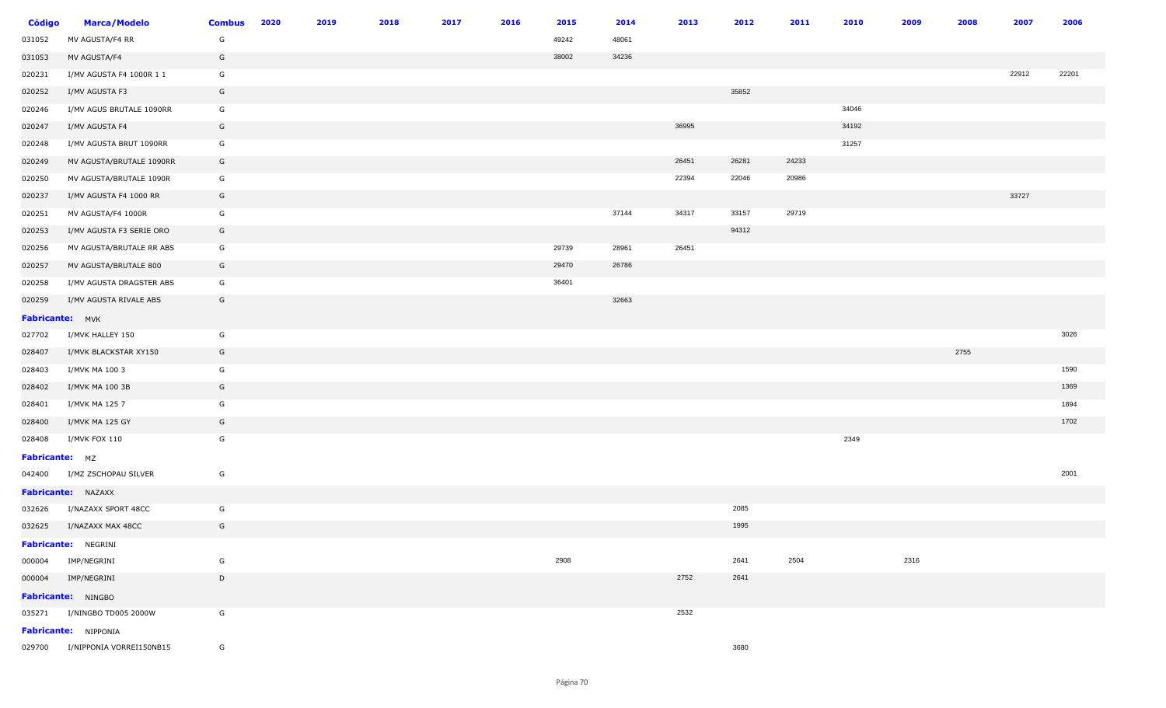| <b>Código</b>   | <b>Marca/Modelo</b>             | <b>Combus</b> | 2020 | 2019 | 2018 | 2017 | 2016 | 2015  | 2014  | 2013  | 2012  | 2011  | 2010  | 2009 | 2008 | 2007  | 2006  |
|-----------------|---------------------------------|---------------|------|------|------|------|------|-------|-------|-------|-------|-------|-------|------|------|-------|-------|
| 031052          | MV AGUSTA/F4 RR                 | G             |      |      |      |      |      | 49242 | 48061 |       |       |       |       |      |      |       |       |
| 031053          | MV AGUSTA/F4                    | G             |      |      |      |      |      | 38002 | 34236 |       |       |       |       |      |      |       |       |
| 020231          | I/MV AGUSTA F4 1000R 1 1        | G             |      |      |      |      |      |       |       |       |       |       |       |      |      | 22912 | 22201 |
| 020252          | I/MV AGUSTA F3                  | G             |      |      |      |      |      |       |       |       | 35852 |       |       |      |      |       |       |
| 020246          | I/MV AGUS BRUTALE 1090RR        | G             |      |      |      |      |      |       |       |       |       |       | 34046 |      |      |       |       |
| 020247          | I/MV AGUSTA F4                  | G             |      |      |      |      |      |       |       | 36995 |       |       | 34192 |      |      |       |       |
| 020248          | I/MV AGUSTA BRUT 1090RR         | G             |      |      |      |      |      |       |       |       |       |       | 31257 |      |      |       |       |
| 020249          | MV AGUSTA/BRUTALE 1090RR        | G             |      |      |      |      |      |       |       | 26451 | 26281 | 24233 |       |      |      |       |       |
| 020250          | MV AGUSTA/BRUTALE 1090R         | G             |      |      |      |      |      |       |       | 22394 | 22046 | 20986 |       |      |      |       |       |
| 020237          | I/MV AGUSTA F4 1000 RR          | G             |      |      |      |      |      |       |       |       |       |       |       |      |      | 33727 |       |
| 020251          | MV AGUSTA/F4 1000R              | G             |      |      |      |      |      |       | 37144 | 34317 | 33157 | 29719 |       |      |      |       |       |
| 020253          | I/MV AGUSTA F3 SERIE ORO        | G             |      |      |      |      |      |       |       |       | 94312 |       |       |      |      |       |       |
| 020256          | MV AGUSTA/BRUTALE RR ABS        | G             |      |      |      |      |      | 29739 | 28961 | 26451 |       |       |       |      |      |       |       |
| 020257          | MV AGUSTA/BRUTALE 800           | G             |      |      |      |      |      | 29470 | 26786 |       |       |       |       |      |      |       |       |
| 020258          | I/MV AGUSTA DRAGSTER ABS        | G             |      |      |      |      |      | 36401 |       |       |       |       |       |      |      |       |       |
| 020259          | I/MV AGUSTA RIVALE ABS          | G             |      |      |      |      |      |       | 32663 |       |       |       |       |      |      |       |       |
| Fabricante: MVK |                                 |               |      |      |      |      |      |       |       |       |       |       |       |      |      |       |       |
| 027702          | I/MVK HALLEY 150                | G             |      |      |      |      |      |       |       |       |       |       |       |      |      |       | 3026  |
| 028407          | I/MVK BLACKSTAR XY150           | G             |      |      |      |      |      |       |       |       |       |       |       |      | 2755 |       |       |
| 028403          | I/MVK MA 100 3                  | G             |      |      |      |      |      |       |       |       |       |       |       |      |      |       | 1590  |
| 028402          | I/MVK MA 100 3B                 | G             |      |      |      |      |      |       |       |       |       |       |       |      |      |       | 1369  |
| 028401          | I/MVK MA 125 7                  | G             |      |      |      |      |      |       |       |       |       |       |       |      |      |       | 1894  |
| 028400          | I/MVK MA 125 GY                 | G             |      |      |      |      |      |       |       |       |       |       |       |      |      |       | 1702  |
| 028408          | I/MVK FOX 110                   | G             |      |      |      |      |      |       |       |       |       |       | 2349  |      |      |       |       |
| Fabricante: MZ  |                                 |               |      |      |      |      |      |       |       |       |       |       |       |      |      |       |       |
| 042400          | I/MZ ZSCHOPAU SILVER            | G             |      |      |      |      |      |       |       |       |       |       |       |      |      |       | 2001  |
|                 | Fabricante: NAZAXX              |               |      |      |      |      |      |       |       |       |       |       |       |      |      |       |       |
| 032626          | I/NAZAXX SPORT 48CC             | G             |      |      |      |      |      |       |       |       | 2085  |       |       |      |      |       |       |
| 032625          | I/NAZAXX MAX 48CC               | G             |      |      |      |      |      |       |       |       | 1995  |       |       |      |      |       |       |
|                 | Fabricante: NEGRINI             |               |      |      |      |      |      |       |       |       |       |       |       |      |      |       |       |
| 000004          | IMP/NEGRINI                     | G             |      |      |      |      |      | 2908  |       |       | 2641  | 2504  |       | 2316 |      |       |       |
|                 | 000004 IMP/NEGRINI              | D             |      |      |      |      |      |       |       | 2752  | 2641  |       |       |      |      |       |       |
|                 | <b>Fabricante: NINGBO</b>       |               |      |      |      |      |      |       |       |       |       |       |       |      |      |       |       |
|                 | 035271 I/NINGBO TD005 2000W     | G             |      |      |      |      |      |       |       | 2532  |       |       |       |      |      |       |       |
|                 | <b>Fabricante:</b> NIPPONIA     |               |      |      |      |      |      |       |       |       |       |       |       |      |      |       |       |
|                 | 029700 I/NIPPONIA VORREI150NB15 | G             |      |      |      |      |      |       |       |       | 3680  |       |       |      |      |       |       |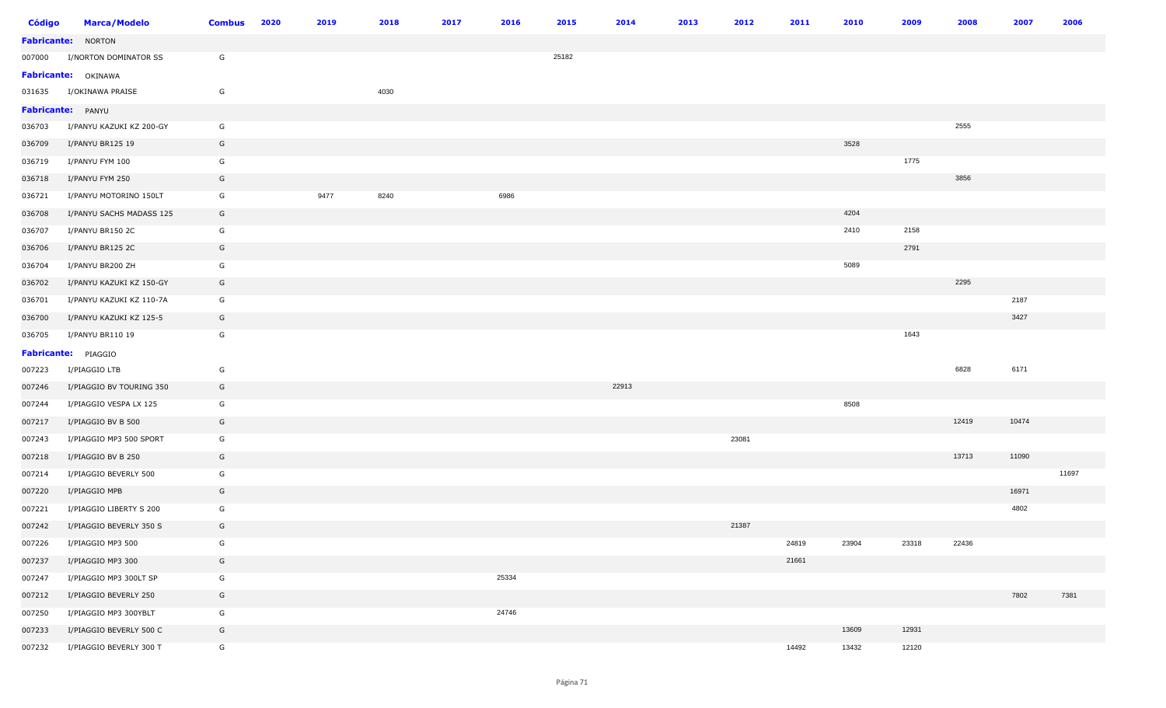| <b>Código</b> | <b>Marca/Modelo</b>        | <b>Combus</b> | 2020 | 2019 | 2018 | 2017 | 2016  | 2015  | 2014  | 2013 | 2012  | 2011  | 2010  | 2009  | 2008  | 2007  | 2006  |
|---------------|----------------------------|---------------|------|------|------|------|-------|-------|-------|------|-------|-------|-------|-------|-------|-------|-------|
|               | <b>Fabricante: NORTON</b>  |               |      |      |      |      |       |       |       |      |       |       |       |       |       |       |       |
| 007000        | I/NORTON DOMINATOR SS      | G             |      |      |      |      |       | 25182 |       |      |       |       |       |       |       |       |       |
|               | <b>Fabricante: OKINAWA</b> |               |      |      |      |      |       |       |       |      |       |       |       |       |       |       |       |
| 031635        | I/OKINAWA PRAISE           | G             |      |      | 4030 |      |       |       |       |      |       |       |       |       |       |       |       |
|               | Fabricante: PANYU          |               |      |      |      |      |       |       |       |      |       |       |       |       |       |       |       |
| 036703        | I/PANYU KAZUKI KZ 200-GY   | G             |      |      |      |      |       |       |       |      |       |       |       |       | 2555  |       |       |
| 036709        | I/PANYU BR125 19           | G             |      |      |      |      |       |       |       |      |       |       | 3528  |       |       |       |       |
| 036719        | I/PANYU FYM 100            | G             |      |      |      |      |       |       |       |      |       |       |       | 1775  |       |       |       |
| 036718        | I/PANYU FYM 250            | G             |      |      |      |      |       |       |       |      |       |       |       |       | 3856  |       |       |
| 036721        | I/PANYU MOTORINO 150LT     | G             |      | 9477 | 8240 |      | 6986  |       |       |      |       |       |       |       |       |       |       |
| 036708        | I/PANYU SACHS MADASS 125   | G             |      |      |      |      |       |       |       |      |       |       | 4204  |       |       |       |       |
| 036707        | I/PANYU BR150 2C           | G             |      |      |      |      |       |       |       |      |       |       | 2410  | 2158  |       |       |       |
| 036706        | I/PANYU BR125 2C           | G             |      |      |      |      |       |       |       |      |       |       |       | 2791  |       |       |       |
| 036704        | I/PANYU BR200 ZH           | G             |      |      |      |      |       |       |       |      |       |       | 5089  |       |       |       |       |
| 036702        | I/PANYU KAZUKI KZ 150-GY   | G             |      |      |      |      |       |       |       |      |       |       |       |       | 2295  |       |       |
| 036701        | I/PANYU KAZUKI KZ 110-7A   | G             |      |      |      |      |       |       |       |      |       |       |       |       |       | 2187  |       |
| 036700        | I/PANYU KAZUKI KZ 125-5    | G             |      |      |      |      |       |       |       |      |       |       |       |       |       | 3427  |       |
| 036705        | I/PANYU BR110 19           | G             |      |      |      |      |       |       |       |      |       |       |       | 1643  |       |       |       |
|               | Fabricante: PIAGGIO        |               |      |      |      |      |       |       |       |      |       |       |       |       |       |       |       |
| 007223        | I/PIAGGIO LTB              | G             |      |      |      |      |       |       |       |      |       |       |       |       | 6828  | 6171  |       |
| 007246        | I/PIAGGIO BV TOURING 350   | G             |      |      |      |      |       |       | 22913 |      |       |       |       |       |       |       |       |
| 007244        | I/PIAGGIO VESPA LX 125     | G             |      |      |      |      |       |       |       |      |       |       | 8508  |       |       |       |       |
| 007217        | I/PIAGGIO BV B 500         | G             |      |      |      |      |       |       |       |      |       |       |       |       | 12419 | 10474 |       |
| 007243        | I/PIAGGIO MP3 500 SPORT    | G             |      |      |      |      |       |       |       |      | 23081 |       |       |       |       |       |       |
| 007218        | I/PIAGGIO BV B 250         | G             |      |      |      |      |       |       |       |      |       |       |       |       | 13713 | 11090 |       |
| 007214        | I/PIAGGIO BEVERLY 500      | G             |      |      |      |      |       |       |       |      |       |       |       |       |       |       | 11697 |
| 007220        | I/PIAGGIO MPB              | G             |      |      |      |      |       |       |       |      |       |       |       |       |       | 16971 |       |
| 007221        | I/PIAGGIO LIBERTY S 200    | G             |      |      |      |      |       |       |       |      |       |       |       |       |       | 4802  |       |
| 007242        | I/PIAGGIO BEVERLY 350 S    | G             |      |      |      |      |       |       |       |      | 21387 |       |       |       |       |       |       |
| 007226        | I/PIAGGIO MP3 500          | G             |      |      |      |      |       |       |       |      |       | 24819 | 23904 | 23318 | 22436 |       |       |
| 007237        | I/PIAGGIO MP3 300          | G             |      |      |      |      |       |       |       |      |       | 21661 |       |       |       |       |       |
| 007247        | I/PIAGGIO MP3 300LT SP     | G             |      |      |      |      | 25334 |       |       |      |       |       |       |       |       |       |       |
| 007212        | I/PIAGGIO BEVERLY 250      | G             |      |      |      |      |       |       |       |      |       |       |       |       |       | 7802  | 7381  |
| 007250        | I/PIAGGIO MP3 300YBLT      | G             |      |      |      |      | 24746 |       |       |      |       |       |       |       |       |       |       |
| 007233        | I/PIAGGIO BEVERLY 500 C    | G             |      |      |      |      |       |       |       |      |       |       | 13609 | 12931 |       |       |       |
| 007232        | I/PIAGGIO BEVERLY 300 T    | G             |      |      |      |      |       |       |       |      |       | 14492 | 13432 | 12120 |       |       |       |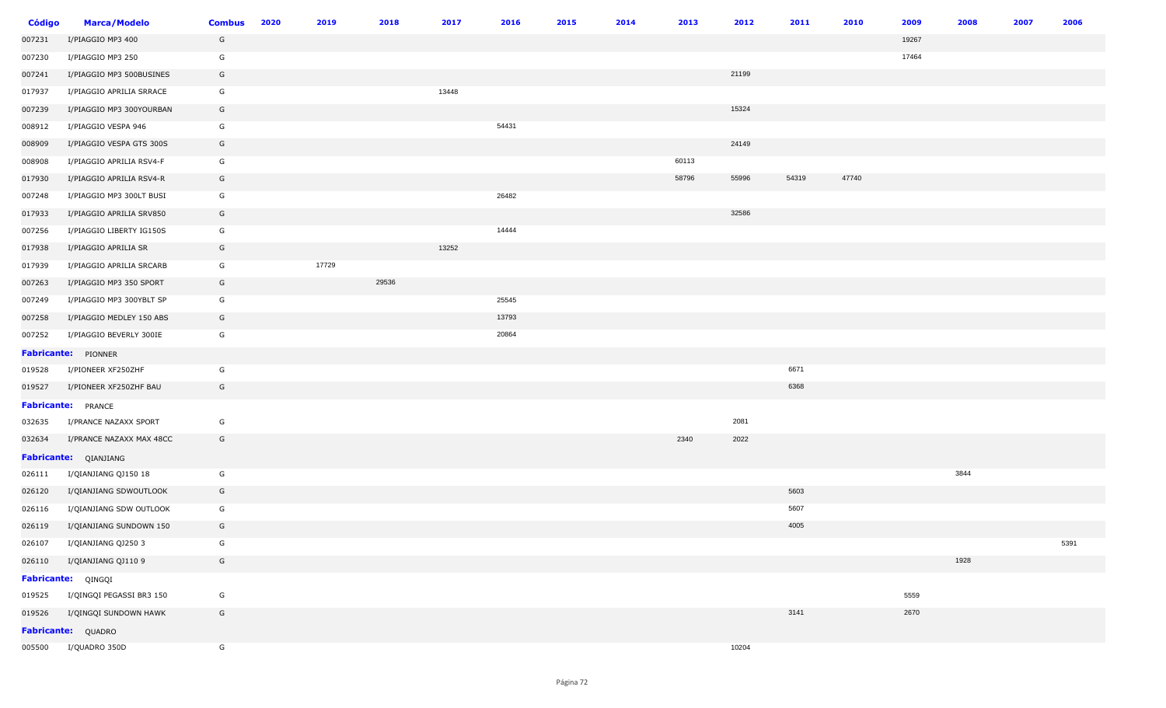| <b>Código</b> | <b>Marca/Modelo</b>       | <b>Combus</b> | 2020 | 2019  | 2018  | 2017  | 2016  | 2015 | 2014 | 2013  | 2012  | 2011  | 2010  | 2009  | 2008 | 2007 | 2006 |
|---------------|---------------------------|---------------|------|-------|-------|-------|-------|------|------|-------|-------|-------|-------|-------|------|------|------|
| 007231        | I/PIAGGIO MP3 400         | G             |      |       |       |       |       |      |      |       |       |       |       | 19267 |      |      |      |
| 007230        | I/PIAGGIO MP3 250         | G             |      |       |       |       |       |      |      |       |       |       |       | 17464 |      |      |      |
| 007241        | I/PIAGGIO MP3 500BUSINES  | G             |      |       |       |       |       |      |      |       | 21199 |       |       |       |      |      |      |
| 017937        | I/PIAGGIO APRILIA SRRACE  | G             |      |       |       | 13448 |       |      |      |       |       |       |       |       |      |      |      |
| 007239        | I/PIAGGIO MP3 300YOURBAN  | G             |      |       |       |       |       |      |      |       | 15324 |       |       |       |      |      |      |
| 008912        | I/PIAGGIO VESPA 946       | G             |      |       |       |       | 54431 |      |      |       |       |       |       |       |      |      |      |
| 008909        | I/PIAGGIO VESPA GTS 300S  | G             |      |       |       |       |       |      |      |       | 24149 |       |       |       |      |      |      |
| 008908        | I/PIAGGIO APRILIA RSV4-F  | G             |      |       |       |       |       |      |      | 60113 |       |       |       |       |      |      |      |
| 017930        | I/PIAGGIO APRILIA RSV4-R  | G             |      |       |       |       |       |      |      | 58796 | 55996 | 54319 | 47740 |       |      |      |      |
| 007248        | I/PIAGGIO MP3 300LT BUSI  | G             |      |       |       |       | 26482 |      |      |       |       |       |       |       |      |      |      |
| 017933        | I/PIAGGIO APRILIA SRV850  | G             |      |       |       |       |       |      |      |       | 32586 |       |       |       |      |      |      |
| 007256        | I/PIAGGIO LIBERTY IG150S  | G             |      |       |       |       | 14444 |      |      |       |       |       |       |       |      |      |      |
| 017938        | I/PIAGGIO APRILIA SR      | G             |      |       |       | 13252 |       |      |      |       |       |       |       |       |      |      |      |
| 017939        | I/PIAGGIO APRILIA SRCARB  | G             |      | 17729 |       |       |       |      |      |       |       |       |       |       |      |      |      |
| 007263        | I/PIAGGIO MP3 350 SPORT   | G             |      |       | 29536 |       |       |      |      |       |       |       |       |       |      |      |      |
| 007249        | I/PIAGGIO MP3 300YBLT SP  | G             |      |       |       |       | 25545 |      |      |       |       |       |       |       |      |      |      |
| 007258        | I/PIAGGIO MEDLEY 150 ABS  | G             |      |       |       |       | 13793 |      |      |       |       |       |       |       |      |      |      |
| 007252        | I/PIAGGIO BEVERLY 300IE   | G             |      |       |       |       | 20864 |      |      |       |       |       |       |       |      |      |      |
|               | Fabricante: PIONNER       |               |      |       |       |       |       |      |      |       |       |       |       |       |      |      |      |
| 019528        | I/PIONEER XF250ZHF        | G             |      |       |       |       |       |      |      |       |       | 6671  |       |       |      |      |      |
| 019527        | I/PIONEER XF250ZHF BAU    | G             |      |       |       |       |       |      |      |       |       | 6368  |       |       |      |      |      |
|               | <b>Fabricante:</b> PRANCE |               |      |       |       |       |       |      |      |       |       |       |       |       |      |      |      |
| 032635        | I/PRANCE NAZAXX SPORT     | G             |      |       |       |       |       |      |      |       | 2081  |       |       |       |      |      |      |
| 032634        | I/PRANCE NAZAXX MAX 48CC  | G             |      |       |       |       |       |      |      | 2340  | 2022  |       |       |       |      |      |      |
|               | Fabricante: QIANJIANG     |               |      |       |       |       |       |      |      |       |       |       |       |       |      |      |      |
| 026111        | I/QIANJIANG QJ150 18      | G             |      |       |       |       |       |      |      |       |       |       |       |       | 3844 |      |      |
| 026120        | I/QIANJIANG SDWOUTLOOK    | G             |      |       |       |       |       |      |      |       |       | 5603  |       |       |      |      |      |
| 026116        | I/QIANJIANG SDW OUTLOOK   | G             |      |       |       |       |       |      |      |       |       | 5607  |       |       |      |      |      |
| 026119        | I/QIANJIANG SUNDOWN 150   | G             |      |       |       |       |       |      |      |       |       | 4005  |       |       |      |      |      |
| 026107        | I/QIANJIANG QJ250 3       | G             |      |       |       |       |       |      |      |       |       |       |       |       |      |      | 5391 |
| 026110        | I/QIANJIANG QJ110 9       | G             |      |       |       |       |       |      |      |       |       |       |       |       | 1928 |      |      |
|               | Fabricante: QINGQI        |               |      |       |       |       |       |      |      |       |       |       |       |       |      |      |      |
| 019525        | I/QINGQI PEGASSI BR3 150  | G             |      |       |       |       |       |      |      |       |       |       |       | 5559  |      |      |      |
| 019526        | I/QINGQI SUNDOWN HAWK     | G             |      |       |       |       |       |      |      |       |       | 3141  |       | 2670  |      |      |      |
|               | Fabricante: QUADRO        |               |      |       |       |       |       |      |      |       |       |       |       |       |      |      |      |
|               | 005500 I/QUADRO 350D      | G             |      |       |       |       |       |      |      |       | 10204 |       |       |       |      |      |      |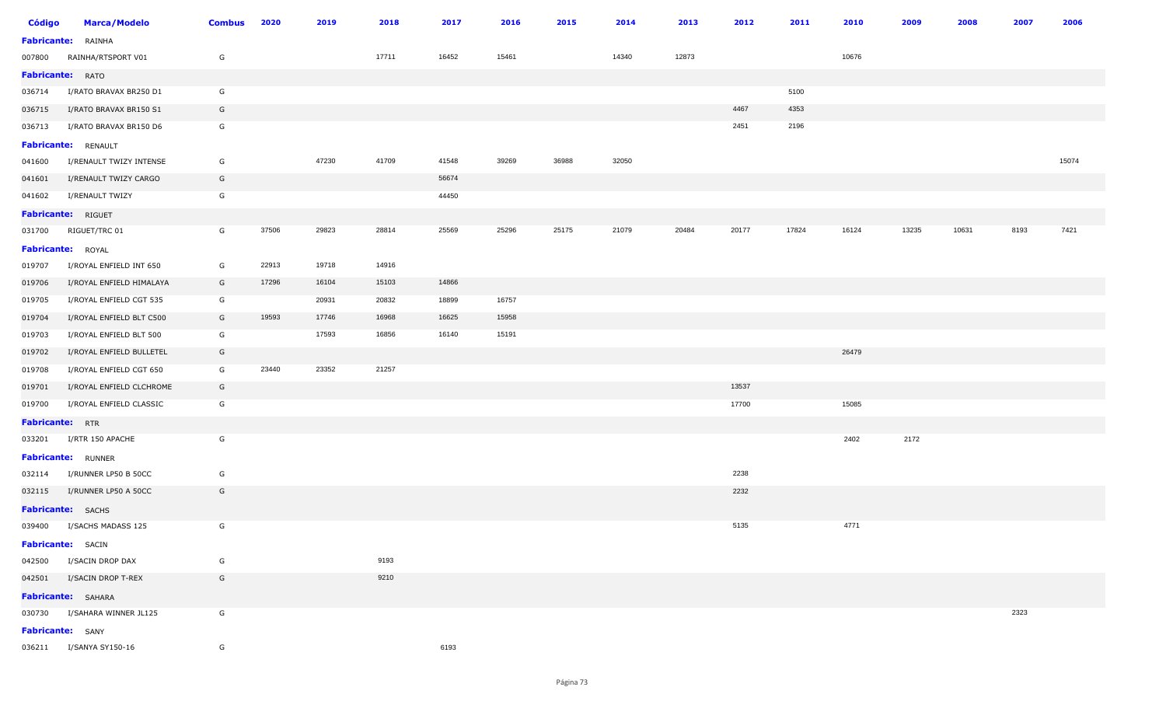| <b>Código</b>           | <b>Marca/Modelo</b>          | <b>Combus</b> | 2020  | 2019  | 2018  | 2017  | 2016  | 2015  | 2014  | 2013  | 2012  | 2011  | 2010  | 2009  | 2008  | 2007 | 2006  |
|-------------------------|------------------------------|---------------|-------|-------|-------|-------|-------|-------|-------|-------|-------|-------|-------|-------|-------|------|-------|
|                         | <b>Fabricante:</b> RAINHA    |               |       |       |       |       |       |       |       |       |       |       |       |       |       |      |       |
| 007800                  | RAINHA/RTSPORT V01           | G             |       |       | 17711 | 16452 | 15461 |       | 14340 | 12873 |       |       | 10676 |       |       |      |       |
| <b>Fabricante:</b> RATO |                              |               |       |       |       |       |       |       |       |       |       |       |       |       |       |      |       |
| 036714                  | I/RATO BRAVAX BR250 D1       | G             |       |       |       |       |       |       |       |       |       | 5100  |       |       |       |      |       |
| 036715                  | I/RATO BRAVAX BR150 S1       | G             |       |       |       |       |       |       |       |       | 4467  | 4353  |       |       |       |      |       |
| 036713                  | I/RATO BRAVAX BR150 D6       | G             |       |       |       |       |       |       |       |       | 2451  | 2196  |       |       |       |      |       |
|                         | Fabricante: RENAULT          |               |       |       |       |       |       |       |       |       |       |       |       |       |       |      |       |
| 041600                  | I/RENAULT TWIZY INTENSE      | G             |       | 47230 | 41709 | 41548 | 39269 | 36988 | 32050 |       |       |       |       |       |       |      | 15074 |
| 041601                  | I/RENAULT TWIZY CARGO        | G             |       |       |       | 56674 |       |       |       |       |       |       |       |       |       |      |       |
| 041602                  | I/RENAULT TWIZY              | G             |       |       |       | 44450 |       |       |       |       |       |       |       |       |       |      |       |
|                         | Fabricante: RIGUET           |               |       |       |       |       |       |       |       |       |       |       |       |       |       |      |       |
| 031700                  | RIGUET/TRC 01                | G             | 37506 | 29823 | 28814 | 25569 | 25296 | 25175 | 21079 | 20484 | 20177 | 17824 | 16124 | 13235 | 10631 | 8193 | 7421  |
|                         | Fabricante: ROYAL            |               |       |       |       |       |       |       |       |       |       |       |       |       |       |      |       |
| 019707                  | I/ROYAL ENFIELD INT 650      | G             | 22913 | 19718 | 14916 |       |       |       |       |       |       |       |       |       |       |      |       |
| 019706                  | I/ROYAL ENFIELD HIMALAYA     | G             | 17296 | 16104 | 15103 | 14866 |       |       |       |       |       |       |       |       |       |      |       |
| 019705                  | I/ROYAL ENFIELD CGT 535      | G             |       | 20931 | 20832 | 18899 | 16757 |       |       |       |       |       |       |       |       |      |       |
| 019704                  | I/ROYAL ENFIELD BLT C500     | G             | 19593 | 17746 | 16968 | 16625 | 15958 |       |       |       |       |       |       |       |       |      |       |
| 019703                  | I/ROYAL ENFIELD BLT 500      | G             |       | 17593 | 16856 | 16140 | 15191 |       |       |       |       |       |       |       |       |      |       |
| 019702                  | I/ROYAL ENFIELD BULLETEL     | G             |       |       |       |       |       |       |       |       |       |       | 26479 |       |       |      |       |
| 019708                  | I/ROYAL ENFIELD CGT 650      | G             | 23440 | 23352 | 21257 |       |       |       |       |       |       |       |       |       |       |      |       |
| 019701                  | I/ROYAL ENFIELD CLCHROME     | G             |       |       |       |       |       |       |       |       | 13537 |       |       |       |       |      |       |
| 019700                  | I/ROYAL ENFIELD CLASSIC      | G             |       |       |       |       |       |       |       |       | 17700 |       | 15085 |       |       |      |       |
| <b>Fabricante:</b> RTR  |                              |               |       |       |       |       |       |       |       |       |       |       |       |       |       |      |       |
| 033201                  | I/RTR 150 APACHE             | G             |       |       |       |       |       |       |       |       |       |       | 2402  | 2172  |       |      |       |
|                         | <b>Fabricante:</b> RUNNER    |               |       |       |       |       |       |       |       |       |       |       |       |       |       |      |       |
| 032114                  | I/RUNNER LP50 B 50CC         | G             |       |       |       |       |       |       |       |       | 2238  |       |       |       |       |      |       |
| 032115                  | I/RUNNER LP50 A 50CC         | G             |       |       |       |       |       |       |       |       | 2232  |       |       |       |       |      |       |
|                         | Fabricante: SACHS            |               |       |       |       |       |       |       |       |       |       |       |       |       |       |      |       |
|                         | 039400 I/SACHS MADASS 125    | G             |       |       |       |       |       |       |       |       | 5135  |       | 4771  |       |       |      |       |
|                         | <b>Fabricante:</b> SACIN     |               |       |       |       |       |       |       |       |       |       |       |       |       |       |      |       |
|                         | 042500 I/SACIN DROP DAX      | G             |       |       | 9193  |       |       |       |       |       |       |       |       |       |       |      |       |
|                         | 042501 I/SACIN DROP T-REX    | G             |       |       | 9210  |       |       |       |       |       |       |       |       |       |       |      |       |
|                         | <b>Fabricante:</b> SAHARA    |               |       |       |       |       |       |       |       |       |       |       |       |       |       |      |       |
|                         | 030730 I/SAHARA WINNER JL125 | G             |       |       |       |       |       |       |       |       |       |       |       |       |       | 2323 |       |
|                         | <b>Fabricante:</b> SANY      |               |       |       |       |       |       |       |       |       |       |       |       |       |       |      |       |
|                         | 036211 I/SANYA SY150-16      | G             |       |       |       | 6193  |       |       |       |       |       |       |       |       |       |      |       |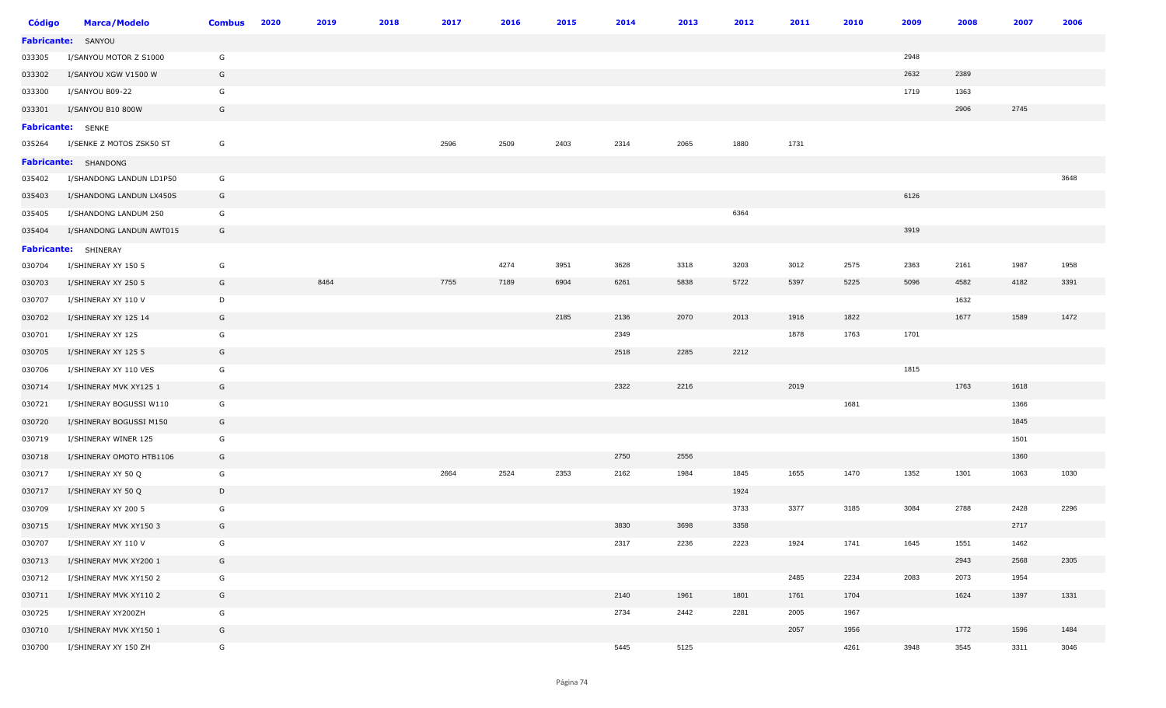| Código             | <b>Marca/Modelo</b>         | <b>Combus</b> | 2020 | 2019 | 2018 | 2017 | 2016 | 2015 | 2014 | 2013 | 2012 | 2011 | 2010 | 2009 | 2008 | 2007 | 2006 |
|--------------------|-----------------------------|---------------|------|------|------|------|------|------|------|------|------|------|------|------|------|------|------|
| <b>Fabricante:</b> | SANYOU                      |               |      |      |      |      |      |      |      |      |      |      |      |      |      |      |      |
| 033305             | I/SANYOU MOTOR Z S1000      | G             |      |      |      |      |      |      |      |      |      |      |      | 2948 |      |      |      |
| 033302             | I/SANYOU XGW V1500 W        | G             |      |      |      |      |      |      |      |      |      |      |      | 2632 | 2389 |      |      |
| 033300             | I/SANYOU B09-22             | G             |      |      |      |      |      |      |      |      |      |      |      | 1719 | 1363 |      |      |
| 033301             | I/SANYOU B10 800W           | G             |      |      |      |      |      |      |      |      |      |      |      |      | 2906 | 2745 |      |
|                    | <b>Fabricante:</b> SENKE    |               |      |      |      |      |      |      |      |      |      |      |      |      |      |      |      |
| 035264             | I/SENKE Z MOTOS ZSK50 ST    | G             |      |      |      | 2596 | 2509 | 2403 | 2314 | 2065 | 1880 | 1731 |      |      |      |      |      |
|                    | Fabricante: SHANDONG        |               |      |      |      |      |      |      |      |      |      |      |      |      |      |      |      |
| 035402             | I/SHANDONG LANDUN LD1P50    | G             |      |      |      |      |      |      |      |      |      |      |      |      |      |      | 3648 |
| 035403             | I/SHANDONG LANDUN LX450S    | G             |      |      |      |      |      |      |      |      |      |      |      | 6126 |      |      |      |
| 035405             | I/SHANDONG LANDUM 250       | G             |      |      |      |      |      |      |      |      | 6364 |      |      |      |      |      |      |
| 035404             | I/SHANDONG LANDUN AWT015    | G             |      |      |      |      |      |      |      |      |      |      |      | 3919 |      |      |      |
|                    | <b>Fabricante:</b> SHINERAY |               |      |      |      |      |      |      |      |      |      |      |      |      |      |      |      |
| 030704             | I/SHINERAY XY 150 5         | G             |      |      |      |      | 4274 | 3951 | 3628 | 3318 | 3203 | 3012 | 2575 | 2363 | 2161 | 1987 | 1958 |
| 030703             | I/SHINERAY XY 250 5         | G             |      | 8464 |      | 7755 | 7189 | 6904 | 6261 | 5838 | 5722 | 5397 | 5225 | 5096 | 4582 | 4182 | 3391 |
| 030707             | I/SHINERAY XY 110 V         | D             |      |      |      |      |      |      |      |      |      |      |      |      | 1632 |      |      |
| 030702             | I/SHINERAY XY 125 14        | G             |      |      |      |      |      | 2185 | 2136 | 2070 | 2013 | 1916 | 1822 |      | 1677 | 1589 | 1472 |
| 030701             | I/SHINERAY XY 125           | G             |      |      |      |      |      |      | 2349 |      |      | 1878 | 1763 | 1701 |      |      |      |
| 030705             | I/SHINERAY XY 125 5         | G             |      |      |      |      |      |      | 2518 | 2285 | 2212 |      |      |      |      |      |      |
| 030706             | I/SHINERAY XY 110 VES       | G             |      |      |      |      |      |      |      |      |      |      |      | 1815 |      |      |      |
| 030714             | I/SHINERAY MVK XY125 1      | G             |      |      |      |      |      |      | 2322 | 2216 |      | 2019 |      |      | 1763 | 1618 |      |
| 030721             | I/SHINERAY BOGUSSI W110     | G             |      |      |      |      |      |      |      |      |      |      | 1681 |      |      | 1366 |      |
| 030720             | I/SHINERAY BOGUSSI M150     | G             |      |      |      |      |      |      |      |      |      |      |      |      |      | 1845 |      |
| 030719             | I/SHINERAY WINER 125        | G             |      |      |      |      |      |      |      |      |      |      |      |      |      | 1501 |      |
| 030718             | I/SHINERAY OMOTO HTB1106    | G             |      |      |      |      |      |      | 2750 | 2556 |      |      |      |      |      | 1360 |      |
| 030717             | I/SHINERAY XY 50 Q          | G             |      |      |      | 2664 | 2524 | 2353 | 2162 | 1984 | 1845 | 1655 | 1470 | 1352 | 1301 | 1063 | 1030 |
| 030717             | I/SHINERAY XY 50 Q          | D             |      |      |      |      |      |      |      |      | 1924 |      |      |      |      |      |      |
| 030709             | I/SHINERAY XY 200 5         | G             |      |      |      |      |      |      |      |      | 3733 | 3377 | 3185 | 3084 | 2788 | 2428 | 2296 |
| 030715             | I/SHINERAY MVK XY150 3      | G             |      |      |      |      |      |      | 3830 | 3698 | 3358 |      |      |      |      | 2717 |      |
| 030707             | I/SHINERAY XY 110 V         | G             |      |      |      |      |      |      | 2317 | 2236 | 2223 | 1924 | 1741 | 1645 | 1551 | 1462 |      |
| 030713             | I/SHINERAY MVK XY200 1      | G             |      |      |      |      |      |      |      |      |      |      |      |      | 2943 | 2568 | 2305 |
| 030712             | I/SHINERAY MVK XY150 2      | G             |      |      |      |      |      |      |      |      |      | 2485 | 2234 | 2083 | 2073 | 1954 |      |
| 030711             | I/SHINERAY MVK XY110 2      | G             |      |      |      |      |      |      | 2140 | 1961 | 1801 | 1761 | 1704 |      | 1624 | 1397 | 1331 |
| 030725             | I/SHINERAY XY200ZH          | G             |      |      |      |      |      |      | 2734 | 2442 | 2281 | 2005 | 1967 |      |      |      |      |
| 030710             | I/SHINERAY MVK XY150 1      | G             |      |      |      |      |      |      |      |      |      | 2057 | 1956 |      | 1772 | 1596 | 1484 |
| 030700             | I/SHINERAY XY 150 ZH        | G             |      |      |      |      |      |      | 5445 | 5125 |      |      | 4261 | 3948 | 3545 | 3311 | 3046 |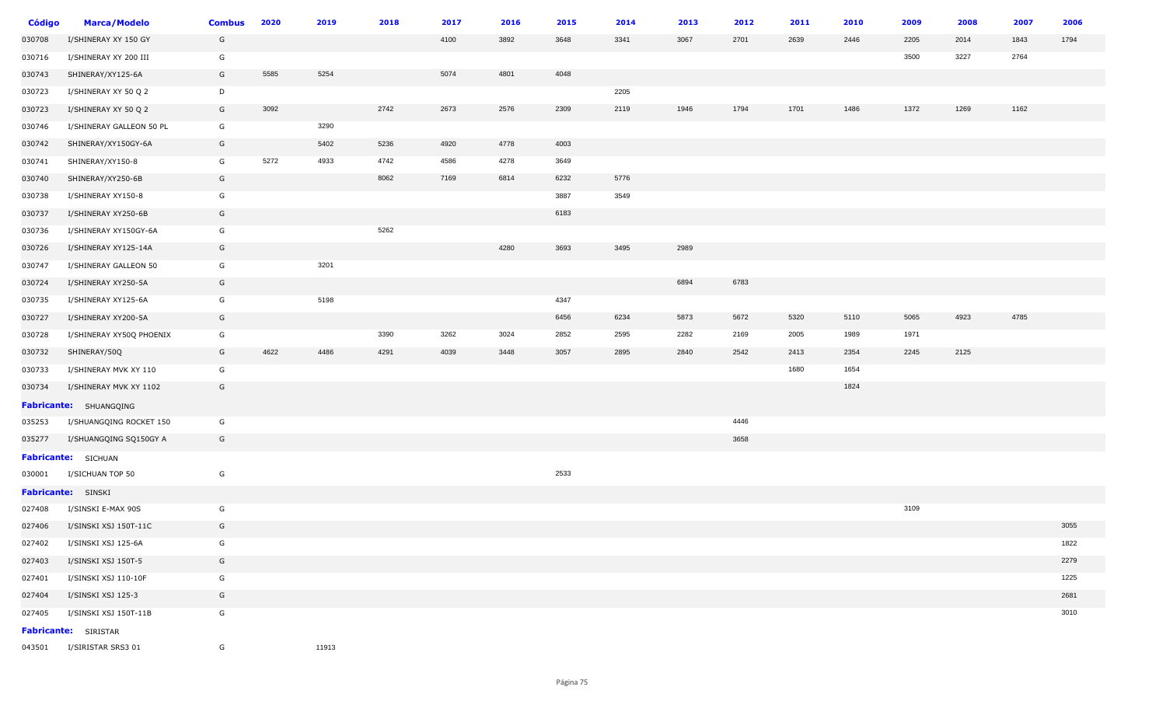| Código | <b>Marca/Modelo</b>         | <b>Combus</b> | 2020 | 2019  | 2018 | 2017 | 2016 | 2015 | 2014 | 2013 | 2012 | 2011 | 2010 | 2009 | 2008 | 2007 | 2006 |
|--------|-----------------------------|---------------|------|-------|------|------|------|------|------|------|------|------|------|------|------|------|------|
| 030708 | I/SHINERAY XY 150 GY        | G             |      |       |      | 4100 | 3892 | 3648 | 3341 | 3067 | 2701 | 2639 | 2446 | 2205 | 2014 | 1843 | 1794 |
| 030716 | I/SHINERAY XY 200 III       | G             |      |       |      |      |      |      |      |      |      |      |      | 3500 | 3227 | 2764 |      |
| 030743 | SHINERAY/XY125-6A           | G             | 5585 | 5254  |      | 5074 | 4801 | 4048 |      |      |      |      |      |      |      |      |      |
| 030723 | I/SHINERAY XY 50 Q 2        | D             |      |       |      |      |      |      | 2205 |      |      |      |      |      |      |      |      |
| 030723 | I/SHINERAY XY 50 Q 2        | G             | 3092 |       | 2742 | 2673 | 2576 | 2309 | 2119 | 1946 | 1794 | 1701 | 1486 | 1372 | 1269 | 1162 |      |
| 030746 | I/SHINERAY GALLEON 50 PL    | G             |      | 3290  |      |      |      |      |      |      |      |      |      |      |      |      |      |
| 030742 | SHINERAY/XY150GY-6A         | G             |      | 5402  | 5236 | 4920 | 4778 | 4003 |      |      |      |      |      |      |      |      |      |
| 030741 | SHINERAY/XY150-8            | G             | 5272 | 4933  | 4742 | 4586 | 4278 | 3649 |      |      |      |      |      |      |      |      |      |
| 030740 | SHINERAY/XY250-6B           | G             |      |       | 8062 | 7169 | 6814 | 6232 | 5776 |      |      |      |      |      |      |      |      |
| 030738 | I/SHINERAY XY150-8          | G             |      |       |      |      |      | 3887 | 3549 |      |      |      |      |      |      |      |      |
| 030737 | I/SHINERAY XY250-6B         | G             |      |       |      |      |      | 6183 |      |      |      |      |      |      |      |      |      |
| 030736 | I/SHINERAY XY150GY-6A       | G             |      |       | 5262 |      |      |      |      |      |      |      |      |      |      |      |      |
| 030726 | I/SHINERAY XY125-14A        | G             |      |       |      |      | 4280 | 3693 | 3495 | 2989 |      |      |      |      |      |      |      |
| 030747 | I/SHINERAY GALLEON 50       | G             |      | 3201  |      |      |      |      |      |      |      |      |      |      |      |      |      |
| 030724 | I/SHINERAY XY250-5A         | G             |      |       |      |      |      |      |      | 6894 | 6783 |      |      |      |      |      |      |
| 030735 | I/SHINERAY XY125-6A         | G             |      | 5198  |      |      |      | 4347 |      |      |      |      |      |      |      |      |      |
| 030727 | I/SHINERAY XY200-5A         | G             |      |       |      |      |      | 6456 | 6234 | 5873 | 5672 | 5320 | 5110 | 5065 | 4923 | 4785 |      |
| 030728 | I/SHINERAY XY50Q PHOENIX    | G             |      |       | 3390 | 3262 | 3024 | 2852 | 2595 | 2282 | 2169 | 2005 | 1989 | 1971 |      |      |      |
| 030732 | SHINERAY/50Q                | G             | 4622 | 4486  | 4291 | 4039 | 3448 | 3057 | 2895 | 2840 | 2542 | 2413 | 2354 | 2245 | 2125 |      |      |
| 030733 | I/SHINERAY MVK XY 110       | G             |      |       |      |      |      |      |      |      |      | 1680 | 1654 |      |      |      |      |
| 030734 | I/SHINERAY MVK XY 1102      | G             |      |       |      |      |      |      |      |      |      |      | 1824 |      |      |      |      |
|        | Fabricante: SHUANGQING      |               |      |       |      |      |      |      |      |      |      |      |      |      |      |      |      |
| 035253 | I/SHUANGQING ROCKET 150     | G             |      |       |      |      |      |      |      |      | 4446 |      |      |      |      |      |      |
| 035277 | I/SHUANGQING SQ150GY A      | G             |      |       |      |      |      |      |      |      | 3658 |      |      |      |      |      |      |
|        | Fabricante: SICHUAN         |               |      |       |      |      |      |      |      |      |      |      |      |      |      |      |      |
| 030001 | I/SICHUAN TOP 50            | G             |      |       |      |      |      | 2533 |      |      |      |      |      |      |      |      |      |
|        | Fabricante: SINSKI          |               |      |       |      |      |      |      |      |      |      |      |      |      |      |      |      |
| 027408 | I/SINSKI E-MAX 90S          | G             |      |       |      |      |      |      |      |      |      |      |      | 3109 |      |      |      |
| 027406 | I/SINSKI XSJ 150T-11C       | G             |      |       |      |      |      |      |      |      |      |      |      |      |      |      | 3055 |
| 027402 | I/SINSKI XSJ 125-6A         | G             |      |       |      |      |      |      |      |      |      |      |      |      |      |      | 1822 |
| 027403 | I/SINSKI XSJ 150T-5         | G             |      |       |      |      |      |      |      |      |      |      |      |      |      |      | 2279 |
| 027401 | I/SINSKI XSJ 110-10F        | G             |      |       |      |      |      |      |      |      |      |      |      |      |      |      | 1225 |
| 027404 | I/SINSKI XSJ 125-3          | G             |      |       |      |      |      |      |      |      |      |      |      |      |      |      | 2681 |
| 027405 | I/SINSKI XSJ 150T-11B       | G             |      |       |      |      |      |      |      |      |      |      |      |      |      |      | 3010 |
|        | <b>Fabricante:</b> SIRISTAR |               |      |       |      |      |      |      |      |      |      |      |      |      |      |      |      |
| 043501 | I/SIRISTAR SRS3 01          | G             |      | 11913 |      |      |      |      |      |      |      |      |      |      |      |      |      |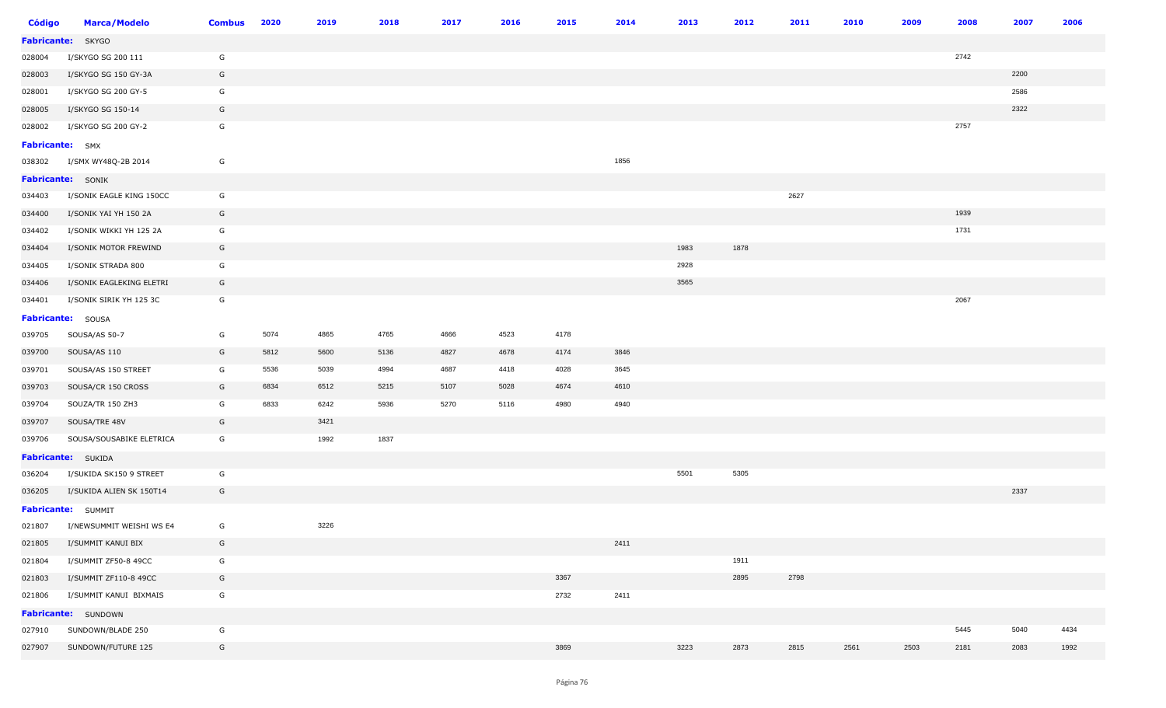| <b>Código</b>          | <b>Marca/Modelo</b>      | <b>Combus</b> | 2020 | 2019 | 2018 | 2017 | 2016 | 2015 | 2014 | 2013 | 2012 | 2011 | 2010 | 2009 | 2008 | 2007 | 2006 |
|------------------------|--------------------------|---------------|------|------|------|------|------|------|------|------|------|------|------|------|------|------|------|
|                        | Fabricante: SKYGO        |               |      |      |      |      |      |      |      |      |      |      |      |      |      |      |      |
| 028004                 | I/SKYGO SG 200 111       | G             |      |      |      |      |      |      |      |      |      |      |      |      | 2742 |      |      |
| 028003                 | I/SKYGO SG 150 GY-3A     | G             |      |      |      |      |      |      |      |      |      |      |      |      |      | 2200 |      |
| 028001                 | I/SKYGO SG 200 GY-5      | G             |      |      |      |      |      |      |      |      |      |      |      |      |      | 2586 |      |
| 028005                 | I/SKYGO SG 150-14        | G             |      |      |      |      |      |      |      |      |      |      |      |      |      | 2322 |      |
| 028002                 | I/SKYGO SG 200 GY-2      | G             |      |      |      |      |      |      |      |      |      |      |      |      | 2757 |      |      |
| <b>Fabricante:</b> SMX |                          |               |      |      |      |      |      |      |      |      |      |      |      |      |      |      |      |
| 038302                 | I/SMX WY48Q-2B 2014      | G             |      |      |      |      |      |      | 1856 |      |      |      |      |      |      |      |      |
|                        | <b>Fabricante:</b> SONIK |               |      |      |      |      |      |      |      |      |      |      |      |      |      |      |      |
| 034403                 | I/SONIK EAGLE KING 150CC | G             |      |      |      |      |      |      |      |      |      | 2627 |      |      |      |      |      |
| 034400                 | I/SONIK YAI YH 150 2A    | G             |      |      |      |      |      |      |      |      |      |      |      |      | 1939 |      |      |
| 034402                 | I/SONIK WIKKI YH 125 2A  | G             |      |      |      |      |      |      |      |      |      |      |      |      | 1731 |      |      |
| 034404                 | I/SONIK MOTOR FREWIND    | G             |      |      |      |      |      |      |      | 1983 | 1878 |      |      |      |      |      |      |
| 034405                 | I/SONIK STRADA 800       | G             |      |      |      |      |      |      |      | 2928 |      |      |      |      |      |      |      |
| 034406                 | I/SONIK EAGLEKING ELETRI | G             |      |      |      |      |      |      |      | 3565 |      |      |      |      |      |      |      |
| 034401                 | I/SONIK SIRIK YH 125 3C  | G             |      |      |      |      |      |      |      |      |      |      |      |      | 2067 |      |      |
|                        | Fabricante: SOUSA        |               |      |      |      |      |      |      |      |      |      |      |      |      |      |      |      |
| 039705                 | SOUSA/AS 50-7            | G             | 5074 | 4865 | 4765 | 4666 | 4523 | 4178 |      |      |      |      |      |      |      |      |      |
| 039700                 | SOUSA/AS 110             | G             | 5812 | 5600 | 5136 | 4827 | 4678 | 4174 | 3846 |      |      |      |      |      |      |      |      |
| 039701                 | SOUSA/AS 150 STREET      | G             | 5536 | 5039 | 4994 | 4687 | 4418 | 4028 | 3645 |      |      |      |      |      |      |      |      |
| 039703                 | SOUSA/CR 150 CROSS       | G             | 6834 | 6512 | 5215 | 5107 | 5028 | 4674 | 4610 |      |      |      |      |      |      |      |      |
| 039704                 | SOUZA/TR 150 ZH3         | G             | 6833 | 6242 | 5936 | 5270 | 5116 | 4980 | 4940 |      |      |      |      |      |      |      |      |
| 039707                 | SOUSA/TRE 48V            | G             |      | 3421 |      |      |      |      |      |      |      |      |      |      |      |      |      |
| 039706                 | SOUSA/SOUSABIKE ELETRICA | G             |      | 1992 | 1837 |      |      |      |      |      |      |      |      |      |      |      |      |
|                        | Fabricante: SUKIDA       |               |      |      |      |      |      |      |      |      |      |      |      |      |      |      |      |
| 036204                 | I/SUKIDA SK150 9 STREET  | G             |      |      |      |      |      |      |      | 5501 | 5305 |      |      |      |      |      |      |
| 036205                 | I/SUKIDA ALIEN SK 150T14 | G             |      |      |      |      |      |      |      |      |      |      |      |      |      | 2337 |      |
|                        | Fabricante: SUMMIT       |               |      |      |      |      |      |      |      |      |      |      |      |      |      |      |      |
| 021807                 | I/NEWSUMMIT WEISHI WS E4 | G             |      | 3226 |      |      |      |      |      |      |      |      |      |      |      |      |      |
| 021805                 | I/SUMMIT KANUI BIX       | G             |      |      |      |      |      |      | 2411 |      |      |      |      |      |      |      |      |
| 021804                 | I/SUMMIT ZF50-8 49CC     | G             |      |      |      |      |      |      |      |      | 1911 |      |      |      |      |      |      |
| 021803                 | I/SUMMIT ZF110-8 49CC    | G             |      |      |      |      |      | 3367 |      |      | 2895 | 2798 |      |      |      |      |      |
| 021806                 | I/SUMMIT KANUI BIXMAIS   | G             |      |      |      |      |      | 2732 | 2411 |      |      |      |      |      |      |      |      |
|                        | Fabricante: SUNDOWN      |               |      |      |      |      |      |      |      |      |      |      |      |      |      |      |      |
| 027910                 | SUNDOWN/BLADE 250        | G             |      |      |      |      |      |      |      |      |      |      |      |      | 5445 | 5040 | 4434 |
| 027907                 | SUNDOWN/FUTURE 125       | G             |      |      |      |      |      | 3869 |      | 3223 | 2873 | 2815 | 2561 | 2503 | 2181 | 2083 | 1992 |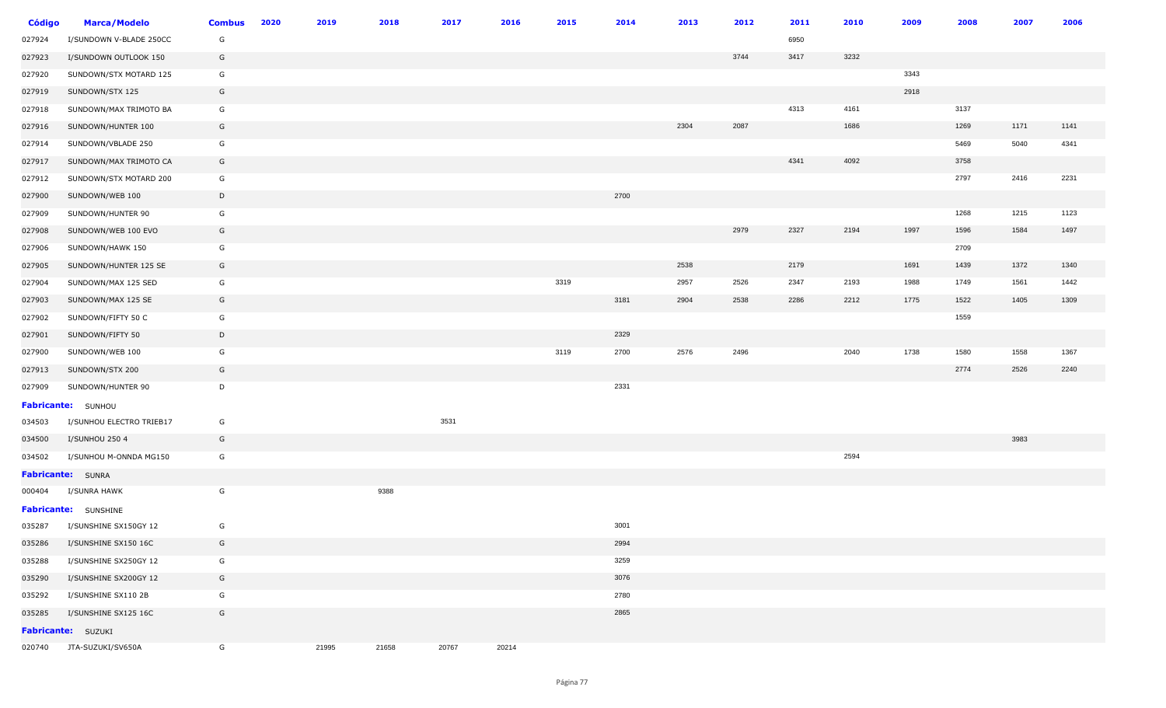| <b>Código</b> | <b>Marca/Modelo</b>       | <b>Combus</b> | 2020 | 2019  | 2018  | 2017  | 2016  | 2015 | 2014 | 2013 | 2012 | 2011 | 2010 | 2009 | 2008 | 2007 | 2006 |
|---------------|---------------------------|---------------|------|-------|-------|-------|-------|------|------|------|------|------|------|------|------|------|------|
| 027924        | I/SUNDOWN V-BLADE 250CC   | G             |      |       |       |       |       |      |      |      |      | 6950 |      |      |      |      |      |
| 027923        | I/SUNDOWN OUTLOOK 150     | G             |      |       |       |       |       |      |      |      | 3744 | 3417 | 3232 |      |      |      |      |
| 027920        | SUNDOWN/STX MOTARD 125    | G             |      |       |       |       |       |      |      |      |      |      |      | 3343 |      |      |      |
| 027919        | SUNDOWN/STX 125           | G             |      |       |       |       |       |      |      |      |      |      |      | 2918 |      |      |      |
| 027918        | SUNDOWN/MAX TRIMOTO BA    | G             |      |       |       |       |       |      |      |      |      | 4313 | 4161 |      | 3137 |      |      |
| 027916        | SUNDOWN/HUNTER 100        | G             |      |       |       |       |       |      |      | 2304 | 2087 |      | 1686 |      | 1269 | 1171 | 1141 |
| 027914        | SUNDOWN/VBLADE 250        | G             |      |       |       |       |       |      |      |      |      |      |      |      | 5469 | 5040 | 4341 |
| 027917        | SUNDOWN/MAX TRIMOTO CA    | G             |      |       |       |       |       |      |      |      |      | 4341 | 4092 |      | 3758 |      |      |
| 027912        | SUNDOWN/STX MOTARD 200    | G             |      |       |       |       |       |      |      |      |      |      |      |      | 2797 | 2416 | 2231 |
| 027900        | SUNDOWN/WEB 100           | D             |      |       |       |       |       |      | 2700 |      |      |      |      |      |      |      |      |
| 027909        | SUNDOWN/HUNTER 90         | G             |      |       |       |       |       |      |      |      |      |      |      |      | 1268 | 1215 | 1123 |
| 027908        | SUNDOWN/WEB 100 EVO       | G             |      |       |       |       |       |      |      |      | 2979 | 2327 | 2194 | 1997 | 1596 | 1584 | 1497 |
| 027906        | SUNDOWN/HAWK 150          | G             |      |       |       |       |       |      |      |      |      |      |      |      | 2709 |      |      |
| 027905        | SUNDOWN/HUNTER 125 SE     | G             |      |       |       |       |       |      |      | 2538 |      | 2179 |      | 1691 | 1439 | 1372 | 1340 |
| 027904        | SUNDOWN/MAX 125 SED       | G             |      |       |       |       |       | 3319 |      | 2957 | 2526 | 2347 | 2193 | 1988 | 1749 | 1561 | 1442 |
| 027903        | SUNDOWN/MAX 125 SE        | G             |      |       |       |       |       |      | 3181 | 2904 | 2538 | 2286 | 2212 | 1775 | 1522 | 1405 | 1309 |
| 027902        | SUNDOWN/FIFTY 50 C        | G             |      |       |       |       |       |      |      |      |      |      |      |      | 1559 |      |      |
| 027901        | SUNDOWN/FIFTY 50          | D             |      |       |       |       |       |      | 2329 |      |      |      |      |      |      |      |      |
| 027900        | SUNDOWN/WEB 100           | G             |      |       |       |       |       | 3119 | 2700 | 2576 | 2496 |      | 2040 | 1738 | 1580 | 1558 | 1367 |
| 027913        | SUNDOWN/STX 200           | G             |      |       |       |       |       |      |      |      |      |      |      |      | 2774 | 2526 | 2240 |
| 027909        | SUNDOWN/HUNTER 90         | D             |      |       |       |       |       |      | 2331 |      |      |      |      |      |      |      |      |
|               | Fabricante: SUNHOU        |               |      |       |       |       |       |      |      |      |      |      |      |      |      |      |      |
| 034503        | I/SUNHOU ELECTRO TRIEB17  | G             |      |       |       | 3531  |       |      |      |      |      |      |      |      |      |      |      |
| 034500        | I/SUNHOU 250 4            | G             |      |       |       |       |       |      |      |      |      |      |      |      |      | 3983 |      |
| 034502        | I/SUNHOU M-ONNDA MG150    | G             |      |       |       |       |       |      |      |      |      |      | 2594 |      |      |      |      |
|               | <b>Fabricante:</b> SUNRA  |               |      |       |       |       |       |      |      |      |      |      |      |      |      |      |      |
| 000404        | I/SUNRA HAWK              | G             |      |       | 9388  |       |       |      |      |      |      |      |      |      |      |      |      |
|               | Fabricante: SUNSHINE      |               |      |       |       |       |       |      |      |      |      |      |      |      |      |      |      |
| 035287        | I/SUNSHINE SX150GY 12     | G             |      |       |       |       |       |      | 3001 |      |      |      |      |      |      |      |      |
| 035286        | I/SUNSHINE SX150 16C      | G             |      |       |       |       |       |      | 2994 |      |      |      |      |      |      |      |      |
| 035288        | I/SUNSHINE SX250GY 12     | G             |      |       |       |       |       |      | 3259 |      |      |      |      |      |      |      |      |
| 035290        | I/SUNSHINE SX200GY 12     | G             |      |       |       |       |       |      | 3076 |      |      |      |      |      |      |      |      |
| 035292        | I/SUNSHINE SX110 2B       | G             |      |       |       |       |       |      | 2780 |      |      |      |      |      |      |      |      |
| 035285        | I/SUNSHINE SX125 16C      | G             |      |       |       |       |       |      | 2865 |      |      |      |      |      |      |      |      |
|               | <b>Fabricante: SUZUKI</b> |               |      |       |       |       |       |      |      |      |      |      |      |      |      |      |      |
| 020740        | JTA-SUZUKI/SV650A         | G             |      | 21995 | 21658 | 20767 | 20214 |      |      |      |      |      |      |      |      |      |      |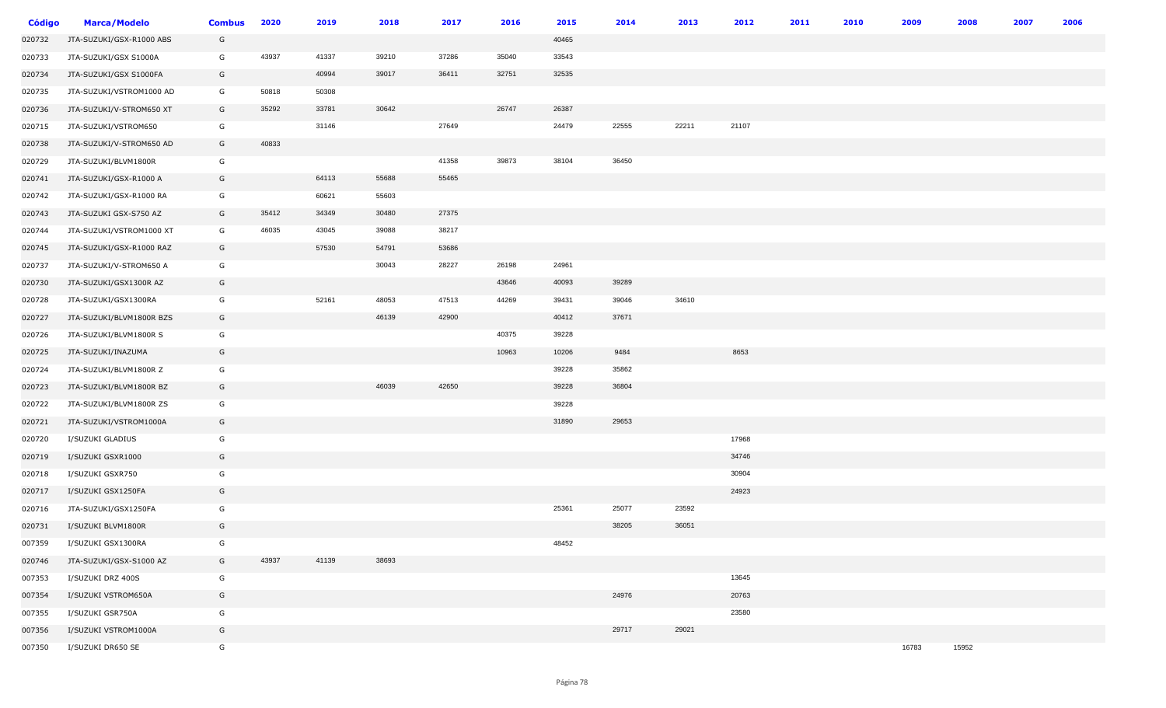| <b>Código</b> | <b>Marca/Modelo</b>      | <b>Combus</b> | 2020  | 2019  | 2018  | 2017  | 2016  | 2015  | 2014  | 2013  | 2012  | 2011 | 2010 | 2009  | 2008  | 2007 | 2006 |
|---------------|--------------------------|---------------|-------|-------|-------|-------|-------|-------|-------|-------|-------|------|------|-------|-------|------|------|
| 020732        | JTA-SUZUKI/GSX-R1000 ABS | G             |       |       |       |       |       | 40465 |       |       |       |      |      |       |       |      |      |
| 020733        | JTA-SUZUKI/GSX S1000A    | G             | 43937 | 41337 | 39210 | 37286 | 35040 | 33543 |       |       |       |      |      |       |       |      |      |
| 020734        | JTA-SUZUKI/GSX S1000FA   | G             |       | 40994 | 39017 | 36411 | 32751 | 32535 |       |       |       |      |      |       |       |      |      |
| 020735        | JTA-SUZUKI/VSTROM1000 AD | G             | 50818 | 50308 |       |       |       |       |       |       |       |      |      |       |       |      |      |
| 020736        | JTA-SUZUKI/V-STROM650 XT | G             | 35292 | 33781 | 30642 |       | 26747 | 26387 |       |       |       |      |      |       |       |      |      |
| 020715        | JTA-SUZUKI/VSTROM650     | G             |       | 31146 |       | 27649 |       | 24479 | 22555 | 22211 | 21107 |      |      |       |       |      |      |
| 020738        | JTA-SUZUKI/V-STROM650 AD | G             | 40833 |       |       |       |       |       |       |       |       |      |      |       |       |      |      |
| 020729        | JTA-SUZUKI/BLVM1800R     | G             |       |       |       | 41358 | 39873 | 38104 | 36450 |       |       |      |      |       |       |      |      |
| 020741        | JTA-SUZUKI/GSX-R1000 A   | G             |       | 64113 | 55688 | 55465 |       |       |       |       |       |      |      |       |       |      |      |
| 020742        | JTA-SUZUKI/GSX-R1000 RA  | G             |       | 60621 | 55603 |       |       |       |       |       |       |      |      |       |       |      |      |
| 020743        | JTA-SUZUKI GSX-S750 AZ   | G             | 35412 | 34349 | 30480 | 27375 |       |       |       |       |       |      |      |       |       |      |      |
| 020744        | JTA-SUZUKI/VSTROM1000 XT | G             | 46035 | 43045 | 39088 | 38217 |       |       |       |       |       |      |      |       |       |      |      |
| 020745        | JTA-SUZUKI/GSX-R1000 RAZ | G             |       | 57530 | 54791 | 53686 |       |       |       |       |       |      |      |       |       |      |      |
| 020737        | JTA-SUZUKI/V-STROM650 A  | G             |       |       | 30043 | 28227 | 26198 | 24961 |       |       |       |      |      |       |       |      |      |
| 020730        | JTA-SUZUKI/GSX1300R AZ   | G             |       |       |       |       | 43646 | 40093 | 39289 |       |       |      |      |       |       |      |      |
| 020728        | JTA-SUZUKI/GSX1300RA     | G             |       | 52161 | 48053 | 47513 | 44269 | 39431 | 39046 | 34610 |       |      |      |       |       |      |      |
| 020727        | JTA-SUZUKI/BLVM1800R BZS | G             |       |       | 46139 | 42900 |       | 40412 | 37671 |       |       |      |      |       |       |      |      |
| 020726        | JTA-SUZUKI/BLVM1800R S   | G             |       |       |       |       | 40375 | 39228 |       |       |       |      |      |       |       |      |      |
| 020725        | JTA-SUZUKI/INAZUMA       | G             |       |       |       |       | 10963 | 10206 | 9484  |       | 8653  |      |      |       |       |      |      |
| 020724        | JTA-SUZUKI/BLVM1800R Z   | G             |       |       |       |       |       | 39228 | 35862 |       |       |      |      |       |       |      |      |
| 020723        | JTA-SUZUKI/BLVM1800R BZ  | G             |       |       | 46039 | 42650 |       | 39228 | 36804 |       |       |      |      |       |       |      |      |
| 020722        | JTA-SUZUKI/BLVM1800R ZS  | G             |       |       |       |       |       | 39228 |       |       |       |      |      |       |       |      |      |
| 020721        | JTA-SUZUKI/VSTROM1000A   | G             |       |       |       |       |       | 31890 | 29653 |       |       |      |      |       |       |      |      |
| 020720        | I/SUZUKI GLADIUS         | G             |       |       |       |       |       |       |       |       | 17968 |      |      |       |       |      |      |
| 020719        | I/SUZUKI GSXR1000        | G             |       |       |       |       |       |       |       |       | 34746 |      |      |       |       |      |      |
| 020718        | I/SUZUKI GSXR750         | G             |       |       |       |       |       |       |       |       | 30904 |      |      |       |       |      |      |
| 020717        | I/SUZUKI GSX1250FA       | G             |       |       |       |       |       |       |       |       | 24923 |      |      |       |       |      |      |
| 020716        | JTA-SUZUKI/GSX1250FA     | G             |       |       |       |       |       | 25361 | 25077 | 23592 |       |      |      |       |       |      |      |
| 020731        | I/SUZUKI BLVM1800R       | G             |       |       |       |       |       |       | 38205 | 36051 |       |      |      |       |       |      |      |
| 007359        | I/SUZUKI GSX1300RA       | G             |       |       |       |       |       | 48452 |       |       |       |      |      |       |       |      |      |
| 020746        | JTA-SUZUKI/GSX-S1000 AZ  | G             | 43937 | 41139 | 38693 |       |       |       |       |       |       |      |      |       |       |      |      |
| 007353        | I/SUZUKI DRZ 400S        | G             |       |       |       |       |       |       |       |       | 13645 |      |      |       |       |      |      |
| 007354        | I/SUZUKI VSTROM650A      | G             |       |       |       |       |       |       | 24976 |       | 20763 |      |      |       |       |      |      |
| 007355        | I/SUZUKI GSR750A         | G             |       |       |       |       |       |       |       |       | 23580 |      |      |       |       |      |      |
| 007356        | I/SUZUKI VSTROM1000A     | G             |       |       |       |       |       |       | 29717 | 29021 |       |      |      |       |       |      |      |
| 007350        | I/SUZUKI DR650 SE        | G             |       |       |       |       |       |       |       |       |       |      |      | 16783 | 15952 |      |      |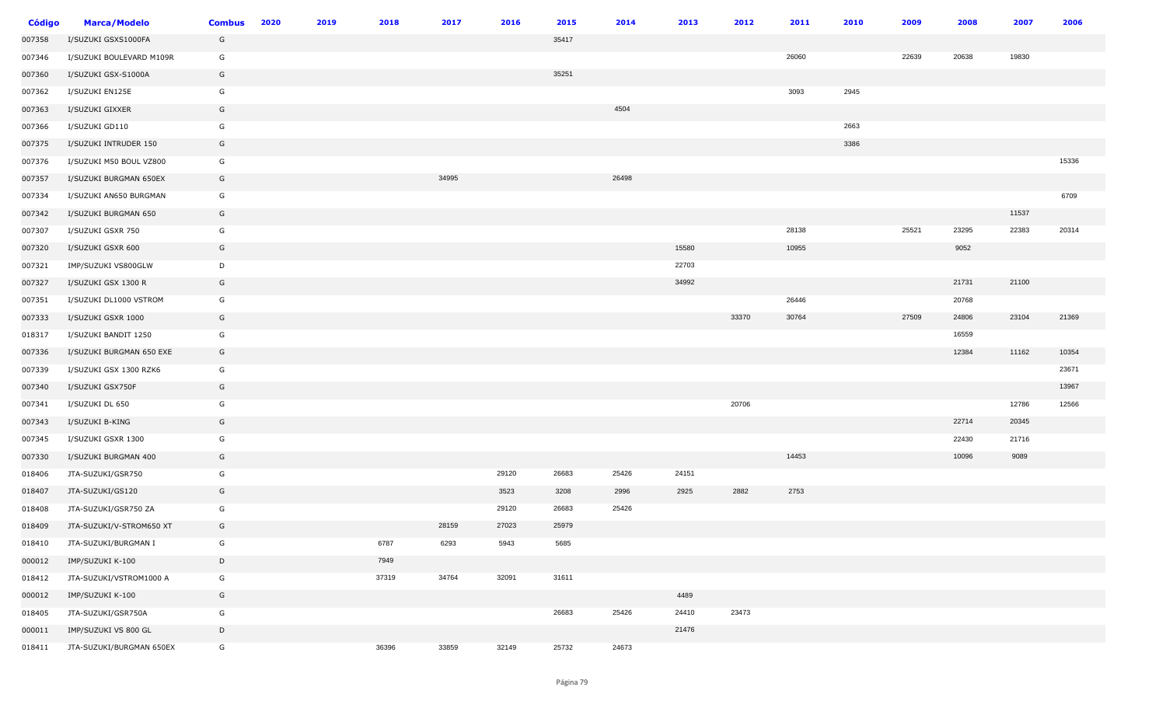| <b>Código</b> | <b>Marca/Modelo</b>      | <b>Combus</b> | 2020 | 2019 | 2018  | 2017  | 2016  | 2015  | 2014  | 2013  | 2012  | 2011  | 2010 | 2009  | 2008  | 2007  | 2006  |
|---------------|--------------------------|---------------|------|------|-------|-------|-------|-------|-------|-------|-------|-------|------|-------|-------|-------|-------|
| 007358        | I/SUZUKI GSXS1000FA      | G             |      |      |       |       |       | 35417 |       |       |       |       |      |       |       |       |       |
| 007346        | I/SUZUKI BOULEVARD M109R | G             |      |      |       |       |       |       |       |       |       | 26060 |      | 22639 | 20638 | 19830 |       |
| 007360        | I/SUZUKI GSX-S1000A      | G             |      |      |       |       |       | 35251 |       |       |       |       |      |       |       |       |       |
| 007362        | I/SUZUKI EN125E          | G             |      |      |       |       |       |       |       |       |       | 3093  | 2945 |       |       |       |       |
| 007363        | I/SUZUKI GIXXER          | G             |      |      |       |       |       |       | 4504  |       |       |       |      |       |       |       |       |
| 007366        | I/SUZUKI GD110           | G             |      |      |       |       |       |       |       |       |       |       | 2663 |       |       |       |       |
| 007375        | I/SUZUKI INTRUDER 150    | G             |      |      |       |       |       |       |       |       |       |       | 3386 |       |       |       |       |
| 007376        | I/SUZUKI M50 BOUL VZ800  | G             |      |      |       |       |       |       |       |       |       |       |      |       |       |       | 15336 |
| 007357        | I/SUZUKI BURGMAN 650EX   | G             |      |      |       | 34995 |       |       | 26498 |       |       |       |      |       |       |       |       |
| 007334        | I/SUZUKI AN650 BURGMAN   | G             |      |      |       |       |       |       |       |       |       |       |      |       |       |       | 6709  |
| 007342        | I/SUZUKI BURGMAN 650     | G             |      |      |       |       |       |       |       |       |       |       |      |       |       | 11537 |       |
| 007307        | I/SUZUKI GSXR 750        | G             |      |      |       |       |       |       |       |       |       | 28138 |      | 25521 | 23295 | 22383 | 20314 |
| 007320        | I/SUZUKI GSXR 600        | G             |      |      |       |       |       |       |       | 15580 |       | 10955 |      |       | 9052  |       |       |
| 007321        | IMP/SUZUKI VS800GLW      | D             |      |      |       |       |       |       |       | 22703 |       |       |      |       |       |       |       |
| 007327        | I/SUZUKI GSX 1300 R      | G             |      |      |       |       |       |       |       | 34992 |       |       |      |       | 21731 | 21100 |       |
| 007351        | I/SUZUKI DL1000 VSTROM   | G             |      |      |       |       |       |       |       |       |       | 26446 |      |       | 20768 |       |       |
| 007333        | I/SUZUKI GSXR 1000       | G             |      |      |       |       |       |       |       |       | 33370 | 30764 |      | 27509 | 24806 | 23104 | 21369 |
| 018317        | I/SUZUKI BANDIT 1250     | G             |      |      |       |       |       |       |       |       |       |       |      |       | 16559 |       |       |
| 007336        | I/SUZUKI BURGMAN 650 EXE | G             |      |      |       |       |       |       |       |       |       |       |      |       | 12384 | 11162 | 10354 |
| 007339        | I/SUZUKI GSX 1300 RZK6   | G             |      |      |       |       |       |       |       |       |       |       |      |       |       |       | 23671 |
| 007340        | I/SUZUKI GSX750F         | G             |      |      |       |       |       |       |       |       |       |       |      |       |       |       | 13967 |
| 007341        | I/SUZUKI DL 650          | G             |      |      |       |       |       |       |       |       | 20706 |       |      |       |       | 12786 | 12566 |
| 007343        | I/SUZUKI B-KING          | G             |      |      |       |       |       |       |       |       |       |       |      |       | 22714 | 20345 |       |
| 007345        | I/SUZUKI GSXR 1300       | G             |      |      |       |       |       |       |       |       |       |       |      |       | 22430 | 21716 |       |
| 007330        | I/SUZUKI BURGMAN 400     | G             |      |      |       |       |       |       |       |       |       | 14453 |      |       | 10096 | 9089  |       |
| 018406        | JTA-SUZUKI/GSR750        | G             |      |      |       |       | 29120 | 26683 | 25426 | 24151 |       |       |      |       |       |       |       |
| 018407        | JTA-SUZUKI/GS120         | G             |      |      |       |       | 3523  | 3208  | 2996  | 2925  | 2882  | 2753  |      |       |       |       |       |
| 018408        | JTA-SUZUKI/GSR750 ZA     | G             |      |      |       |       | 29120 | 26683 | 25426 |       |       |       |      |       |       |       |       |
| 018409        | JTA-SUZUKI/V-STROM650 XT | G             |      |      |       | 28159 | 27023 | 25979 |       |       |       |       |      |       |       |       |       |
| 018410        | JTA-SUZUKI/BURGMAN I     | G             |      |      | 6787  | 6293  | 5943  | 5685  |       |       |       |       |      |       |       |       |       |
| 000012        | IMP/SUZUKI K-100         | D             |      |      | 7949  |       |       |       |       |       |       |       |      |       |       |       |       |
| 018412        | JTA-SUZUKI/VSTROM1000 A  | G             |      |      | 37319 | 34764 | 32091 | 31611 |       |       |       |       |      |       |       |       |       |
| 000012        | IMP/SUZUKI K-100         | G             |      |      |       |       |       |       |       | 4489  |       |       |      |       |       |       |       |
| 018405        | JTA-SUZUKI/GSR750A       | G             |      |      |       |       |       | 26683 | 25426 | 24410 | 23473 |       |      |       |       |       |       |
| 000011        | IMP/SUZUKI VS 800 GL     | $\mathsf{D}$  |      |      |       |       |       |       |       | 21476 |       |       |      |       |       |       |       |
| 018411        | JTA-SUZUKI/BURGMAN 650EX | G             |      |      | 36396 | 33859 | 32149 | 25732 | 24673 |       |       |       |      |       |       |       |       |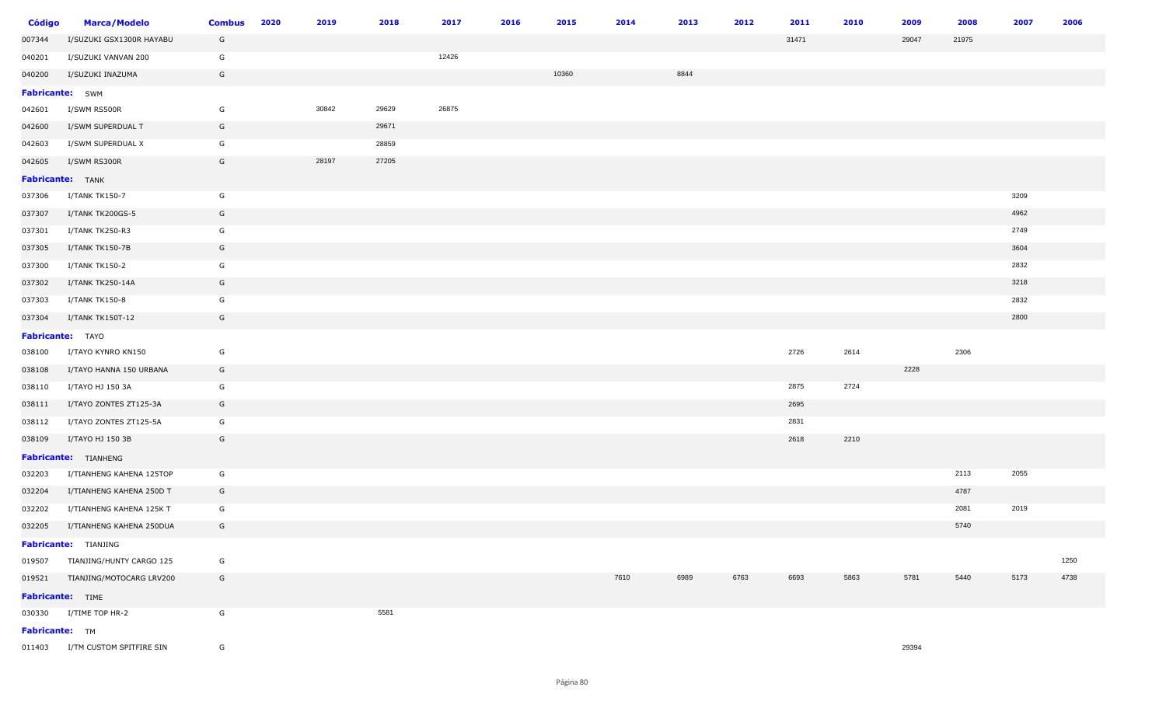| <b>Código</b>    | <b>Marca/Modelo</b>             | <b>Combus</b> | 2020 | 2019  | 2018  | 2017  | 2016 | 2015  | 2014 | 2013 | 2012 | 2011  | 2010 | 2009  | 2008  | 2007 | 2006 |
|------------------|---------------------------------|---------------|------|-------|-------|-------|------|-------|------|------|------|-------|------|-------|-------|------|------|
| 007344           | I/SUZUKI GSX1300R HAYABU        | G             |      |       |       |       |      |       |      |      |      | 31471 |      | 29047 | 21975 |      |      |
| 040201           | I/SUZUKI VANVAN 200             | G             |      |       |       | 12426 |      |       |      |      |      |       |      |       |       |      |      |
| 040200           | I/SUZUKI INAZUMA                | G             |      |       |       |       |      | 10360 |      | 8844 |      |       |      |       |       |      |      |
| Fabricante: SWM  |                                 |               |      |       |       |       |      |       |      |      |      |       |      |       |       |      |      |
| 042601           | I/SWM RS500R                    | G             |      | 30842 | 29629 | 26875 |      |       |      |      |      |       |      |       |       |      |      |
| 042600           | I/SWM SUPERDUAL T               | G             |      |       | 29671 |       |      |       |      |      |      |       |      |       |       |      |      |
| 042603           | I/SWM SUPERDUAL X               | G             |      |       | 28859 |       |      |       |      |      |      |       |      |       |       |      |      |
| 042605           | I/SWM RS300R                    | G             |      | 28197 | 27205 |       |      |       |      |      |      |       |      |       |       |      |      |
| Fabricante: TANK |                                 |               |      |       |       |       |      |       |      |      |      |       |      |       |       |      |      |
| 037306           | I/TANK TK150-7                  | G             |      |       |       |       |      |       |      |      |      |       |      |       |       | 3209 |      |
| 037307           | I/TANK TK200GS-5                | G             |      |       |       |       |      |       |      |      |      |       |      |       |       | 4962 |      |
| 037301           | I/TANK TK250-R3                 | G             |      |       |       |       |      |       |      |      |      |       |      |       |       | 2749 |      |
| 037305           | I/TANK TK150-7B                 | G             |      |       |       |       |      |       |      |      |      |       |      |       |       | 3604 |      |
| 037300           | I/TANK TK150-2                  | G             |      |       |       |       |      |       |      |      |      |       |      |       |       | 2832 |      |
| 037302           | I/TANK TK250-14A                | G             |      |       |       |       |      |       |      |      |      |       |      |       |       | 3218 |      |
| 037303           | I/TANK TK150-8                  | G             |      |       |       |       |      |       |      |      |      |       |      |       |       | 2832 |      |
| 037304           | I/TANK TK150T-12                | G             |      |       |       |       |      |       |      |      |      |       |      |       |       | 2800 |      |
| Fabricante: TAYO |                                 |               |      |       |       |       |      |       |      |      |      |       |      |       |       |      |      |
| 038100           | I/TAYO KYNRO KN150              | G             |      |       |       |       |      |       |      |      |      | 2726  | 2614 |       | 2306  |      |      |
| 038108           | I/TAYO HANNA 150 URBANA         | G             |      |       |       |       |      |       |      |      |      |       |      | 2228  |       |      |      |
| 038110           | I/TAYO HJ 150 3A                | G             |      |       |       |       |      |       |      |      |      | 2875  | 2724 |       |       |      |      |
| 038111           | I/TAYO ZONTES ZT125-3A          | G             |      |       |       |       |      |       |      |      |      | 2695  |      |       |       |      |      |
| 038112           | I/TAYO ZONTES ZT125-5A          | G             |      |       |       |       |      |       |      |      |      | 2831  |      |       |       |      |      |
| 038109           | I/TAYO HJ 150 3B                | G             |      |       |       |       |      |       |      |      |      | 2618  | 2210 |       |       |      |      |
|                  | Fabricante: TIANHENG            |               |      |       |       |       |      |       |      |      |      |       |      |       |       |      |      |
| 032203           | I/TIANHENG KAHENA 125TOP        | G             |      |       |       |       |      |       |      |      |      |       |      |       | 2113  | 2055 |      |
| 032204           | I/TIANHENG KAHENA 250D T        | G             |      |       |       |       |      |       |      |      |      |       |      |       | 4787  |      |      |
| 032202           | I/TIANHENG KAHENA 125K T        | G             |      |       |       |       |      |       |      |      |      |       |      |       | 2081  | 2019 |      |
| 032205           | I/TIANHENG KAHENA 250DUA        | G             |      |       |       |       |      |       |      |      |      |       |      |       | 5740  |      |      |
|                  | <b>Fabricante:</b> TIANJING     |               |      |       |       |       |      |       |      |      |      |       |      |       |       |      |      |
|                  | 019507 TIANJING/HUNTY CARGO 125 | G             |      |       |       |       |      |       |      |      |      |       |      |       |       |      | 1250 |
|                  | 019521 TIANJING/MOTOCARG LRV200 | G             |      |       |       |       |      |       | 7610 | 6989 | 6763 | 6693  | 5863 | 5781  | 5440  | 5173 | 4738 |
| Fabricante: TIME |                                 |               |      |       |       |       |      |       |      |      |      |       |      |       |       |      |      |
|                  | 030330 I/TIME TOP HR-2          | G             |      |       | 5581  |       |      |       |      |      |      |       |      |       |       |      |      |
| Fabricante: TM   |                                 |               |      |       |       |       |      |       |      |      |      |       |      |       |       |      |      |
|                  | 011403 I/TM CUSTOM SPITFIRE SIN | G             |      |       |       |       |      |       |      |      |      |       |      | 29394 |       |      |      |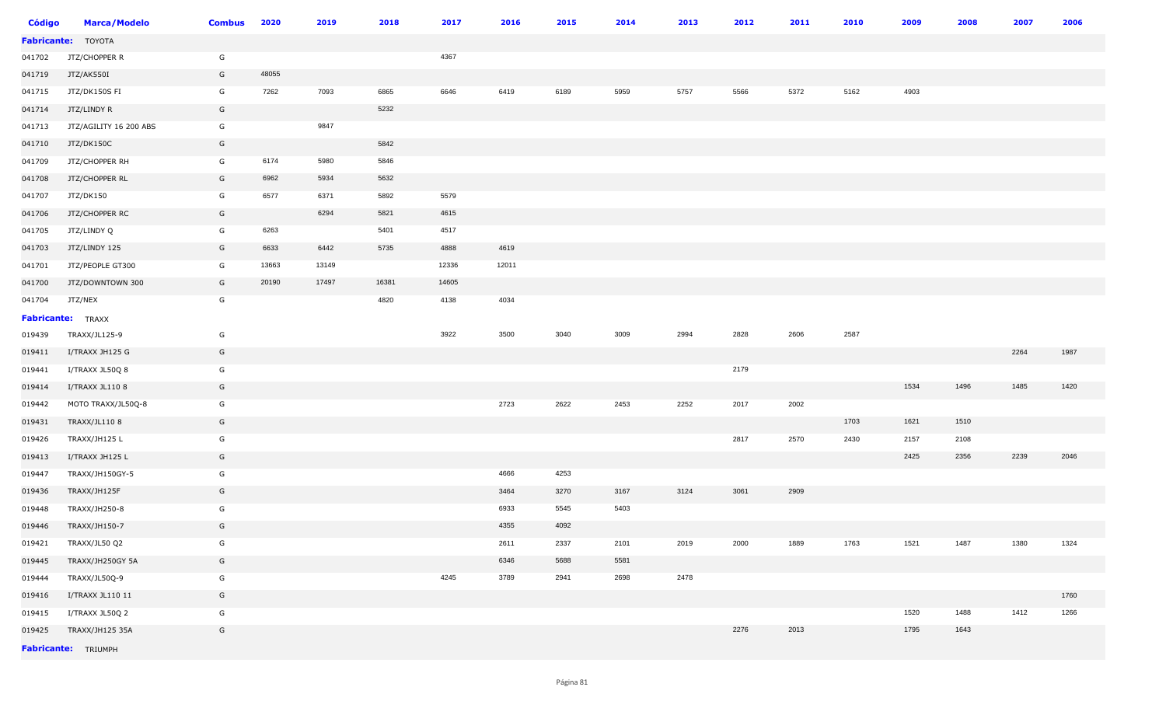| <b>Código</b> | <b>Marca/Modelo</b>       | <b>Combus</b> | 2020  | 2019  | 2018  | 2017  | 2016  | 2015 | 2014 | 2013 | 2012 | 2011 | 2010 | 2009 | 2008 | 2007 | 2006 |
|---------------|---------------------------|---------------|-------|-------|-------|-------|-------|------|------|------|------|------|------|------|------|------|------|
|               | <b>Fabricante:</b> TOYOTA |               |       |       |       |       |       |      |      |      |      |      |      |      |      |      |      |
| 041702        | JTZ/CHOPPER R             | G             |       |       |       | 4367  |       |      |      |      |      |      |      |      |      |      |      |
| 041719        | JTZ/AK550I                | G             | 48055 |       |       |       |       |      |      |      |      |      |      |      |      |      |      |
| 041715        | JTZ/DK150S FI             | G             | 7262  | 7093  | 6865  | 6646  | 6419  | 6189 | 5959 | 5757 | 5566 | 5372 | 5162 | 4903 |      |      |      |
| 041714        | JTZ/LINDY R               | G             |       |       | 5232  |       |       |      |      |      |      |      |      |      |      |      |      |
| 041713        | JTZ/AGILITY 16 200 ABS    | G             |       | 9847  |       |       |       |      |      |      |      |      |      |      |      |      |      |
| 041710        | JTZ/DK150C                | G             |       |       | 5842  |       |       |      |      |      |      |      |      |      |      |      |      |
| 041709        | JTZ/CHOPPER RH            | G             | 6174  | 5980  | 5846  |       |       |      |      |      |      |      |      |      |      |      |      |
| 041708        | JTZ/CHOPPER RL            | G             | 6962  | 5934  | 5632  |       |       |      |      |      |      |      |      |      |      |      |      |
| 041707        | JTZ/DK150                 | G             | 6577  | 6371  | 5892  | 5579  |       |      |      |      |      |      |      |      |      |      |      |
| 041706        | JTZ/CHOPPER RC            | G             |       | 6294  | 5821  | 4615  |       |      |      |      |      |      |      |      |      |      |      |
| 041705        | JTZ/LINDY Q               | G             | 6263  |       | 5401  | 4517  |       |      |      |      |      |      |      |      |      |      |      |
| 041703        | JTZ/LINDY 125             | G             | 6633  | 6442  | 5735  | 4888  | 4619  |      |      |      |      |      |      |      |      |      |      |
| 041701        | JTZ/PEOPLE GT300          | G             | 13663 | 13149 |       | 12336 | 12011 |      |      |      |      |      |      |      |      |      |      |
| 041700        | JTZ/DOWNTOWN 300          | G             | 20190 | 17497 | 16381 | 14605 |       |      |      |      |      |      |      |      |      |      |      |
| 041704        | JTZ/NEX                   | G             |       |       | 4820  | 4138  | 4034  |      |      |      |      |      |      |      |      |      |      |
|               | <b>Fabricante:</b> TRAXX  |               |       |       |       |       |       |      |      |      |      |      |      |      |      |      |      |
| 019439        | TRAXX/JL125-9             | G             |       |       |       | 3922  | 3500  | 3040 | 3009 | 2994 | 2828 | 2606 | 2587 |      |      |      |      |
| 019411        | I/TRAXX JH125 G           | G             |       |       |       |       |       |      |      |      |      |      |      |      |      | 2264 | 1987 |
| 019441        | I/TRAXX JL50Q 8           | G             |       |       |       |       |       |      |      |      | 2179 |      |      |      |      |      |      |
| 019414        | I/TRAXX JL110 8           | G             |       |       |       |       |       |      |      |      |      |      |      | 1534 | 1496 | 1485 | 1420 |
| 019442        | MOTO TRAXX/JL50Q-8        | G             |       |       |       |       | 2723  | 2622 | 2453 | 2252 | 2017 | 2002 |      |      |      |      |      |
| 019431        | TRAXX/JL110 8             | G             |       |       |       |       |       |      |      |      |      |      | 1703 | 1621 | 1510 |      |      |
| 019426        | TRAXX/JH125 L             | G             |       |       |       |       |       |      |      |      | 2817 | 2570 | 2430 | 2157 | 2108 |      |      |
| 019413        | I/TRAXX JH125 L           | G             |       |       |       |       |       |      |      |      |      |      |      | 2425 | 2356 | 2239 | 2046 |
| 019447        | TRAXX/JH150GY-5           | G             |       |       |       |       | 4666  | 4253 |      |      |      |      |      |      |      |      |      |
| 019436        | TRAXX/JH125F              | G             |       |       |       |       | 3464  | 3270 | 3167 | 3124 | 3061 | 2909 |      |      |      |      |      |
| 019448        | TRAXX/JH250-8             | G             |       |       |       |       | 6933  | 5545 | 5403 |      |      |      |      |      |      |      |      |
| 019446        | TRAXX/JH150-7             | G             |       |       |       |       | 4355  | 4092 |      |      |      |      |      |      |      |      |      |
| 019421        | TRAXX/JL50 Q2             | G             |       |       |       |       | 2611  | 2337 | 2101 | 2019 | 2000 | 1889 | 1763 | 1521 | 1487 | 1380 | 1324 |
| 019445        | TRAXX/JH250GY 5A          | G             |       |       |       |       | 6346  | 5688 | 5581 |      |      |      |      |      |      |      |      |
| 019444        | TRAXX/JL50Q-9             | G             |       |       |       | 4245  | 3789  | 2941 | 2698 | 2478 |      |      |      |      |      |      |      |
| 019416        | I/TRAXX JL110 11          | G             |       |       |       |       |       |      |      |      |      |      |      |      |      |      | 1760 |
| 019415        | I/TRAXX JL50Q 2           | G             |       |       |       |       |       |      |      |      |      |      |      | 1520 | 1488 | 1412 | 1266 |
| 019425        | TRAXX/JH125 35A           | G             |       |       |       |       |       |      |      |      | 2276 | 2013 |      | 1795 | 1643 |      |      |
|               | Fabricante: TRIUMPH       |               |       |       |       |       |       |      |      |      |      |      |      |      |      |      |      |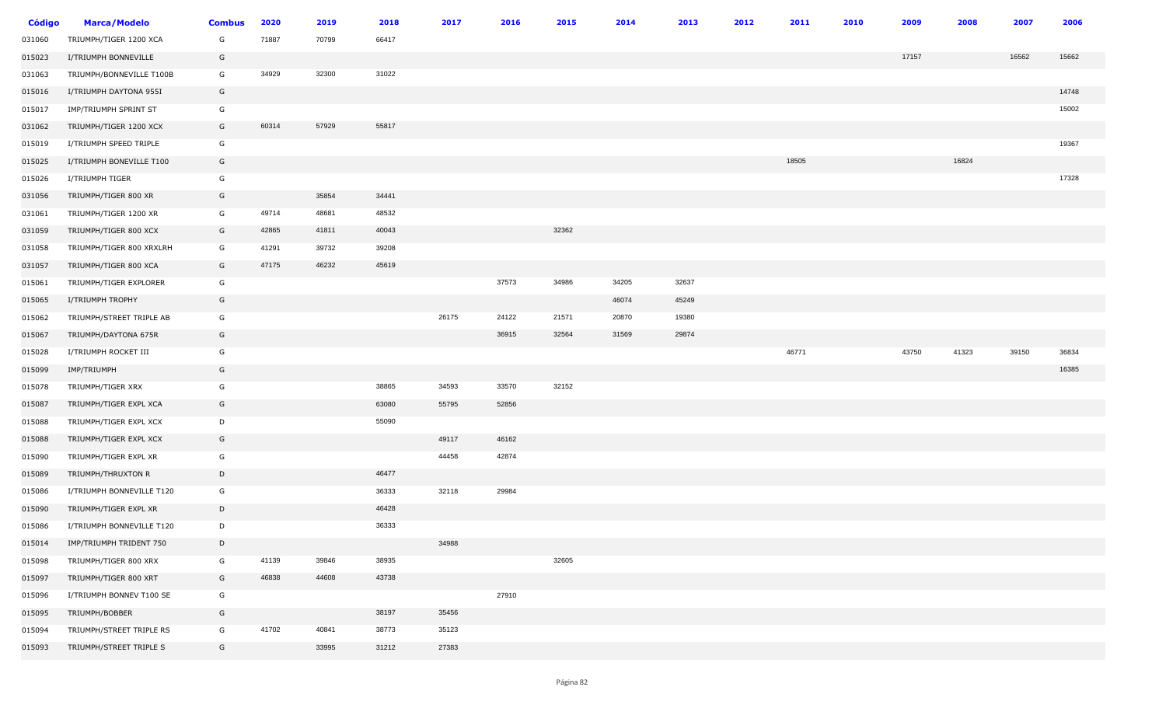| <b>Código</b> | <b>Marca/Modelo</b>       | <b>Combus</b> | 2020  | 2019  | 2018  | 2017  | 2016  | 2015  | 2014  | 2013  | 2012 | 2011  | 2010 | 2009  | 2008  | 2007  | 2006  |
|---------------|---------------------------|---------------|-------|-------|-------|-------|-------|-------|-------|-------|------|-------|------|-------|-------|-------|-------|
| 031060        | TRIUMPH/TIGER 1200 XCA    | G             | 71887 | 70799 | 66417 |       |       |       |       |       |      |       |      |       |       |       |       |
| 015023        | I/TRIUMPH BONNEVILLE      | G             |       |       |       |       |       |       |       |       |      |       |      | 17157 |       | 16562 | 15662 |
| 031063        | TRIUMPH/BONNEVILLE T100B  | G             | 34929 | 32300 | 31022 |       |       |       |       |       |      |       |      |       |       |       |       |
| 015016        | I/TRIUMPH DAYTONA 955I    | G             |       |       |       |       |       |       |       |       |      |       |      |       |       |       | 14748 |
| 015017        | IMP/TRIUMPH SPRINT ST     | G             |       |       |       |       |       |       |       |       |      |       |      |       |       |       | 15002 |
| 031062        | TRIUMPH/TIGER 1200 XCX    | G             | 60314 | 57929 | 55817 |       |       |       |       |       |      |       |      |       |       |       |       |
| 015019        | I/TRIUMPH SPEED TRIPLE    | G             |       |       |       |       |       |       |       |       |      |       |      |       |       |       | 19367 |
| 015025        | I/TRIUMPH BONEVILLE T100  | G             |       |       |       |       |       |       |       |       |      | 18505 |      |       | 16824 |       |       |
| 015026        | I/TRIUMPH TIGER           | G             |       |       |       |       |       |       |       |       |      |       |      |       |       |       | 17328 |
| 031056        | TRIUMPH/TIGER 800 XR      | G             |       | 35854 | 34441 |       |       |       |       |       |      |       |      |       |       |       |       |
| 031061        | TRIUMPH/TIGER 1200 XR     | G             | 49714 | 48681 | 48532 |       |       |       |       |       |      |       |      |       |       |       |       |
| 031059        | TRIUMPH/TIGER 800 XCX     | G             | 42865 | 41811 | 40043 |       |       | 32362 |       |       |      |       |      |       |       |       |       |
| 031058        | TRIUMPH/TIGER 800 XRXLRH  | G             | 41291 | 39732 | 39208 |       |       |       |       |       |      |       |      |       |       |       |       |
| 031057        | TRIUMPH/TIGER 800 XCA     | G             | 47175 | 46232 | 45619 |       |       |       |       |       |      |       |      |       |       |       |       |
| 015061        | TRIUMPH/TIGER EXPLORER    | G             |       |       |       |       | 37573 | 34986 | 34205 | 32637 |      |       |      |       |       |       |       |
| 015065        | I/TRIUMPH TROPHY          | G             |       |       |       |       |       |       | 46074 | 45249 |      |       |      |       |       |       |       |
| 015062        | TRIUMPH/STREET TRIPLE AB  | G             |       |       |       | 26175 | 24122 | 21571 | 20870 | 19380 |      |       |      |       |       |       |       |
| 015067        | TRIUMPH/DAYTONA 675R      | G             |       |       |       |       | 36915 | 32564 | 31569 | 29874 |      |       |      |       |       |       |       |
| 015028        | I/TRIUMPH ROCKET III      | G             |       |       |       |       |       |       |       |       |      | 46771 |      | 43750 | 41323 | 39150 | 36834 |
| 015099        | IMP/TRIUMPH               | G             |       |       |       |       |       |       |       |       |      |       |      |       |       |       | 16385 |
| 015078        | TRIUMPH/TIGER XRX         | G             |       |       | 38865 | 34593 | 33570 | 32152 |       |       |      |       |      |       |       |       |       |
| 015087        | TRIUMPH/TIGER EXPL XCA    | G             |       |       | 63080 | 55795 | 52856 |       |       |       |      |       |      |       |       |       |       |
| 015088        | TRIUMPH/TIGER EXPL XCX    | D             |       |       | 55090 |       |       |       |       |       |      |       |      |       |       |       |       |
| 015088        | TRIUMPH/TIGER EXPL XCX    | G             |       |       |       | 49117 | 46162 |       |       |       |      |       |      |       |       |       |       |
| 015090        | TRIUMPH/TIGER EXPL XR     | G             |       |       |       | 44458 | 42874 |       |       |       |      |       |      |       |       |       |       |
| 015089        | TRIUMPH/THRUXTON R        | D             |       |       | 46477 |       |       |       |       |       |      |       |      |       |       |       |       |
| 015086        | I/TRIUMPH BONNEVILLE T120 | G             |       |       | 36333 | 32118 | 29984 |       |       |       |      |       |      |       |       |       |       |
| 015090        | TRIUMPH/TIGER EXPL XR     | D             |       |       | 46428 |       |       |       |       |       |      |       |      |       |       |       |       |
| 015086        | I/TRIUMPH BONNEVILLE T120 | D             |       |       | 36333 |       |       |       |       |       |      |       |      |       |       |       |       |
| 015014        | IMP/TRIUMPH TRIDENT 750   | D             |       |       |       | 34988 |       |       |       |       |      |       |      |       |       |       |       |
| 015098        | TRIUMPH/TIGER 800 XRX     | G             | 41139 | 39846 | 38935 |       |       | 32605 |       |       |      |       |      |       |       |       |       |
| 015097        | TRIUMPH/TIGER 800 XRT     | G             | 46838 | 44608 | 43738 |       |       |       |       |       |      |       |      |       |       |       |       |
| 015096        | I/TRIUMPH BONNEV T100 SE  | G             |       |       |       |       | 27910 |       |       |       |      |       |      |       |       |       |       |
| 015095        | TRIUMPH/BOBBER            | G             |       |       | 38197 | 35456 |       |       |       |       |      |       |      |       |       |       |       |
| 015094        | TRIUMPH/STREET TRIPLE RS  | G             | 41702 | 40841 | 38773 | 35123 |       |       |       |       |      |       |      |       |       |       |       |
| 015093        | TRIUMPH/STREET TRIPLE S   | G             |       | 33995 | 31212 | 27383 |       |       |       |       |      |       |      |       |       |       |       |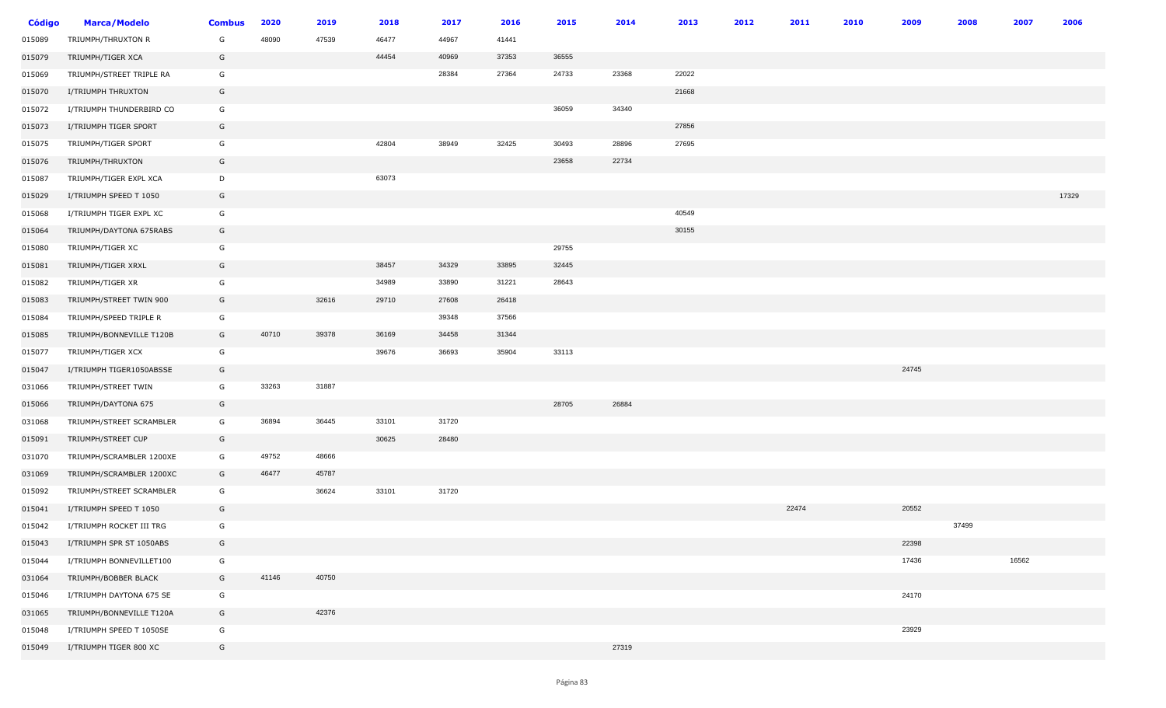| <b>Código</b> | <b>Marca/Modelo</b>      | <b>Combus</b> | 2020  | 2019  | 2018  | 2017  | 2016  | 2015  | 2014  | 2013  | 2012 | 2011  | 2010 | 2009  | 2008  | 2007  | 2006  |
|---------------|--------------------------|---------------|-------|-------|-------|-------|-------|-------|-------|-------|------|-------|------|-------|-------|-------|-------|
| 015089        | TRIUMPH/THRUXTON R       | G             | 48090 | 47539 | 46477 | 44967 | 41441 |       |       |       |      |       |      |       |       |       |       |
| 015079        | TRIUMPH/TIGER XCA        | G             |       |       | 44454 | 40969 | 37353 | 36555 |       |       |      |       |      |       |       |       |       |
| 015069        | TRIUMPH/STREET TRIPLE RA | G             |       |       |       | 28384 | 27364 | 24733 | 23368 | 22022 |      |       |      |       |       |       |       |
| 015070        | I/TRIUMPH THRUXTON       | G             |       |       |       |       |       |       |       | 21668 |      |       |      |       |       |       |       |
| 015072        | I/TRIUMPH THUNDERBIRD CO | G             |       |       |       |       |       | 36059 | 34340 |       |      |       |      |       |       |       |       |
| 015073        | I/TRIUMPH TIGER SPORT    | G             |       |       |       |       |       |       |       | 27856 |      |       |      |       |       |       |       |
| 015075        | TRIUMPH/TIGER SPORT      | G             |       |       | 42804 | 38949 | 32425 | 30493 | 28896 | 27695 |      |       |      |       |       |       |       |
| 015076        | TRIUMPH/THRUXTON         | G             |       |       |       |       |       | 23658 | 22734 |       |      |       |      |       |       |       |       |
| 015087        | TRIUMPH/TIGER EXPL XCA   | D             |       |       | 63073 |       |       |       |       |       |      |       |      |       |       |       |       |
| 015029        | I/TRIUMPH SPEED T 1050   | G             |       |       |       |       |       |       |       |       |      |       |      |       |       |       | 17329 |
| 015068        | I/TRIUMPH TIGER EXPL XC  | G             |       |       |       |       |       |       |       | 40549 |      |       |      |       |       |       |       |
| 015064        | TRIUMPH/DAYTONA 675RABS  | G             |       |       |       |       |       |       |       | 30155 |      |       |      |       |       |       |       |
| 015080        | TRIUMPH/TIGER XC         | G             |       |       |       |       |       | 29755 |       |       |      |       |      |       |       |       |       |
| 015081        | TRIUMPH/TIGER XRXL       | G             |       |       | 38457 | 34329 | 33895 | 32445 |       |       |      |       |      |       |       |       |       |
| 015082        | TRIUMPH/TIGER XR         | G             |       |       | 34989 | 33890 | 31221 | 28643 |       |       |      |       |      |       |       |       |       |
| 015083        | TRIUMPH/STREET TWIN 900  | G             |       | 32616 | 29710 | 27608 | 26418 |       |       |       |      |       |      |       |       |       |       |
| 015084        | TRIUMPH/SPEED TRIPLE R   | G             |       |       |       | 39348 | 37566 |       |       |       |      |       |      |       |       |       |       |
| 015085        | TRIUMPH/BONNEVILLE T120B | G             | 40710 | 39378 | 36169 | 34458 | 31344 |       |       |       |      |       |      |       |       |       |       |
| 015077        | TRIUMPH/TIGER XCX        | G             |       |       | 39676 | 36693 | 35904 | 33113 |       |       |      |       |      |       |       |       |       |
| 015047        | I/TRIUMPH TIGER1050ABSSE | G             |       |       |       |       |       |       |       |       |      |       |      | 24745 |       |       |       |
| 031066        | TRIUMPH/STREET TWIN      | G             | 33263 | 31887 |       |       |       |       |       |       |      |       |      |       |       |       |       |
| 015066        | TRIUMPH/DAYTONA 675      | G             |       |       |       |       |       | 28705 | 26884 |       |      |       |      |       |       |       |       |
| 031068        | TRIUMPH/STREET SCRAMBLER | G             | 36894 | 36445 | 33101 | 31720 |       |       |       |       |      |       |      |       |       |       |       |
| 015091        | TRIUMPH/STREET CUP       | G             |       |       | 30625 | 28480 |       |       |       |       |      |       |      |       |       |       |       |
| 031070        | TRIUMPH/SCRAMBLER 1200XE | G             | 49752 | 48666 |       |       |       |       |       |       |      |       |      |       |       |       |       |
| 031069        | TRIUMPH/SCRAMBLER 1200XC | G             | 46477 | 45787 |       |       |       |       |       |       |      |       |      |       |       |       |       |
| 015092        | TRIUMPH/STREET SCRAMBLER | G             |       | 36624 | 33101 | 31720 |       |       |       |       |      |       |      |       |       |       |       |
| 015041        | I/TRIUMPH SPEED T 1050   | G             |       |       |       |       |       |       |       |       |      | 22474 |      | 20552 |       |       |       |
| 015042        | I/TRIUMPH ROCKET III TRG | G             |       |       |       |       |       |       |       |       |      |       |      |       | 37499 |       |       |
| 015043        | I/TRIUMPH SPR ST 1050ABS | G             |       |       |       |       |       |       |       |       |      |       |      | 22398 |       |       |       |
| 015044        | I/TRIUMPH BONNEVILLET100 | G             |       |       |       |       |       |       |       |       |      |       |      | 17436 |       | 16562 |       |
| 031064        | TRIUMPH/BOBBER BLACK     | G             | 41146 | 40750 |       |       |       |       |       |       |      |       |      |       |       |       |       |
| 015046        | I/TRIUMPH DAYTONA 675 SE | G             |       |       |       |       |       |       |       |       |      |       |      | 24170 |       |       |       |
| 031065        | TRIUMPH/BONNEVILLE T120A | G             |       | 42376 |       |       |       |       |       |       |      |       |      |       |       |       |       |
| 015048        | I/TRIUMPH SPEED T 1050SE | G             |       |       |       |       |       |       |       |       |      |       |      | 23929 |       |       |       |
| 015049        | I/TRIUMPH TIGER 800 XC   | G             |       |       |       |       |       |       | 27319 |       |      |       |      |       |       |       |       |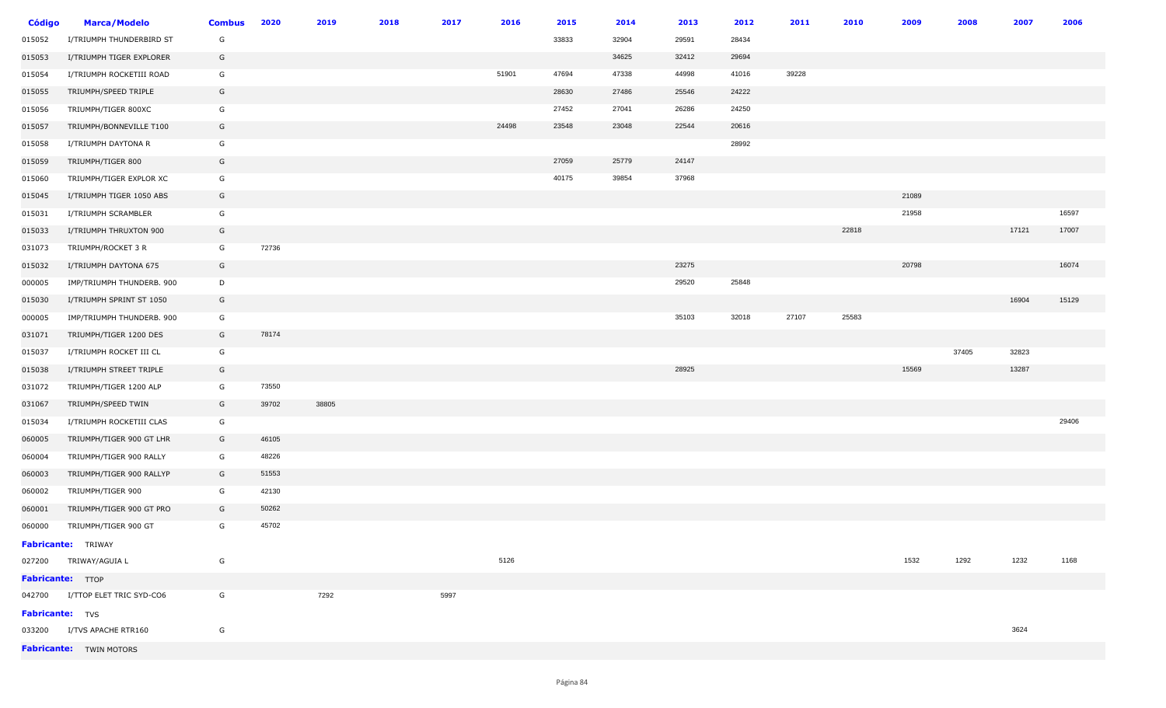| <b>Código</b>          | <b>Marca/Modelo</b>             | <b>Combus</b> | 2020  | 2019  | 2018 | 2017 | 2016  | 2015  | 2014  | 2013  | 2012  | 2011  | 2010  | 2009  | 2008  | 2007  | 2006  |
|------------------------|---------------------------------|---------------|-------|-------|------|------|-------|-------|-------|-------|-------|-------|-------|-------|-------|-------|-------|
| 015052                 | I/TRIUMPH THUNDERBIRD ST        | G             |       |       |      |      |       | 33833 | 32904 | 29591 | 28434 |       |       |       |       |       |       |
| 015053                 | I/TRIUMPH TIGER EXPLORER        | G             |       |       |      |      |       |       | 34625 | 32412 | 29694 |       |       |       |       |       |       |
| 015054                 | I/TRIUMPH ROCKETIII ROAD        | G             |       |       |      |      | 51901 | 47694 | 47338 | 44998 | 41016 | 39228 |       |       |       |       |       |
| 015055                 | TRIUMPH/SPEED TRIPLE            | G             |       |       |      |      |       | 28630 | 27486 | 25546 | 24222 |       |       |       |       |       |       |
| 015056                 | TRIUMPH/TIGER 800XC             | G             |       |       |      |      |       | 27452 | 27041 | 26286 | 24250 |       |       |       |       |       |       |
| 015057                 | TRIUMPH/BONNEVILLE T100         | G             |       |       |      |      | 24498 | 23548 | 23048 | 22544 | 20616 |       |       |       |       |       |       |
| 015058                 | I/TRIUMPH DAYTONA R             | G             |       |       |      |      |       |       |       |       | 28992 |       |       |       |       |       |       |
| 015059                 | TRIUMPH/TIGER 800               | G             |       |       |      |      |       | 27059 | 25779 | 24147 |       |       |       |       |       |       |       |
| 015060                 | TRIUMPH/TIGER EXPLOR XC         | G             |       |       |      |      |       | 40175 | 39854 | 37968 |       |       |       |       |       |       |       |
| 015045                 | I/TRIUMPH TIGER 1050 ABS        | G             |       |       |      |      |       |       |       |       |       |       |       | 21089 |       |       |       |
| 015031                 | I/TRIUMPH SCRAMBLER             | G             |       |       |      |      |       |       |       |       |       |       |       | 21958 |       |       | 16597 |
| 015033                 | I/TRIUMPH THRUXTON 900          | G             |       |       |      |      |       |       |       |       |       |       | 22818 |       |       | 17121 | 17007 |
| 031073                 | TRIUMPH/ROCKET 3 R              | G             | 72736 |       |      |      |       |       |       |       |       |       |       |       |       |       |       |
| 015032                 | I/TRIUMPH DAYTONA 675           | G             |       |       |      |      |       |       |       | 23275 |       |       |       | 20798 |       |       | 16074 |
| 000005                 | IMP/TRIUMPH THUNDERB. 900       | D             |       |       |      |      |       |       |       | 29520 | 25848 |       |       |       |       |       |       |
| 015030                 | I/TRIUMPH SPRINT ST 1050        | G             |       |       |      |      |       |       |       |       |       |       |       |       |       | 16904 | 15129 |
| 000005                 | IMP/TRIUMPH THUNDERB. 900       | G             |       |       |      |      |       |       |       | 35103 | 32018 | 27107 | 25583 |       |       |       |       |
| 031071                 | TRIUMPH/TIGER 1200 DES          | G             | 78174 |       |      |      |       |       |       |       |       |       |       |       |       |       |       |
| 015037                 | I/TRIUMPH ROCKET III CL         | G             |       |       |      |      |       |       |       |       |       |       |       |       | 37405 | 32823 |       |
| 015038                 | I/TRIUMPH STREET TRIPLE         | G             |       |       |      |      |       |       |       | 28925 |       |       |       | 15569 |       | 13287 |       |
| 031072                 | TRIUMPH/TIGER 1200 ALP          | G             | 73550 |       |      |      |       |       |       |       |       |       |       |       |       |       |       |
| 031067                 | TRIUMPH/SPEED TWIN              | G             | 39702 | 38805 |      |      |       |       |       |       |       |       |       |       |       |       |       |
| 015034                 | I/TRIUMPH ROCKETIII CLAS        | G             |       |       |      |      |       |       |       |       |       |       |       |       |       |       | 29406 |
| 060005                 | TRIUMPH/TIGER 900 GT LHR        | G             | 46105 |       |      |      |       |       |       |       |       |       |       |       |       |       |       |
| 060004                 | TRIUMPH/TIGER 900 RALLY         | G             | 48226 |       |      |      |       |       |       |       |       |       |       |       |       |       |       |
| 060003                 | TRIUMPH/TIGER 900 RALLYP        | G             | 51553 |       |      |      |       |       |       |       |       |       |       |       |       |       |       |
| 060002                 | TRIUMPH/TIGER 900               | G             | 42130 |       |      |      |       |       |       |       |       |       |       |       |       |       |       |
| 060001                 | TRIUMPH/TIGER 900 GT PRO        | G             | 50262 |       |      |      |       |       |       |       |       |       |       |       |       |       |       |
| 060000                 | TRIUMPH/TIGER 900 GT            | G             | 45702 |       |      |      |       |       |       |       |       |       |       |       |       |       |       |
|                        | Fabricante: TRIWAY              |               |       |       |      |      |       |       |       |       |       |       |       |       |       |       |       |
|                        | 027200 TRIWAY/AGUIA L           | G             |       |       |      |      | 5126  |       |       |       |       |       |       | 1532  | 1292  | 1232  | 1168  |
|                        | Fabricante: <b>TTOP</b>         |               |       |       |      |      |       |       |       |       |       |       |       |       |       |       |       |
|                        | 042700 I/TTOP ELET TRIC SYD-CO6 | G             |       | 7292  |      | 5997 |       |       |       |       |       |       |       |       |       |       |       |
| <b>Fabricante:</b> TVS |                                 |               |       |       |      |      |       |       |       |       |       |       |       |       |       |       |       |
|                        | 033200 I/TVS APACHE RTR160      | G             |       |       |      |      |       |       |       |       |       |       |       |       |       | 3624  |       |
|                        | <b>Fabricante:</b> TWIN MOTORS  |               |       |       |      |      |       |       |       |       |       |       |       |       |       |       |       |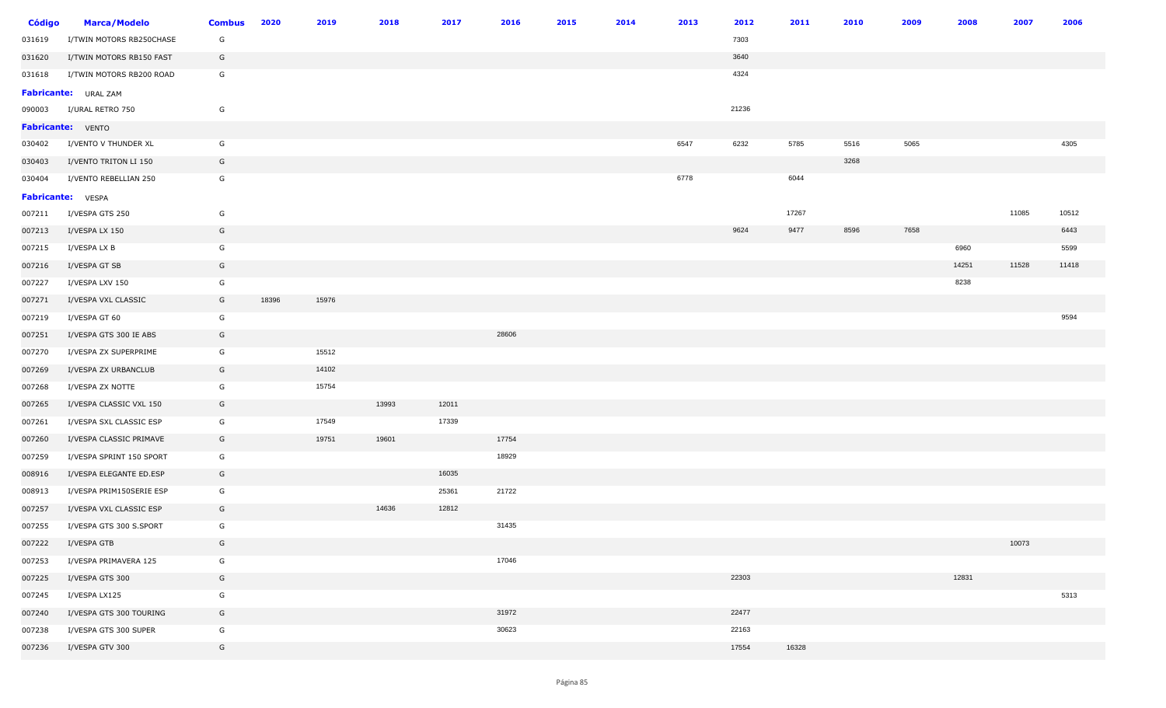| <b>Código</b> | <b>Marca/Modelo</b>      | <b>Combus</b> | 2020  | 2019  | 2018  | 2017  | 2016  | 2015 | 2014 | 2013 | 2012  | 2011  | 2010 | 2009 | 2008  | 2007  | 2006  |
|---------------|--------------------------|---------------|-------|-------|-------|-------|-------|------|------|------|-------|-------|------|------|-------|-------|-------|
| 031619        | I/TWIN MOTORS RB250CHASE | G             |       |       |       |       |       |      |      |      | 7303  |       |      |      |       |       |       |
| 031620        | I/TWIN MOTORS RB150 FAST | G             |       |       |       |       |       |      |      |      | 3640  |       |      |      |       |       |       |
| 031618        | I/TWIN MOTORS RB200 ROAD | G             |       |       |       |       |       |      |      |      | 4324  |       |      |      |       |       |       |
|               | Fabricante: URAL ZAM     |               |       |       |       |       |       |      |      |      |       |       |      |      |       |       |       |
| 090003        | I/URAL RETRO 750         | G             |       |       |       |       |       |      |      |      | 21236 |       |      |      |       |       |       |
|               | <b>Fabricante:</b> VENTO |               |       |       |       |       |       |      |      |      |       |       |      |      |       |       |       |
| 030402        | I/VENTO V THUNDER XL     | G             |       |       |       |       |       |      |      | 6547 | 6232  | 5785  | 5516 | 5065 |       |       | 4305  |
| 030403        | I/VENTO TRITON LI 150    | G             |       |       |       |       |       |      |      |      |       |       | 3268 |      |       |       |       |
| 030404        | I/VENTO REBELLIAN 250    | G             |       |       |       |       |       |      |      | 6778 |       | 6044  |      |      |       |       |       |
|               | <b>Fabricante:</b> VESPA |               |       |       |       |       |       |      |      |      |       |       |      |      |       |       |       |
| 007211        | I/VESPA GTS 250          | G             |       |       |       |       |       |      |      |      |       | 17267 |      |      |       | 11085 | 10512 |
| 007213        | I/VESPA LX 150           | G             |       |       |       |       |       |      |      |      | 9624  | 9477  | 8596 | 7658 |       |       | 6443  |
| 007215        | I/VESPA LX B             | G             |       |       |       |       |       |      |      |      |       |       |      |      | 6960  |       | 5599  |
| 007216        | I/VESPA GT SB            | G             |       |       |       |       |       |      |      |      |       |       |      |      | 14251 | 11528 | 11418 |
| 007227        | I/VESPA LXV 150          | G             |       |       |       |       |       |      |      |      |       |       |      |      | 8238  |       |       |
| 007271        | I/VESPA VXL CLASSIC      | G             | 18396 | 15976 |       |       |       |      |      |      |       |       |      |      |       |       |       |
| 007219        | I/VESPA GT 60            | G             |       |       |       |       |       |      |      |      |       |       |      |      |       |       | 9594  |
| 007251        | I/VESPA GTS 300 IE ABS   | G             |       |       |       |       | 28606 |      |      |      |       |       |      |      |       |       |       |
| 007270        | I/VESPA ZX SUPERPRIME    | G             |       | 15512 |       |       |       |      |      |      |       |       |      |      |       |       |       |
| 007269        | I/VESPA ZX URBANCLUB     | G             |       | 14102 |       |       |       |      |      |      |       |       |      |      |       |       |       |
| 007268        | I/VESPA ZX NOTTE         | G             |       | 15754 |       |       |       |      |      |      |       |       |      |      |       |       |       |
| 007265        | I/VESPA CLASSIC VXL 150  | G             |       |       | 13993 | 12011 |       |      |      |      |       |       |      |      |       |       |       |
| 007261        | I/VESPA SXL CLASSIC ESP  | G             |       | 17549 |       | 17339 |       |      |      |      |       |       |      |      |       |       |       |
| 007260        | I/VESPA CLASSIC PRIMAVE  | G             |       | 19751 | 19601 |       | 17754 |      |      |      |       |       |      |      |       |       |       |
| 007259        | I/VESPA SPRINT 150 SPORT | G             |       |       |       |       | 18929 |      |      |      |       |       |      |      |       |       |       |
| 008916        | I/VESPA ELEGANTE ED.ESP  | G             |       |       |       | 16035 |       |      |      |      |       |       |      |      |       |       |       |
| 008913        | I/VESPA PRIM150SERIE ESP | G             |       |       |       | 25361 | 21722 |      |      |      |       |       |      |      |       |       |       |
| 007257        | I/VESPA VXL CLASSIC ESP  | G             |       |       | 14636 | 12812 |       |      |      |      |       |       |      |      |       |       |       |
| 007255        | I/VESPA GTS 300 S.SPORT  | G             |       |       |       |       | 31435 |      |      |      |       |       |      |      |       |       |       |
| 007222        | I/VESPA GTB              | G             |       |       |       |       |       |      |      |      |       |       |      |      |       | 10073 |       |
| 007253        | I/VESPA PRIMAVERA 125    | G             |       |       |       |       | 17046 |      |      |      |       |       |      |      |       |       |       |
| 007225        | I/VESPA GTS 300          | G             |       |       |       |       |       |      |      |      | 22303 |       |      |      | 12831 |       |       |
| 007245        | I/VESPA LX125            | G             |       |       |       |       |       |      |      |      |       |       |      |      |       |       | 5313  |
| 007240        | I/VESPA GTS 300 TOURING  | G             |       |       |       |       | 31972 |      |      |      | 22477 |       |      |      |       |       |       |
| 007238        | I/VESPA GTS 300 SUPER    | G             |       |       |       |       | 30623 |      |      |      | 22163 |       |      |      |       |       |       |
| 007236        | I/VESPA GTV 300          | G             |       |       |       |       |       |      |      |      | 17554 | 16328 |      |      |       |       |       |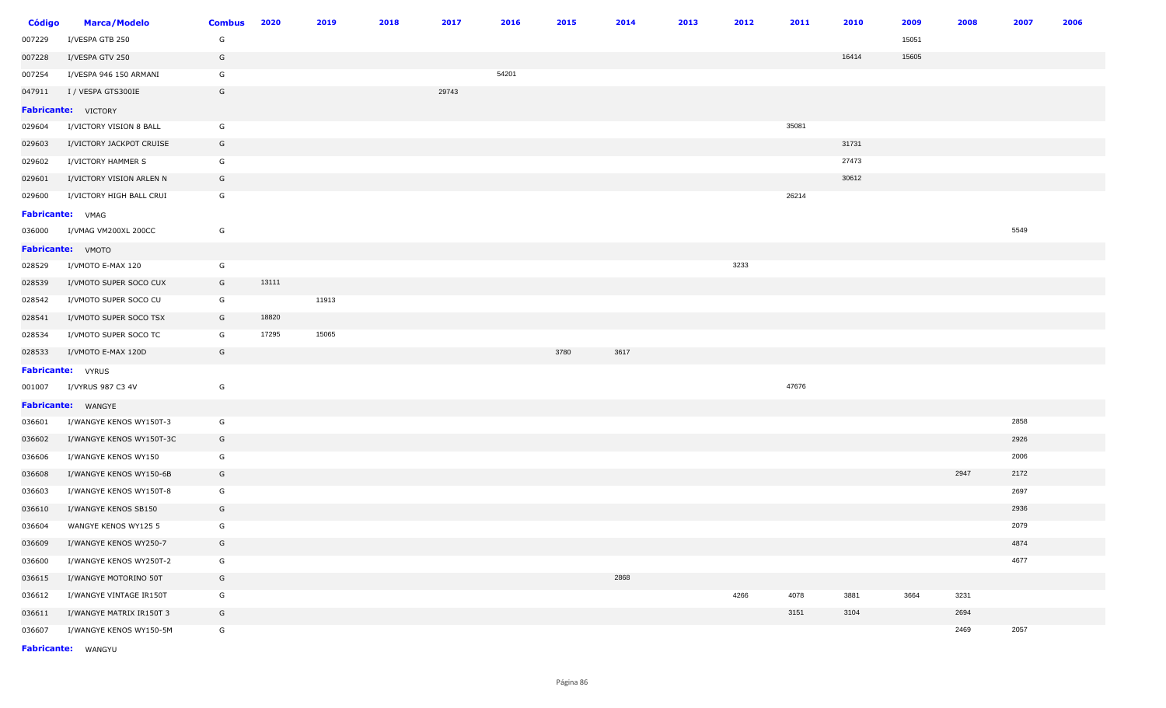| <b>Código</b>    | <b>Marca/Modelo</b>      | <b>Combus</b> | 2020  | 2019  | 2018 | 2017  | 2016  | 2015 | 2014 | 2013 | 2012 | 2011  | 2010  | 2009  | 2008 | 2007 | 2006 |
|------------------|--------------------------|---------------|-------|-------|------|-------|-------|------|------|------|------|-------|-------|-------|------|------|------|
| 007229           | I/VESPA GTB 250          | G             |       |       |      |       |       |      |      |      |      |       |       | 15051 |      |      |      |
| 007228           | I/VESPA GTV 250          | G             |       |       |      |       |       |      |      |      |      |       | 16414 | 15605 |      |      |      |
| 007254           | I/VESPA 946 150 ARMANI   | G             |       |       |      |       | 54201 |      |      |      |      |       |       |       |      |      |      |
| 047911           | I / VESPA GTS300IE       | G             |       |       |      | 29743 |       |      |      |      |      |       |       |       |      |      |      |
|                  | Fabricante: VICTORY      |               |       |       |      |       |       |      |      |      |      |       |       |       |      |      |      |
| 029604           | I/VICTORY VISION 8 BALL  | G             |       |       |      |       |       |      |      |      |      | 35081 |       |       |      |      |      |
| 029603           | I/VICTORY JACKPOT CRUISE | G             |       |       |      |       |       |      |      |      |      |       | 31731 |       |      |      |      |
| 029602           | I/VICTORY HAMMER S       | G             |       |       |      |       |       |      |      |      |      |       | 27473 |       |      |      |      |
| 029601           | I/VICTORY VISION ARLEN N | G             |       |       |      |       |       |      |      |      |      |       | 30612 |       |      |      |      |
| 029600           | I/VICTORY HIGH BALL CRUI | G             |       |       |      |       |       |      |      |      |      | 26214 |       |       |      |      |      |
| Fabricante: VMAG |                          |               |       |       |      |       |       |      |      |      |      |       |       |       |      |      |      |
| 036000           | I/VMAG VM200XL 200CC     | G             |       |       |      |       |       |      |      |      |      |       |       |       |      | 5549 |      |
|                  | Fabricante: VMOTO        |               |       |       |      |       |       |      |      |      |      |       |       |       |      |      |      |
| 028529           | I/VMOTO E-MAX 120        | G             |       |       |      |       |       |      |      |      | 3233 |       |       |       |      |      |      |
| 028539           | I/VMOTO SUPER SOCO CUX   | G             | 13111 |       |      |       |       |      |      |      |      |       |       |       |      |      |      |
| 028542           | I/VMOTO SUPER SOCO CU    | G             |       | 11913 |      |       |       |      |      |      |      |       |       |       |      |      |      |
| 028541           | I/VMOTO SUPER SOCO TSX   | G             | 18820 |       |      |       |       |      |      |      |      |       |       |       |      |      |      |
| 028534           | I/VMOTO SUPER SOCO TC    | G             | 17295 | 15065 |      |       |       |      |      |      |      |       |       |       |      |      |      |
| 028533           | I/VMOTO E-MAX 120D       | G             |       |       |      |       |       | 3780 | 3617 |      |      |       |       |       |      |      |      |
|                  | <b>Fabricante:</b> VYRUS |               |       |       |      |       |       |      |      |      |      |       |       |       |      |      |      |
| 001007           | I/VYRUS 987 C3 4V        | G             |       |       |      |       |       |      |      |      |      | 47676 |       |       |      |      |      |
|                  | Fabricante: WANGYE       |               |       |       |      |       |       |      |      |      |      |       |       |       |      |      |      |
| 036601           | I/WANGYE KENOS WY150T-3  | G             |       |       |      |       |       |      |      |      |      |       |       |       |      | 2858 |      |
| 036602           | I/WANGYE KENOS WY150T-3C | G             |       |       |      |       |       |      |      |      |      |       |       |       |      | 2926 |      |
| 036606           | I/WANGYE KENOS WY150     | G             |       |       |      |       |       |      |      |      |      |       |       |       |      | 2006 |      |
| 036608           | I/WANGYE KENOS WY150-6B  | G             |       |       |      |       |       |      |      |      |      |       |       |       | 2947 | 2172 |      |
| 036603           | I/WANGYE KENOS WY150T-8  | G             |       |       |      |       |       |      |      |      |      |       |       |       |      | 2697 |      |
| 036610           | I/WANGYE KENOS SB150     | G             |       |       |      |       |       |      |      |      |      |       |       |       |      | 2936 |      |
| 036604           | WANGYE KENOS WY125 5     | G             |       |       |      |       |       |      |      |      |      |       |       |       |      | 2079 |      |
| 036609           | I/WANGYE KENOS WY250-7   | G             |       |       |      |       |       |      |      |      |      |       |       |       |      | 4874 |      |
| 036600           | I/WANGYE KENOS WY250T-2  | G             |       |       |      |       |       |      |      |      |      |       |       |       |      | 4677 |      |
| 036615           | I/WANGYE MOTORINO 50T    | G             |       |       |      |       |       |      | 2868 |      |      |       |       |       |      |      |      |
| 036612           | I/WANGYE VINTAGE IR150T  | G             |       |       |      |       |       |      |      |      | 4266 | 4078  | 3881  | 3664  | 3231 |      |      |
| 036611           | I/WANGYE MATRIX IR150T 3 | G             |       |       |      |       |       |      |      |      |      | 3151  | 3104  |       | 2694 |      |      |
| 036607           | I/WANGYE KENOS WY150-5M  | G             |       |       |      |       |       |      |      |      |      |       |       |       | 2469 | 2057 |      |

**Fabricante:** WANGYU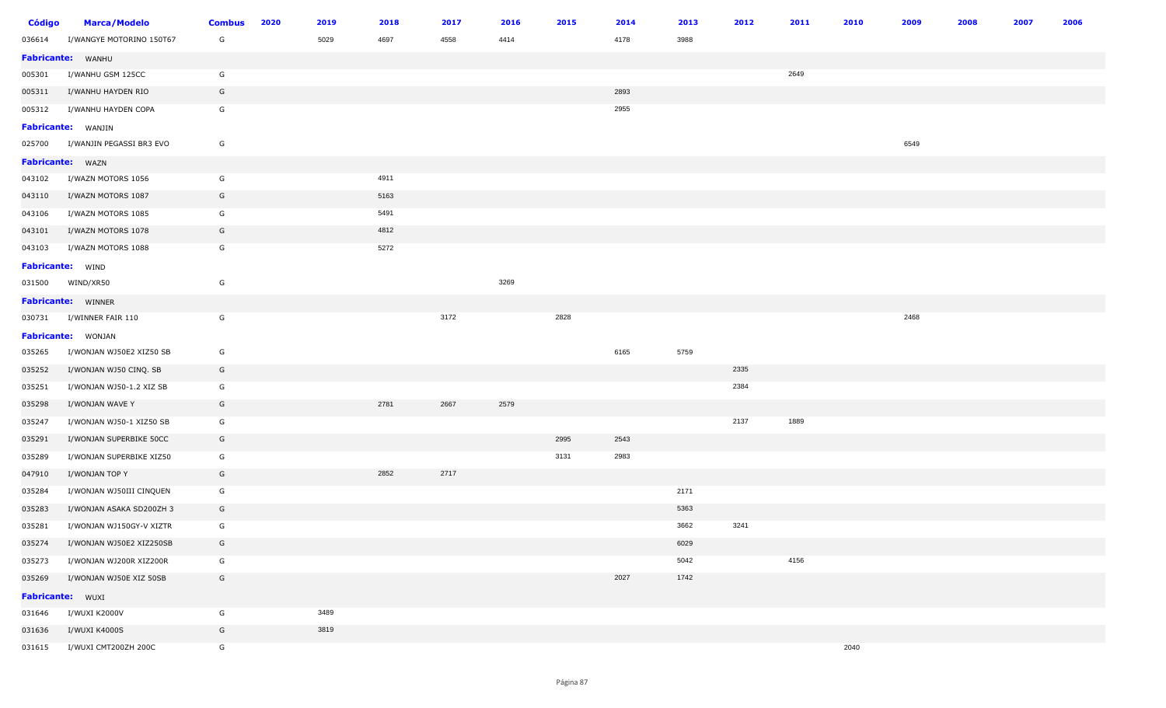| <b>Código</b>    | <b>Marca/Modelo</b>             | <b>Combus</b> | 2020 | 2019 | 2018 | 2017 | 2016 | 2015 | 2014 | 2013 | 2012 | 2011 | 2010 | 2009 | 2008 | 2007 | 2006 |
|------------------|---------------------------------|---------------|------|------|------|------|------|------|------|------|------|------|------|------|------|------|------|
| 036614           | I/WANGYE MOTORINO 150T67        | G             |      | 5029 | 4697 | 4558 | 4414 |      | 4178 | 3988 |      |      |      |      |      |      |      |
|                  | Fabricante: WANHU               |               |      |      |      |      |      |      |      |      |      |      |      |      |      |      |      |
| 005301           | I/WANHU GSM 125CC               | G             |      |      |      |      |      |      |      |      |      | 2649 |      |      |      |      |      |
| 005311           | I/WANHU HAYDEN RIO              | G             |      |      |      |      |      |      | 2893 |      |      |      |      |      |      |      |      |
| 005312           | I/WANHU HAYDEN COPA             | G             |      |      |      |      |      |      | 2955 |      |      |      |      |      |      |      |      |
|                  | <b>Fabricante:</b> WANJIN       |               |      |      |      |      |      |      |      |      |      |      |      |      |      |      |      |
|                  | 025700 I/WANJIN PEGASSI BR3 EVO | G             |      |      |      |      |      |      |      |      |      |      |      | 6549 |      |      |      |
|                  | Fabricante: WAZN                |               |      |      |      |      |      |      |      |      |      |      |      |      |      |      |      |
| 043102           | I/WAZN MOTORS 1056              | G             |      |      | 4911 |      |      |      |      |      |      |      |      |      |      |      |      |
| 043110           | I/WAZN MOTORS 1087              | G             |      |      | 5163 |      |      |      |      |      |      |      |      |      |      |      |      |
| 043106           | I/WAZN MOTORS 1085              | G             |      |      | 5491 |      |      |      |      |      |      |      |      |      |      |      |      |
| 043101           | I/WAZN MOTORS 1078              | G             |      |      | 4812 |      |      |      |      |      |      |      |      |      |      |      |      |
| 043103           | I/WAZN MOTORS 1088              | G             |      |      | 5272 |      |      |      |      |      |      |      |      |      |      |      |      |
| Fabricante: WIND |                                 |               |      |      |      |      |      |      |      |      |      |      |      |      |      |      |      |
| 031500           | WIND/XR50                       | G             |      |      |      |      | 3269 |      |      |      |      |      |      |      |      |      |      |
|                  | Fabricante: WINNER              |               |      |      |      |      |      |      |      |      |      |      |      |      |      |      |      |
|                  | 030731 I/WINNER FAIR 110        | G             |      |      |      | 3172 |      | 2828 |      |      |      |      |      | 2468 |      |      |      |
|                  | <b>Fabricante:</b> WONJAN       |               |      |      |      |      |      |      |      |      |      |      |      |      |      |      |      |
| 035265           | I/WONJAN WJ50E2 XIZ50 SB        | G             |      |      |      |      |      |      | 6165 | 5759 |      |      |      |      |      |      |      |
| 035252           | I/WONJAN WJ50 CINQ. SB          | G             |      |      |      |      |      |      |      |      | 2335 |      |      |      |      |      |      |
| 035251           | I/WONJAN WJ50-1.2 XIZ SB        | G             |      |      |      |      |      |      |      |      | 2384 |      |      |      |      |      |      |
| 035298           | I/WONJAN WAVE Y                 | G             |      |      | 2781 | 2667 | 2579 |      |      |      |      |      |      |      |      |      |      |
| 035247           | I/WONJAN WJ50-1 XIZ50 SB        | G             |      |      |      |      |      |      |      |      | 2137 | 1889 |      |      |      |      |      |
| 035291           | I/WONJAN SUPERBIKE 50CC         | G             |      |      |      |      |      | 2995 | 2543 |      |      |      |      |      |      |      |      |
| 035289           | I/WONJAN SUPERBIKE XIZ50        | G             |      |      |      |      |      | 3131 | 2983 |      |      |      |      |      |      |      |      |
| 047910           | I/WONJAN TOP Y                  | G             |      |      | 2852 | 2717 |      |      |      |      |      |      |      |      |      |      |      |
| 035284           | I/WONJAN WJ50III CINQUEN        | G             |      |      |      |      |      |      |      | 2171 |      |      |      |      |      |      |      |
| 035283           | I/WONJAN ASAKA SD200ZH 3        | G             |      |      |      |      |      |      |      | 5363 |      |      |      |      |      |      |      |
| 035281           | I/WONJAN WJ150GY-V XIZTR        | G             |      |      |      |      |      |      |      | 3662 | 3241 |      |      |      |      |      |      |
| 035274           | I/WONJAN WJ50E2 XIZ250SB        | G             |      |      |      |      |      |      |      | 6029 |      |      |      |      |      |      |      |
| 035273           | I/WONJAN WJ200R XIZ200R         | G             |      |      |      |      |      |      |      | 5042 |      | 4156 |      |      |      |      |      |
| 035269           | I/WONJAN WJ50E XIZ 50SB         | G             |      |      |      |      |      |      | 2027 | 1742 |      |      |      |      |      |      |      |
| Fabricante: WUXI |                                 |               |      |      |      |      |      |      |      |      |      |      |      |      |      |      |      |
| 031646           | I/WUXI K2000V                   | G             |      | 3489 |      |      |      |      |      |      |      |      |      |      |      |      |      |
| 031636           | I/WUXI K4000S                   | G             |      | 3819 |      |      |      |      |      |      |      |      |      |      |      |      |      |
| 031615           | I/WUXI CMT200ZH 200C            | G             |      |      |      |      |      |      |      |      |      |      | 2040 |      |      |      |      |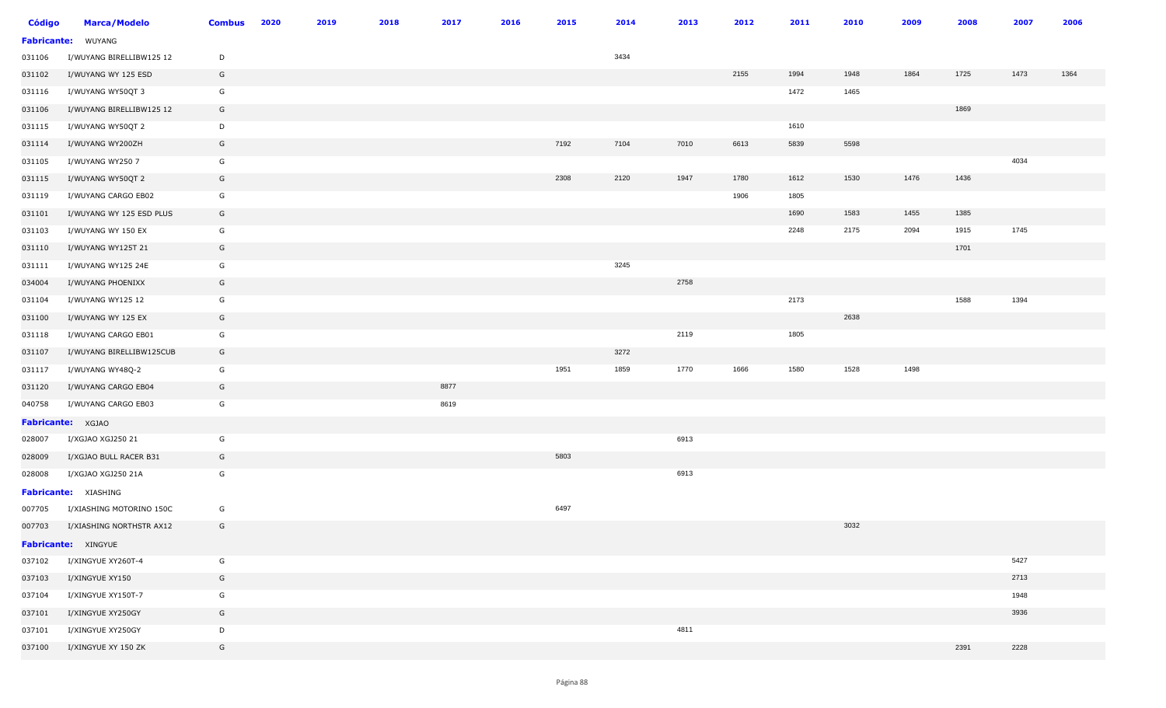| <b>Código</b>      | <b>Marca/Modelo</b>         | <b>Combus</b> | 2020 | 2019 | 2018 | 2017 | 2016 | 2015 | 2014 | 2013 | 2012 | 2011 | 2010 | 2009 | 2008 | 2007 | 2006 |
|--------------------|-----------------------------|---------------|------|------|------|------|------|------|------|------|------|------|------|------|------|------|------|
| <b>Fabricante:</b> | WUYANG                      |               |      |      |      |      |      |      |      |      |      |      |      |      |      |      |      |
| 031106             | I/WUYANG BIRELLIBW125 12    | D             |      |      |      |      |      |      | 3434 |      |      |      |      |      |      |      |      |
| 031102             | I/WUYANG WY 125 ESD         | G             |      |      |      |      |      |      |      |      | 2155 | 1994 | 1948 | 1864 | 1725 | 1473 | 1364 |
| 031116             | I/WUYANG WY50QT 3           | G             |      |      |      |      |      |      |      |      |      | 1472 | 1465 |      |      |      |      |
| 031106             | I/WUYANG BIRELLIBW125 12    | G             |      |      |      |      |      |      |      |      |      |      |      |      | 1869 |      |      |
| 031115             | I/WUYANG WY50QT 2           | D             |      |      |      |      |      |      |      |      |      | 1610 |      |      |      |      |      |
| 031114             | I/WUYANG WY200ZH            | G             |      |      |      |      |      | 7192 | 7104 | 7010 | 6613 | 5839 | 5598 |      |      |      |      |
| 031105             | I/WUYANG WY250 7            | G             |      |      |      |      |      |      |      |      |      |      |      |      |      | 4034 |      |
| 031115             | I/WUYANG WY50QT 2           | G             |      |      |      |      |      | 2308 | 2120 | 1947 | 1780 | 1612 | 1530 | 1476 | 1436 |      |      |
| 031119             | I/WUYANG CARGO EB02         | G             |      |      |      |      |      |      |      |      | 1906 | 1805 |      |      |      |      |      |
| 031101             | I/WUYANG WY 125 ESD PLUS    | G             |      |      |      |      |      |      |      |      |      | 1690 | 1583 | 1455 | 1385 |      |      |
| 031103             | I/WUYANG WY 150 EX          | G             |      |      |      |      |      |      |      |      |      | 2248 | 2175 | 2094 | 1915 | 1745 |      |
| 031110             | I/WUYANG WY125T 21          | G             |      |      |      |      |      |      |      |      |      |      |      |      | 1701 |      |      |
| 031111             | I/WUYANG WY125 24E          | G             |      |      |      |      |      |      | 3245 |      |      |      |      |      |      |      |      |
| 034004             | I/WUYANG PHOENIXX           | G             |      |      |      |      |      |      |      | 2758 |      |      |      |      |      |      |      |
| 031104             | I/WUYANG WY125 12           | G             |      |      |      |      |      |      |      |      |      | 2173 |      |      | 1588 | 1394 |      |
| 031100             | I/WUYANG WY 125 EX          | G             |      |      |      |      |      |      |      |      |      |      | 2638 |      |      |      |      |
| 031118             | I/WUYANG CARGO EB01         | G             |      |      |      |      |      |      |      | 2119 |      | 1805 |      |      |      |      |      |
| 031107             | I/WUYANG BIRELLIBW125CUB    | G             |      |      |      |      |      |      | 3272 |      |      |      |      |      |      |      |      |
| 031117             | I/WUYANG WY48Q-2            | G             |      |      |      |      |      | 1951 | 1859 | 1770 | 1666 | 1580 | 1528 | 1498 |      |      |      |
| 031120             | I/WUYANG CARGO EB04         | G             |      |      |      | 8877 |      |      |      |      |      |      |      |      |      |      |      |
| 040758             | I/WUYANG CARGO EB03         | G             |      |      |      | 8619 |      |      |      |      |      |      |      |      |      |      |      |
|                    | Fabricante: XGJAO           |               |      |      |      |      |      |      |      |      |      |      |      |      |      |      |      |
| 028007             | I/XGJAO XGJ250 21           | G             |      |      |      |      |      |      |      | 6913 |      |      |      |      |      |      |      |
| 028009             | I/XGJAO BULL RACER B31      | G             |      |      |      |      |      | 5803 |      |      |      |      |      |      |      |      |      |
| 028008             | I/XGJAO XGJ250 21A          | G             |      |      |      |      |      |      |      | 6913 |      |      |      |      |      |      |      |
|                    | <b>Fabricante: XIASHING</b> |               |      |      |      |      |      |      |      |      |      |      |      |      |      |      |      |
| 007705             | I/XIASHING MOTORINO 150C    | G             |      |      |      |      |      | 6497 |      |      |      |      |      |      |      |      |      |
| 007703             | I/XIASHING NORTHSTR AX12    | G             |      |      |      |      |      |      |      |      |      |      | 3032 |      |      |      |      |
|                    | Fabricante: XINGYUE         |               |      |      |      |      |      |      |      |      |      |      |      |      |      |      |      |
| 037102             | I/XINGYUE XY260T-4          | G             |      |      |      |      |      |      |      |      |      |      |      |      |      | 5427 |      |
| 037103             | I/XINGYUE XY150             | G             |      |      |      |      |      |      |      |      |      |      |      |      |      | 2713 |      |
| 037104             | I/XINGYUE XY150T-7          | G             |      |      |      |      |      |      |      |      |      |      |      |      |      | 1948 |      |
| 037101             | I/XINGYUE XY250GY           | G             |      |      |      |      |      |      |      |      |      |      |      |      |      | 3936 |      |
| 037101             | I/XINGYUE XY250GY           | D             |      |      |      |      |      |      |      | 4811 |      |      |      |      |      |      |      |
| 037100             | I/XINGYUE XY 150 ZK         | G             |      |      |      |      |      |      |      |      |      |      |      |      | 2391 | 2228 |      |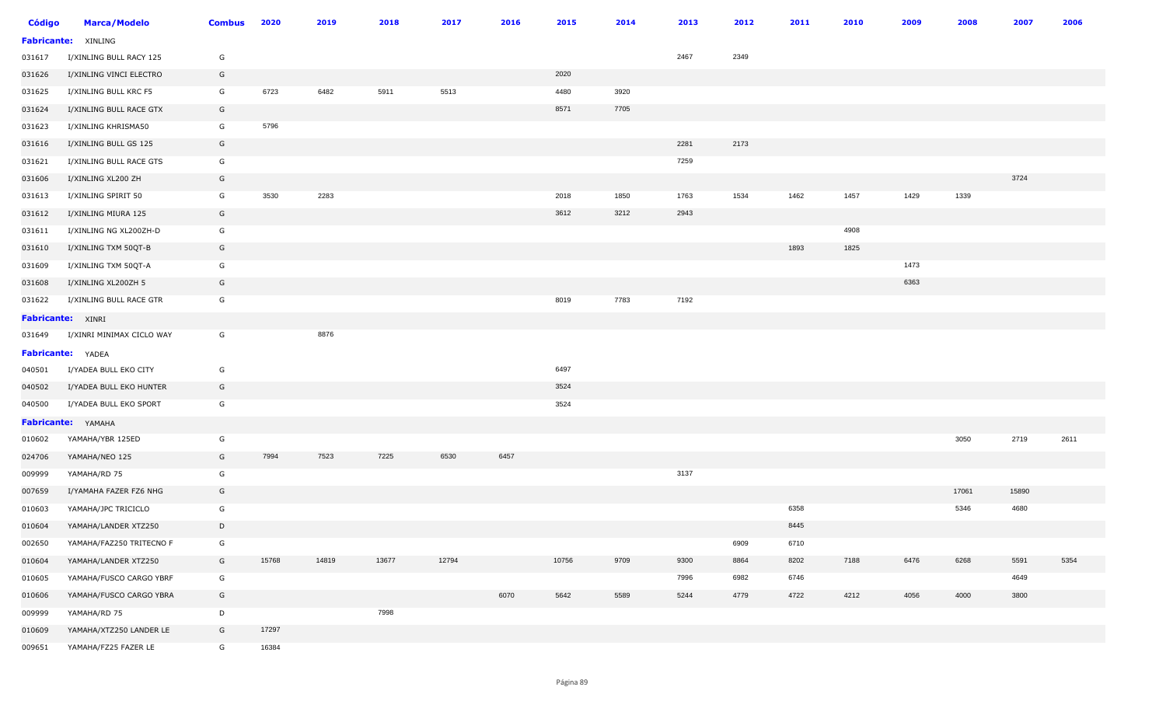| <b>Código</b>      | <b>Marca/Modelo</b>       | <b>Combus</b> | 2020  | 2019  | 2018  | 2017  | 2016 | 2015  | 2014 | 2013 | 2012 | 2011 | 2010 | 2009 | 2008  | 2007  | 2006 |
|--------------------|---------------------------|---------------|-------|-------|-------|-------|------|-------|------|------|------|------|------|------|-------|-------|------|
| <b>Fabricante:</b> | XINLING                   |               |       |       |       |       |      |       |      |      |      |      |      |      |       |       |      |
| 031617             | I/XINLING BULL RACY 125   | G             |       |       |       |       |      |       |      | 2467 | 2349 |      |      |      |       |       |      |
| 031626             | I/XINLING VINCI ELECTRO   | G             |       |       |       |       |      | 2020  |      |      |      |      |      |      |       |       |      |
| 031625             | I/XINLING BULL KRC F5     | G             | 6723  | 6482  | 5911  | 5513  |      | 4480  | 3920 |      |      |      |      |      |       |       |      |
| 031624             | I/XINLING BULL RACE GTX   | G             |       |       |       |       |      | 8571  | 7705 |      |      |      |      |      |       |       |      |
| 031623             | I/XINLING KHRISMA50       | G             | 5796  |       |       |       |      |       |      |      |      |      |      |      |       |       |      |
| 031616             | I/XINLING BULL GS 125     | G             |       |       |       |       |      |       |      | 2281 | 2173 |      |      |      |       |       |      |
| 031621             | I/XINLING BULL RACE GTS   | G             |       |       |       |       |      |       |      | 7259 |      |      |      |      |       |       |      |
| 031606             | I/XINLING XL200 ZH        | G             |       |       |       |       |      |       |      |      |      |      |      |      |       | 3724  |      |
| 031613             | I/XINLING SPIRIT 50       | G             | 3530  | 2283  |       |       |      | 2018  | 1850 | 1763 | 1534 | 1462 | 1457 | 1429 | 1339  |       |      |
| 031612             | I/XINLING MIURA 125       | G             |       |       |       |       |      | 3612  | 3212 | 2943 |      |      |      |      |       |       |      |
| 031611             | I/XINLING NG XL200ZH-D    | G             |       |       |       |       |      |       |      |      |      |      | 4908 |      |       |       |      |
| 031610             | I/XINLING TXM 50QT-B      | G             |       |       |       |       |      |       |      |      |      | 1893 | 1825 |      |       |       |      |
| 031609             | I/XINLING TXM 50QT-A      | G             |       |       |       |       |      |       |      |      |      |      |      | 1473 |       |       |      |
| 031608             | I/XINLING XL200ZH 5       | G             |       |       |       |       |      |       |      |      |      |      |      | 6363 |       |       |      |
| 031622             | I/XINLING BULL RACE GTR   | G             |       |       |       |       |      | 8019  | 7783 | 7192 |      |      |      |      |       |       |      |
|                    | <b>Fabricante: XINRI</b>  |               |       |       |       |       |      |       |      |      |      |      |      |      |       |       |      |
| 031649             | I/XINRI MINIMAX CICLO WAY | G             |       | 8876  |       |       |      |       |      |      |      |      |      |      |       |       |      |
|                    | Fabricante: YADEA         |               |       |       |       |       |      |       |      |      |      |      |      |      |       |       |      |
| 040501             | I/YADEA BULL EKO CITY     | G             |       |       |       |       |      | 6497  |      |      |      |      |      |      |       |       |      |
| 040502             | I/YADEA BULL EKO HUNTER   | G             |       |       |       |       |      | 3524  |      |      |      |      |      |      |       |       |      |
| 040500             | I/YADEA BULL EKO SPORT    | G             |       |       |       |       |      | 3524  |      |      |      |      |      |      |       |       |      |
|                    | Fabricante: YAMAHA        |               |       |       |       |       |      |       |      |      |      |      |      |      |       |       |      |
| 010602             | YAMAHA/YBR 125ED          | G             |       |       |       |       |      |       |      |      |      |      |      |      | 3050  | 2719  | 2611 |
| 024706             | YAMAHA/NEO 125            | G             | 7994  | 7523  | 7225  | 6530  | 6457 |       |      |      |      |      |      |      |       |       |      |
| 009999             | YAMAHA/RD 75              | G             |       |       |       |       |      |       |      | 3137 |      |      |      |      |       |       |      |
| 007659             | I/YAMAHA FAZER FZ6 NHG    | G             |       |       |       |       |      |       |      |      |      |      |      |      | 17061 | 15890 |      |
| 010603             | YAMAHA/JPC TRICICLO       | G             |       |       |       |       |      |       |      |      |      | 6358 |      |      | 5346  | 4680  |      |
| 010604             | YAMAHA/LANDER XTZ250      | D             |       |       |       |       |      |       |      |      |      | 8445 |      |      |       |       |      |
| 002650             | YAMAHA/FAZ250 TRITECNO F  | G             |       |       |       |       |      |       |      |      | 6909 | 6710 |      |      |       |       |      |
| 010604             | YAMAHA/LANDER XTZ250      | G             | 15768 | 14819 | 13677 | 12794 |      | 10756 | 9709 | 9300 | 8864 | 8202 | 7188 | 6476 | 6268  | 5591  | 5354 |
| 010605             | YAMAHA/FUSCO CARGO YBRF   | G             |       |       |       |       |      |       |      | 7996 | 6982 | 6746 |      |      |       | 4649  |      |
| 010606             | YAMAHA/FUSCO CARGO YBRA   | G             |       |       |       |       | 6070 | 5642  | 5589 | 5244 | 4779 | 4722 | 4212 | 4056 | 4000  | 3800  |      |
| 009999             | YAMAHA/RD 75              | $\mathsf{D}$  |       |       | 7998  |       |      |       |      |      |      |      |      |      |       |       |      |
| 010609             | YAMAHA/XTZ250 LANDER LE   | G             | 17297 |       |       |       |      |       |      |      |      |      |      |      |       |       |      |
| 009651             | YAMAHA/FZ25 FAZER LE      | G             | 16384 |       |       |       |      |       |      |      |      |      |      |      |       |       |      |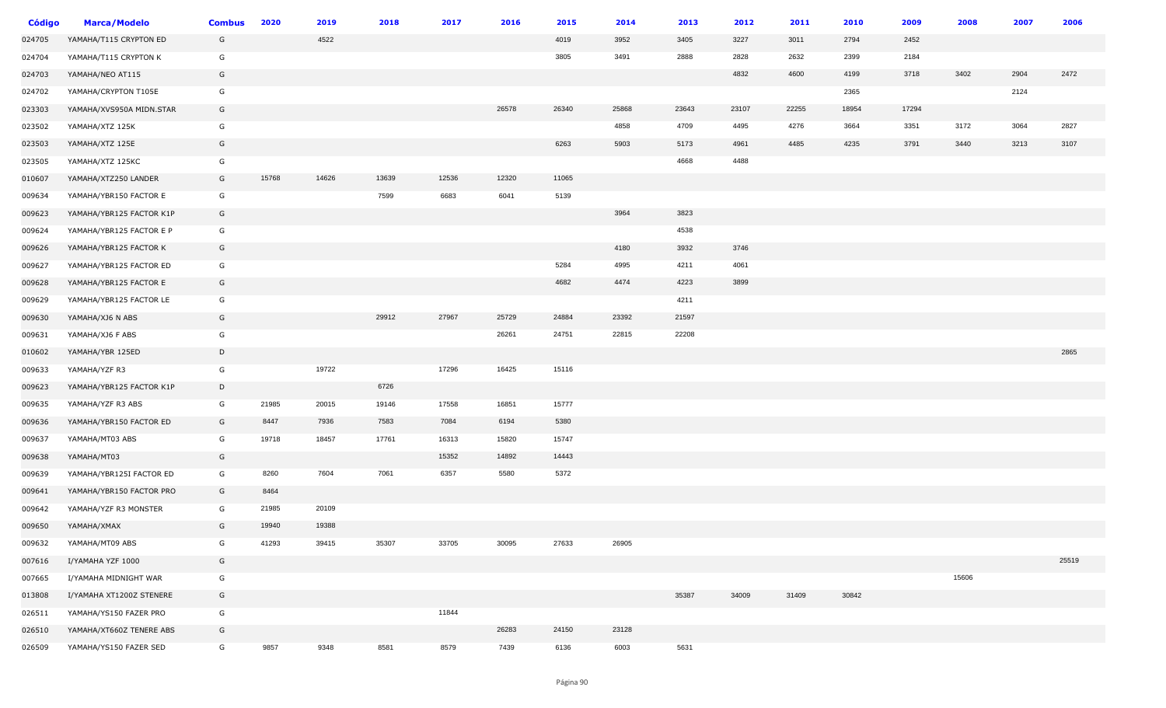| <b>Código</b> | <b>Marca/Modelo</b>      | <b>Combus</b> | 2020  | 2019  | 2018  | 2017  | 2016  | 2015  | 2014  | 2013  | 2012  | 2011  | 2010  | 2009  | 2008  | 2007 | 2006  |
|---------------|--------------------------|---------------|-------|-------|-------|-------|-------|-------|-------|-------|-------|-------|-------|-------|-------|------|-------|
| 024705        | YAMAHA/T115 CRYPTON ED   | G             |       | 4522  |       |       |       | 4019  | 3952  | 3405  | 3227  | 3011  | 2794  | 2452  |       |      |       |
| 024704        | YAMAHA/T115 CRYPTON K    | G             |       |       |       |       |       | 3805  | 3491  | 2888  | 2828  | 2632  | 2399  | 2184  |       |      |       |
| 024703        | YAMAHA/NEO AT115         | G             |       |       |       |       |       |       |       |       | 4832  | 4600  | 4199  | 3718  | 3402  | 2904 | 2472  |
| 024702        | YAMAHA/CRYPTON T105E     | G             |       |       |       |       |       |       |       |       |       |       | 2365  |       |       | 2124 |       |
| 023303        | YAMAHA/XVS950A MIDN.STAR | G             |       |       |       |       | 26578 | 26340 | 25868 | 23643 | 23107 | 22255 | 18954 | 17294 |       |      |       |
| 023502        | YAMAHA/XTZ 125K          | G             |       |       |       |       |       |       | 4858  | 4709  | 4495  | 4276  | 3664  | 3351  | 3172  | 3064 | 2827  |
| 023503        | YAMAHA/XTZ 125E          | G             |       |       |       |       |       | 6263  | 5903  | 5173  | 4961  | 4485  | 4235  | 3791  | 3440  | 3213 | 3107  |
| 023505        | YAMAHA/XTZ 125KC         | G             |       |       |       |       |       |       |       | 4668  | 4488  |       |       |       |       |      |       |
| 010607        | YAMAHA/XTZ250 LANDER     | G             | 15768 | 14626 | 13639 | 12536 | 12320 | 11065 |       |       |       |       |       |       |       |      |       |
| 009634        | YAMAHA/YBR150 FACTOR E   | G             |       |       | 7599  | 6683  | 6041  | 5139  |       |       |       |       |       |       |       |      |       |
| 009623        | YAMAHA/YBR125 FACTOR K1P | G             |       |       |       |       |       |       | 3964  | 3823  |       |       |       |       |       |      |       |
| 009624        | YAMAHA/YBR125 FACTOR E P | G             |       |       |       |       |       |       |       | 4538  |       |       |       |       |       |      |       |
| 009626        | YAMAHA/YBR125 FACTOR K   | G             |       |       |       |       |       |       | 4180  | 3932  | 3746  |       |       |       |       |      |       |
| 009627        | YAMAHA/YBR125 FACTOR ED  | G             |       |       |       |       |       | 5284  | 4995  | 4211  | 4061  |       |       |       |       |      |       |
| 009628        | YAMAHA/YBR125 FACTOR E   | G             |       |       |       |       |       | 4682  | 4474  | 4223  | 3899  |       |       |       |       |      |       |
| 009629        | YAMAHA/YBR125 FACTOR LE  | G             |       |       |       |       |       |       |       | 4211  |       |       |       |       |       |      |       |
| 009630        | YAMAHA/XJ6 N ABS         | G             |       |       | 29912 | 27967 | 25729 | 24884 | 23392 | 21597 |       |       |       |       |       |      |       |
| 009631        | YAMAHA/XJ6 F ABS         | G             |       |       |       |       | 26261 | 24751 | 22815 | 22208 |       |       |       |       |       |      |       |
| 010602        | YAMAHA/YBR 125ED         | D             |       |       |       |       |       |       |       |       |       |       |       |       |       |      | 2865  |
| 009633        | YAMAHA/YZF R3            | G             |       | 19722 |       | 17296 | 16425 | 15116 |       |       |       |       |       |       |       |      |       |
| 009623        | YAMAHA/YBR125 FACTOR K1P | D             |       |       | 6726  |       |       |       |       |       |       |       |       |       |       |      |       |
| 009635        | YAMAHA/YZF R3 ABS        | G             | 21985 | 20015 | 19146 | 17558 | 16851 | 15777 |       |       |       |       |       |       |       |      |       |
| 009636        | YAMAHA/YBR150 FACTOR ED  | G             | 8447  | 7936  | 7583  | 7084  | 6194  | 5380  |       |       |       |       |       |       |       |      |       |
| 009637        | YAMAHA/MT03 ABS          | G             | 19718 | 18457 | 17761 | 16313 | 15820 | 15747 |       |       |       |       |       |       |       |      |       |
| 009638        | YAMAHA/MT03              | G             |       |       |       | 15352 | 14892 | 14443 |       |       |       |       |       |       |       |      |       |
| 009639        | YAMAHA/YBR125I FACTOR ED | G             | 8260  | 7604  | 7061  | 6357  | 5580  | 5372  |       |       |       |       |       |       |       |      |       |
| 009641        | YAMAHA/YBR150 FACTOR PRO | G             | 8464  |       |       |       |       |       |       |       |       |       |       |       |       |      |       |
| 009642        | YAMAHA/YZF R3 MONSTER    | G             | 21985 | 20109 |       |       |       |       |       |       |       |       |       |       |       |      |       |
| 009650        | YAMAHA/XMAX              | G             | 19940 | 19388 |       |       |       |       |       |       |       |       |       |       |       |      |       |
| 009632        | YAMAHA/MT09 ABS          | G             | 41293 | 39415 | 35307 | 33705 | 30095 | 27633 | 26905 |       |       |       |       |       |       |      |       |
| 007616        | I/YAMAHA YZF 1000        | G             |       |       |       |       |       |       |       |       |       |       |       |       |       |      | 25519 |
| 007665        | I/YAMAHA MIDNIGHT WAR    | G             |       |       |       |       |       |       |       |       |       |       |       |       | 15606 |      |       |
| 013808        | I/YAMAHA XT1200Z STENERE | G             |       |       |       |       |       |       |       | 35387 | 34009 | 31409 | 30842 |       |       |      |       |
| 026511        | YAMAHA/YS150 FAZER PRO   | G             |       |       |       | 11844 |       |       |       |       |       |       |       |       |       |      |       |
| 026510        | YAMAHA/XT660Z TENERE ABS | G             |       |       |       |       | 26283 | 24150 | 23128 |       |       |       |       |       |       |      |       |
| 026509        | YAMAHA/YS150 FAZER SED   | G             | 9857  | 9348  | 8581  | 8579  | 7439  | 6136  | 6003  | 5631  |       |       |       |       |       |      |       |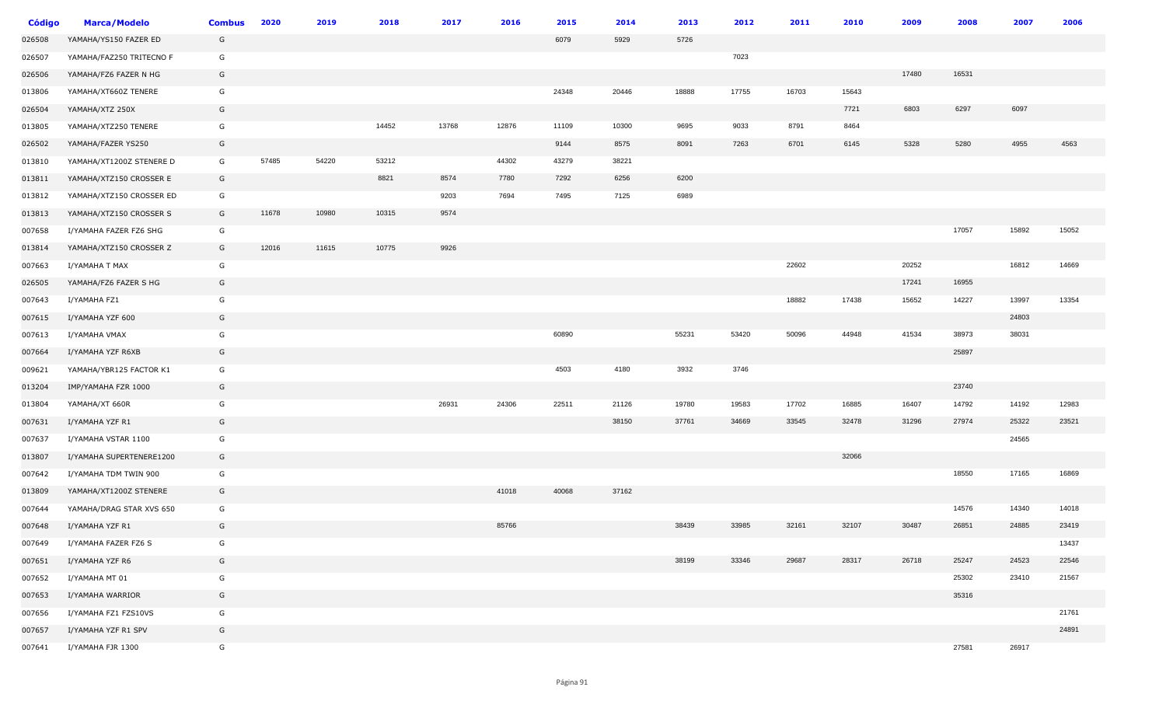| <b>Código</b> | <b>Marca/Modelo</b>      | <b>Combus</b> | 2020  | 2019  | 2018  | 2017  | 2016  | 2015  | 2014  | 2013  | 2012  | 2011  | 2010  | 2009  | 2008  | 2007  | 2006  |
|---------------|--------------------------|---------------|-------|-------|-------|-------|-------|-------|-------|-------|-------|-------|-------|-------|-------|-------|-------|
| 026508        | YAMAHA/YS150 FAZER ED    | G             |       |       |       |       |       | 6079  | 5929  | 5726  |       |       |       |       |       |       |       |
| 026507        | YAMAHA/FAZ250 TRITECNO F | G             |       |       |       |       |       |       |       |       | 7023  |       |       |       |       |       |       |
| 026506        | YAMAHA/FZ6 FAZER N HG    | G             |       |       |       |       |       |       |       |       |       |       |       | 17480 | 16531 |       |       |
| 013806        | YAMAHA/XT660Z TENERE     | G             |       |       |       |       |       | 24348 | 20446 | 18888 | 17755 | 16703 | 15643 |       |       |       |       |
| 026504        | YAMAHA/XTZ 250X          | G             |       |       |       |       |       |       |       |       |       |       | 7721  | 6803  | 6297  | 6097  |       |
| 013805        | YAMAHA/XTZ250 TENERE     | G             |       |       | 14452 | 13768 | 12876 | 11109 | 10300 | 9695  | 9033  | 8791  | 8464  |       |       |       |       |
| 026502        | YAMAHA/FAZER YS250       | G             |       |       |       |       |       | 9144  | 8575  | 8091  | 7263  | 6701  | 6145  | 5328  | 5280  | 4955  | 4563  |
| 013810        | YAMAHA/XT1200Z STENERE D | G             | 57485 | 54220 | 53212 |       | 44302 | 43279 | 38221 |       |       |       |       |       |       |       |       |
| 013811        | YAMAHA/XTZ150 CROSSER E  | G             |       |       | 8821  | 8574  | 7780  | 7292  | 6256  | 6200  |       |       |       |       |       |       |       |
| 013812        | YAMAHA/XTZ150 CROSSER ED | G             |       |       |       | 9203  | 7694  | 7495  | 7125  | 6989  |       |       |       |       |       |       |       |
| 013813        | YAMAHA/XTZ150 CROSSER S  | G             | 11678 | 10980 | 10315 | 9574  |       |       |       |       |       |       |       |       |       |       |       |
| 007658        | I/YAMAHA FAZER FZ6 SHG   | G             |       |       |       |       |       |       |       |       |       |       |       |       | 17057 | 15892 | 15052 |
| 013814        | YAMAHA/XTZ150 CROSSER Z  | G             | 12016 | 11615 | 10775 | 9926  |       |       |       |       |       |       |       |       |       |       |       |
| 007663        | I/YAMAHA T MAX           | G             |       |       |       |       |       |       |       |       |       | 22602 |       | 20252 |       | 16812 | 14669 |
| 026505        | YAMAHA/FZ6 FAZER S HG    | G             |       |       |       |       |       |       |       |       |       |       |       | 17241 | 16955 |       |       |
| 007643        | I/YAMAHA FZ1             | G             |       |       |       |       |       |       |       |       |       | 18882 | 17438 | 15652 | 14227 | 13997 | 13354 |
| 007615        | I/YAMAHA YZF 600         | G             |       |       |       |       |       |       |       |       |       |       |       |       |       | 24803 |       |
| 007613        | I/YAMAHA VMAX            | G             |       |       |       |       |       | 60890 |       | 55231 | 53420 | 50096 | 44948 | 41534 | 38973 | 38031 |       |
| 007664        | I/YAMAHA YZF R6XB        | G             |       |       |       |       |       |       |       |       |       |       |       |       | 25897 |       |       |
| 009621        | YAMAHA/YBR125 FACTOR K1  | G             |       |       |       |       |       | 4503  | 4180  | 3932  | 3746  |       |       |       |       |       |       |
| 013204        | IMP/YAMAHA FZR 1000      | G             |       |       |       |       |       |       |       |       |       |       |       |       | 23740 |       |       |
| 013804        | YAMAHA/XT 660R           | G             |       |       |       | 26931 | 24306 | 22511 | 21126 | 19780 | 19583 | 17702 | 16885 | 16407 | 14792 | 14192 | 12983 |
| 007631        | I/YAMAHA YZF R1          | G             |       |       |       |       |       |       | 38150 | 37761 | 34669 | 33545 | 32478 | 31296 | 27974 | 25322 | 23521 |
| 007637        | I/YAMAHA VSTAR 1100      | G             |       |       |       |       |       |       |       |       |       |       |       |       |       | 24565 |       |
| 013807        | I/YAMAHA SUPERTENERE1200 | G             |       |       |       |       |       |       |       |       |       |       | 32066 |       |       |       |       |
| 007642        | I/YAMAHA TDM TWIN 900    | G             |       |       |       |       |       |       |       |       |       |       |       |       | 18550 | 17165 | 16869 |
| 013809        | YAMAHA/XT1200Z STENERE   | G             |       |       |       |       | 41018 | 40068 | 37162 |       |       |       |       |       |       |       |       |
| 007644        | YAMAHA/DRAG STAR XVS 650 | G             |       |       |       |       |       |       |       |       |       |       |       |       | 14576 | 14340 | 14018 |
| 007648        | I/YAMAHA YZF R1          | G             |       |       |       |       | 85766 |       |       | 38439 | 33985 | 32161 | 32107 | 30487 | 26851 | 24885 | 23419 |
| 007649        | I/YAMAHA FAZER FZ6 S     | G             |       |       |       |       |       |       |       |       |       |       |       |       |       |       | 13437 |
| 007651        | I/YAMAHA YZF R6          | G             |       |       |       |       |       |       |       | 38199 | 33346 | 29687 | 28317 | 26718 | 25247 | 24523 | 22546 |
| 007652        | I/YAMAHA MT 01           | G             |       |       |       |       |       |       |       |       |       |       |       |       | 25302 | 23410 | 21567 |
| 007653        | I/YAMAHA WARRIOR         | G             |       |       |       |       |       |       |       |       |       |       |       |       | 35316 |       |       |
| 007656        | I/YAMAHA FZ1 FZS10VS     | G             |       |       |       |       |       |       |       |       |       |       |       |       |       |       | 21761 |
| 007657        | I/YAMAHA YZF R1 SPV      | G             |       |       |       |       |       |       |       |       |       |       |       |       |       |       | 24891 |
| 007641        | I/YAMAHA FJR 1300        | G             |       |       |       |       |       |       |       |       |       |       |       |       | 27581 | 26917 |       |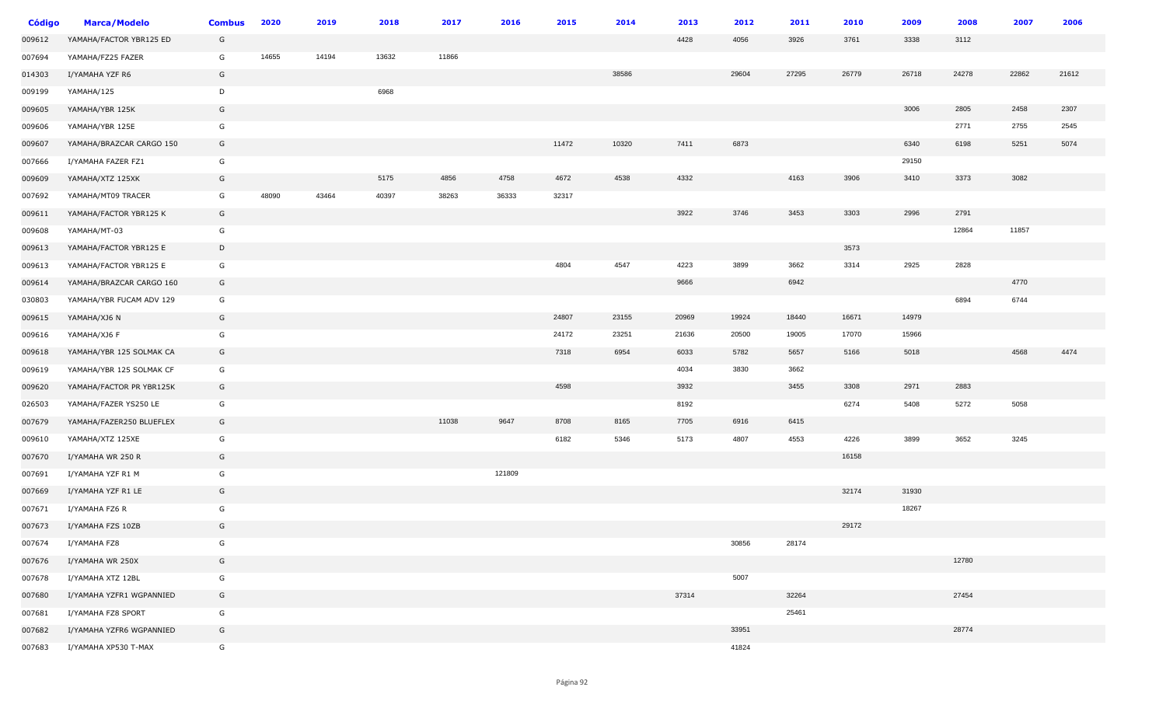| <b>Código</b> | <b>Marca/Modelo</b>      | <b>Combus</b> | 2020  | 2019  | 2018  | 2017  | 2016   | 2015  | 2014  | 2013  | 2012  | 2011  | 2010  | 2009  | 2008  | 2007  | 2006  |
|---------------|--------------------------|---------------|-------|-------|-------|-------|--------|-------|-------|-------|-------|-------|-------|-------|-------|-------|-------|
| 009612        | YAMAHA/FACTOR YBR125 ED  | G             |       |       |       |       |        |       |       | 4428  | 4056  | 3926  | 3761  | 3338  | 3112  |       |       |
| 007694        | YAMAHA/FZ25 FAZER        | G             | 14655 | 14194 | 13632 | 11866 |        |       |       |       |       |       |       |       |       |       |       |
| 014303        | I/YAMAHA YZF R6          | G             |       |       |       |       |        |       | 38586 |       | 29604 | 27295 | 26779 | 26718 | 24278 | 22862 | 21612 |
| 009199        | YAMAHA/125               | D             |       |       | 6968  |       |        |       |       |       |       |       |       |       |       |       |       |
| 009605        | YAMAHA/YBR 125K          | G             |       |       |       |       |        |       |       |       |       |       |       | 3006  | 2805  | 2458  | 2307  |
| 009606        | YAMAHA/YBR 125E          | G             |       |       |       |       |        |       |       |       |       |       |       |       | 2771  | 2755  | 2545  |
| 009607        | YAMAHA/BRAZCAR CARGO 150 | G             |       |       |       |       |        | 11472 | 10320 | 7411  | 6873  |       |       | 6340  | 6198  | 5251  | 5074  |
| 007666        | I/YAMAHA FAZER FZ1       | G             |       |       |       |       |        |       |       |       |       |       |       | 29150 |       |       |       |
| 009609        | YAMAHA/XTZ 125XK         | G             |       |       | 5175  | 4856  | 4758   | 4672  | 4538  | 4332  |       | 4163  | 3906  | 3410  | 3373  | 3082  |       |
| 007692        | YAMAHA/MT09 TRACER       | G             | 48090 | 43464 | 40397 | 38263 | 36333  | 32317 |       |       |       |       |       |       |       |       |       |
| 009611        | YAMAHA/FACTOR YBR125 K   | G             |       |       |       |       |        |       |       | 3922  | 3746  | 3453  | 3303  | 2996  | 2791  |       |       |
| 009608        | YAMAHA/MT-03             | G             |       |       |       |       |        |       |       |       |       |       |       |       | 12864 | 11857 |       |
| 009613        | YAMAHA/FACTOR YBR125 E   | D             |       |       |       |       |        |       |       |       |       |       | 3573  |       |       |       |       |
| 009613        | YAMAHA/FACTOR YBR125 E   | G             |       |       |       |       |        | 4804  | 4547  | 4223  | 3899  | 3662  | 3314  | 2925  | 2828  |       |       |
| 009614        | YAMAHA/BRAZCAR CARGO 160 | G             |       |       |       |       |        |       |       | 9666  |       | 6942  |       |       |       | 4770  |       |
| 030803        | YAMAHA/YBR FUCAM ADV 129 | G             |       |       |       |       |        |       |       |       |       |       |       |       | 6894  | 6744  |       |
| 009615        | YAMAHA/XJ6 N             | G             |       |       |       |       |        | 24807 | 23155 | 20969 | 19924 | 18440 | 16671 | 14979 |       |       |       |
| 009616        | YAMAHA/XJ6 F             | G             |       |       |       |       |        | 24172 | 23251 | 21636 | 20500 | 19005 | 17070 | 15966 |       |       |       |
| 009618        | YAMAHA/YBR 125 SOLMAK CA | G             |       |       |       |       |        | 7318  | 6954  | 6033  | 5782  | 5657  | 5166  | 5018  |       | 4568  | 4474  |
| 009619        | YAMAHA/YBR 125 SOLMAK CF | G             |       |       |       |       |        |       |       | 4034  | 3830  | 3662  |       |       |       |       |       |
| 009620        | YAMAHA/FACTOR PR YBR125K | G             |       |       |       |       |        | 4598  |       | 3932  |       | 3455  | 3308  | 2971  | 2883  |       |       |
| 026503        | YAMAHA/FAZER YS250 LE    | G             |       |       |       |       |        |       |       | 8192  |       |       | 6274  | 5408  | 5272  | 5058  |       |
| 007679        | YAMAHA/FAZER250 BLUEFLEX | G             |       |       |       | 11038 | 9647   | 8708  | 8165  | 7705  | 6916  | 6415  |       |       |       |       |       |
| 009610        | YAMAHA/XTZ 125XE         | G             |       |       |       |       |        | 6182  | 5346  | 5173  | 4807  | 4553  | 4226  | 3899  | 3652  | 3245  |       |
| 007670        | I/YAMAHA WR 250 R        | G             |       |       |       |       |        |       |       |       |       |       | 16158 |       |       |       |       |
| 007691        | I/YAMAHA YZF R1 M        | G             |       |       |       |       | 121809 |       |       |       |       |       |       |       |       |       |       |
| 007669        | I/YAMAHA YZF R1 LE       | G             |       |       |       |       |        |       |       |       |       |       | 32174 | 31930 |       |       |       |
| 007671        | I/YAMAHA FZ6 R           | G             |       |       |       |       |        |       |       |       |       |       |       | 18267 |       |       |       |
| 007673        | I/YAMAHA FZS 10ZB        | G             |       |       |       |       |        |       |       |       |       |       | 29172 |       |       |       |       |
| 007674        | I/YAMAHA FZ8             | G             |       |       |       |       |        |       |       |       | 30856 | 28174 |       |       |       |       |       |
| 007676        | I/YAMAHA WR 250X         | G             |       |       |       |       |        |       |       |       |       |       |       |       | 12780 |       |       |
| 007678        | I/YAMAHA XTZ 12BL        | G             |       |       |       |       |        |       |       |       | 5007  |       |       |       |       |       |       |
| 007680        | I/YAMAHA YZFR1 WGPANNIED | G             |       |       |       |       |        |       |       | 37314 |       | 32264 |       |       | 27454 |       |       |
| 007681        | I/YAMAHA FZ8 SPORT       | G             |       |       |       |       |        |       |       |       |       | 25461 |       |       |       |       |       |
| 007682        | I/YAMAHA YZFR6 WGPANNIED | G             |       |       |       |       |        |       |       |       | 33951 |       |       |       | 28774 |       |       |
| 007683        | I/YAMAHA XP530 T-MAX     | G             |       |       |       |       |        |       |       |       | 41824 |       |       |       |       |       |       |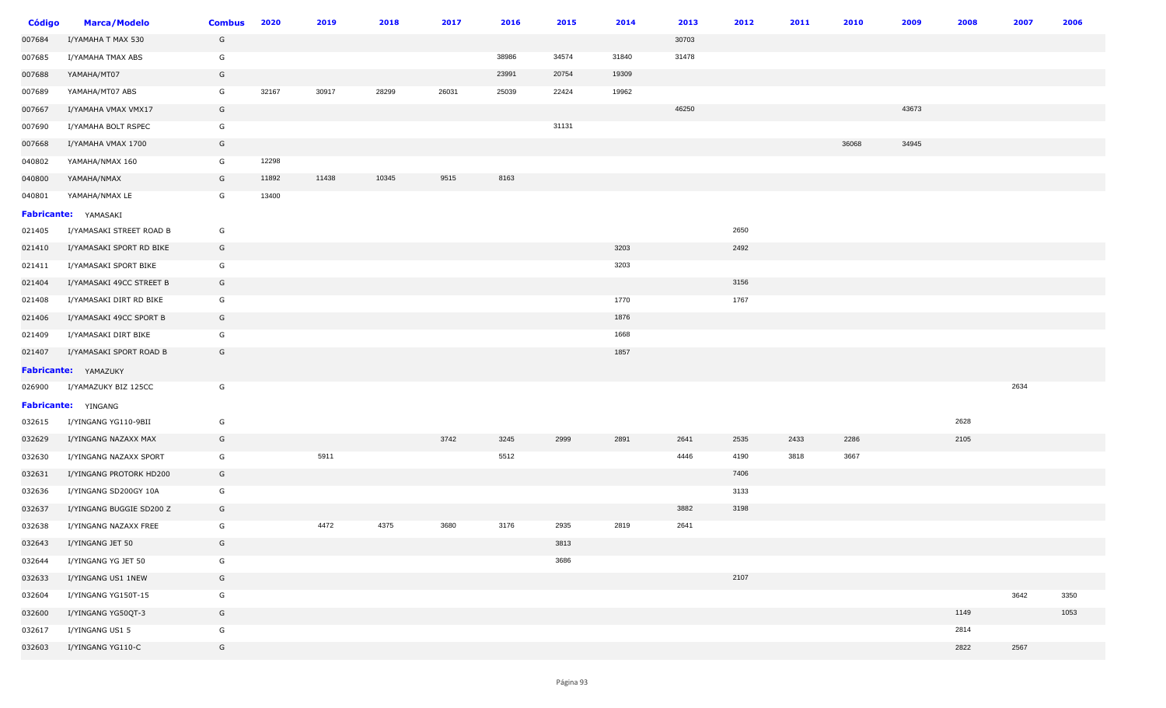| <b>Código</b> | <b>Marca/Modelo</b>         | <b>Combus</b> | 2020  | 2019  | 2018  | 2017  | 2016  | 2015  | 2014  | 2013  | 2012 | 2011 | 2010  | 2009  | 2008 | 2007 | 2006 |
|---------------|-----------------------------|---------------|-------|-------|-------|-------|-------|-------|-------|-------|------|------|-------|-------|------|------|------|
| 007684        | I/YAMAHA T MAX 530          | G             |       |       |       |       |       |       |       | 30703 |      |      |       |       |      |      |      |
| 007685        | I/YAMAHA TMAX ABS           | G             |       |       |       |       | 38986 | 34574 | 31840 | 31478 |      |      |       |       |      |      |      |
| 007688        | YAMAHA/MT07                 | G             |       |       |       |       | 23991 | 20754 | 19309 |       |      |      |       |       |      |      |      |
| 007689        | YAMAHA/MT07 ABS             | G             | 32167 | 30917 | 28299 | 26031 | 25039 | 22424 | 19962 |       |      |      |       |       |      |      |      |
| 007667        | I/YAMAHA VMAX VMX17         | G             |       |       |       |       |       |       |       | 46250 |      |      |       | 43673 |      |      |      |
| 007690        | I/YAMAHA BOLT RSPEC         | G             |       |       |       |       |       | 31131 |       |       |      |      |       |       |      |      |      |
| 007668        | I/YAMAHA VMAX 1700          | G             |       |       |       |       |       |       |       |       |      |      | 36068 | 34945 |      |      |      |
| 040802        | YAMAHA/NMAX 160             | G             | 12298 |       |       |       |       |       |       |       |      |      |       |       |      |      |      |
| 040800        | YAMAHA/NMAX                 | G             | 11892 | 11438 | 10345 | 9515  | 8163  |       |       |       |      |      |       |       |      |      |      |
| 040801        | YAMAHA/NMAX LE              | G             | 13400 |       |       |       |       |       |       |       |      |      |       |       |      |      |      |
|               | Fabricante: YAMASAKI        |               |       |       |       |       |       |       |       |       |      |      |       |       |      |      |      |
| 021405        | I/YAMASAKI STREET ROAD B    | G             |       |       |       |       |       |       |       |       | 2650 |      |       |       |      |      |      |
| 021410        | I/YAMASAKI SPORT RD BIKE    | G             |       |       |       |       |       |       | 3203  |       | 2492 |      |       |       |      |      |      |
| 021411        | I/YAMASAKI SPORT BIKE       | G             |       |       |       |       |       |       | 3203  |       |      |      |       |       |      |      |      |
| 021404        | I/YAMASAKI 49CC STREET B    | G             |       |       |       |       |       |       |       |       | 3156 |      |       |       |      |      |      |
| 021408        | I/YAMASAKI DIRT RD BIKE     | G             |       |       |       |       |       |       | 1770  |       | 1767 |      |       |       |      |      |      |
| 021406        | I/YAMASAKI 49CC SPORT B     | G             |       |       |       |       |       |       | 1876  |       |      |      |       |       |      |      |      |
| 021409        | I/YAMASAKI DIRT BIKE        | G             |       |       |       |       |       |       | 1668  |       |      |      |       |       |      |      |      |
| 021407        | I/YAMASAKI SPORT ROAD B     | G             |       |       |       |       |       |       | 1857  |       |      |      |       |       |      |      |      |
|               | <b>Fabricante:</b> YAMAZUKY |               |       |       |       |       |       |       |       |       |      |      |       |       |      |      |      |
| 026900        | I/YAMAZUKY BIZ 125CC        | G             |       |       |       |       |       |       |       |       |      |      |       |       |      | 2634 |      |
|               | Fabricante: YINGANG         |               |       |       |       |       |       |       |       |       |      |      |       |       |      |      |      |
| 032615        | I/YINGANG YG110-9BII        | G             |       |       |       |       |       |       |       |       |      |      |       |       | 2628 |      |      |
| 032629        | I/YINGANG NAZAXX MAX        | G             |       |       |       | 3742  | 3245  | 2999  | 2891  | 2641  | 2535 | 2433 | 2286  |       | 2105 |      |      |
| 032630        | I/YINGANG NAZAXX SPORT      | G             |       | 5911  |       |       | 5512  |       |       | 4446  | 4190 | 3818 | 3667  |       |      |      |      |
| 032631        | I/YINGANG PROTORK HD200     | G             |       |       |       |       |       |       |       |       | 7406 |      |       |       |      |      |      |
| 032636        | I/YINGANG SD200GY 10A       | G             |       |       |       |       |       |       |       |       | 3133 |      |       |       |      |      |      |
| 032637        | I/YINGANG BUGGIE SD200 Z    | G             |       |       |       |       |       |       |       | 3882  | 3198 |      |       |       |      |      |      |
| 032638        | I/YINGANG NAZAXX FREE       | G             |       | 4472  | 4375  | 3680  | 3176  | 2935  | 2819  | 2641  |      |      |       |       |      |      |      |
| 032643        | I/YINGANG JET 50            | G             |       |       |       |       |       | 3813  |       |       |      |      |       |       |      |      |      |
| 032644        | I/YINGANG YG JET 50         | G             |       |       |       |       |       | 3686  |       |       |      |      |       |       |      |      |      |
| 032633        | I/YINGANG US1 1NEW          | G             |       |       |       |       |       |       |       |       | 2107 |      |       |       |      |      |      |
| 032604        | I/YINGANG YG150T-15         | G             |       |       |       |       |       |       |       |       |      |      |       |       |      | 3642 | 3350 |
| 032600        | I/YINGANG YG50QT-3          | G             |       |       |       |       |       |       |       |       |      |      |       |       | 1149 |      | 1053 |
| 032617        | I/YINGANG US1 5             | G             |       |       |       |       |       |       |       |       |      |      |       |       | 2814 |      |      |
| 032603        | I/YINGANG YG110-C           | G             |       |       |       |       |       |       |       |       |      |      |       |       | 2822 | 2567 |      |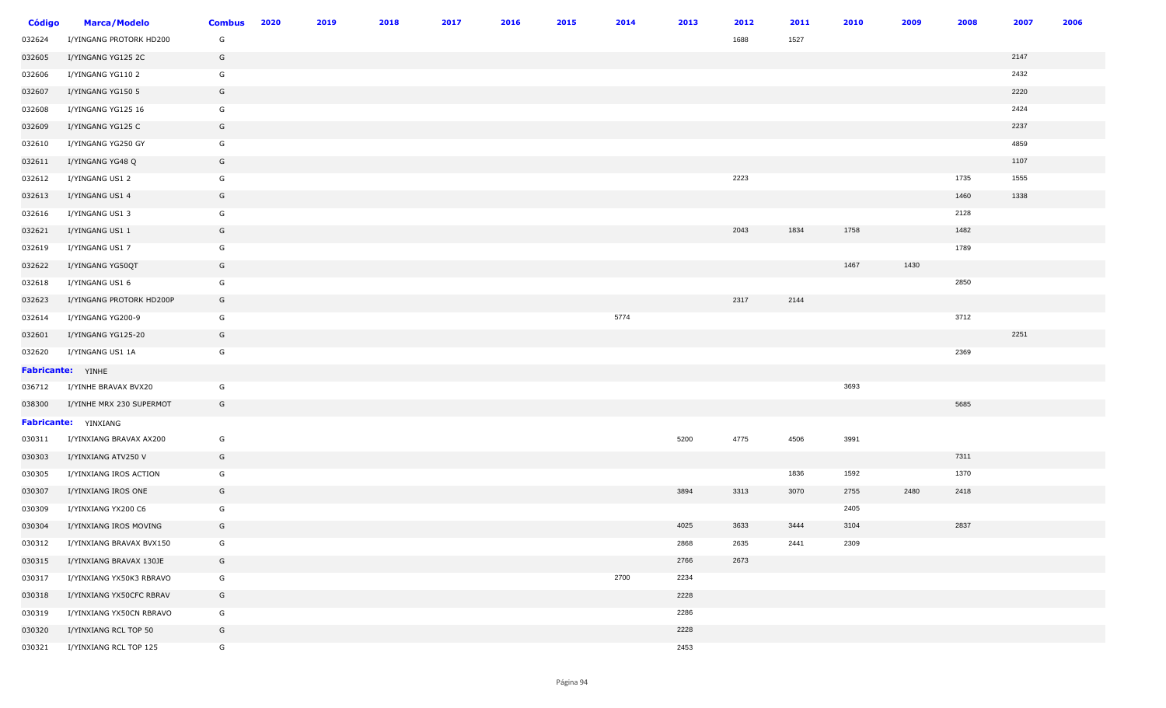| <b>Código</b> | <b>Marca/Modelo</b>      | <b>Combus</b> | 2020 | 2019 | 2018 | 2017 | 2016 | 2015 | 2014 | 2013 | 2012 | 2011 | 2010 | 2009 | 2008 | 2007 | 2006 |
|---------------|--------------------------|---------------|------|------|------|------|------|------|------|------|------|------|------|------|------|------|------|
| 032624        | I/YINGANG PROTORK HD200  | G             |      |      |      |      |      |      |      |      | 1688 | 1527 |      |      |      |      |      |
| 032605        | I/YINGANG YG125 2C       | G             |      |      |      |      |      |      |      |      |      |      |      |      |      | 2147 |      |
| 032606        | I/YINGANG YG110 2        | G             |      |      |      |      |      |      |      |      |      |      |      |      |      | 2432 |      |
| 032607        | I/YINGANG YG150 5        | G             |      |      |      |      |      |      |      |      |      |      |      |      |      | 2220 |      |
| 032608        | I/YINGANG YG125 16       | G             |      |      |      |      |      |      |      |      |      |      |      |      |      | 2424 |      |
| 032609        | I/YINGANG YG125 C        | G             |      |      |      |      |      |      |      |      |      |      |      |      |      | 2237 |      |
| 032610        | I/YINGANG YG250 GY       | G             |      |      |      |      |      |      |      |      |      |      |      |      |      | 4859 |      |
| 032611        | I/YINGANG YG48 Q         | G             |      |      |      |      |      |      |      |      |      |      |      |      |      | 1107 |      |
| 032612        | I/YINGANG US1 2          | G             |      |      |      |      |      |      |      |      | 2223 |      |      |      | 1735 | 1555 |      |
| 032613        | I/YINGANG US1 4          | G             |      |      |      |      |      |      |      |      |      |      |      |      | 1460 | 1338 |      |
| 032616        | I/YINGANG US1 3          | G             |      |      |      |      |      |      |      |      |      |      |      |      | 2128 |      |      |
| 032621        | I/YINGANG US1 1          | G             |      |      |      |      |      |      |      |      | 2043 | 1834 | 1758 |      | 1482 |      |      |
| 032619        | I/YINGANG US1 7          | G             |      |      |      |      |      |      |      |      |      |      |      |      | 1789 |      |      |
| 032622        | I/YINGANG YG50QT         | G             |      |      |      |      |      |      |      |      |      |      | 1467 | 1430 |      |      |      |
| 032618        | I/YINGANG US1 6          | G             |      |      |      |      |      |      |      |      |      |      |      |      | 2850 |      |      |
| 032623        | I/YINGANG PROTORK HD200P | G             |      |      |      |      |      |      |      |      | 2317 | 2144 |      |      |      |      |      |
| 032614        | I/YINGANG YG200-9        | G             |      |      |      |      |      |      | 5774 |      |      |      |      |      | 3712 |      |      |
| 032601        | I/YINGANG YG125-20       | G             |      |      |      |      |      |      |      |      |      |      |      |      |      | 2251 |      |
| 032620        | I/YINGANG US1 1A         | G             |      |      |      |      |      |      |      |      |      |      |      |      | 2369 |      |      |
|               | <b>Fabricante:</b> YINHE |               |      |      |      |      |      |      |      |      |      |      |      |      |      |      |      |
| 036712        | I/YINHE BRAVAX BVX20     | G             |      |      |      |      |      |      |      |      |      |      | 3693 |      |      |      |      |
| 038300        | I/YINHE MRX 230 SUPERMOT | G             |      |      |      |      |      |      |      |      |      |      |      |      | 5685 |      |      |
|               | Fabricante: YINXIANG     |               |      |      |      |      |      |      |      |      |      |      |      |      |      |      |      |
| 030311        | I/YINXIANG BRAVAX AX200  | G             |      |      |      |      |      |      |      | 5200 | 4775 | 4506 | 3991 |      |      |      |      |
| 030303        | I/YINXIANG ATV250 V      | G             |      |      |      |      |      |      |      |      |      |      |      |      | 7311 |      |      |
| 030305        | I/YINXIANG IROS ACTION   | G             |      |      |      |      |      |      |      |      |      | 1836 | 1592 |      | 1370 |      |      |
| 030307        | I/YINXIANG IROS ONE      | G             |      |      |      |      |      |      |      | 3894 | 3313 | 3070 | 2755 | 2480 | 2418 |      |      |
| 030309        | I/YINXIANG YX200 C6      | G             |      |      |      |      |      |      |      |      |      |      | 2405 |      |      |      |      |
| 030304        | I/YINXIANG IROS MOVING   | G             |      |      |      |      |      |      |      | 4025 | 3633 | 3444 | 3104 |      | 2837 |      |      |
| 030312        | I/YINXIANG BRAVAX BVX150 | G             |      |      |      |      |      |      |      | 2868 | 2635 | 2441 | 2309 |      |      |      |      |
| 030315        | I/YINXIANG BRAVAX 130JE  | G             |      |      |      |      |      |      |      | 2766 | 2673 |      |      |      |      |      |      |
| 030317        | I/YINXIANG YX50K3 RBRAVO | G             |      |      |      |      |      |      | 2700 | 2234 |      |      |      |      |      |      |      |
| 030318        | I/YINXIANG YX50CFC RBRAV | G             |      |      |      |      |      |      |      | 2228 |      |      |      |      |      |      |      |
| 030319        | I/YINXIANG YX50CN RBRAVO | G             |      |      |      |      |      |      |      | 2286 |      |      |      |      |      |      |      |
| 030320        | I/YINXIANG RCL TOP 50    | G             |      |      |      |      |      |      |      | 2228 |      |      |      |      |      |      |      |
| 030321        | I/YINXIANG RCL TOP 125   | G             |      |      |      |      |      |      |      | 2453 |      |      |      |      |      |      |      |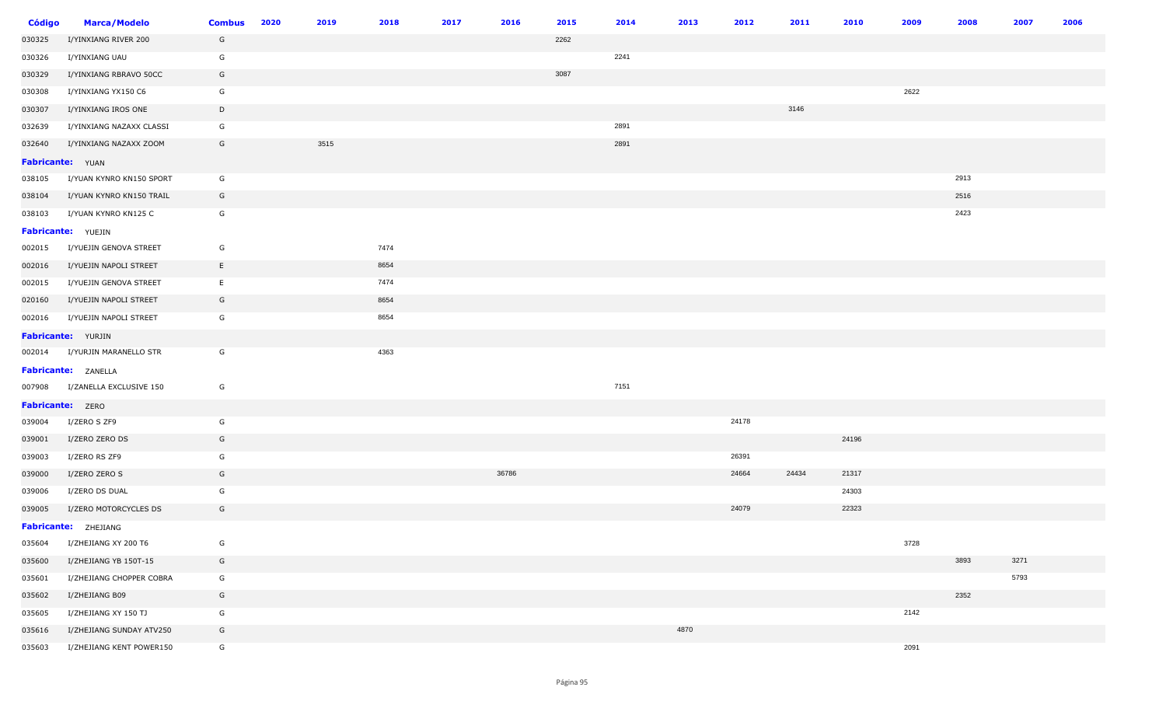| <b>Código</b>    | <b>Marca/Modelo</b>            | <b>Combus</b> | 2020 | 2019 | 2018 | 2017 | 2016  | 2015 | 2014 | 2013 | 2012  | 2011  | 2010  | 2009 | 2008 | 2007 | 2006 |
|------------------|--------------------------------|---------------|------|------|------|------|-------|------|------|------|-------|-------|-------|------|------|------|------|
| 030325           | I/YINXIANG RIVER 200           | G             |      |      |      |      |       | 2262 |      |      |       |       |       |      |      |      |      |
| 030326           | I/YINXIANG UAU                 | G             |      |      |      |      |       |      | 2241 |      |       |       |       |      |      |      |      |
| 030329           | I/YINXIANG RBRAVO 50CC         | G             |      |      |      |      |       | 3087 |      |      |       |       |       |      |      |      |      |
| 030308           | I/YINXIANG YX150 C6            | G             |      |      |      |      |       |      |      |      |       |       |       | 2622 |      |      |      |
| 030307           | I/YINXIANG IROS ONE            | $\mathsf{D}$  |      |      |      |      |       |      |      |      |       | 3146  |       |      |      |      |      |
| 032639           | I/YINXIANG NAZAXX CLASSI       | G             |      |      |      |      |       |      | 2891 |      |       |       |       |      |      |      |      |
| 032640           | I/YINXIANG NAZAXX ZOOM         | G             |      | 3515 |      |      |       |      | 2891 |      |       |       |       |      |      |      |      |
| Fabricante: YUAN |                                |               |      |      |      |      |       |      |      |      |       |       |       |      |      |      |      |
| 038105           | I/YUAN KYNRO KN150 SPORT       | G             |      |      |      |      |       |      |      |      |       |       |       |      | 2913 |      |      |
| 038104           | I/YUAN KYNRO KN150 TRAIL       | G             |      |      |      |      |       |      |      |      |       |       |       |      | 2516 |      |      |
| 038103           | I/YUAN KYNRO KN125 C           | G             |      |      |      |      |       |      |      |      |       |       |       |      | 2423 |      |      |
|                  | <b>Fabricante:</b> YUEJIN      |               |      |      |      |      |       |      |      |      |       |       |       |      |      |      |      |
| 002015           | I/YUEJIN GENOVA STREET         | G             |      |      | 7474 |      |       |      |      |      |       |       |       |      |      |      |      |
| 002016           | I/YUEJIN NAPOLI STREET         | E             |      |      | 8654 |      |       |      |      |      |       |       |       |      |      |      |      |
| 002015           | I/YUEJIN GENOVA STREET         | E             |      |      | 7474 |      |       |      |      |      |       |       |       |      |      |      |      |
| 020160           | I/YUEJIN NAPOLI STREET         | G             |      |      | 8654 |      |       |      |      |      |       |       |       |      |      |      |      |
| 002016           | I/YUEJIN NAPOLI STREET         | G             |      |      | 8654 |      |       |      |      |      |       |       |       |      |      |      |      |
|                  | Fabricante: YURJIN             |               |      |      |      |      |       |      |      |      |       |       |       |      |      |      |      |
|                  | 002014 I/YURJIN MARANELLO STR  | G             |      |      | 4363 |      |       |      |      |      |       |       |       |      |      |      |      |
|                  | Fabricante: ZANELLA            |               |      |      |      |      |       |      |      |      |       |       |       |      |      |      |      |
|                  | 007908 I/ZANELLA EXCLUSIVE 150 | G             |      |      |      |      |       |      | 7151 |      |       |       |       |      |      |      |      |
| Fabricante: ZERO |                                |               |      |      |      |      |       |      |      |      |       |       |       |      |      |      |      |
| 039004           | I/ZERO S ZF9                   | G             |      |      |      |      |       |      |      |      | 24178 |       |       |      |      |      |      |
| 039001           | I/ZERO ZERO DS                 | G             |      |      |      |      |       |      |      |      |       |       | 24196 |      |      |      |      |
| 039003           | I/ZERO RS ZF9                  | G             |      |      |      |      |       |      |      |      | 26391 |       |       |      |      |      |      |
| 039000           | I/ZERO ZERO S                  | G             |      |      |      |      | 36786 |      |      |      | 24664 | 24434 | 21317 |      |      |      |      |
| 039006           | I/ZERO DS DUAL                 | G             |      |      |      |      |       |      |      |      |       |       | 24303 |      |      |      |      |
| 039005           | I/ZERO MOTORCYCLES DS          | G             |      |      |      |      |       |      |      |      | 24079 |       | 22323 |      |      |      |      |
|                  | Fabricante: ZHEJIANG           |               |      |      |      |      |       |      |      |      |       |       |       |      |      |      |      |
| 035604           | I/ZHEJIANG XY 200 T6           | G             |      |      |      |      |       |      |      |      |       |       |       | 3728 |      |      |      |
| 035600           | I/ZHEJIANG YB 150T-15          | G             |      |      |      |      |       |      |      |      |       |       |       |      | 3893 | 3271 |      |
| 035601           | I/ZHEJIANG CHOPPER COBRA       | G             |      |      |      |      |       |      |      |      |       |       |       |      |      | 5793 |      |
| 035602           | I/ZHEJIANG B09                 | G             |      |      |      |      |       |      |      |      |       |       |       |      | 2352 |      |      |
| 035605           | I/ZHEJIANG XY 150 TJ           | G             |      |      |      |      |       |      |      |      |       |       |       | 2142 |      |      |      |
| 035616           | I/ZHEJIANG SUNDAY ATV250       | G             |      |      |      |      |       |      |      | 4870 |       |       |       |      |      |      |      |
| 035603           | I/ZHEJIANG KENT POWER150       | G             |      |      |      |      |       |      |      |      |       |       |       | 2091 |      |      |      |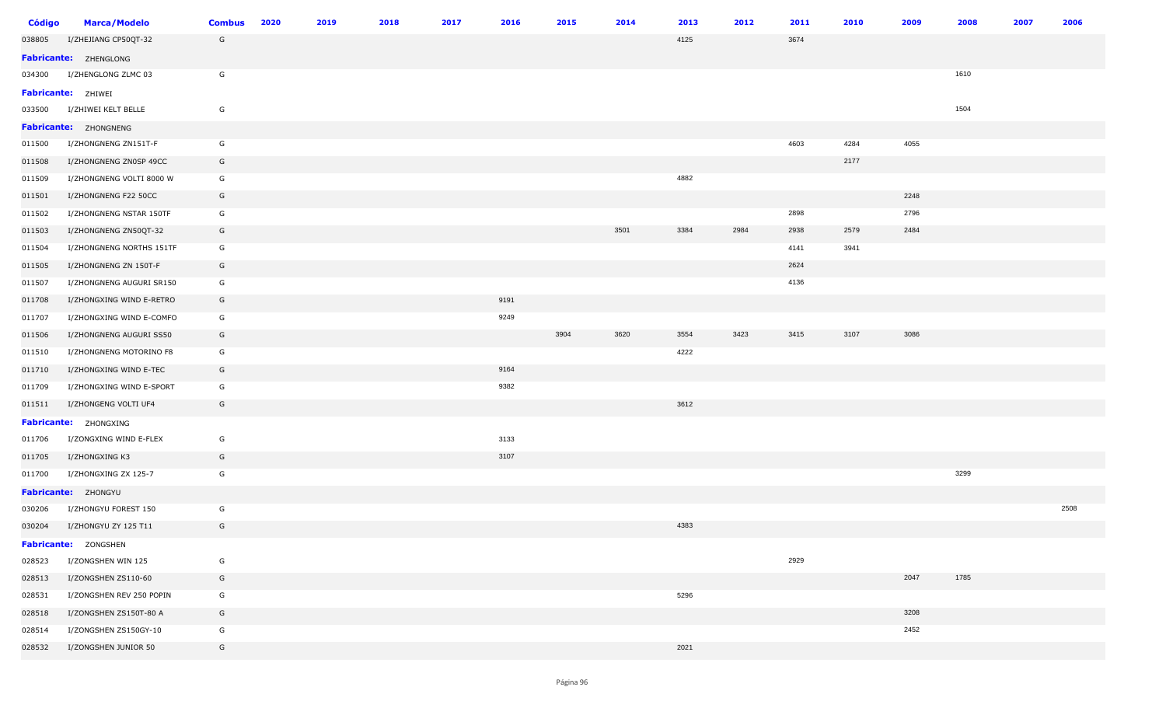| <b>Código</b> | <b>Marca/Modelo</b>       | <b>Combus</b> | 2020 | 2019 | 2018 | 2017 | 2016 | 2015 | 2014 | 2013 | 2012 | 2011 | 2010 | 2009 | 2008<br>2007 | 2006 |
|---------------|---------------------------|---------------|------|------|------|------|------|------|------|------|------|------|------|------|--------------|------|
| 038805        | I/ZHEJIANG CP50QT-32      | G             |      |      |      |      |      |      |      | 4125 |      | 3674 |      |      |              |      |
|               | Fabricante: ZHENGLONG     |               |      |      |      |      |      |      |      |      |      |      |      |      |              |      |
| 034300        | I/ZHENGLONG ZLMC 03       | G             |      |      |      |      |      |      |      |      |      |      |      |      | 1610         |      |
|               | <b>Fabricante: ZHIWEI</b> |               |      |      |      |      |      |      |      |      |      |      |      |      |              |      |
| 033500        | I/ZHIWEI KELT BELLE       | G             |      |      |      |      |      |      |      |      |      |      |      |      | 1504         |      |
|               | Fabricante: ZHONGNENG     |               |      |      |      |      |      |      |      |      |      |      |      |      |              |      |
| 011500        | I/ZHONGNENG ZN151T-F      | G             |      |      |      |      |      |      |      |      |      | 4603 | 4284 | 4055 |              |      |
| 011508        | I/ZHONGNENG ZN0SP 49CC    | G             |      |      |      |      |      |      |      |      |      |      | 2177 |      |              |      |
| 011509        | I/ZHONGNENG VOLTI 8000 W  | G             |      |      |      |      |      |      |      | 4882 |      |      |      |      |              |      |
| 011501        | I/ZHONGNENG F22 50CC      | G             |      |      |      |      |      |      |      |      |      |      |      | 2248 |              |      |
| 011502        | I/ZHONGNENG NSTAR 150TF   | G             |      |      |      |      |      |      |      |      |      | 2898 |      | 2796 |              |      |
| 011503        | I/ZHONGNENG ZN50QT-32     | G             |      |      |      |      |      |      | 3501 | 3384 | 2984 | 2938 | 2579 | 2484 |              |      |
| 011504        | I/ZHONGNENG NORTHS 151TF  | G             |      |      |      |      |      |      |      |      |      | 4141 | 3941 |      |              |      |
| 011505        | I/ZHONGNENG ZN 150T-F     | G             |      |      |      |      |      |      |      |      |      | 2624 |      |      |              |      |
| 011507        | I/ZHONGNENG AUGURI SR150  | G             |      |      |      |      |      |      |      |      |      | 4136 |      |      |              |      |
| 011708        | I/ZHONGXING WIND E-RETRO  | G             |      |      |      |      | 9191 |      |      |      |      |      |      |      |              |      |
| 011707        | I/ZHONGXING WIND E-COMFO  | G             |      |      |      |      | 9249 |      |      |      |      |      |      |      |              |      |
| 011506        | I/ZHONGNENG AUGURI SS50   | G             |      |      |      |      |      | 3904 | 3620 | 3554 | 3423 | 3415 | 3107 | 3086 |              |      |
| 011510        | I/ZHONGNENG MOTORINO F8   | G             |      |      |      |      |      |      |      | 4222 |      |      |      |      |              |      |
| 011710        | I/ZHONGXING WIND E-TEC    | G             |      |      |      |      | 9164 |      |      |      |      |      |      |      |              |      |
| 011709        | I/ZHONGXING WIND E-SPORT  | G             |      |      |      |      | 9382 |      |      |      |      |      |      |      |              |      |
| 011511        | I/ZHONGENG VOLTI UF4      | G             |      |      |      |      |      |      |      | 3612 |      |      |      |      |              |      |
|               | Fabricante: ZHONGXING     |               |      |      |      |      |      |      |      |      |      |      |      |      |              |      |
| 011706        | I/ZONGXING WIND E-FLEX    | G             |      |      |      |      | 3133 |      |      |      |      |      |      |      |              |      |
| 011705        | I/ZHONGXING K3            | G             |      |      |      |      | 3107 |      |      |      |      |      |      |      |              |      |
| 011700        | I/ZHONGXING ZX 125-7      | G             |      |      |      |      |      |      |      |      |      |      |      |      | 3299         |      |
|               | Fabricante: ZHONGYU       |               |      |      |      |      |      |      |      |      |      |      |      |      |              |      |
| 030206        | I/ZHONGYU FOREST 150      | G             |      |      |      |      |      |      |      |      |      |      |      |      |              | 2508 |
| 030204        | I/ZHONGYU ZY 125 T11      | G             |      |      |      |      |      |      |      | 4383 |      |      |      |      |              |      |
|               | Fabricante: ZONGSHEN      |               |      |      |      |      |      |      |      |      |      |      |      |      |              |      |
| 028523        | I/ZONGSHEN WIN 125        | G             |      |      |      |      |      |      |      |      |      | 2929 |      |      |              |      |
| 028513        | I/ZONGSHEN ZS110-60       | G             |      |      |      |      |      |      |      |      |      |      |      | 2047 | 1785         |      |
| 028531        | I/ZONGSHEN REV 250 POPIN  | G             |      |      |      |      |      |      |      | 5296 |      |      |      |      |              |      |
| 028518        | I/ZONGSHEN ZS150T-80 A    | G             |      |      |      |      |      |      |      |      |      |      |      | 3208 |              |      |
| 028514        | I/ZONGSHEN ZS150GY-10     | G             |      |      |      |      |      |      |      |      |      |      |      | 2452 |              |      |
| 028532        | I/ZONGSHEN JUNIOR 50      | G             |      |      |      |      |      |      |      | 2021 |      |      |      |      |              |      |